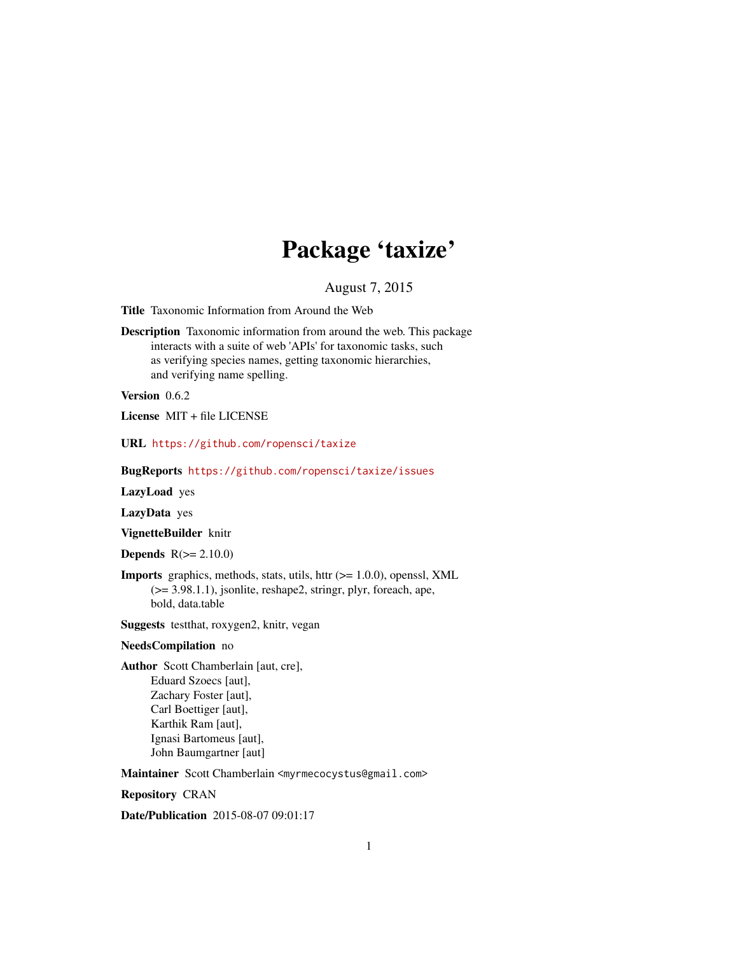# Package 'taxize'

August 7, 2015

<span id="page-0-0"></span>Title Taxonomic Information from Around the Web

Description Taxonomic information from around the web. This package interacts with a suite of web 'APIs' for taxonomic tasks, such as verifying species names, getting taxonomic hierarchies, and verifying name spelling.

Version 0.6.2

License MIT + file LICENSE

URL <https://github.com/ropensci/taxize>

BugReports <https://github.com/ropensci/taxize/issues>

LazyLoad yes

LazyData yes

VignetteBuilder knitr

**Depends**  $R(>= 2.10.0)$ 

**Imports** graphics, methods, stats, utils, httr  $(>= 1.0.0)$ , openssl, XML (>= 3.98.1.1), jsonlite, reshape2, stringr, plyr, foreach, ape, bold, data.table

Suggests testthat, roxygen2, knitr, vegan

#### NeedsCompilation no

Author Scott Chamberlain [aut, cre], Eduard Szoecs [aut], Zachary Foster [aut], Carl Boettiger [aut], Karthik Ram [aut], Ignasi Bartomeus [aut], John Baumgartner [aut]

Maintainer Scott Chamberlain <myrmecocystus@gmail.com>

Repository CRAN

Date/Publication 2015-08-07 09:01:17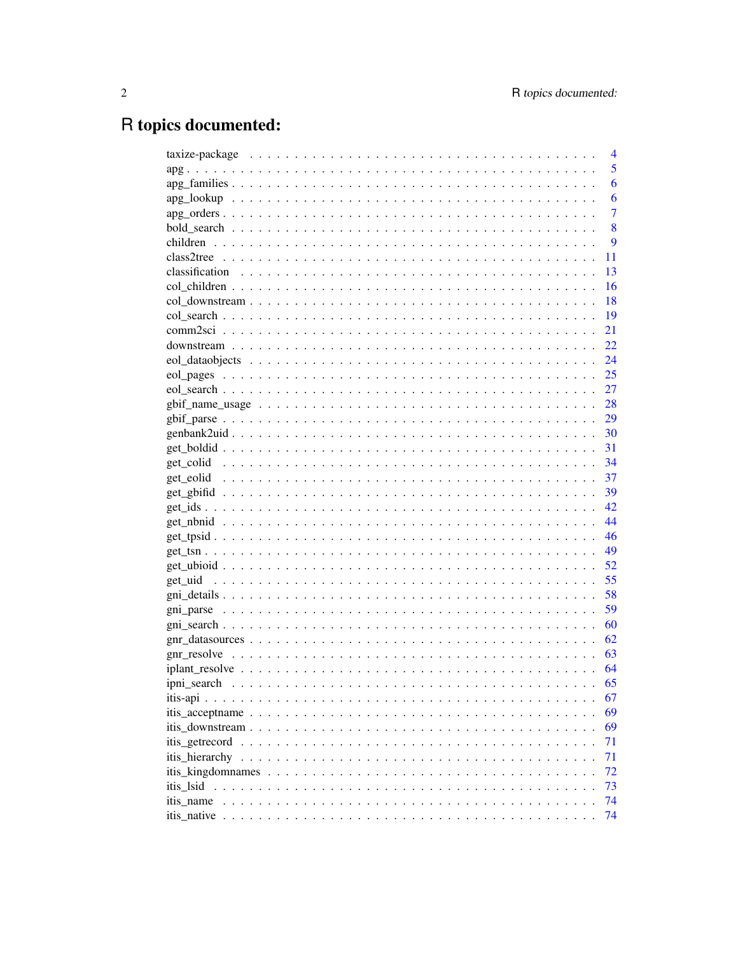# R topics documented:

|                                                                                                               | 4              |
|---------------------------------------------------------------------------------------------------------------|----------------|
|                                                                                                               | 5              |
|                                                                                                               | 6              |
|                                                                                                               | 6              |
|                                                                                                               | $\overline{7}$ |
|                                                                                                               | 8              |
|                                                                                                               | 9              |
|                                                                                                               | 11             |
|                                                                                                               | 13             |
|                                                                                                               | 16             |
|                                                                                                               | 18             |
|                                                                                                               | 19             |
|                                                                                                               | 21             |
|                                                                                                               | 22             |
|                                                                                                               | 24             |
|                                                                                                               |                |
|                                                                                                               |                |
|                                                                                                               |                |
|                                                                                                               | 29             |
|                                                                                                               |                |
|                                                                                                               |                |
|                                                                                                               |                |
|                                                                                                               | 37             |
|                                                                                                               | - 39           |
|                                                                                                               | 42             |
|                                                                                                               | 44             |
|                                                                                                               | 46             |
|                                                                                                               |                |
|                                                                                                               |                |
|                                                                                                               | 55             |
|                                                                                                               | 58             |
|                                                                                                               | 59             |
|                                                                                                               |                |
| $grn\_datasources \ldots \ldots \ldots \ldots \ldots \ldots \ldots \ldots \ldots \ldots \ldots \ldots \ldots$ | 62             |
|                                                                                                               | 63             |
|                                                                                                               | 64             |
|                                                                                                               | 65             |
|                                                                                                               | 67             |
|                                                                                                               | 69             |
|                                                                                                               | 69             |
|                                                                                                               | 71             |
|                                                                                                               | 71             |
|                                                                                                               | 72             |
| itis 1sid                                                                                                     | 73             |
| itis name                                                                                                     | 74             |
|                                                                                                               | 74             |
|                                                                                                               |                |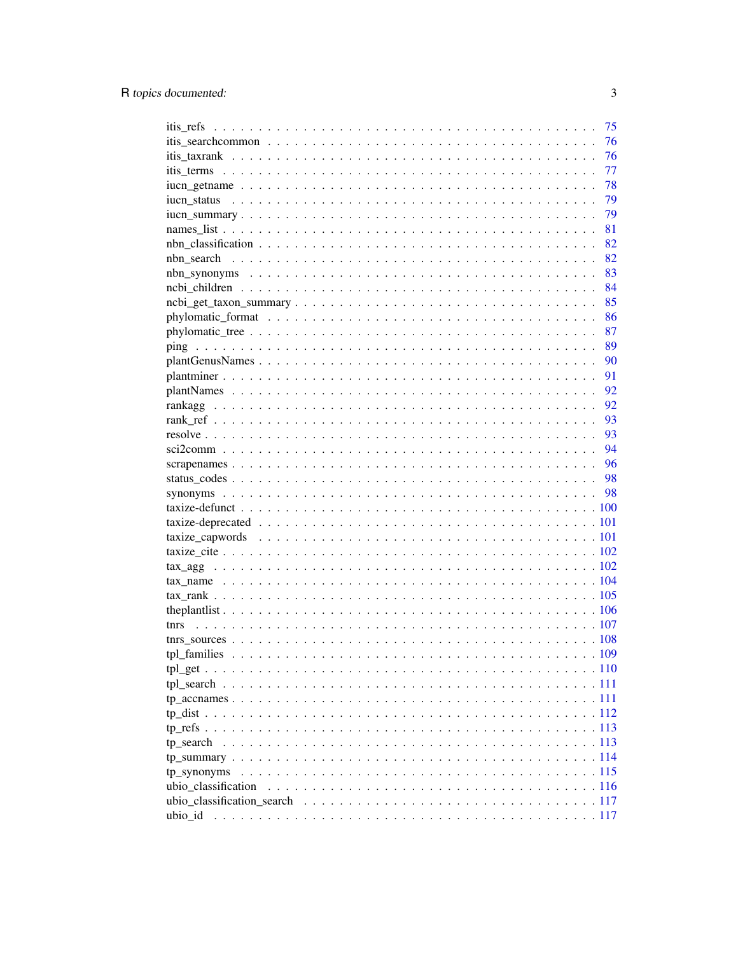|                     | 75 |
|---------------------|----|
|                     | 76 |
|                     | 76 |
|                     | 77 |
|                     | 78 |
|                     | 79 |
|                     | 79 |
|                     | 81 |
|                     | 82 |
|                     | 82 |
|                     | 83 |
|                     | 84 |
|                     | 85 |
|                     | 86 |
|                     | 87 |
|                     | 89 |
|                     | 90 |
|                     | 91 |
|                     | 92 |
|                     | 92 |
|                     | 93 |
|                     | 93 |
|                     | 94 |
|                     |    |
|                     | 96 |
|                     | 98 |
|                     | 98 |
|                     |    |
|                     |    |
|                     |    |
|                     |    |
|                     |    |
|                     |    |
|                     |    |
|                     |    |
|                     |    |
|                     |    |
|                     |    |
|                     |    |
|                     |    |
|                     |    |
|                     |    |
|                     |    |
|                     |    |
|                     |    |
| tp synonyms         |    |
| ubio_classification |    |
|                     |    |
| ubio id             |    |
|                     |    |

 $\overline{3}$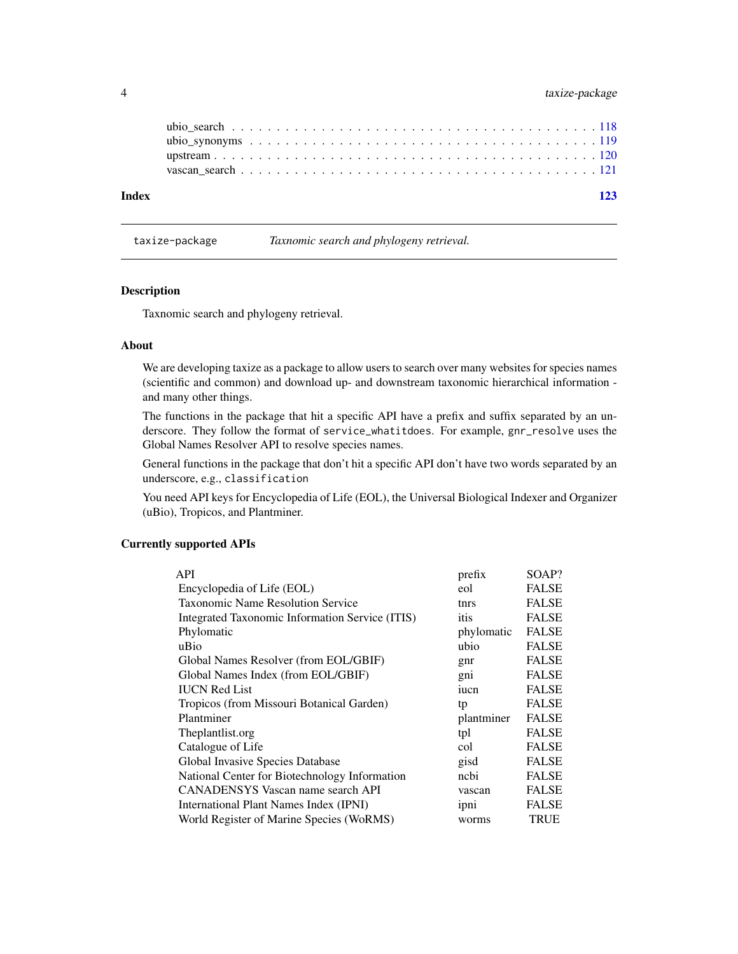# <span id="page-3-0"></span>4 taxize-package

| Index |  |  |  |  |  |  |  |  |  |  |  |  |  |  |  | 173 |
|-------|--|--|--|--|--|--|--|--|--|--|--|--|--|--|--|-----|
|       |  |  |  |  |  |  |  |  |  |  |  |  |  |  |  |     |
|       |  |  |  |  |  |  |  |  |  |  |  |  |  |  |  |     |
|       |  |  |  |  |  |  |  |  |  |  |  |  |  |  |  |     |
|       |  |  |  |  |  |  |  |  |  |  |  |  |  |  |  |     |
|       |  |  |  |  |  |  |  |  |  |  |  |  |  |  |  |     |

taxize-package *Taxnomic search and phylogeny retrieval.*

#### Description

Taxnomic search and phylogeny retrieval.

#### About

We are developing taxize as a package to allow users to search over many websites for species names (scientific and common) and download up- and downstream taxonomic hierarchical information and many other things.

The functions in the package that hit a specific API have a prefix and suffix separated by an underscore. They follow the format of service\_whatitdoes. For example, gnr\_resolve uses the Global Names Resolver API to resolve species names.

General functions in the package that don't hit a specific API don't have two words separated by an underscore, e.g., classification

You need API keys for Encyclopedia of Life (EOL), the Universal Biological Indexer and Organizer (uBio), Tropicos, and Plantminer.

# Currently supported APIs

| API                                             | prefix     | SOAP?        |
|-------------------------------------------------|------------|--------------|
| Encyclopedia of Life (EOL)                      | eol        | <b>FALSE</b> |
| <b>Taxonomic Name Resolution Service</b>        | tnrs       | <b>FALSE</b> |
| Integrated Taxonomic Information Service (ITIS) | itis       | <b>FALSE</b> |
| Phylomatic                                      | phylomatic | <b>FALSE</b> |
| uBio                                            | ubio       | <b>FALSE</b> |
| Global Names Resolver (from EOL/GBIF)           | gnr        | <b>FALSE</b> |
| Global Names Index (from EOL/GBIF)              | gni        | <b>FALSE</b> |
| <b>IUCN Red List</b>                            | iucn       | <b>FALSE</b> |
| Tropicos (from Missouri Botanical Garden)       | tp         | <b>FALSE</b> |
| Plantminer                                      | plantminer | <b>FALSE</b> |
| Theplantlist.org                                | tpl        | <b>FALSE</b> |
| Catalogue of Life                               | col        | <b>FALSE</b> |
| Global Invasive Species Database                | gisd       | <b>FALSE</b> |
| National Center for Biotechnology Information   | ncbi       | <b>FALSE</b> |
| CANADENSYS Vascan name search API               | vascan     | <b>FALSE</b> |
| International Plant Names Index (IPNI)          | ipni       | <b>FALSE</b> |
| World Register of Marine Species (WoRMS)        | worms      | TRUE         |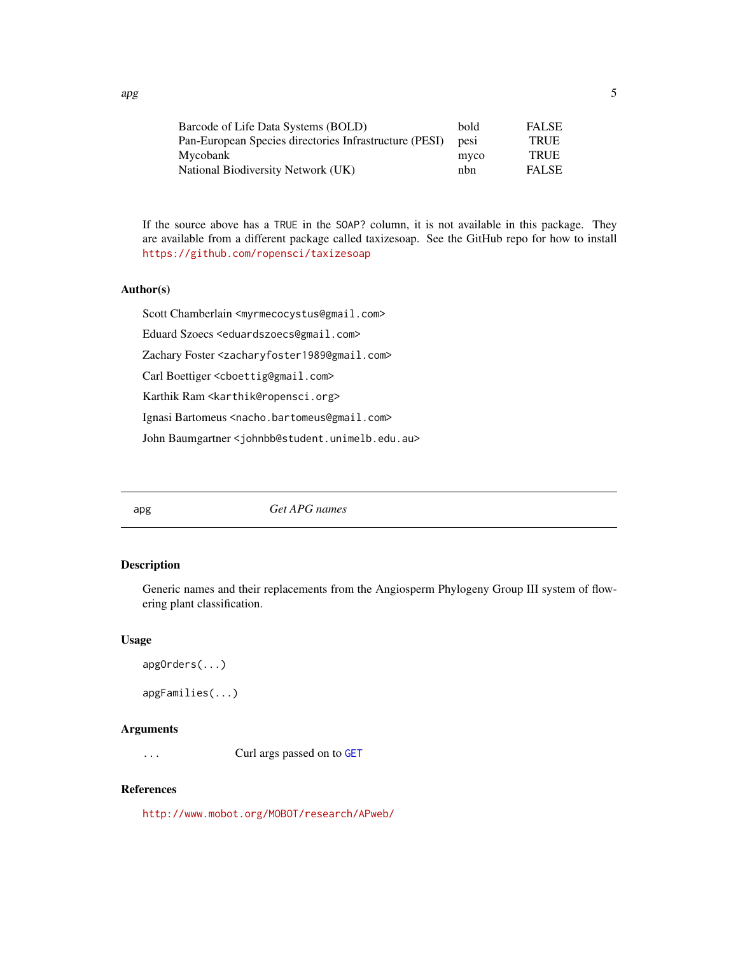| Barcode of Life Data Systems (BOLD)                    | bold             | <b>FALSE</b> |
|--------------------------------------------------------|------------------|--------------|
| Pan-European Species directories Infrastructure (PESI) | pes <sub>1</sub> | <b>TRUE</b>  |
| Mycobank                                               | myco             | <b>TRUE</b>  |
| National Biodiversity Network (UK)                     | nbn              | <b>FALSE</b> |

If the source above has a TRUE in the SOAP? column, it is not available in this package. They are available from a different package called taxizesoap. See the GitHub repo for how to install <https://github.com/ropensci/taxizesoap>

#### Author(s)

Scott Chamberlain <myrmecocystus@gmail.com>

Eduard Szoecs <eduardszoecs@gmail.com>

Zachary Foster <zacharyfoster1989@gmail.com>

Carl Boettiger <cboettig@gmail.com>

Karthik Ram <karthik@ropensci.org>

Ignasi Bartomeus <nacho.bartomeus@gmail.com>

John Baumgartner <johnbb@student.unimelb.edu.au>

apg *Get APG names*

# <span id="page-4-1"></span>Description

Generic names and their replacements from the Angiosperm Phylogeny Group III system of flowering plant classification.

#### Usage

```
apgOrders(...)
```

```
apgFamilies(...)
```
# Arguments

... Curl args passed on to [GET](#page-0-0)

#### References

<http://www.mobot.org/MOBOT/research/APweb/>

<span id="page-4-0"></span> $\log$  5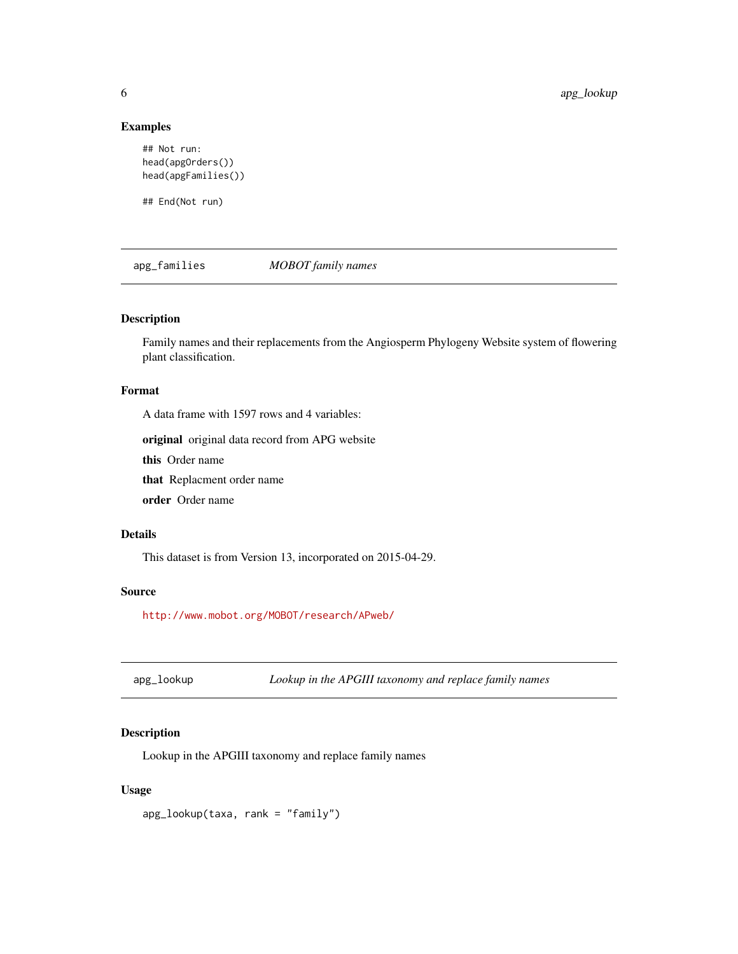# Examples

```
## Not run:
head(apgOrders())
head(apgFamilies())
```
## End(Not run)

<span id="page-5-1"></span>apg\_families *MOBOT family names*

# Description

Family names and their replacements from the Angiosperm Phylogeny Website system of flowering plant classification.

# Format

A data frame with 1597 rows and 4 variables:

original original data record from APG website

this Order name

that Replacment order name

order Order name

#### Details

This dataset is from Version 13, incorporated on 2015-04-29.

# Source

<http://www.mobot.org/MOBOT/research/APweb/>

apg\_lookup *Lookup in the APGIII taxonomy and replace family names*

# Description

Lookup in the APGIII taxonomy and replace family names

# Usage

apg\_lookup(taxa, rank = "family")

<span id="page-5-0"></span>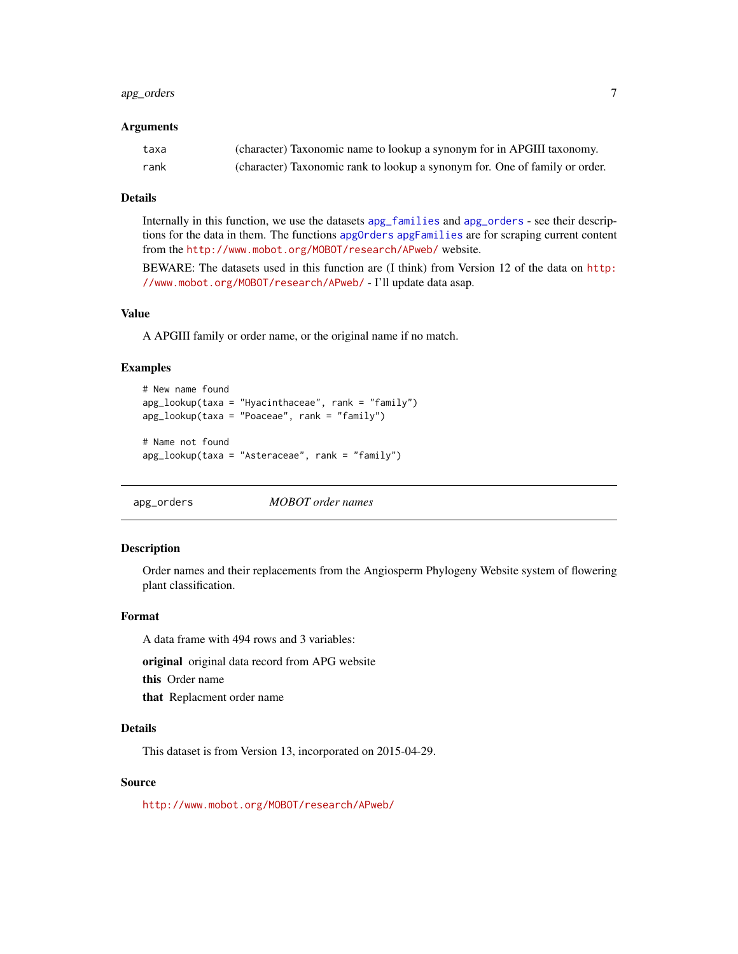# <span id="page-6-0"></span>apg\_orders 7

#### Arguments

| taxa | (character) Taxonomic name to lookup a synonym for in APGIII taxonomy.      |
|------|-----------------------------------------------------------------------------|
| rank | (character) Taxonomic rank to lookup a synonym for. One of family or order. |

# Details

Internally in this function, we use the datasets [apg\\_families](#page-5-1) and [apg\\_orders](#page-6-1) - see their descriptions for the data in them. The functions [apgOrders](#page-4-1) [apgFamilies](#page-4-1) are for scraping current content from the <http://www.mobot.org/MOBOT/research/APweb/> website.

BEWARE: The datasets used in this function are (I think) from Version 12 of the data on [http:](http://www.mobot.org/MOBOT/research/APweb/) [//www.mobot.org/MOBOT/research/APweb/](http://www.mobot.org/MOBOT/research/APweb/) - I'll update data asap.

#### Value

A APGIII family or order name, or the original name if no match.

#### Examples

```
# New name found
apg_lookup(taxa = "Hyacinthaceae", rank = "family")
apg_lookup(taxa = "Poaceae", rank = "family")
# Name not found
```

```
apg_lookup(taxa = "Asteraceae", rank = "family")
```
<span id="page-6-1"></span>apg\_orders *MOBOT order names*

#### Description

Order names and their replacements from the Angiosperm Phylogeny Website system of flowering plant classification.

#### Format

A data frame with 494 rows and 3 variables:

original original data record from APG website

this Order name

that Replacment order name

#### Details

This dataset is from Version 13, incorporated on 2015-04-29.

#### Source

<http://www.mobot.org/MOBOT/research/APweb/>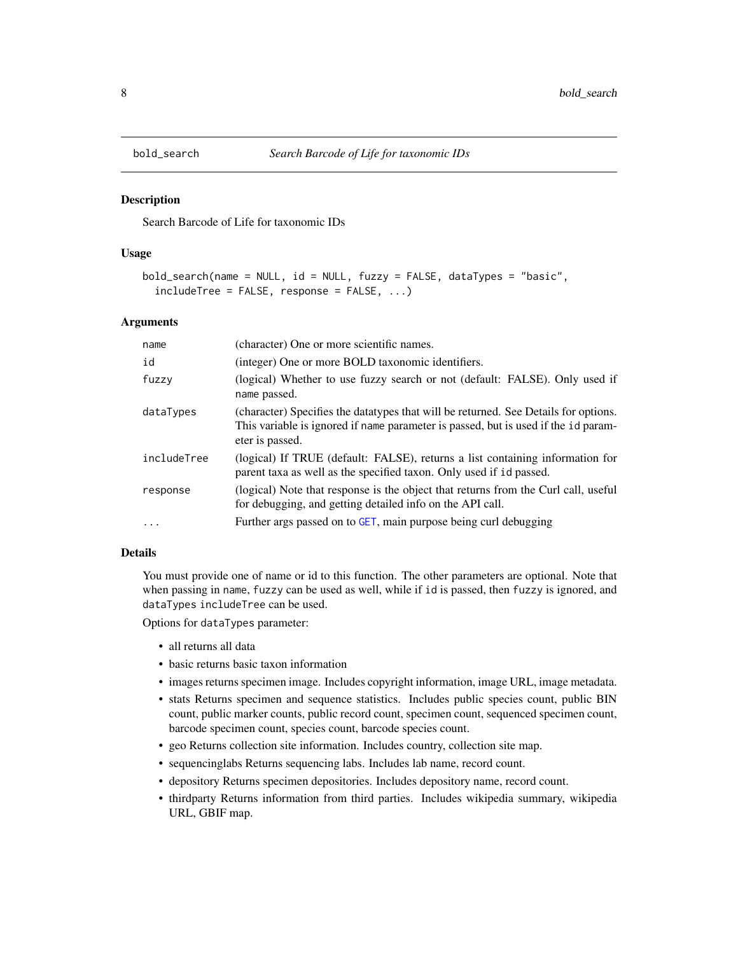<span id="page-7-0"></span>

#### Description

Search Barcode of Life for taxonomic IDs

## Usage

```
bold_search(name = NULL, id = NULL, fuzzy = FALSE, dataTypes = "basic",
  includeTree = FALSE, response = FALSE, ...)
```
#### Arguments

| name        | (character) One or more scientific names.                                                                                                                                                    |
|-------------|----------------------------------------------------------------------------------------------------------------------------------------------------------------------------------------------|
| id          | (integer) One or more BOLD taxonomic identifiers.                                                                                                                                            |
| fuzzy       | (logical) Whether to use fuzzy search or not (default: FALSE). Only used if<br>name passed.                                                                                                  |
| dataTypes   | (character) Specifies the datatypes that will be returned. See Details for options.<br>This variable is ignored if name parameter is passed, but is used if the id param-<br>eter is passed. |
| includeTree | (logical) If TRUE (default: FALSE), returns a list containing information for<br>parent taxa as well as the specified taxon. Only used if id passed.                                         |
| response    | (logical) Note that response is the object that returns from the Curl call, useful<br>for debugging, and getting detailed info on the API call.                                              |
| $\ddots$    | Further args passed on to GET, main purpose being curl debugging                                                                                                                             |

#### Details

You must provide one of name or id to this function. The other parameters are optional. Note that when passing in name, fuzzy can be used as well, while if id is passed, then fuzzy is ignored, and dataTypes includeTree can be used.

Options for dataTypes parameter:

- all returns all data
- basic returns basic taxon information
- images returns specimen image. Includes copyright information, image URL, image metadata.
- stats Returns specimen and sequence statistics. Includes public species count, public BIN count, public marker counts, public record count, specimen count, sequenced specimen count, barcode specimen count, species count, barcode species count.
- geo Returns collection site information. Includes country, collection site map.
- sequencinglabs Returns sequencing labs. Includes lab name, record count.
- depository Returns specimen depositories. Includes depository name, record count.
- thirdparty Returns information from third parties. Includes wikipedia summary, wikipedia URL, GBIF map.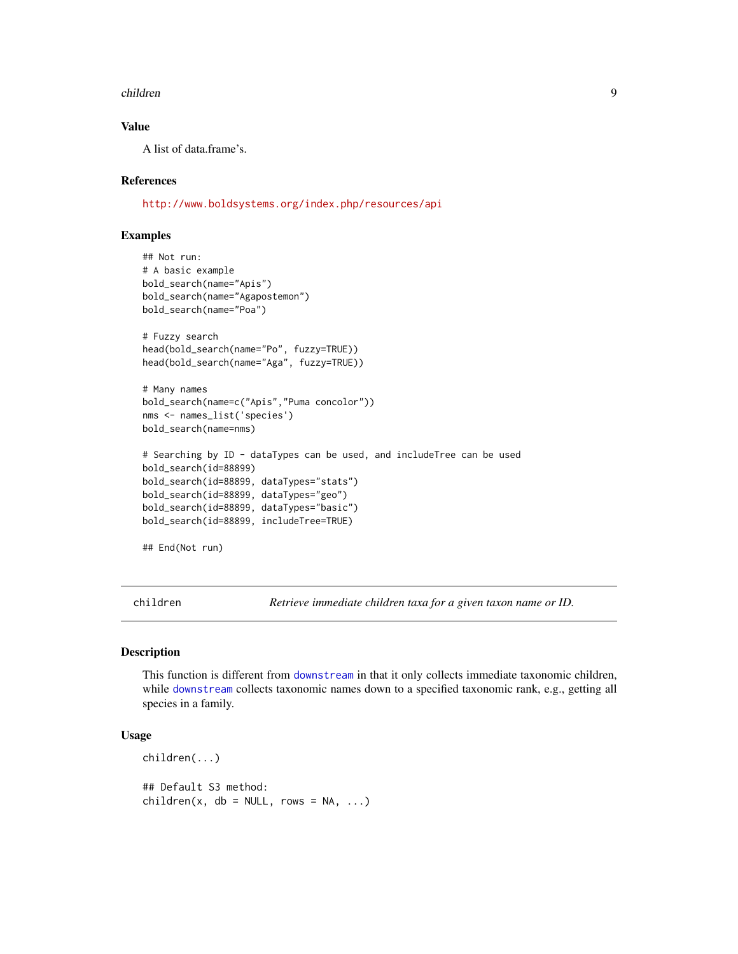#### <span id="page-8-0"></span>children 99 - 1996 - 1997 - 1998 - 1999 - 1999 - 1999 - 1999 - 1999 - 1999 - 1999 - 1999 - 1999 - 1999 - 1999

# Value

A list of data.frame's.

#### References

<http://www.boldsystems.org/index.php/resources/api>

# Examples

```
## Not run:
# A basic example
bold_search(name="Apis")
bold_search(name="Agapostemon")
bold_search(name="Poa")
# Fuzzy search
head(bold_search(name="Po", fuzzy=TRUE))
head(bold_search(name="Aga", fuzzy=TRUE))
# Many names
bold_search(name=c("Apis","Puma concolor"))
nms <- names_list('species')
bold_search(name=nms)
# Searching by ID - dataTypes can be used, and includeTree can be used
bold_search(id=88899)
bold_search(id=88899, dataTypes="stats")
bold_search(id=88899, dataTypes="geo")
bold_search(id=88899, dataTypes="basic")
bold_search(id=88899, includeTree=TRUE)
## End(Not run)
```
children *Retrieve immediate children taxa for a given taxon name or ID.*

#### Description

This function is different from [downstream](#page-21-1) in that it only collects immediate taxonomic children, while [downstream](#page-21-1) collects taxonomic names down to a specified taxonomic rank, e.g., getting all species in a family.

```
children(...)
## Default S3 method:
children(x, db = NULL, rows = NA, ...)
```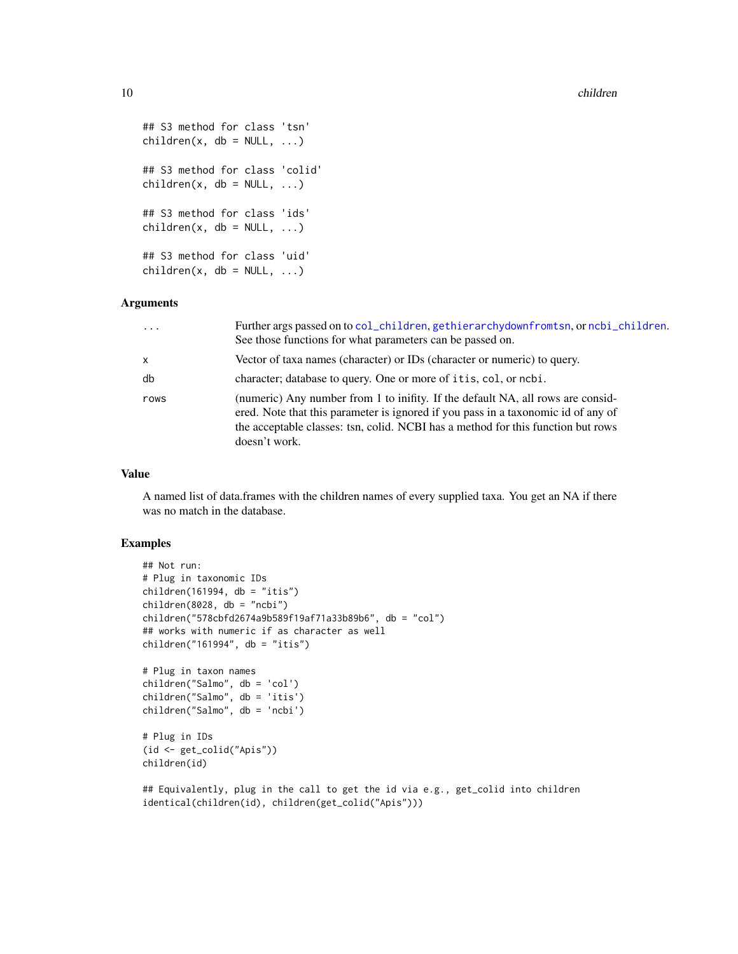```
## S3 method for class 'tsn'
children(x, db = NULL, ...)## S3 method for class 'colid'
children(x, db = NULL, ...)## S3 method for class 'ids'
children(x, db = NULL, ...)## S3 method for class 'uid'
children(x, db = NULL, ...)
```
# Arguments

| $\ddotsc$    | Further args passed on to col_children, gethierarchydownfromtsn, or ncbi_children.<br>See those functions for what parameters can be passed on.                                                                                                                           |
|--------------|---------------------------------------------------------------------------------------------------------------------------------------------------------------------------------------------------------------------------------------------------------------------------|
| $\mathsf{x}$ | Vector of taxa names (character) or IDs (character or numeric) to query.                                                                                                                                                                                                  |
| db           | character; database to query. One or more of it is, col, or ncbi.                                                                                                                                                                                                         |
| rows         | (numeric) Any number from 1 to inifity. If the default NA, all rows are consid-<br>ered. Note that this parameter is ignored if you pass in a taxonomic id of any of<br>the acceptable classes: tsn, colid. NCBI has a method for this function but rows<br>doesn't work. |

#### Value

A named list of data.frames with the children names of every supplied taxa. You get an NA if there was no match in the database.

```
## Not run:
# Plug in taxonomic IDs
children(161994, db = "itis")children(8028, db = "ncbi")children("578cbfd2674a9b589f19af71a33b89b6", db = "col")
## works with numeric if as character as well
children("161994", db = "itis")
# Plug in taxon names
children("Salmo", db = 'col')
children("Salmo", db = 'itis')
children("Salmo", db = 'ncbi')
# Plug in IDs
(id <- get_colid("Apis"))
children(id)
## Equivalently, plug in the call to get the id via e.g., get_colid into children
identical(children(id), children(get_colid("Apis")))
```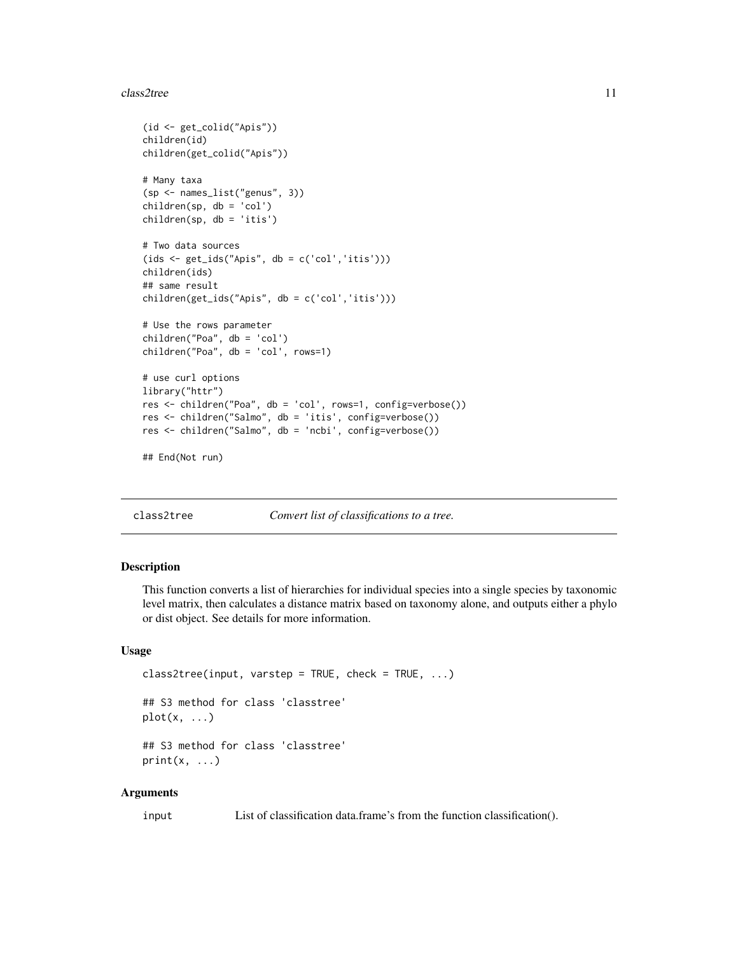#### <span id="page-10-0"></span>class2tree 11

```
(id <- get_colid("Apis"))
children(id)
children(get_colid("Apis"))
# Many taxa
(sp <- names_list("genus", 3))
children(sp, db = 'col')children(sp, db = 'itis')
# Two data sources
(ids <- get_ids("Apis", db = c('col','itis')))
children(ids)
## same result
children(get_ids("Apis", db = c('col','itis')))
# Use the rows parameter
children("Poa", db = 'col')
children("Poa", db = 'col', rows=1)
# use curl options
library("httr")
res <- children("Poa", db = 'col', rows=1, config=verbose())
res <- children("Salmo", db = 'itis', config=verbose())
res <- children("Salmo", db = 'ncbi', config=verbose())
## End(Not run)
```
class2tree *Convert list of classifications to a tree.*

# Description

This function converts a list of hierarchies for individual species into a single species by taxonomic level matrix, then calculates a distance matrix based on taxonomy alone, and outputs either a phylo or dist object. See details for more information.

# Usage

```
class2tree(input, varstep = TRUE, check = TRUE, \ldots)
## S3 method for class 'classtree'
plot(x, \ldots)## S3 method for class 'classtree'
print(x, \ldots)
```
#### Arguments

input List of classification data.frame's from the function classification().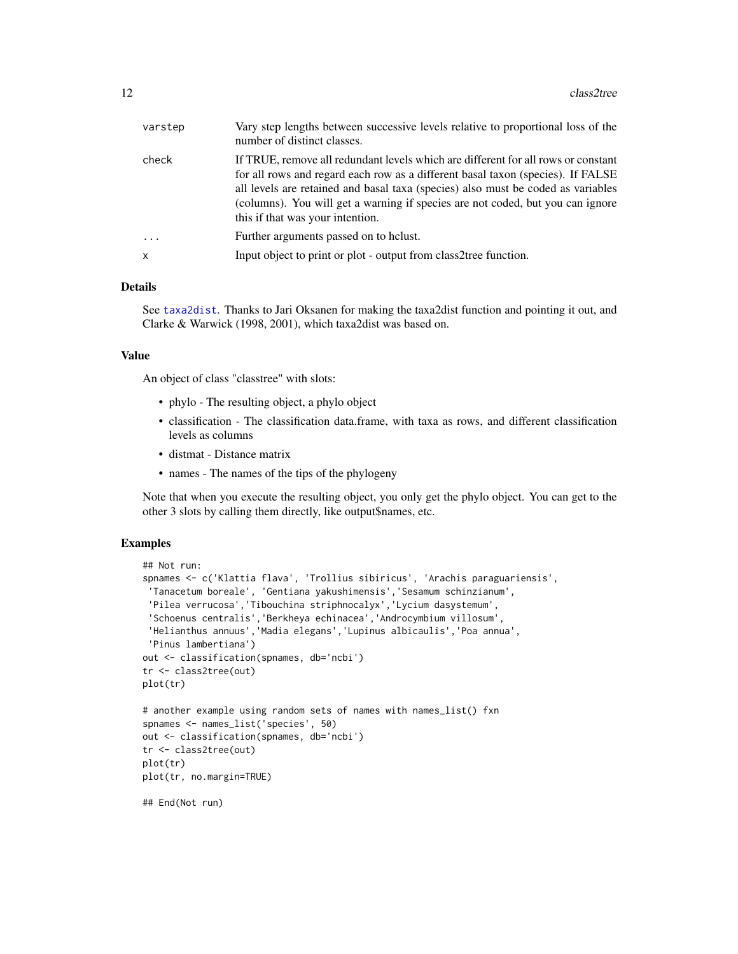| varstep  | Vary step lengths between successive levels relative to proportional loss of the<br>number of distinct classes.                                                                                                                                                                                                                                                                |
|----------|--------------------------------------------------------------------------------------------------------------------------------------------------------------------------------------------------------------------------------------------------------------------------------------------------------------------------------------------------------------------------------|
| check    | If TRUE, remove all redundant levels which are different for all rows or constant<br>for all rows and regard each row as a different basal taxon (species). If FALSE<br>all levels are retained and basal taxa (species) also must be coded as variables<br>(columns). You will get a warning if species are not coded, but you can ignore<br>this if that was your intention. |
| $\ddots$ | Further arguments passed on to holust.                                                                                                                                                                                                                                                                                                                                         |
| X.       | Input object to print or plot - output from class2tree function.                                                                                                                                                                                                                                                                                                               |
|          |                                                                                                                                                                                                                                                                                                                                                                                |

# Details

See [taxa2dist](#page-0-0). Thanks to Jari Oksanen for making the taxa2dist function and pointing it out, and Clarke & Warwick (1998, 2001), which taxa2dist was based on.

#### Value

An object of class "classtree" with slots:

- phylo The resulting object, a phylo object
- classification The classification data.frame, with taxa as rows, and different classification levels as columns
- distmat Distance matrix
- names The names of the tips of the phylogeny

Note that when you execute the resulting object, you only get the phylo object. You can get to the other 3 slots by calling them directly, like output\$names, etc.

```
## Not run:
spnames <- c('Klattia flava', 'Trollius sibiricus', 'Arachis paraguariensis',
 'Tanacetum boreale', 'Gentiana yakushimensis','Sesamum schinzianum',
 'Pilea verrucosa','Tibouchina striphnocalyx','Lycium dasystemum',
 'Schoenus centralis','Berkheya echinacea','Androcymbium villosum',
 'Helianthus annuus','Madia elegans','Lupinus albicaulis','Poa annua',
 'Pinus lambertiana')
out <- classification(spnames, db='ncbi')
tr <- class2tree(out)
plot(tr)
# another example using random sets of names with names_list() fxn
spnames <- names_list('species', 50)
out <- classification(spnames, db='ncbi')
tr <- class2tree(out)
plot(tr)
plot(tr, no.margin=TRUE)
## End(Not run)
```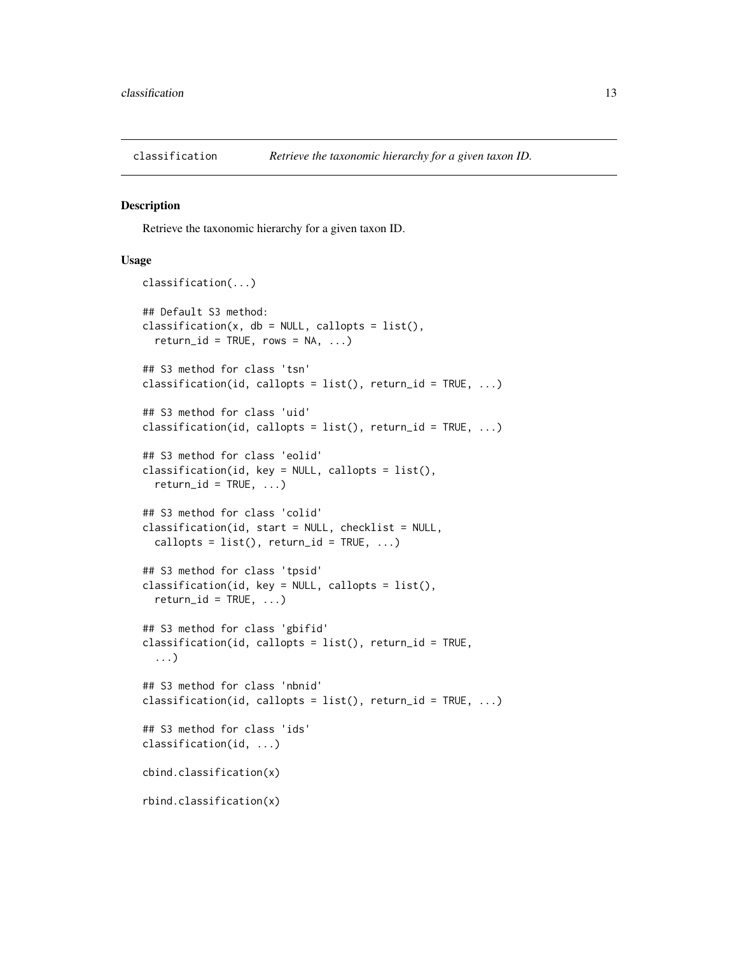<span id="page-12-1"></span><span id="page-12-0"></span>

#### Description

Retrieve the taxonomic hierarchy for a given taxon ID.

```
classification(...)
## Default S3 method:
classification(x, db = NULL, callopts = list(),
  return_id = TRUE, rows = NA, ...)## S3 method for class 'tsn'
classification(id, callopts = list(), return_id = TRUE, ...)
## S3 method for class 'uid'
classification(id, callopts = list(), return_id = TRUE, \dots)
## S3 method for class 'eolid'
classification(id, key = NULL, callopts = list(),
  return_id = TRUE, ...## S3 method for class 'colid'
classification(id, start = NULL, checklist = NULL,
  callopts = list(), return_id = TRUE, ...)
## S3 method for class 'tpsid'
classification(id, key = NULL, callopts = list(),
  return_id = TRUE, ...## S3 method for class 'gbifid'
classification(id, callopts = list(), return_id = TRUE,
  ...)
## S3 method for class 'nbnid'
classification(id, callopts = list(), return_id = TRUE, ...)
## S3 method for class 'ids'
classification(id, ...)
cbind.classification(x)
rbind.classification(x)
```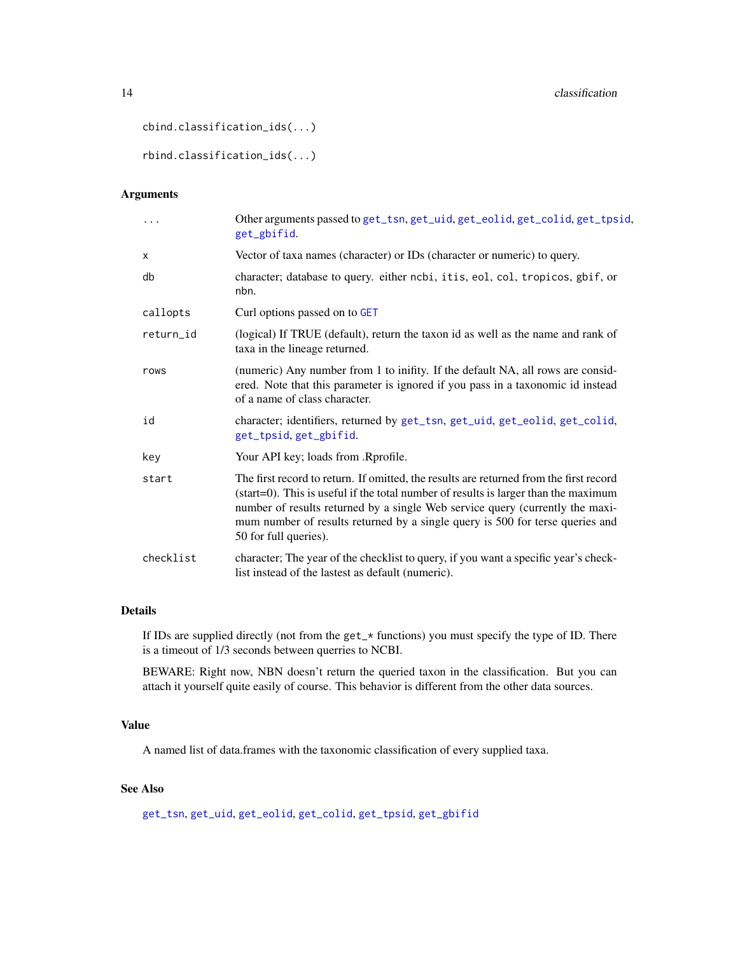```
14 classification and the classification of the classification of the classification
```

```
cbind.classification_ids(...)
```

```
rbind.classification_ids(...)
```
# Arguments

| .         | Other arguments passed to get_tsn, get_uid, get_eolid, get_colid, get_tpsid,<br>get_gbifid.                                                                                                                                                                                                                                                                              |
|-----------|--------------------------------------------------------------------------------------------------------------------------------------------------------------------------------------------------------------------------------------------------------------------------------------------------------------------------------------------------------------------------|
| X         | Vector of taxa names (character) or IDs (character or numeric) to query.                                                                                                                                                                                                                                                                                                 |
| db        | character; database to query. either ncbi, it is, eol, col, tropicos, gbif, or<br>nbn.                                                                                                                                                                                                                                                                                   |
| callopts  | Curl options passed on to GET                                                                                                                                                                                                                                                                                                                                            |
| return_id | (logical) If TRUE (default), return the taxon id as well as the name and rank of<br>taxa in the lineage returned.                                                                                                                                                                                                                                                        |
| rows      | (numeric) Any number from 1 to inifity. If the default NA, all rows are consid-<br>ered. Note that this parameter is ignored if you pass in a taxonomic id instead<br>of a name of class character.                                                                                                                                                                      |
| id        | character; identifiers, returned by get_tsn, get_uid, get_eolid, get_colid,<br>get_tpsid, get_gbifid.                                                                                                                                                                                                                                                                    |
| key       | Your API key; loads from .Rprofile.                                                                                                                                                                                                                                                                                                                                      |
| start     | The first record to return. If omitted, the results are returned from the first record<br>(start=0). This is useful if the total number of results is larger than the maximum<br>number of results returned by a single Web service query (currently the maxi-<br>mum number of results returned by a single query is 500 for terse queries and<br>50 for full queries). |
| checklist | character; The year of the checklist to query, if you want a specific year's check-<br>list instead of the lastest as default (numeric).                                                                                                                                                                                                                                 |
|           |                                                                                                                                                                                                                                                                                                                                                                          |

# Details

If IDs are supplied directly (not from the get\_\* functions) you must specify the type of ID. There is a timeout of 1/3 seconds between querries to NCBI.

BEWARE: Right now, NBN doesn't return the queried taxon in the classification. But you can attach it yourself quite easily of course. This behavior is different from the other data sources.

# Value

A named list of data.frames with the taxonomic classification of every supplied taxa.

# See Also

[get\\_tsn](#page-48-1), [get\\_uid](#page-54-1), [get\\_eolid](#page-36-1), [get\\_colid](#page-33-1), [get\\_tpsid](#page-45-1), [get\\_gbifid](#page-38-1)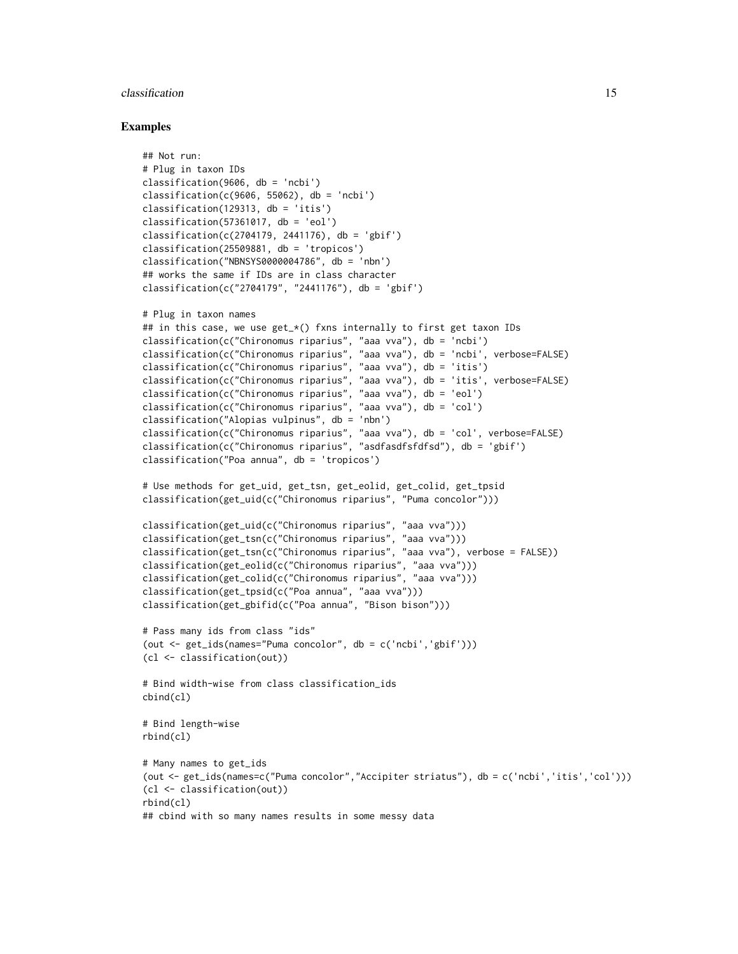#### classification 15

```
## Not run:
# Plug in taxon IDs
classification(9606, db = 'ncbi')
classification(c(9606, 55062), db = 'ncbi')
classification(129313, db = 'itis')
classification(57361017, db = 'eol')classification(c(2704179, 2441176), db = 'gbf')classification(25509881, db = 'tropicos')
classification("NBNSYS0000004786", db = 'nbn')
## works the same if IDs are in class character
classification(c("2704179", "2441176"), db = 'gbif')
# Plug in taxon names
## in this case, we use get_x() fxns internally to first get taxon IDs
classification(c("Chironomus riparius", "aaa vva"), db = 'ncbi')
classification(c("Chironomus riparius", "aaa vva"), db = 'ncbi', verbose=FALSE)
classification(c("Chironomus riparius", "aaa vva"), db = 'itis')
classification(c("Chironomus riparius", "aaa vva"), db = 'itis', verbose=FALSE)
classification(c("Chironomus riparius", "aaa vva"), db = 'eol')
classification(c("Chironomus riparius", "aaa vva"), db = 'col')
classification("Alopias vulpinus", db = 'nbn')
classification(c("Chironomus riparius", "aaa vva"), db = 'col', verbose=FALSE)
classification(c("Chironomus riparius", "asdfasdfsfdfsd"), db = 'gbif')
classification("Poa annua", db = 'tropicos')
# Use methods for get_uid, get_tsn, get_eolid, get_colid, get_tpsid
classification(get_uid(c("Chironomus riparius", "Puma concolor")))
classification(get_uid(c("Chironomus riparius", "aaa vva")))
classification(get_tsn(c("Chironomus riparius", "aaa vva")))
classification(get_tsn(c("Chironomus riparius", "aaa vva"), verbose = FALSE))
classification(get_eolid(c("Chironomus riparius", "aaa vva")))
classification(get_colid(c("Chironomus riparius", "aaa vva")))
classification(get_tpsid(c("Poa annua", "aaa vva")))
classification(get_gbifid(c("Poa annua", "Bison bison")))
# Pass many ids from class "ids"
(out <- get_ids(names="Puma concolor", db = c('ncbi','gbif')))
(cl <- classification(out))
# Bind width-wise from class classification_ids
cbind(cl)
# Bind length-wise
rbind(cl)
# Many names to get_ids
(out <- get_ids(names=c("Puma concolor","Accipiter striatus"), db = c('ncbi','itis','col')))
(cl <- classification(out))
rbind(cl)
## cbind with so many names results in some messy data
```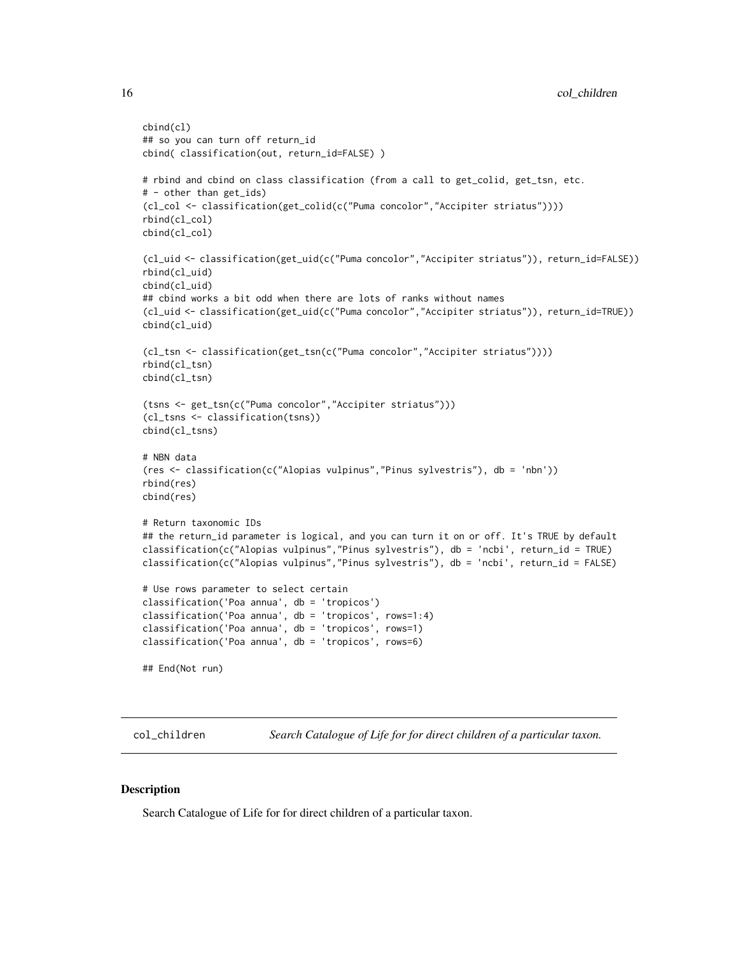```
cbind(cl)
## so you can turn off return_id
cbind( classification(out, return_id=FALSE) )
# rbind and cbind on class classification (from a call to get_colid, get_tsn, etc.
# - other than get_ids)
(cl_col <- classification(get_colid(c("Puma concolor","Accipiter striatus"))))
rbind(cl_col)
cbind(cl_col)
(cl_uid <- classification(get_uid(c("Puma concolor","Accipiter striatus")), return_id=FALSE))
rbind(cl_uid)
cbind(cl_uid)
## cbind works a bit odd when there are lots of ranks without names
(cl_uid <- classification(get_uid(c("Puma concolor","Accipiter striatus")), return_id=TRUE))
cbind(cl_uid)
(cl_tsn <- classification(get_tsn(c("Puma concolor","Accipiter striatus"))))
rbind(cl_tsn)
cbind(cl_tsn)
(tsns <- get_tsn(c("Puma concolor","Accipiter striatus")))
(cl_tsns <- classification(tsns))
cbind(cl_tsns)
# NBN data
(res <- classification(c("Alopias vulpinus","Pinus sylvestris"), db = 'nbn'))
rbind(res)
cbind(res)
# Return taxonomic IDs
## the return_id parameter is logical, and you can turn it on or off. It's TRUE by default
classification(c("Alopias vulpinus","Pinus sylvestris"), db = 'ncbi', return_id = TRUE)
classification(c("Alopias vulpinus","Pinus sylvestris"), db = 'ncbi', return_id = FALSE)
# Use rows parameter to select certain
classification('Poa annua', db = 'tropicos')
classification('Poa annua', db = 'tropicos', rows=1:4)
classification('Poa annua', db = 'tropicos', rows=1)
classification('Poa annua', db = 'tropicos', rows=6)
## End(Not run)
```
<span id="page-15-1"></span>col\_children *Search Catalogue of Life for for direct children of a particular taxon.*

#### Description

Search Catalogue of Life for for direct children of a particular taxon.

<span id="page-15-0"></span>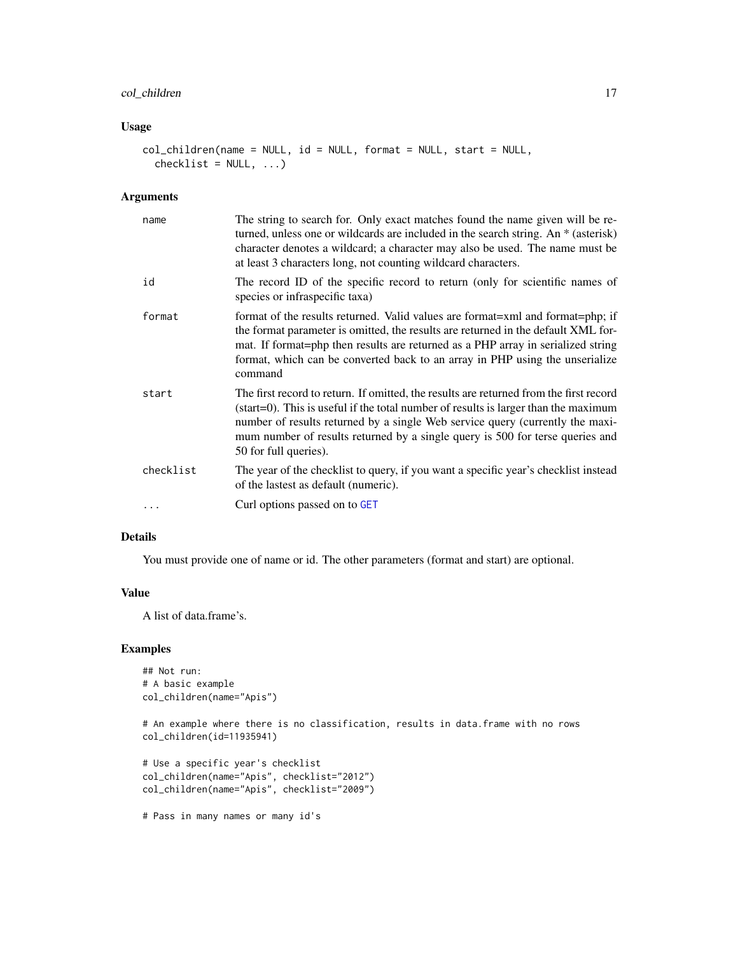# col\_children 17

# Usage

```
col_children(name = NULL, id = NULL, format = NULL, start = NULL,
  checklist = NULL, ...)
```
#### Arguments

| name      | The string to search for. Only exact matches found the name given will be re-<br>turned, unless one or wildcards are included in the search string. An * (asterisk)<br>character denotes a wildcard; a character may also be used. The name must be<br>at least 3 characters long, not counting wildcard characters.                                                               |
|-----------|------------------------------------------------------------------------------------------------------------------------------------------------------------------------------------------------------------------------------------------------------------------------------------------------------------------------------------------------------------------------------------|
| id        | The record ID of the specific record to return (only for scientific names of<br>species or infraspecific taxa)                                                                                                                                                                                                                                                                     |
| format    | format of the results returned. Valid values are format=xml and format=php; if<br>the format parameter is omitted, the results are returned in the default XML for-<br>mat. If format=php then results are returned as a PHP array in serialized string<br>format, which can be converted back to an array in PHP using the unserialize<br>command                                 |
| start     | The first record to return. If omitted, the results are returned from the first record<br>$(\text{start}=0)$ . This is useful if the total number of results is larger than the maximum<br>number of results returned by a single Web service query (currently the maxi-<br>mum number of results returned by a single query is 500 for terse queries and<br>50 for full queries). |
| checklist | The year of the checklist to query, if you want a specific year's checklist instead<br>of the lastest as default (numeric).                                                                                                                                                                                                                                                        |
|           | Curl options passed on to GET                                                                                                                                                                                                                                                                                                                                                      |

# Details

You must provide one of name or id. The other parameters (format and start) are optional.

# Value

A list of data.frame's.

```
## Not run:
# A basic example
col_children(name="Apis")
```

```
# An example where there is no classification, results in data.frame with no rows
col_children(id=11935941)
```

```
# Use a specific year's checklist
col_children(name="Apis", checklist="2012")
col_children(name="Apis", checklist="2009")
```

```
# Pass in many names or many id's
```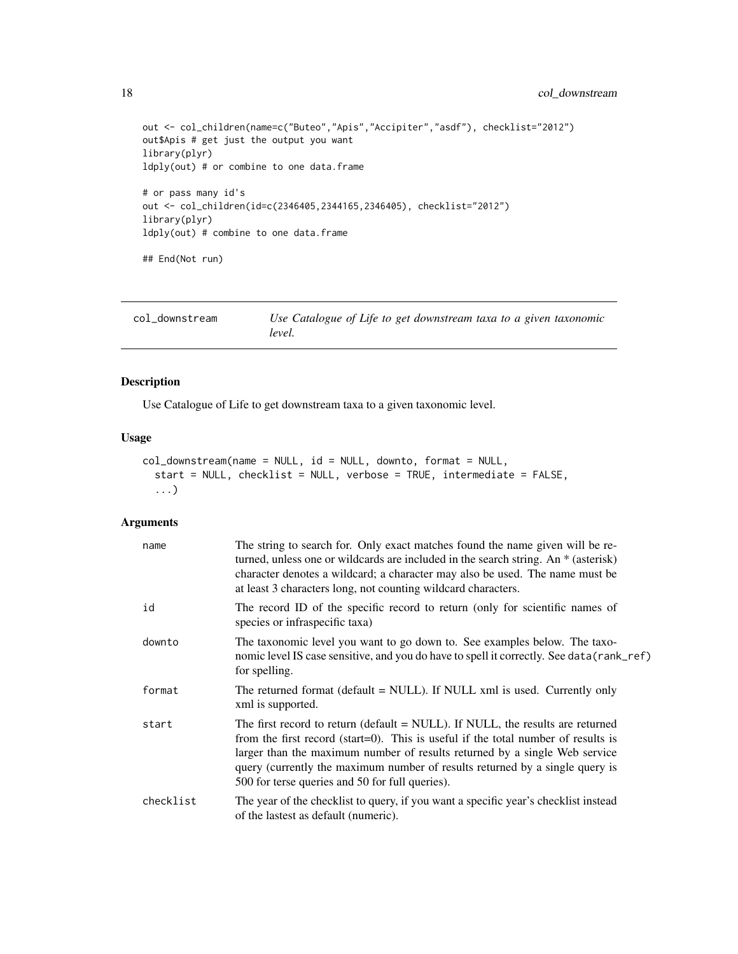```
18 col_downstream
```

```
out <- col_children(name=c("Buteo","Apis","Accipiter","asdf"), checklist="2012")
out$Apis # get just the output you want
library(plyr)
ldply(out) # or combine to one data.frame
# or pass many id's
out <- col_children(id=c(2346405,2344165,2346405), checklist="2012")
library(plyr)
ldply(out) # combine to one data.frame
## End(Not run)
```
col\_downstream *Use Catalogue of Life to get downstream taxa to a given taxonomic level.*

#### Description

Use Catalogue of Life to get downstream taxa to a given taxonomic level.

# Usage

```
col_downstream(name = NULL, id = NULL, downto, format = NULL,
  start = NULL, checklist = NULL, verbose = TRUE, intermediate = FALSE,
  ...)
```
#### Arguments

| name      | The string to search for. Only exact matches found the name given will be re-<br>turned, unless one or wildcards are included in the search string. An * (asterisk)<br>character denotes a wildcard; a character may also be used. The name must be<br>at least 3 characters long, not counting wildcard characters.                                                                 |
|-----------|--------------------------------------------------------------------------------------------------------------------------------------------------------------------------------------------------------------------------------------------------------------------------------------------------------------------------------------------------------------------------------------|
| id        | The record ID of the specific record to return (only for scientific names of<br>species or infraspecific taxa)                                                                                                                                                                                                                                                                       |
| downto    | The taxonomic level you want to go down to. See examples below. The taxo-<br>nomic level IS case sensitive, and you do have to spell it correctly. See data (rank_ref)<br>for spelling.                                                                                                                                                                                              |
| format    | The returned format (default = NULL). If NULL xml is used. Currently only<br>xml is supported.                                                                                                                                                                                                                                                                                       |
| start     | The first record to return (default = NULL). If NULL, the results are returned<br>from the first record (start=0). This is useful if the total number of results is<br>larger than the maximum number of results returned by a single Web service<br>query (currently the maximum number of results returned by a single query is<br>500 for terse queries and 50 for full queries). |
| checklist | The year of the checklist to query, if you want a specific year's checklist instead<br>of the lastest as default (numeric).                                                                                                                                                                                                                                                          |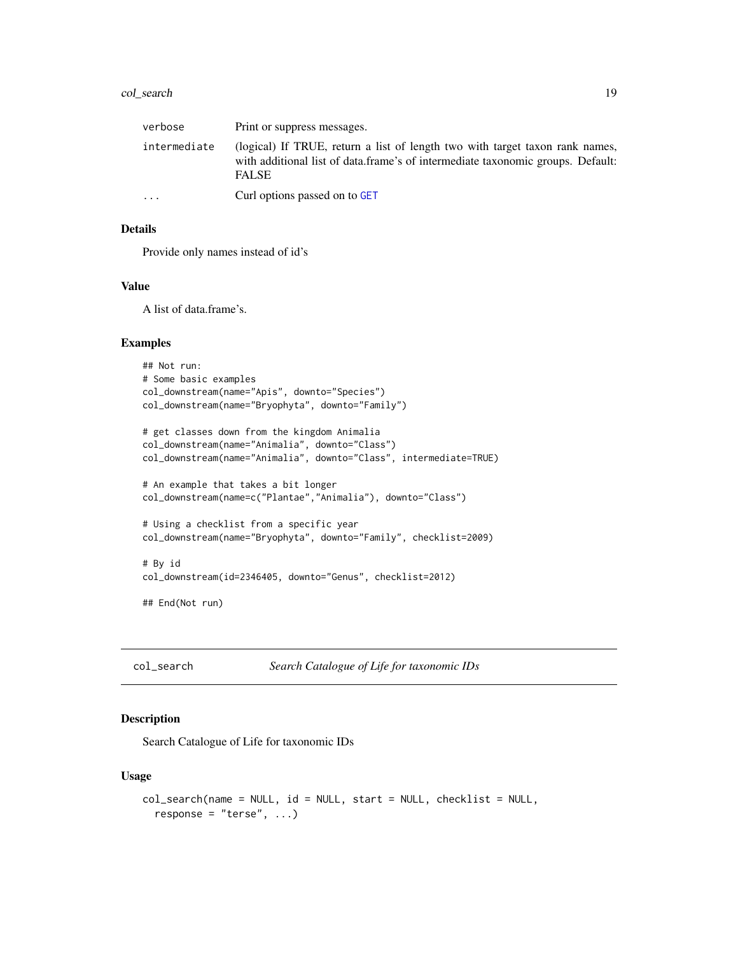# <span id="page-18-0"></span>col\_search 19

| verbose      | Print or suppress messages.                                                                                                                                                     |
|--------------|---------------------------------------------------------------------------------------------------------------------------------------------------------------------------------|
| intermediate | (logical) If TRUE, return a list of length two with target taxon rank names,<br>with additional list of data.frame's of intermediate taxonomic groups. Default:<br><b>FALSE</b> |
| $\ddotsc$    | Curl options passed on to GET                                                                                                                                                   |

#### Details

Provide only names instead of id's

#### Value

A list of data.frame's.

#### Examples

```
## Not run:
# Some basic examples
col_downstream(name="Apis", downto="Species")
col_downstream(name="Bryophyta", downto="Family")
# get classes down from the kingdom Animalia
col_downstream(name="Animalia", downto="Class")
col_downstream(name="Animalia", downto="Class", intermediate=TRUE)
# An example that takes a bit longer
col_downstream(name=c("Plantae","Animalia"), downto="Class")
# Using a checklist from a specific year
col_downstream(name="Bryophyta", downto="Family", checklist=2009)
# By id
col_downstream(id=2346405, downto="Genus", checklist=2012)
## End(Not run)
```
col\_search *Search Catalogue of Life for taxonomic IDs*

#### Description

Search Catalogue of Life for taxonomic IDs

```
col_search(name = NULL, id = NULL, start = NULL, checklist = NULL,
  response = "terse", ...)
```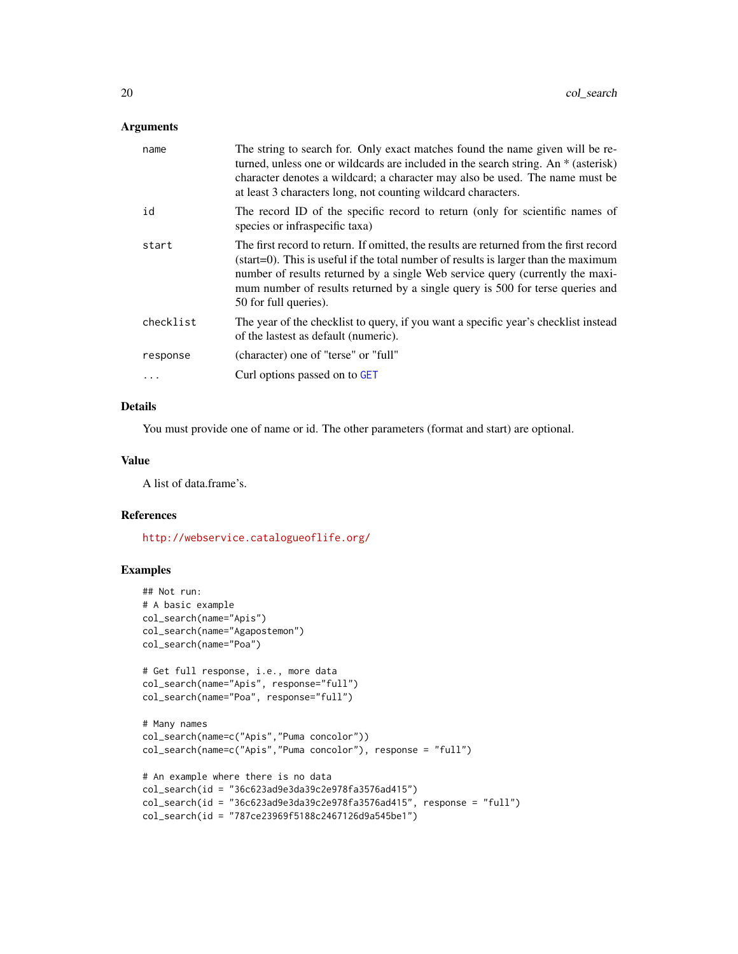#### Arguments

| name      | The string to search for. Only exact matches found the name given will be re-<br>turned, unless one or wildcards are included in the search string. An * (asterisk)<br>character denotes a wildcard; a character may also be used. The name must be<br>at least 3 characters long, not counting wildcard characters.                                                               |
|-----------|------------------------------------------------------------------------------------------------------------------------------------------------------------------------------------------------------------------------------------------------------------------------------------------------------------------------------------------------------------------------------------|
| id        | The record ID of the specific record to return (only for scientific names of<br>species or infraspecific taxa)                                                                                                                                                                                                                                                                     |
| start     | The first record to return. If omitted, the results are returned from the first record<br>$(\text{start}=0)$ . This is useful if the total number of results is larger than the maximum<br>number of results returned by a single Web service query (currently the maxi-<br>mum number of results returned by a single query is 500 for terse queries and<br>50 for full queries). |
| checklist | The year of the checklist to query, if you want a specific year's checklist instead<br>of the lastest as default (numeric).                                                                                                                                                                                                                                                        |
| response  | (character) one of "terse" or "full"                                                                                                                                                                                                                                                                                                                                               |
|           | Curl options passed on to GET                                                                                                                                                                                                                                                                                                                                                      |
|           |                                                                                                                                                                                                                                                                                                                                                                                    |

# Details

You must provide one of name or id. The other parameters (format and start) are optional.

#### Value

A list of data.frame's.

# References

<http://webservice.catalogueoflife.org/>

```
## Not run:
# A basic example
col_search(name="Apis")
col_search(name="Agapostemon")
col_search(name="Poa")
# Get full response, i.e., more data
col_search(name="Apis", response="full")
col_search(name="Poa", response="full")
# Many names
col_search(name=c("Apis","Puma concolor"))
col_search(name=c("Apis","Puma concolor"), response = "full")
# An example where there is no data
col_search(id = "36c623ad9e3da39c2e978fa3576ad415")
col_search(id = "36c623ad9e3da39c2e978fa3576ad415", response = "full")
col_search(id = "787ce23969f5188c2467126d9a545be1")
```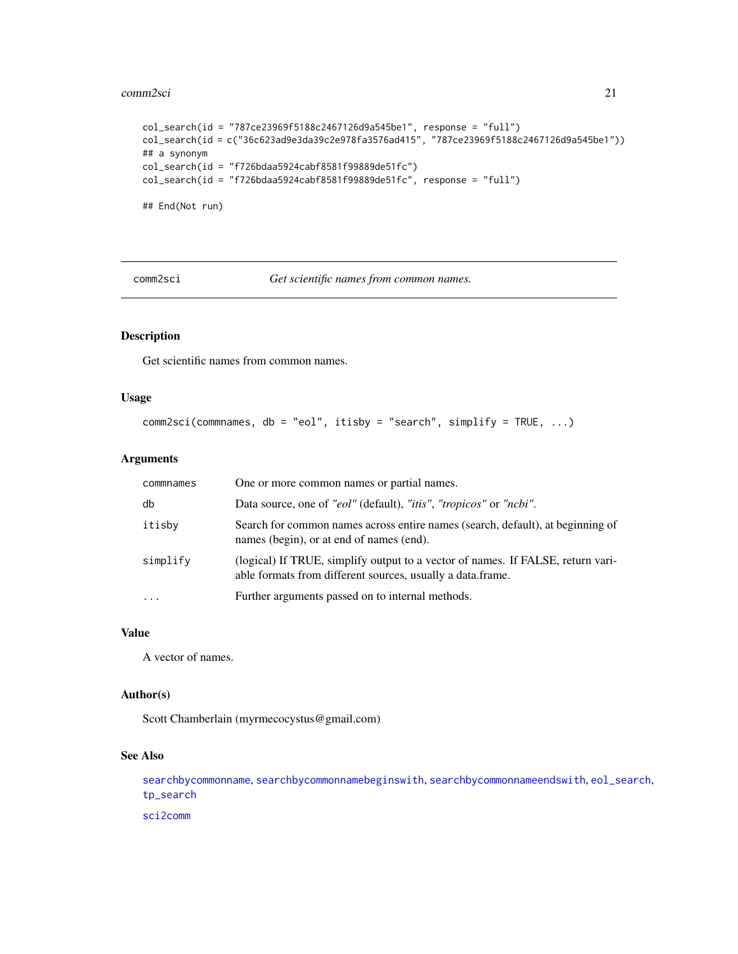#### <span id="page-20-0"></span>comm2sci 21

```
col_search(id = "787ce23969f5188c2467126d9a545be1", response = "full")
col_search(id = c("36c623ad9e3da39c2e978fa3576ad415", "787ce23969f5188c2467126d9a545be1"))
## a synonym
col\_search(id = "f726bdaa5924cabf8581f99889de51fc")col\_search(id = "f726bdaa5924cabf8581f99889de51fc", response = "full")## End(Not run)
```
comm2sci *Get scientific names from common names.*

# Description

Get scientific names from common names.

# Usage

```
comm2sci(commnames, db = "eol", itisby = "search", simplify = TRUE, ...)
```
# Arguments

| commnames | One or more common names or partial names.                                                                                                    |
|-----------|-----------------------------------------------------------------------------------------------------------------------------------------------|
| db        | Data source, one of "eol" (default), "itis", "tropicos" or "ncbi".                                                                            |
| itisby    | Search for common names across entire names (search, default), at beginning of<br>names (begin), or at end of names (end).                    |
| simplify  | (logical) If TRUE, simplify output to a vector of names. If FALSE, return vari-<br>able formats from different sources, usually a data.frame. |
|           | Further arguments passed on to internal methods.                                                                                              |

# Value

A vector of names.

# Author(s)

Scott Chamberlain (myrmecocystus@gmail.com)

#### See Also

[searchbycommonname](#page-0-0), [searchbycommonnamebeginswith](#page-0-0), [searchbycommonnameendswith](#page-0-0), [eol\\_search](#page-26-1), [tp\\_search](#page-112-1)

[sci2comm](#page-93-1)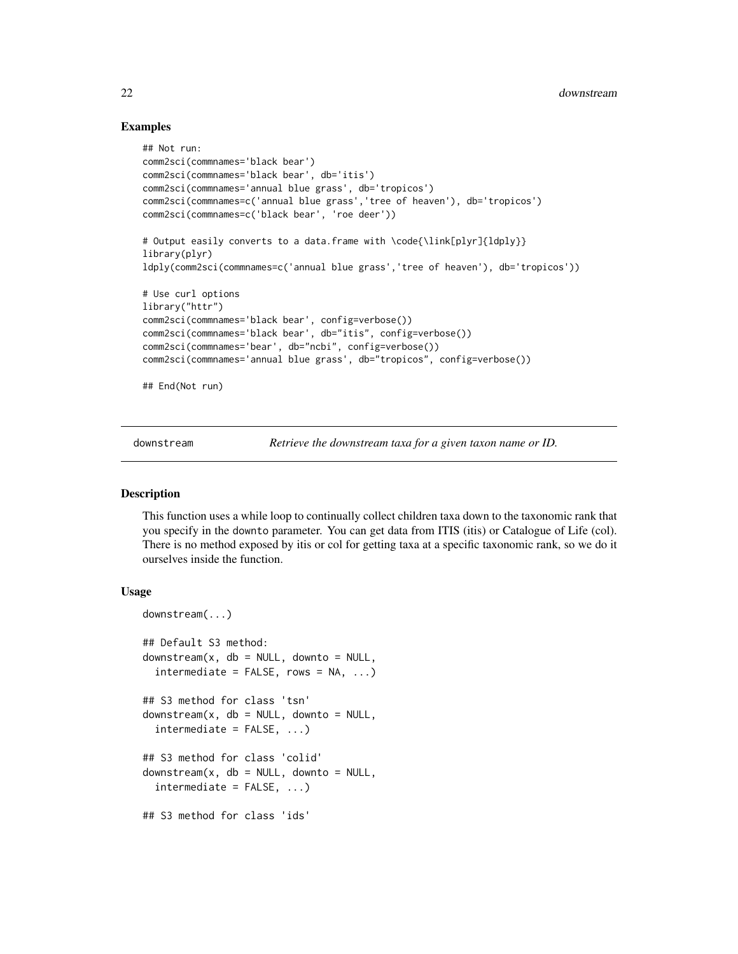### Examples

```
## Not run:
comm2sci(commnames='black bear')
comm2sci(commnames='black bear', db='itis')
comm2sci(commnames='annual blue grass', db='tropicos')
comm2sci(commnames=c('annual blue grass','tree of heaven'), db='tropicos')
comm2sci(commnames=c('black bear', 'roe deer'))
# Output easily converts to a data.frame with \code{\link[plyr]{ldply}}
library(plyr)
ldply(comm2sci(commnames=c('annual blue grass','tree of heaven'), db='tropicos'))
# Use curl options
library("httr")
comm2sci(commnames='black bear', config=verbose())
comm2sci(commnames='black bear', db="itis", config=verbose())
comm2sci(commnames='bear', db="ncbi", config=verbose())
comm2sci(commnames='annual blue grass', db="tropicos", config=verbose())
## End(Not run)
```
<span id="page-21-1"></span>downstream *Retrieve the downstream taxa for a given taxon name or ID.*

# Description

This function uses a while loop to continually collect children taxa down to the taxonomic rank that you specify in the downto parameter. You can get data from ITIS (itis) or Catalogue of Life (col). There is no method exposed by itis or col for getting taxa at a specific taxonomic rank, so we do it ourselves inside the function.

```
downstream(...)
## Default S3 method:
downstream(x, db = NULL, downto = NULL,
  intermediate = FALSE, rows = NA, ...)## S3 method for class 'tsn'
downstream(x, db = NULL, downto = NULL,intermediate = FALSE, ...)
## S3 method for class 'colid'
downstream(x, db = NULL, downto = NULL,
  intermediate = FALSE, ...)
## S3 method for class 'ids'
```
<span id="page-21-0"></span>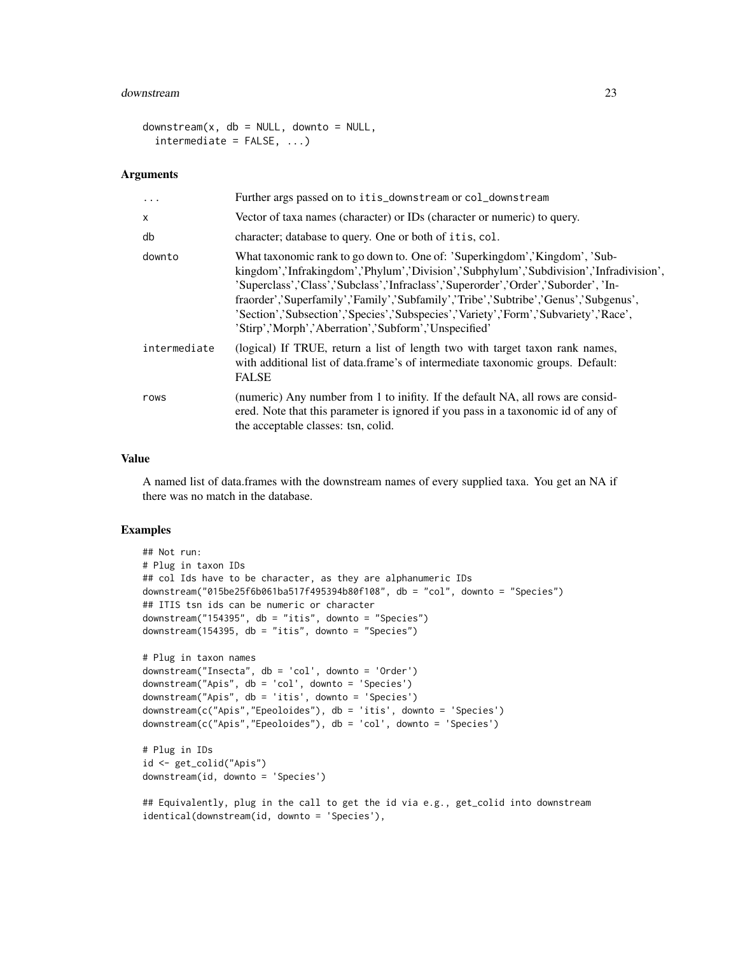#### downstream 23

```
downstream(x, db = NULL, downto = NULL,intermediate = FALSE, ...)
```
#### **Arguments**

| $\ddots$ .   | Further args passed on to itis_downstream or col_downstream                                                                                                                                                                                                                                                                                                                                                                                                                                      |
|--------------|--------------------------------------------------------------------------------------------------------------------------------------------------------------------------------------------------------------------------------------------------------------------------------------------------------------------------------------------------------------------------------------------------------------------------------------------------------------------------------------------------|
| X            | Vector of taxa names (character) or IDs (character or numeric) to query.                                                                                                                                                                                                                                                                                                                                                                                                                         |
| db           | character; database to query. One or both of itis, col.                                                                                                                                                                                                                                                                                                                                                                                                                                          |
| downto       | What taxonomic rank to go down to. One of: 'Superkingdom','Kingdom', 'Sub-<br>kingdom','Infrakingdom','Phylum','Division','Subphylum','Subdivision','Infradivision',<br>'Superclass','Class','Subclass','Infraclass','Superorder','Order','Suborder', 'In-<br>fraorder','Superfamily','Family','Subfamily','Tribe','Subtribe','Genus','Subgenus',<br>'Section','Subsection','Species','Subspecies','Variety','Form','Subvariety','Race',<br>'Stirp','Morph','Aberration','Subform','Unspecified' |
| intermediate | (logical) If TRUE, return a list of length two with target taxon rank names,<br>with additional list of data.frame's of intermediate taxonomic groups. Default:<br><b>FALSE</b>                                                                                                                                                                                                                                                                                                                  |
| rows         | (numeric) Any number from 1 to inifity. If the default NA, all rows are consid-<br>ered. Note that this parameter is ignored if you pass in a taxonomic id of any of<br>the acceptable classes: tsn, colid.                                                                                                                                                                                                                                                                                      |

# Value

A named list of data.frames with the downstream names of every supplied taxa. You get an NA if there was no match in the database.

```
## Not run:
# Plug in taxon IDs
## col Ids have to be character, as they are alphanumeric IDs
downstream("015be25f6b061ba517f495394b80f108", db = "col", downto = "Species")
## ITIS tsn ids can be numeric or character
downstream("154395", db = "itis", downto = "Species")
downstream(154395, db = "itis", downto = "Species")
# Plug in taxon names
downstream("Insecta", db = 'col', downto = 'Order')
downstream("Apis", db = 'col', downto = 'Species')
downstream("Apis", db = 'itis', downto = 'Species')
downstream(c("Apis","Epeoloides"), db = 'itis', downto = 'Species')
downstream(c("Apis","Epeoloides"), db = 'col', downto = 'Species')
# Plug in IDs
id <- get_colid("Apis")
downstream(id, downto = 'Species')
## Equivalently, plug in the call to get the id via e.g., get_colid into downstream
identical(downstream(id, downto = 'Species'),
```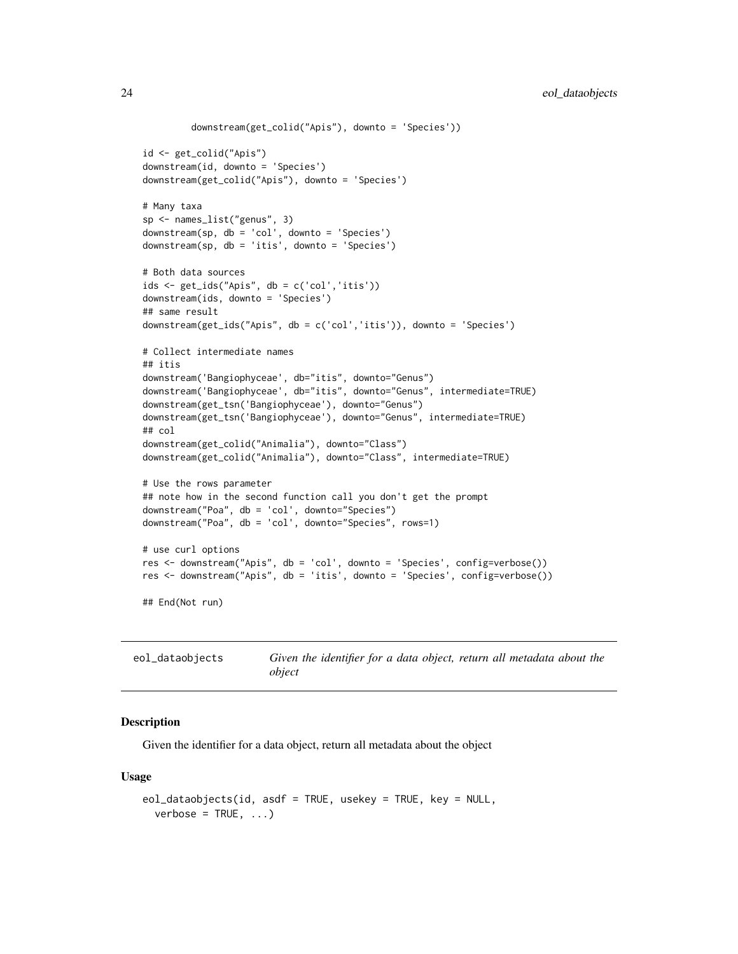```
downstream(get_colid("Apis"), downto = 'Species'))
id <- get_colid("Apis")
downstream(id, downto = 'Species')
downstream(get_colid("Apis"), downto = 'Species')
# Many taxa
sp <- names_list("genus", 3)
downstream(sp, db = 'col', downto = 'Species')
downstream(sp, db = 'itis', downto = 'Species')
# Both data sources
ids <- get_ids("Apis", db = c('col','itis'))
downstream(ids, downto = 'Species')
## same result
downstream(get_ids("Apis", db = c('col','itis')), downto = 'Species')
# Collect intermediate names
## itis
downstream('Bangiophyceae', db="itis", downto="Genus")
downstream('Bangiophyceae', db="itis", downto="Genus", intermediate=TRUE)
downstream(get_tsn('Bangiophyceae'), downto="Genus")
downstream(get_tsn('Bangiophyceae'), downto="Genus", intermediate=TRUE)
## col
downstream(get_colid("Animalia"), downto="Class")
downstream(get_colid("Animalia"), downto="Class", intermediate=TRUE)
# Use the rows parameter
## note how in the second function call you don't get the prompt
downstream("Poa", db = 'col', downto="Species")
downstream("Poa", db = 'col', downto="Species", rows=1)
# use curl options
res <- downstream("Apis", db = 'col', downto = 'Species', config=verbose())
res <- downstream("Apis", db = 'itis', downto = 'Species', config=verbose())
## End(Not run)
```
eol\_dataobjects *Given the identifier for a data object, return all metadata about the object*

#### Description

Given the identifier for a data object, return all metadata about the object

```
eol_dataobjects(id, asdf = TRUE, usekey = TRUE, key = NULL,
 verbose = TRUE, ...)
```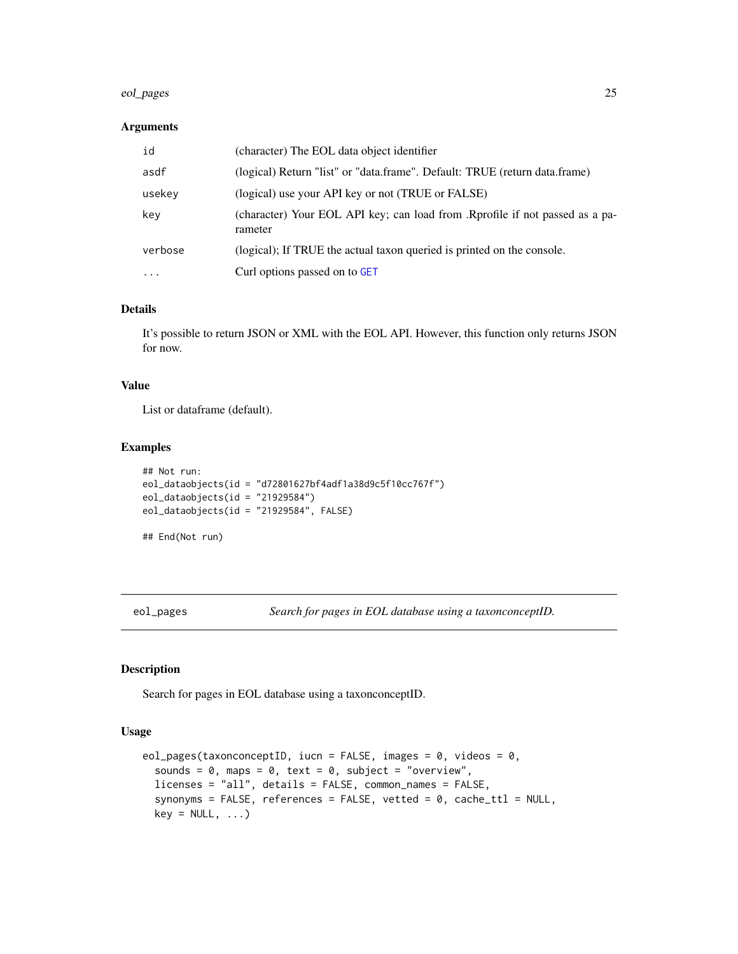#### <span id="page-24-0"></span>eol\_pages 25

# Arguments

| id      | (character) The EOL data object identifier                                              |
|---------|-----------------------------------------------------------------------------------------|
| asdf    | (logical) Return "list" or "data.frame". Default: TRUE (return data.frame)              |
| usekey  | (logical) use your API key or not (TRUE or FALSE)                                       |
| key     | (character) Your EOL API key; can load from .Rprofile if not passed as a pa-<br>rameter |
| verbose | (logical); If TRUE the actual taxon queried is printed on the console.                  |
| .       | Curl options passed on to GET                                                           |

#### Details

It's possible to return JSON or XML with the EOL API. However, this function only returns JSON for now.

# Value

List or dataframe (default).

#### Examples

```
## Not run:
eol_dataobjects(id = "d72801627bf4adf1a38d9c5f10cc767f")
eol_dataobjects(id = "21929584")
eol_dataobjects(id = "21929584", FALSE)
```
## End(Not run)

eol\_pages *Search for pages in EOL database using a taxonconceptID.*

# Description

Search for pages in EOL database using a taxonconceptID.

```
eol_pages(taxonconceptID, iucn = FALSE, images = 0, videos = 0,
  sounds = 0, maps = 0, text = 0, subject = "overview",
  licenses = "all", details = FALSE, common_names = FALSE,
  synonyms = FALSE, references = FALSE, vetted = 0, cache_ttl = NULL,
 key = NULL, ...)
```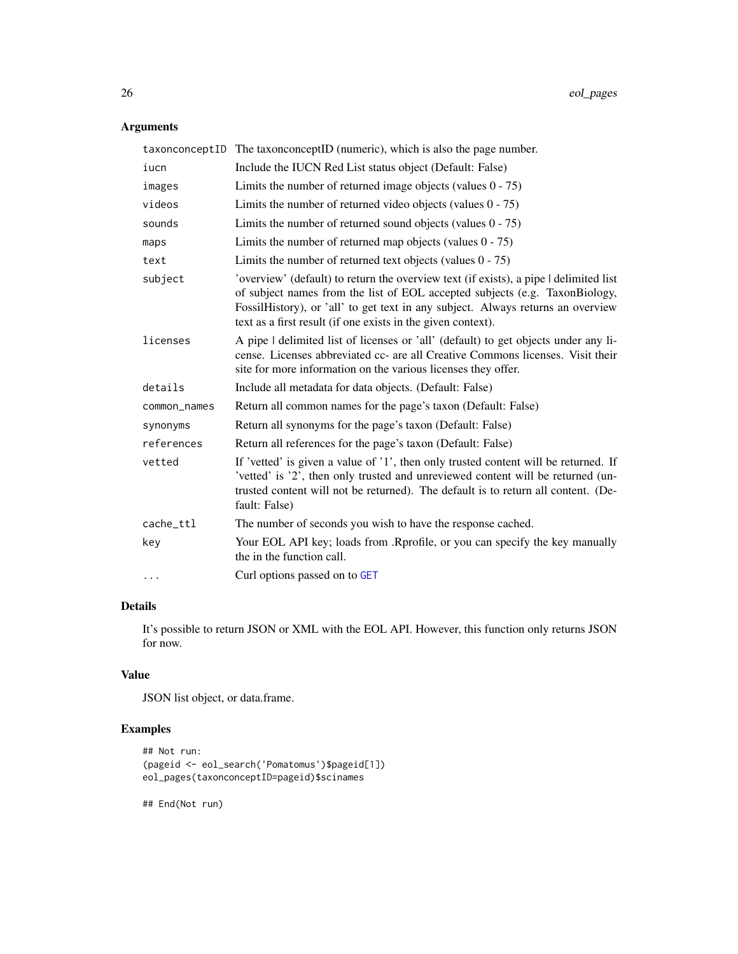# Arguments

|              | taxonconceptID The taxonconceptID (numeric), which is also the page number.                                                                                                                                                                                                                                             |
|--------------|-------------------------------------------------------------------------------------------------------------------------------------------------------------------------------------------------------------------------------------------------------------------------------------------------------------------------|
| iucn         | Include the IUCN Red List status object (Default: False)                                                                                                                                                                                                                                                                |
| images       | Limits the number of returned image objects (values $0 - 75$ )                                                                                                                                                                                                                                                          |
| videos       | Limits the number of returned video objects (values $0 - 75$ )                                                                                                                                                                                                                                                          |
| sounds       | Limits the number of returned sound objects (values $0 - 75$ )                                                                                                                                                                                                                                                          |
| maps         | Limits the number of returned map objects (values $0 - 75$ )                                                                                                                                                                                                                                                            |
| text         | Limits the number of returned text objects (values $0 - 75$ )                                                                                                                                                                                                                                                           |
| subject      | 'overview' (default) to return the overview text (if exists), a pipe   delimited list<br>of subject names from the list of EOL accepted subjects (e.g. TaxonBiology,<br>FossilHistory), or 'all' to get text in any subject. Always returns an overview<br>text as a first result (if one exists in the given context). |
| licenses     | A pipe I delimited list of licenses or 'all' (default) to get objects under any li-<br>cense. Licenses abbreviated cc- are all Creative Commons licenses. Visit their<br>site for more information on the various licenses they offer.                                                                                  |
| details      | Include all metadata for data objects. (Default: False)                                                                                                                                                                                                                                                                 |
| common_names | Return all common names for the page's taxon (Default: False)                                                                                                                                                                                                                                                           |
| synonyms     | Return all synonyms for the page's taxon (Default: False)                                                                                                                                                                                                                                                               |
| references   | Return all references for the page's taxon (Default: False)                                                                                                                                                                                                                                                             |
| vetted       | If 'vetted' is given a value of '1', then only trusted content will be returned. If<br>'vetted' is '2', then only trusted and unreviewed content will be returned (un-<br>trusted content will not be returned). The default is to return all content. (De-<br>fault: False)                                            |
| cache_ttl    | The number of seconds you wish to have the response cached.                                                                                                                                                                                                                                                             |
| key          | Your EOL API key; loads from .Rprofile, or you can specify the key manually<br>the in the function call.                                                                                                                                                                                                                |
| $\cdots$     | Curl options passed on to GET                                                                                                                                                                                                                                                                                           |

# Details

It's possible to return JSON or XML with the EOL API. However, this function only returns JSON for now.

# Value

JSON list object, or data.frame.

# Examples

```
## Not run:
(pageid <- eol_search('Pomatomus')$pageid[1])
eol_pages(taxonconceptID=pageid)$scinames
```
## End(Not run)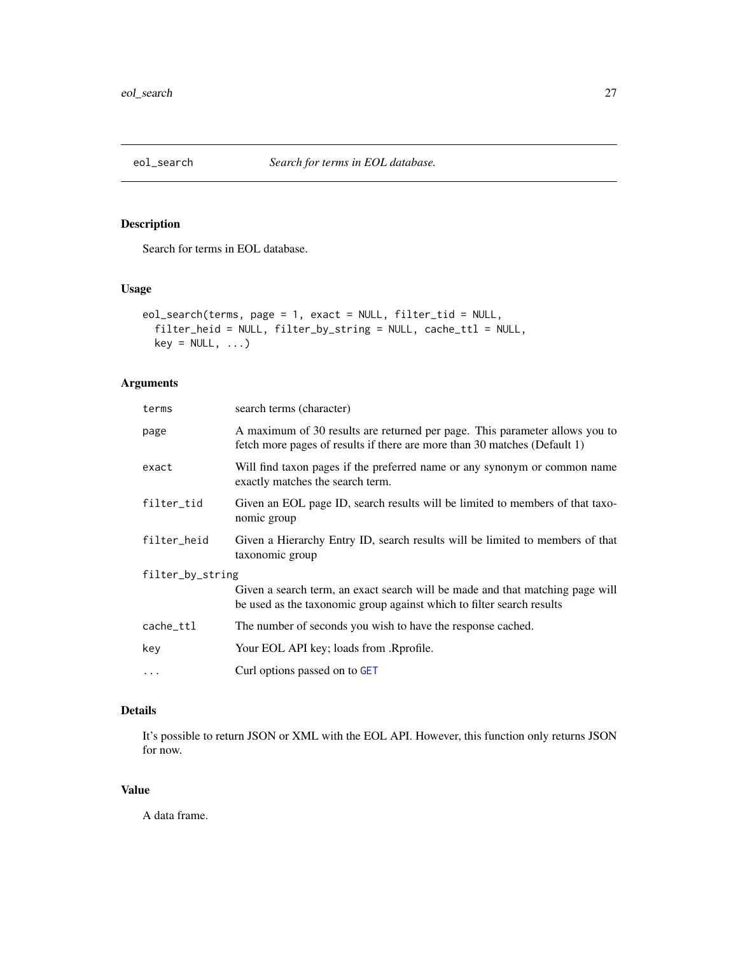<span id="page-26-1"></span><span id="page-26-0"></span>

# Description

Search for terms in EOL database.

# Usage

```
eol_search(terms, page = 1, exact = NULL, filter_tid = NULL,
  filter_heid = NULL, filter_by_string = NULL, cache_ttl = NULL,
 key = NULL, ...)
```
# Arguments

| terms            | search terms (character)                                                                                                                                 |  |
|------------------|----------------------------------------------------------------------------------------------------------------------------------------------------------|--|
| page             | A maximum of 30 results are returned per page. This parameter allows you to<br>fetch more pages of results if there are more than 30 matches (Default 1) |  |
| exact            | Will find taxon pages if the preferred name or any synonym or common name<br>exactly matches the search term.                                            |  |
| filter_tid       | Given an EOL page ID, search results will be limited to members of that taxo-<br>nomic group                                                             |  |
| filter_heid      | Given a Hierarchy Entry ID, search results will be limited to members of that<br>taxonomic group                                                         |  |
| filter_by_string |                                                                                                                                                          |  |
|                  | Given a search term, an exact search will be made and that matching page will<br>be used as the taxonomic group against which to filter search results   |  |
| cache_ttl        | The number of seconds you wish to have the response cached.                                                                                              |  |
| key              | Your EOL API key; loads from .Rprofile.                                                                                                                  |  |
| $\ddots$         | Curl options passed on to GET                                                                                                                            |  |
|                  |                                                                                                                                                          |  |

# Details

It's possible to return JSON or XML with the EOL API. However, this function only returns JSON for now.

# Value

A data frame.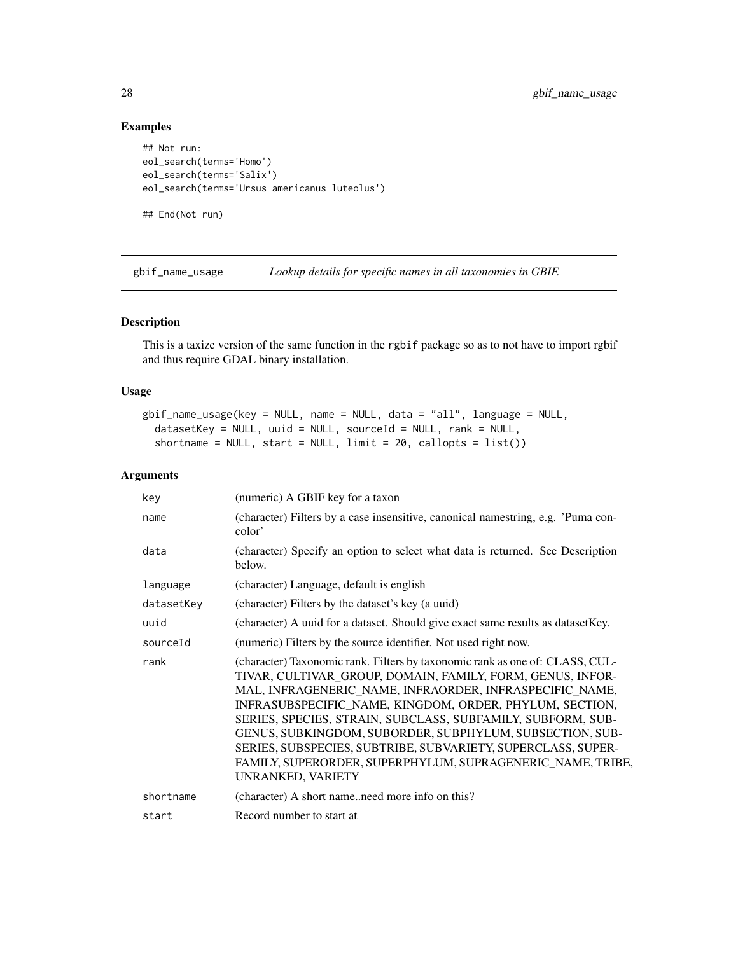# Examples

```
## Not run:
eol_search(terms='Homo')
eol_search(terms='Salix')
eol_search(terms='Ursus americanus luteolus')
## End(Not run)
```
gbif\_name\_usage *Lookup details for specific names in all taxonomies in GBIF.*

# Description

This is a taxize version of the same function in the rgbif package so as to not have to import rgbif and thus require GDAL binary installation.

# Usage

```
gbif_name_usage(key = NULL, name = NULL, data = "all", language = NULL,
  datasetKey = NULL, uuid = NULL, sourceId = NULL, rank = NULL,
  shortname = NULL, start = NULL, limit = 20, callopts = list())
```
#### Arguments

| key        | (numeric) A GBIF key for a taxon                                                                                                                                                                                                                                                                                                                                                                                                                                                                                                               |
|------------|------------------------------------------------------------------------------------------------------------------------------------------------------------------------------------------------------------------------------------------------------------------------------------------------------------------------------------------------------------------------------------------------------------------------------------------------------------------------------------------------------------------------------------------------|
| name       | (character) Filters by a case insensitive, canonical namestring, e.g. 'Puma con-<br>color'                                                                                                                                                                                                                                                                                                                                                                                                                                                     |
| data       | (character) Specify an option to select what data is returned. See Description<br>below.                                                                                                                                                                                                                                                                                                                                                                                                                                                       |
| language   | (character) Language, default is english                                                                                                                                                                                                                                                                                                                                                                                                                                                                                                       |
| datasetKey | (character) Filters by the dataset's key (a uuid)                                                                                                                                                                                                                                                                                                                                                                                                                                                                                              |
| uuid       | (character) A uuid for a dataset. Should give exact same results as dataset Key.                                                                                                                                                                                                                                                                                                                                                                                                                                                               |
| sourceId   | (numeric) Filters by the source identifier. Not used right now.                                                                                                                                                                                                                                                                                                                                                                                                                                                                                |
| rank       | (character) Taxonomic rank. Filters by taxonomic rank as one of: CLASS, CUL-<br>TIVAR, CULTIVAR_GROUP, DOMAIN, FAMILY, FORM, GENUS, INFOR-<br>MAL, INFRAGENERIC_NAME, INFRAORDER, INFRASPECIFIC_NAME,<br>INFRASUBSPECIFIC_NAME, KINGDOM, ORDER, PHYLUM, SECTION,<br>SERIES, SPECIES, STRAIN, SUBCLASS, SUBFAMILY, SUBFORM, SUB-<br>GENUS, SUBKINGDOM, SUBORDER, SUBPHYLUM, SUBSECTION, SUB-<br>SERIES, SUBSPECIES, SUBTRIBE, SUBVARIETY, SUPERCLASS, SUPER-<br>FAMILY, SUPERORDER, SUPERPHYLUM, SUPRAGENERIC_NAME, TRIBE,<br>UNRANKED, VARIETY |
| shortname  | (character) A short nameneed more info on this?                                                                                                                                                                                                                                                                                                                                                                                                                                                                                                |
| start      | Record number to start at                                                                                                                                                                                                                                                                                                                                                                                                                                                                                                                      |

<span id="page-27-0"></span>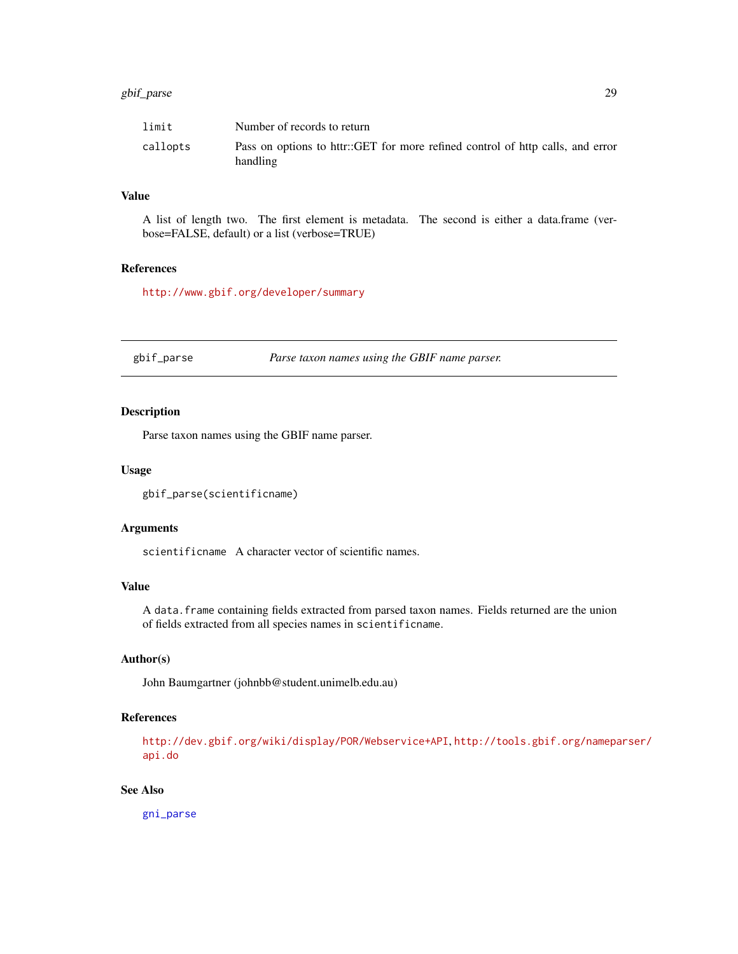# <span id="page-28-0"></span>gbif\_parse 29

| limit    | Number of records to return                                                                |
|----------|--------------------------------------------------------------------------------------------|
| callopts | Pass on options to httr::GET for more refined control of http calls, and error<br>handling |

# Value

A list of length two. The first element is metadata. The second is either a data.frame (verbose=FALSE, default) or a list (verbose=TRUE)

# References

<http://www.gbif.org/developer/summary>

gbif\_parse *Parse taxon names using the GBIF name parser.*

# Description

Parse taxon names using the GBIF name parser.

## Usage

```
gbif_parse(scientificname)
```
#### Arguments

scientificname A character vector of scientific names.

# Value

A data.frame containing fields extracted from parsed taxon names. Fields returned are the union of fields extracted from all species names in scientificname.

# Author(s)

John Baumgartner (johnbb@student.unimelb.edu.au)

# References

<http://dev.gbif.org/wiki/display/POR/Webservice+API>, [http://tools.gbif.org/namepa](http://tools.gbif.org/nameparser/api.do)rser/ [api.do](http://tools.gbif.org/nameparser/api.do)

# See Also

[gni\\_parse](#page-58-1)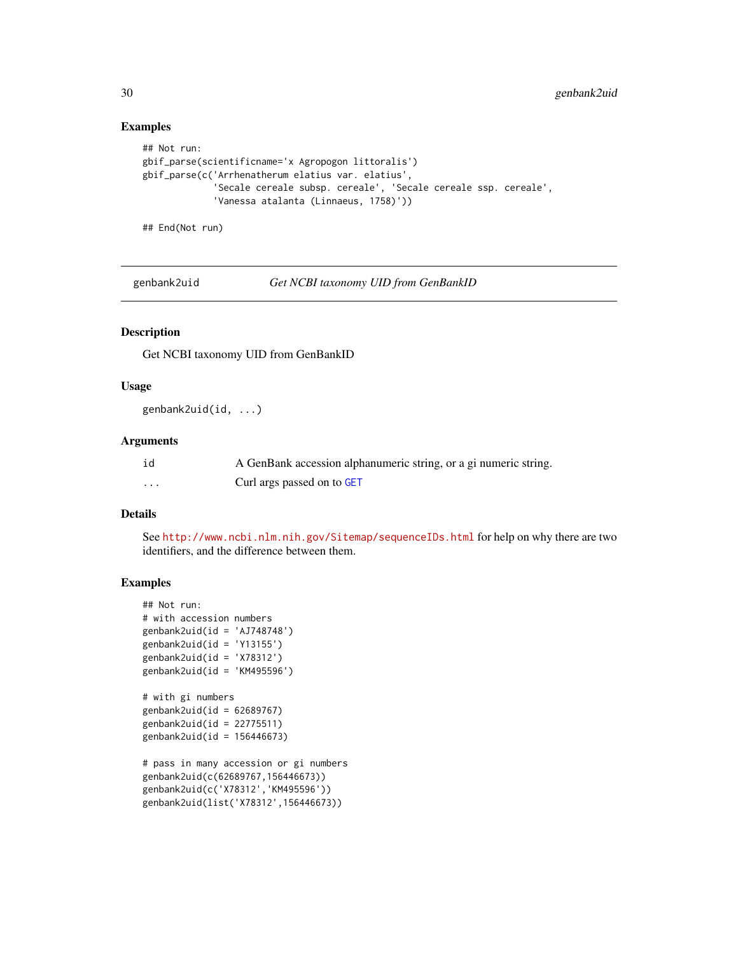#### Examples

```
## Not run:
gbif_parse(scientificname='x Agropogon littoralis')
gbif_parse(c('Arrhenatherum elatius var. elatius',
             'Secale cereale subsp. cereale', 'Secale cereale ssp. cereale',
             'Vanessa atalanta (Linnaeus, 1758)'))
```
## End(Not run)

genbank2uid *Get NCBI taxonomy UID from GenBankID*

# Description

Get NCBI taxonomy UID from GenBankID

#### Usage

genbank2uid(id, ...)

#### Arguments

| id | A GenBank accession alphanumeric string, or a gi numeric string. |
|----|------------------------------------------------------------------|
| .  | Curl args passed on to GET                                       |

#### Details

See <http://www.ncbi.nlm.nih.gov/Sitemap/sequenceIDs.html> for help on why there are two identifiers, and the difference between them.

```
## Not run:
# with accession numbers
genbank2uid(id = 'AJ748748')
genbank2uid(id = 'Y13155')
genbank2uid(id = 'X78312')
genbank2uid(id = 'KM495596')# with gi numbers
genbank2uid(id = 62689767)
genbank2uid(id = 22775511)
genbank2uid(id = 156446673)
# pass in many accession or gi numbers
genbank2uid(c(62689767,156446673))
genbank2uid(c('X78312','KM495596'))
genbank2uid(list('X78312',156446673))
```
<span id="page-29-0"></span>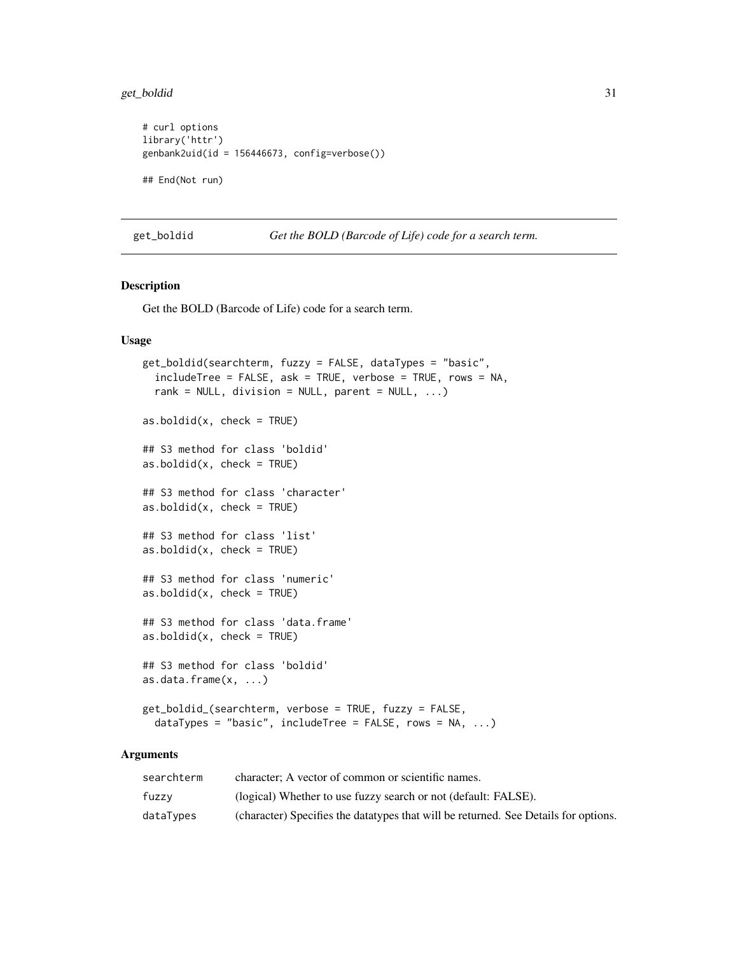<span id="page-30-0"></span>get\_boldid 31

```
# curl options
library('httr')
genbank2uid(id = 156446673, config=verbose())
## End(Not run)
```
get\_boldid *Get the BOLD (Barcode of Life) code for a search term.*

#### <span id="page-30-1"></span>Description

Get the BOLD (Barcode of Life) code for a search term.

# Usage

```
get_boldid(searchterm, fuzzy = FALSE, dataTypes = "basic",
  includeTree = FALSE, ask = TRUE, verbose = TRUE, rows = NA,
  rank = NULL, division = NULL, parent = NULL, \ldots)
as.boldid(x, check = TRUE)## S3 method for class 'boldid'
as.boldid(x, check = TRUE)## S3 method for class 'character'
as.boldid(x, check = TRUE)## S3 method for class 'list'
as.boldid(x, check = TRUE)## S3 method for class 'numeric'
as.boldid(x, check = TRUE)## S3 method for class 'data.frame'
as.boldid(x, check = TRUE)## S3 method for class 'boldid'
as.data.frame(x, ...)
get_boldid_(searchterm, verbose = TRUE, fuzzy = FALSE,
  dataTypes = "basic", includeTree = FALSE, rows = NA, ...)
```
#### Arguments

| searchterm | character: A vector of common or scientific names.                                   |
|------------|--------------------------------------------------------------------------------------|
| fuzzy      | (logical) Whether to use fuzzy search or not (default: FALSE).                       |
| dataTypes  | (character) Specifies the data types that will be returned. See Details for options. |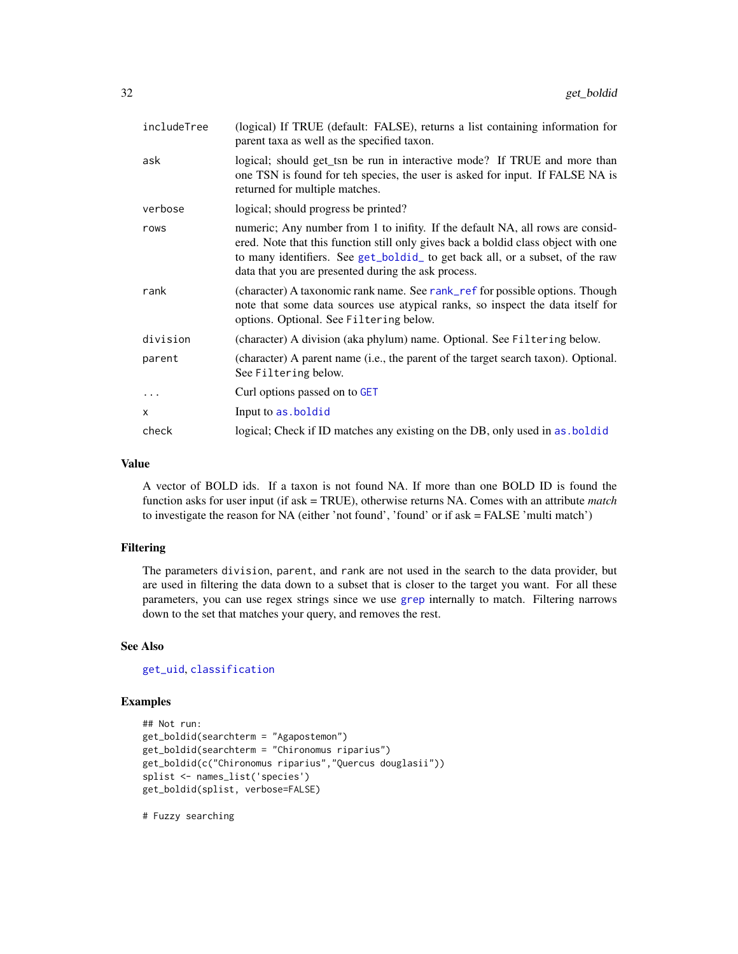| includeTree | (logical) If TRUE (default: FALSE), returns a list containing information for<br>parent taxa as well as the specified taxon.                                                                                                                                                                                |
|-------------|-------------------------------------------------------------------------------------------------------------------------------------------------------------------------------------------------------------------------------------------------------------------------------------------------------------|
| ask         | logical; should get_tsn be run in interactive mode? If TRUE and more than<br>one TSN is found for teh species, the user is asked for input. If FALSE NA is<br>returned for multiple matches.                                                                                                                |
| verbose     | logical; should progress be printed?                                                                                                                                                                                                                                                                        |
| rows        | numeric; Any number from 1 to inifity. If the default NA, all rows are consid-<br>ered. Note that this function still only gives back a boldid class object with one<br>to many identifiers. See get_boldid_to get back all, or a subset, of the raw<br>data that you are presented during the ask process. |
| rank        | (character) A taxonomic rank name. See rank_ref for possible options. Though<br>note that some data sources use atypical ranks, so inspect the data itself for<br>options. Optional. See Filtering below.                                                                                                   |
| division    | (character) A division (aka phylum) name. Optional. See Filtering below.                                                                                                                                                                                                                                    |
| parent      | (character) A parent name (i.e., the parent of the target search taxon). Optional.<br>See Filtering below.                                                                                                                                                                                                  |
|             | Curl options passed on to GET                                                                                                                                                                                                                                                                               |
| X           | Input to as . boldid                                                                                                                                                                                                                                                                                        |
| check       | logical; Check if ID matches any existing on the DB, only used in as boldid                                                                                                                                                                                                                                 |

# Value

A vector of BOLD ids. If a taxon is not found NA. If more than one BOLD ID is found the function asks for user input (if ask = TRUE), otherwise returns NA. Comes with an attribute *match* to investigate the reason for NA (either 'not found', 'found' or if ask = FALSE 'multi match')

#### Filtering

The parameters division, parent, and rank are not used in the search to the data provider, but are used in filtering the data down to a subset that is closer to the target you want. For all these parameters, you can use regex strings since we use [grep](#page-0-0) internally to match. Filtering narrows down to the set that matches your query, and removes the rest.

# See Also

[get\\_uid](#page-54-1), [classification](#page-12-1)

# Examples

```
## Not run:
get_boldid(searchterm = "Agapostemon")
get_boldid(searchterm = "Chironomus riparius")
get_boldid(c("Chironomus riparius","Quercus douglasii"))
splist <- names_list('species')
get_boldid(splist, verbose=FALSE)
```
# Fuzzy searching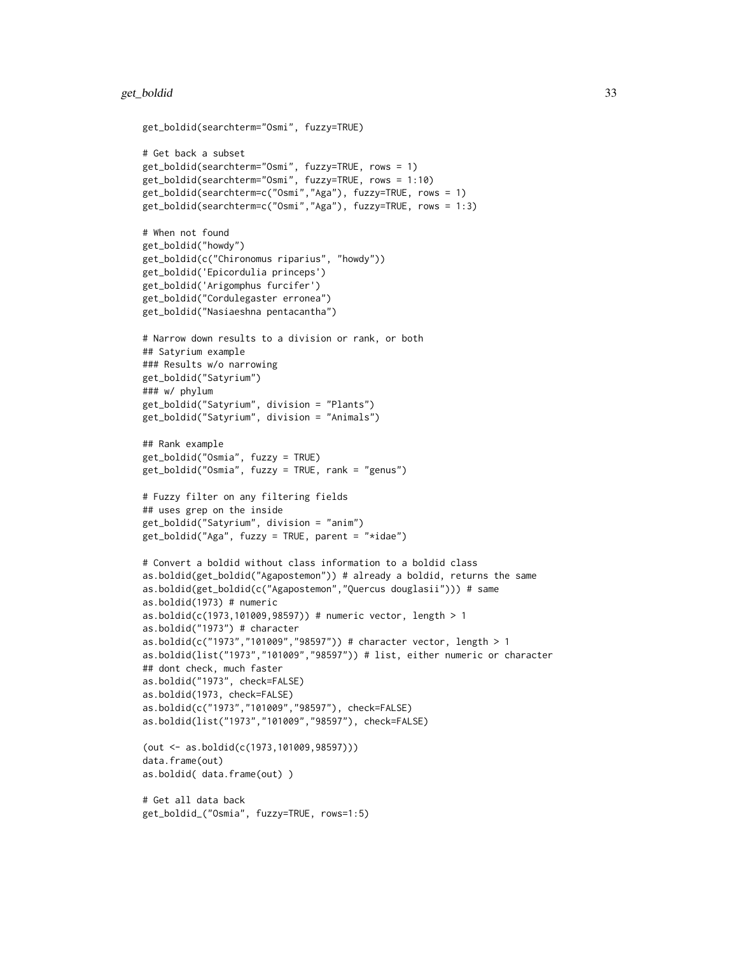```
get_boldid(searchterm="Osmi", fuzzy=TRUE)
# Get back a subset
get_boldid(searchterm="Osmi", fuzzy=TRUE, rows = 1)
get_boldid(searchterm="Osmi", fuzzy=TRUE, rows = 1:10)
get_boldid(searchterm=c("Osmi","Aga"), fuzzy=TRUE, rows = 1)
get_boldid(searchterm=c("Osmi","Aga"), fuzzy=TRUE, rows = 1:3)
# When not found
get_boldid("howdy")
get_boldid(c("Chironomus riparius", "howdy"))
get_boldid('Epicordulia princeps')
get_boldid('Arigomphus furcifer')
get_boldid("Cordulegaster erronea")
get_boldid("Nasiaeshna pentacantha")
# Narrow down results to a division or rank, or both
## Satyrium example
### Results w/o narrowing
get_boldid("Satyrium")
### w/ phylum
get_boldid("Satyrium", division = "Plants")
get_boldid("Satyrium", division = "Animals")
## Rank example
get_boldid("Osmia", fuzzy = TRUE)
get_boldid("Osmia", fuzzy = TRUE, rank = "genus")
# Fuzzy filter on any filtering fields
## uses grep on the inside
get_boldid("Satyrium", division = "anim")
get_boldid("Aga", fuzzy = TRUE, parent = "*idae")# Convert a boldid without class information to a boldid class
as.boldid(get_boldid("Agapostemon")) # already a boldid, returns the same
as.boldid(get_boldid(c("Agapostemon","Quercus douglasii"))) # same
as.boldid(1973) # numeric
as.boldid(c(1973,101009,98597)) # numeric vector, length > 1
as.boldid("1973") # character
as.boldid(c("1973","101009","98597")) # character vector, length > 1
as.boldid(list("1973","101009","98597")) # list, either numeric or character
## dont check, much faster
as.boldid("1973", check=FALSE)
as.boldid(1973, check=FALSE)
as.boldid(c("1973","101009","98597"), check=FALSE)
as.boldid(list("1973","101009","98597"), check=FALSE)
(out <- as.boldid(c(1973,101009,98597)))
data.frame(out)
as.boldid( data.frame(out) )
# Get all data back
get_boldid_("Osmia", fuzzy=TRUE, rows=1:5)
```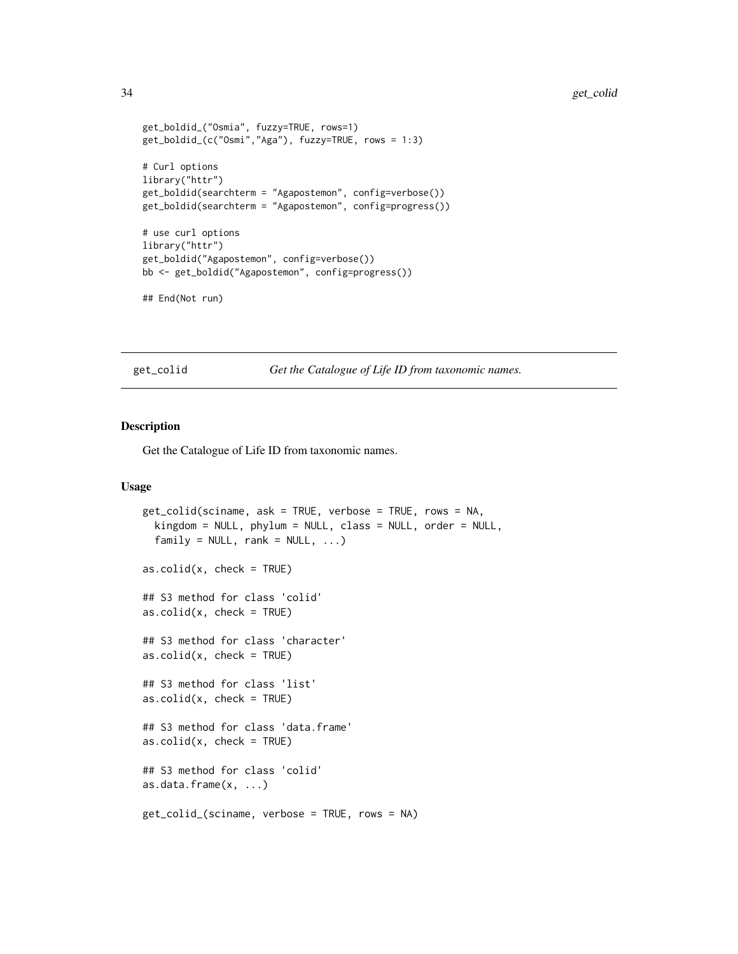```
get_boldid_("Osmia", fuzzy=TRUE, rows=1)
get_boldid_(c("Osmi","Aga"), fuzzy=TRUE, rows = 1:3)
# Curl options
library("httr")
get_boldid(searchterm = "Agapostemon", config=verbose())
get_boldid(searchterm = "Agapostemon", config=progress())
# use curl options
library("httr")
get_boldid("Agapostemon", config=verbose())
bb <- get_boldid("Agapostemon", config=progress())
## End(Not run)
```
<span id="page-33-1"></span>get\_colid *Get the Catalogue of Life ID from taxonomic names.*

#### <span id="page-33-2"></span>Description

Get the Catalogue of Life ID from taxonomic names.

```
get_colid(sciname, ask = TRUE, verbose = TRUE, rows = NA,
 kingdom = NULL, phylum = NULL, class = NULL, order = NULL,
 family = NULL, rank = NULL, ...)as.colid(x, check = TRUE)## S3 method for class 'colid'
as.colid(x, check = TRUE)## S3 method for class 'character'
as.colid(x, check = TRUE)## S3 method for class 'list'
as.colid(x, check = TRUE)## S3 method for class 'data.frame'
as.colid(x, check = TRUE)## S3 method for class 'colid'
as.data.frame(x, ...)
get_colid_(sciname, verbose = TRUE, rows = NA)
```
<span id="page-33-0"></span>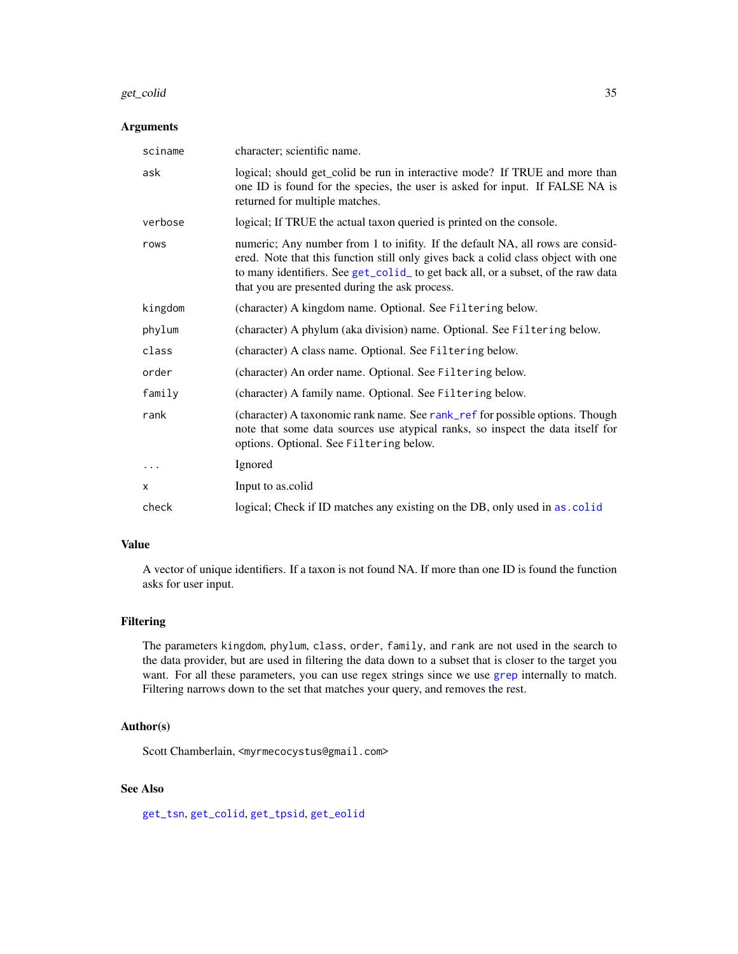#### get\_colid 35

# Arguments

| sciname      | character; scientific name.                                                                                                                                                                                                                                                                                |
|--------------|------------------------------------------------------------------------------------------------------------------------------------------------------------------------------------------------------------------------------------------------------------------------------------------------------------|
| ask          | logical; should get_colid be run in interactive mode? If TRUE and more than<br>one ID is found for the species, the user is asked for input. If FALSE NA is<br>returned for multiple matches.                                                                                                              |
| verbose      | logical; If TRUE the actual taxon queried is printed on the console.                                                                                                                                                                                                                                       |
| rows         | numeric; Any number from 1 to inifity. If the default NA, all rows are consid-<br>ered. Note that this function still only gives back a colid class object with one<br>to many identifiers. See get_colid_ to get back all, or a subset, of the raw data<br>that you are presented during the ask process. |
| kingdom      | (character) A kingdom name. Optional. See Filtering below.                                                                                                                                                                                                                                                 |
| phylum       | (character) A phylum (aka division) name. Optional. See Filtering below.                                                                                                                                                                                                                                   |
| class        | (character) A class name. Optional. See Filtering below.                                                                                                                                                                                                                                                   |
| order        | (character) An order name. Optional. See Filtering below.                                                                                                                                                                                                                                                  |
| family       | (character) A family name. Optional. See Filtering below.                                                                                                                                                                                                                                                  |
| rank         | (character) A taxonomic rank name. See rank_ref for possible options. Though<br>note that some data sources use atypical ranks, so inspect the data itself for<br>options. Optional. See Filtering below.                                                                                                  |
| $\ddotsc$    | Ignored                                                                                                                                                                                                                                                                                                    |
| $\mathsf{x}$ | Input to as.colid                                                                                                                                                                                                                                                                                          |
| check        | logical; Check if ID matches any existing on the DB, only used in as. colid                                                                                                                                                                                                                                |

# Value

A vector of unique identifiers. If a taxon is not found NA. If more than one ID is found the function asks for user input.

# Filtering

The parameters kingdom, phylum, class, order, family, and rank are not used in the search to the data provider, but are used in filtering the data down to a subset that is closer to the target you want. For all these parameters, you can use regex strings since we use [grep](#page-0-0) internally to match. Filtering narrows down to the set that matches your query, and removes the rest.

#### Author(s)

Scott Chamberlain, <myrmecocystus@gmail.com>

# See Also

[get\\_tsn](#page-48-1), [get\\_colid](#page-33-1), [get\\_tpsid](#page-45-1), [get\\_eolid](#page-36-1)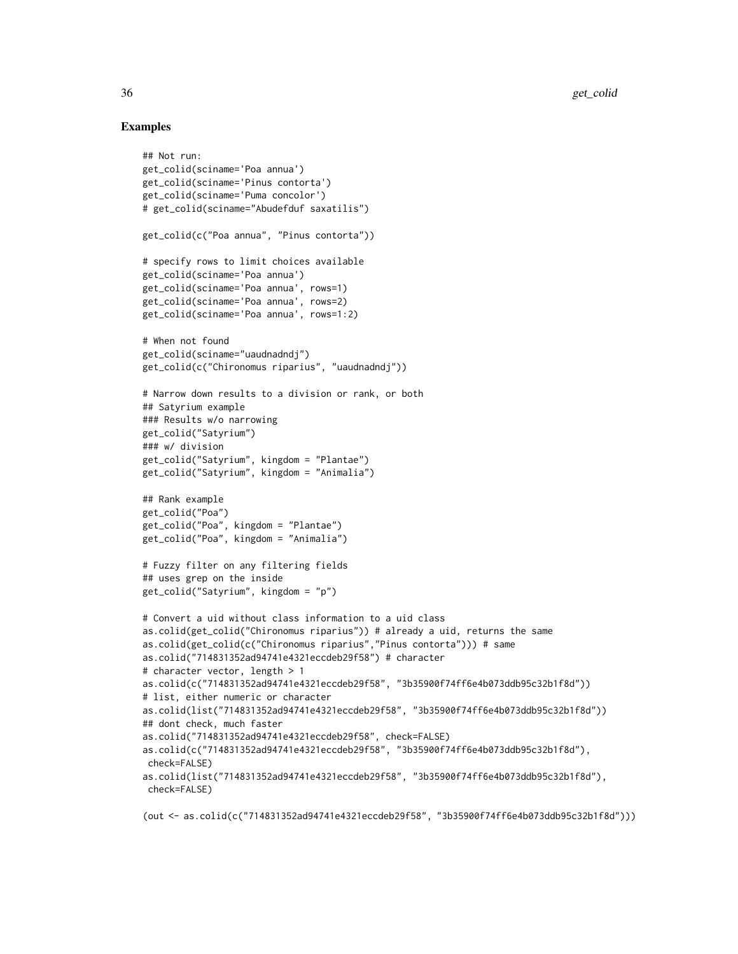# Examples

```
## Not run:
get_colid(sciname='Poa annua')
get_colid(sciname='Pinus contorta')
get_colid(sciname='Puma concolor')
# get_colid(sciname="Abudefduf saxatilis")
get_colid(c("Poa annua", "Pinus contorta"))
# specify rows to limit choices available
get_colid(sciname='Poa annua')
get_colid(sciname='Poa annua', rows=1)
get_colid(sciname='Poa annua', rows=2)
get_colid(sciname='Poa annua', rows=1:2)
# When not found
get_colid(sciname="uaudnadndj")
get_colid(c("Chironomus riparius", "uaudnadndj"))
# Narrow down results to a division or rank, or both
## Satyrium example
### Results w/o narrowing
get_colid("Satyrium")
### w/ division
get_colid("Satyrium", kingdom = "Plantae")
get_colid("Satyrium", kingdom = "Animalia")
## Rank example
get_colid("Poa")
get_colid("Poa", kingdom = "Plantae")
get_colid("Poa", kingdom = "Animalia")
# Fuzzy filter on any filtering fields
## uses grep on the inside
get_colid("Satyrium", kingdom = "p")
# Convert a uid without class information to a uid class
as.colid(get_colid("Chironomus riparius")) # already a uid, returns the same
as.colid(get_colid(c("Chironomus riparius","Pinus contorta"))) # same
as.colid("714831352ad94741e4321eccdeb29f58") # character
# character vector, length > 1
as.colid(c("714831352ad94741e4321eccdeb29f58", "3b35900f74ff6e4b073ddb95c32b1f8d"))
# list, either numeric or character
as.colid(list("714831352ad94741e4321eccdeb29f58", "3b35900f74ff6e4b073ddb95c32b1f8d"))
## dont check, much faster
as.colid("714831352ad94741e4321eccdeb29f58", check=FALSE)
as.colid(c("714831352ad94741e4321eccdeb29f58", "3b35900f74ff6e4b073ddb95c32b1f8d"),
 check=FALSE)
as.colid(list("714831352ad94741e4321eccdeb29f58", "3b35900f74ff6e4b073ddb95c32b1f8d"),
check=FALSE)
```
(out <- as.colid(c("714831352ad94741e4321eccdeb29f58", "3b35900f74ff6e4b073ddb95c32b1f8d")))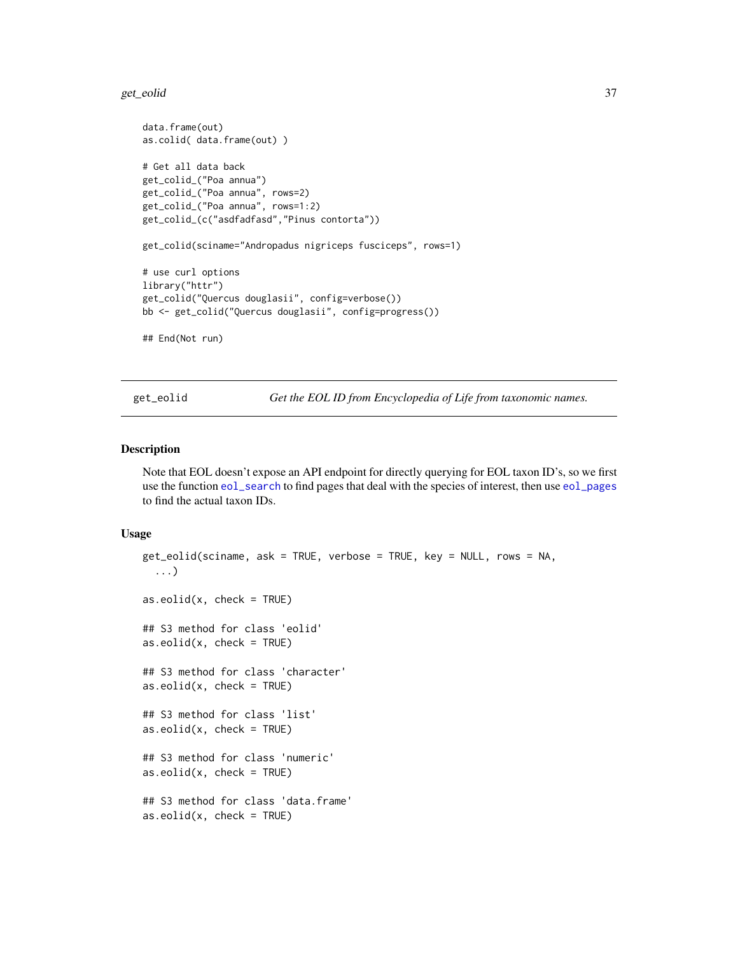#### get\_eolid 37

```
data.frame(out)
as.colid( data.frame(out) )
# Get all data back
get_colid_("Poa annua")
get_colid_("Poa annua", rows=2)
get_colid_("Poa annua", rows=1:2)
get_colid_(c("asdfadfasd","Pinus contorta"))
get_colid(sciname="Andropadus nigriceps fusciceps", rows=1)
# use curl options
library("httr")
get_colid("Quercus douglasii", config=verbose())
bb <- get_colid("Quercus douglasii", config=progress())
## End(Not run)
```
<span id="page-36-1"></span>get\_eolid *Get the EOL ID from Encyclopedia of Life from taxonomic names.*

#### <span id="page-36-0"></span>Description

Note that EOL doesn't expose an API endpoint for directly querying for EOL taxon ID's, so we first use the function [eol\\_search](#page-26-0) to find pages that deal with the species of interest, then use [eol\\_pages](#page-24-0) to find the actual taxon IDs.

#### Usage

```
get_eolid(sciname, ask = TRUE, verbose = TRUE, key = NULL, rows = NA,
  ...)
as.eolid(x, check = TRUE)## S3 method for class 'eolid'
as.eolid(x, check = TRUE)## S3 method for class 'character'
as.eolid(x, check = TRUE)## S3 method for class 'list'
as.eolid(x, check = TRUE)## S3 method for class 'numeric'
as.eolid(x, check = TRUE)## S3 method for class 'data.frame'
as.eolid(x, check = TRUE)
```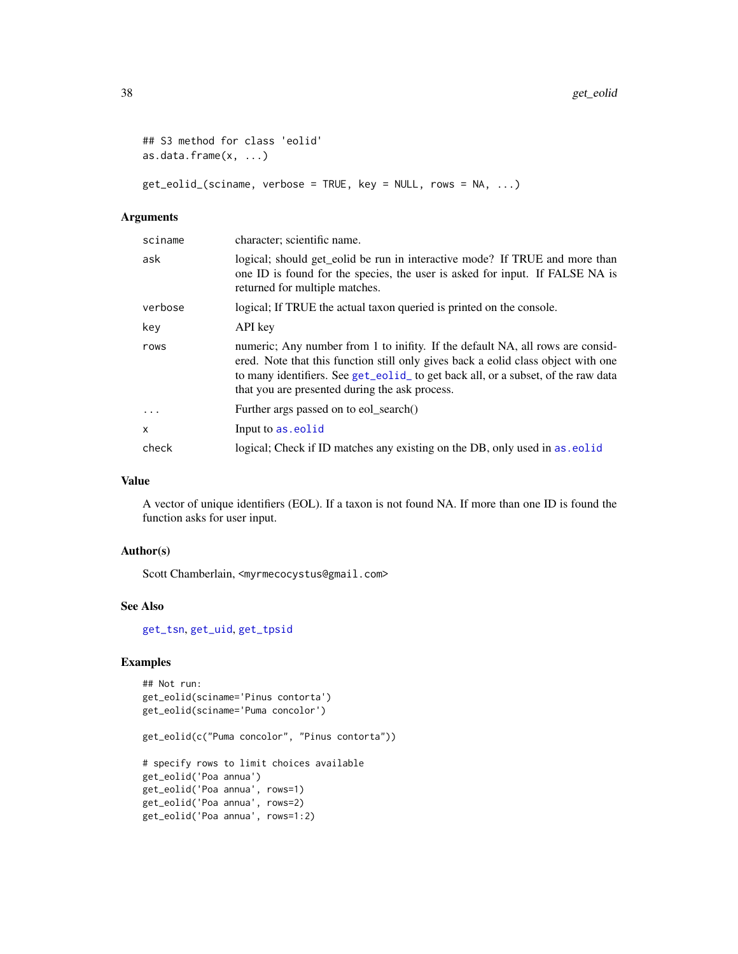```
## S3 method for class 'eolid'
as.data.frame(x, ...)
```
get\_eolid\_(sciname, verbose = TRUE, key = NULL, rows = NA, ...)

#### Arguments

| sciname | character; scientific name.                                                                                                                                                                                                                                                                                |
|---------|------------------------------------------------------------------------------------------------------------------------------------------------------------------------------------------------------------------------------------------------------------------------------------------------------------|
| ask     | logical; should get eolid be run in interactive mode? If TRUE and more than<br>one ID is found for the species, the user is asked for input. If FALSE NA is<br>returned for multiple matches.                                                                                                              |
| verbose | logical; If TRUE the actual taxon queried is printed on the console.                                                                                                                                                                                                                                       |
| key     | API key                                                                                                                                                                                                                                                                                                    |
| rows    | numeric; Any number from 1 to inifity. If the default NA, all rows are consid-<br>ered. Note that this function still only gives back a eolid class object with one<br>to many identifiers. See get_eolid_ to get back all, or a subset, of the raw data<br>that you are presented during the ask process. |
| $\cdot$ | Further args passed on to eol search()                                                                                                                                                                                                                                                                     |
| x       | Input to as, eolid                                                                                                                                                                                                                                                                                         |
| check   | logical; Check if ID matches any existing on the DB, only used in as eolid                                                                                                                                                                                                                                 |

## Value

A vector of unique identifiers (EOL). If a taxon is not found NA. If more than one ID is found the function asks for user input.

## Author(s)

Scott Chamberlain, <myrmecocystus@gmail.com>

#### See Also

[get\\_tsn](#page-48-0), [get\\_uid](#page-54-0), [get\\_tpsid](#page-45-0)

```
## Not run:
get_eolid(sciname='Pinus contorta')
get_eolid(sciname='Puma concolor')
get_eolid(c("Puma concolor", "Pinus contorta"))
# specify rows to limit choices available
get_eolid('Poa annua')
get_eolid('Poa annua', rows=1)
get_eolid('Poa annua', rows=2)
get_eolid('Poa annua', rows=1:2)
```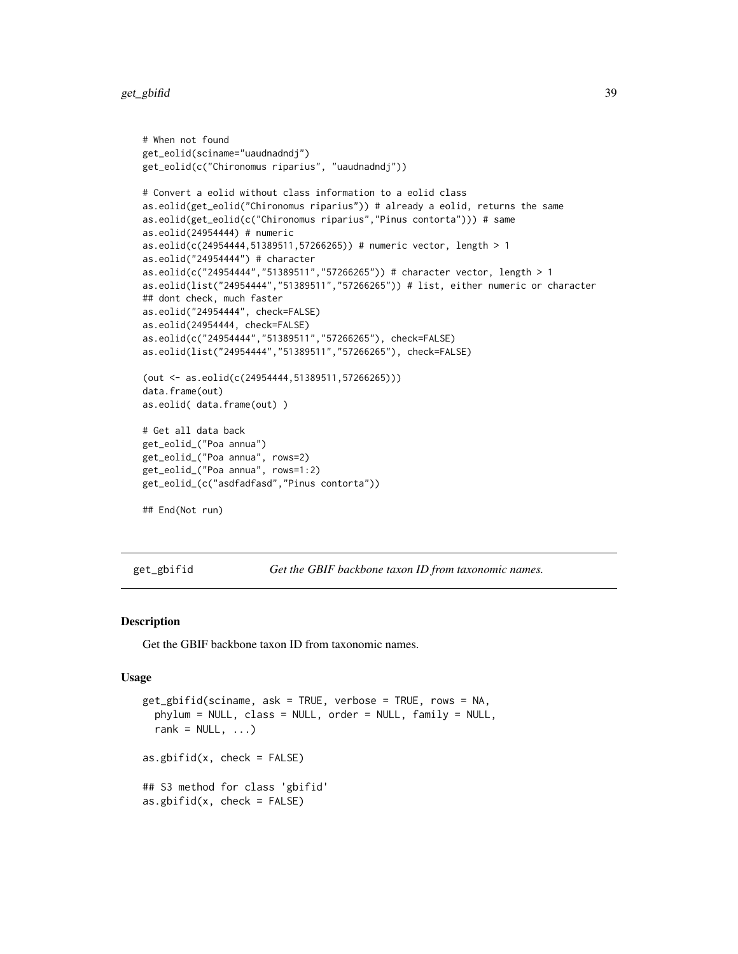get\_gbifid 39

```
# When not found
get_eolid(sciname="uaudnadndj")
get_eolid(c("Chironomus riparius", "uaudnadndj"))
# Convert a eolid without class information to a eolid class
as.eolid(get_eolid("Chironomus riparius")) # already a eolid, returns the same
as.eolid(get_eolid(c("Chironomus riparius","Pinus contorta"))) # same
as.eolid(24954444) # numeric
as.eolid(c(24954444,51389511,57266265)) # numeric vector, length > 1
as.eolid("24954444") # character
as.eolid(c("24954444","51389511","57266265")) # character vector, length > 1
as.eolid(list("24954444","51389511","57266265")) # list, either numeric or character
## dont check, much faster
as.eolid("24954444", check=FALSE)
as.eolid(24954444, check=FALSE)
as.eolid(c("24954444","51389511","57266265"), check=FALSE)
as.eolid(list("24954444","51389511","57266265"), check=FALSE)
(out <- as.eolid(c(24954444,51389511,57266265)))
data.frame(out)
as.eolid( data.frame(out) )
# Get all data back
get_eolid_("Poa annua")
get_eolid_("Poa annua", rows=2)
get_eolid_("Poa annua", rows=1:2)
get_eolid_(c("asdfadfasd","Pinus contorta"))
## End(Not run)
```
<span id="page-38-1"></span>get\_gbifid *Get the GBIF backbone taxon ID from taxonomic names.*

#### <span id="page-38-0"></span>Description

Get the GBIF backbone taxon ID from taxonomic names.

#### Usage

```
get_gbifid(sciname, ask = TRUE, verbose = TRUE, rows = NA,
 phylum = NULL, class = NULL, order = NULL, family = NULL,
 rank = NULL, ...)as.gbifid(x, check = FALSE)## S3 method for class 'gbifid'
as.gbifid(x, check = FALSE)
```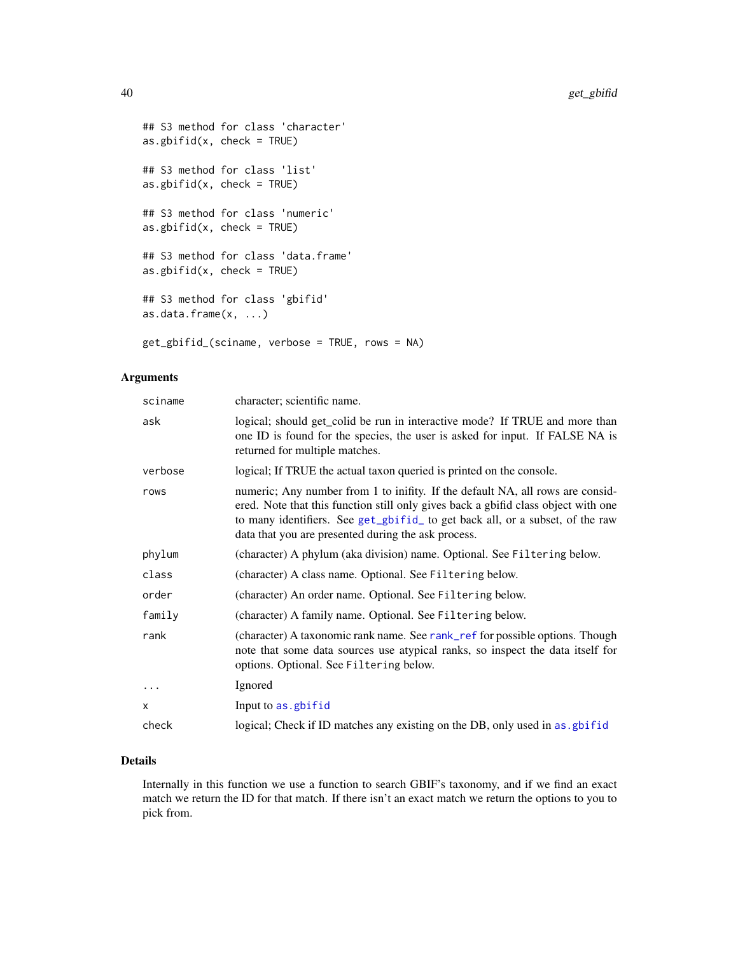```
## S3 method for class 'character'
as.gbifid(x, check = TRUE)
## S3 method for class 'list'
as.gbifid(x, check = TRUE)
## S3 method for class 'numeric'
as.g\text{bifid}(x, \text{ check} = \text{TRUE})## S3 method for class 'data.frame'
as.gbifid(x, check = TRUE)## S3 method for class 'gbifid'
as.data.frame(x, ...)
get_gbifid_(sciname, verbose = TRUE, rows = NA)
```
## Arguments

| sciname  | character; scientific name.                                                                                                                                                                                                                                                                                  |
|----------|--------------------------------------------------------------------------------------------------------------------------------------------------------------------------------------------------------------------------------------------------------------------------------------------------------------|
| ask      | logical; should get_colid be run in interactive mode? If TRUE and more than<br>one ID is found for the species, the user is asked for input. If FALSE NA is<br>returned for multiple matches.                                                                                                                |
| verbose  | logical; If TRUE the actual taxon queried is printed on the console.                                                                                                                                                                                                                                         |
| rows     | numeric; Any number from 1 to inifity. If the default NA, all rows are consid-<br>ered. Note that this function still only gives back a gbifid class object with one<br>to many identifiers. See get_gbifid_ to get back all, or a subset, of the raw<br>data that you are presented during the ask process. |
| phylum   | (character) A phylum (aka division) name. Optional. See Filtering below.                                                                                                                                                                                                                                     |
| class    | (character) A class name. Optional. See Filtering below.                                                                                                                                                                                                                                                     |
| order    | (character) An order name. Optional. See Filtering below.                                                                                                                                                                                                                                                    |
| family   | (character) A family name. Optional. See Filtering below.                                                                                                                                                                                                                                                    |
| rank     | (character) A taxonomic rank name. See rank_ref for possible options. Though<br>note that some data sources use atypical ranks, so inspect the data itself for<br>options. Optional. See Filtering below.                                                                                                    |
| $\ddots$ | Ignored                                                                                                                                                                                                                                                                                                      |
| X        | Input to as . gbifid                                                                                                                                                                                                                                                                                         |
| check    | logical; Check if ID matches any existing on the DB, only used in as gbifid                                                                                                                                                                                                                                  |

#### Details

Internally in this function we use a function to search GBIF's taxonomy, and if we find an exact match we return the ID for that match. If there isn't an exact match we return the options to you to pick from.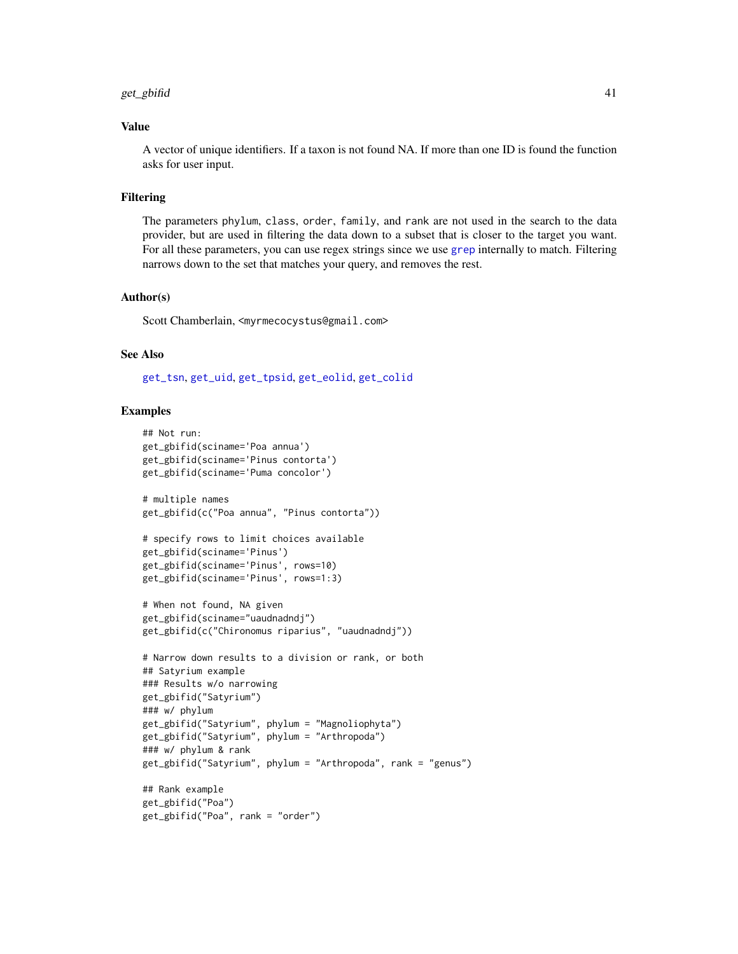#### get\_gbifid 41

### Value

A vector of unique identifiers. If a taxon is not found NA. If more than one ID is found the function asks for user input.

#### Filtering

The parameters phylum, class, order, family, and rank are not used in the search to the data provider, but are used in filtering the data down to a subset that is closer to the target you want. For all these parameters, you can use regex strings since we use [grep](#page-0-0) internally to match. Filtering narrows down to the set that matches your query, and removes the rest.

#### Author(s)

Scott Chamberlain, <myrmecocystus@gmail.com>

#### See Also

[get\\_tsn](#page-48-0), [get\\_uid](#page-54-0), [get\\_tpsid](#page-45-0), [get\\_eolid](#page-36-1), [get\\_colid](#page-33-0)

```
## Not run:
get_gbifid(sciname='Poa annua')
get_gbifid(sciname='Pinus contorta')
get_gbifid(sciname='Puma concolor')
# multiple names
get_gbifid(c("Poa annua", "Pinus contorta"))
# specify rows to limit choices available
get_gbifid(sciname='Pinus')
get_gbifid(sciname='Pinus', rows=10)
get_gbifid(sciname='Pinus', rows=1:3)
# When not found, NA given
get_gbifid(sciname="uaudnadndj")
get_gbifid(c("Chironomus riparius", "uaudnadndj"))
# Narrow down results to a division or rank, or both
## Satyrium example
### Results w/o narrowing
get_gbifid("Satyrium")
### w/ phylum
get_gbifid("Satyrium", phylum = "Magnoliophyta")
get_gbifid("Satyrium", phylum = "Arthropoda")
### w/ phylum & rank
get_gbifid("Satyrium", phylum = "Arthropoda", rank = "genus")
## Rank example
get_gbifid("Poa")
get_gbifid("Poa", rank = "order")
```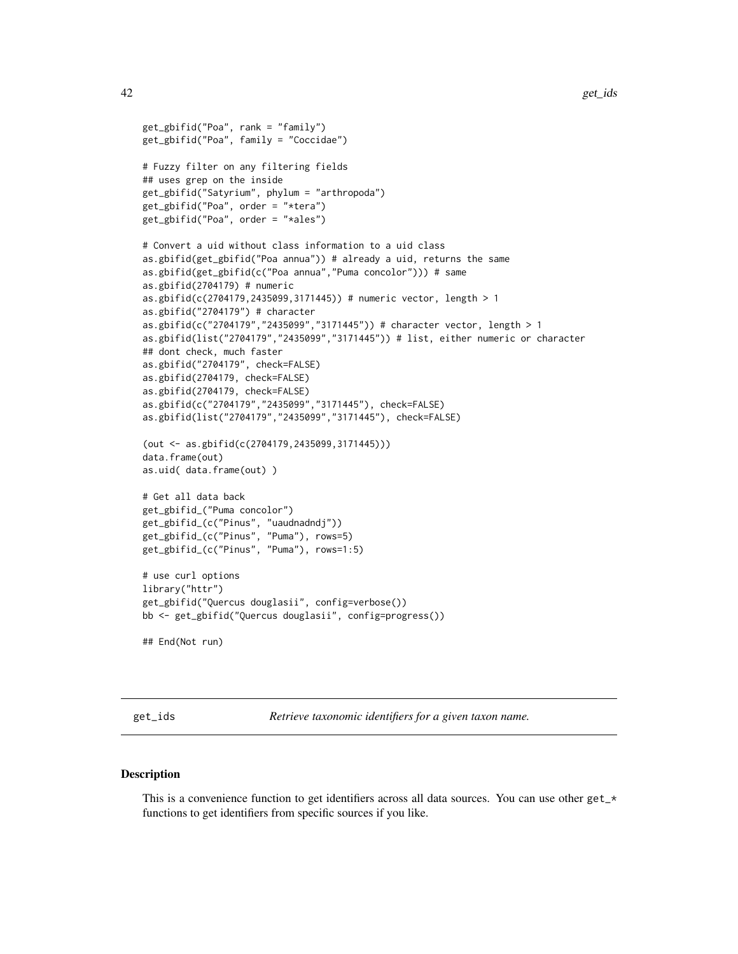```
get_gbifid("Poa", rank = "family")
get_gbifid("Poa", family = "Coccidae")
# Fuzzy filter on any filtering fields
## uses grep on the inside
get_gbifid("Satyrium", phylum = "arthropoda")
get_gbifid("Poa", order = "*tera")
get_gbifid("Poa", order = "*ales")
# Convert a uid without class information to a uid class
as.gbifid(get_gbifid("Poa annua")) # already a uid, returns the same
as.gbifid(get_gbifid(c("Poa annua","Puma concolor"))) # same
as.gbifid(2704179) # numeric
as.gbifid(c(2704179,2435099,3171445)) # numeric vector, length > 1
as.gbifid("2704179") # character
as.gbifid(c("2704179","2435099","3171445")) # character vector, length > 1
as.gbifid(list("2704179","2435099","3171445")) # list, either numeric or character
## dont check, much faster
as.gbifid("2704179", check=FALSE)
as.gbifid(2704179, check=FALSE)
as.gbifid(2704179, check=FALSE)
as.gbifid(c("2704179","2435099","3171445"), check=FALSE)
as.gbifid(list("2704179","2435099","3171445"), check=FALSE)
(out <- as.gbifid(c(2704179,2435099,3171445)))
data.frame(out)
as.uid( data.frame(out) )
# Get all data back
get_gbifid_("Puma concolor")
get_gbifid_(c("Pinus", "uaudnadndj"))
get_gbifid_(c("Pinus", "Puma"), rows=5)
get_gbifid_(c("Pinus", "Puma"), rows=1:5)
# use curl options
library("httr")
get_gbifid("Quercus douglasii", config=verbose())
bb <- get_gbifid("Quercus douglasii", config=progress())
## End(Not run)
```
get\_ids *Retrieve taxonomic identifiers for a given taxon name.*

#### **Description**

This is a convenience function to get identifiers across all data sources. You can use other get\_\* functions to get identifiers from specific sources if you like.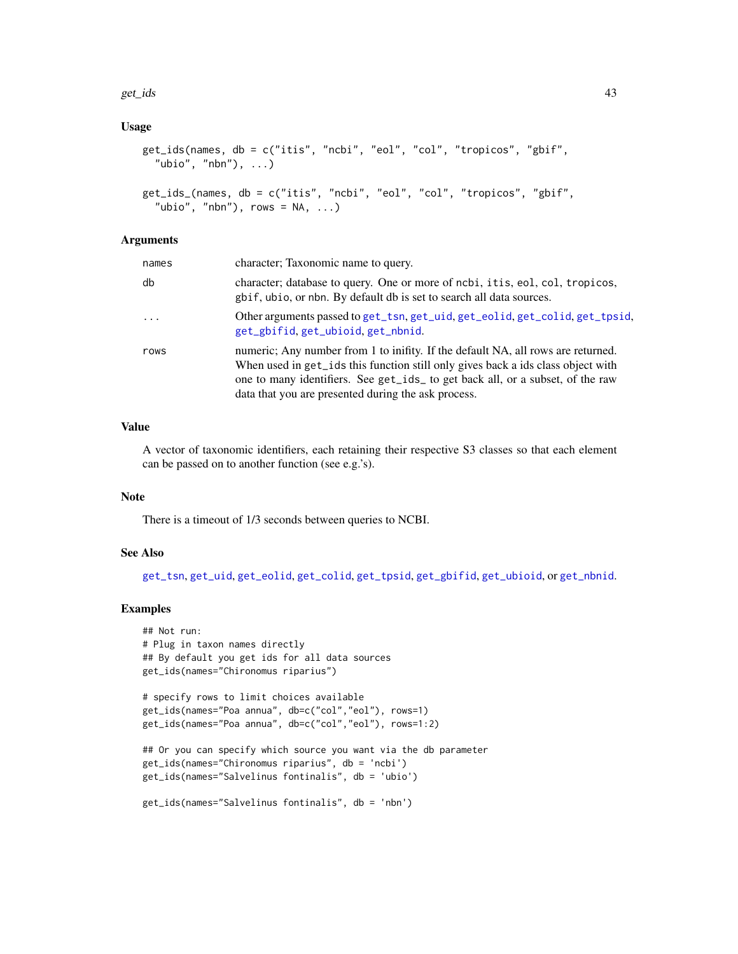get\_ids 43

### Usage

```
get_ids(names, db = c("itis", "ncbi", "eol", "col", "tropicos", "gbif",
  "ubio", "nbn"), \ldots)
get_ids_(names, db = c("itis", "ncbi", "eol", "col", "tropicos", "gbif",
```

```
"ubio", "nbn"), rows = NA, ...)
```
#### **Arguments**

| names    | character; Taxonomic name to query.                                                                                                                                                                                                                                                                           |
|----------|---------------------------------------------------------------------------------------------------------------------------------------------------------------------------------------------------------------------------------------------------------------------------------------------------------------|
| db       | character; database to query. One or more of ncbi, it is, eol, col, tropicos,<br>gbif, ubio, or nbn. By default db is set to search all data sources.                                                                                                                                                         |
| $\cdots$ | Other arguments passed to get_tsn, get_uid, get_eolid, get_colid, get_tpsid,<br>get_gbifid, get_ubioid, get_nbnid.                                                                                                                                                                                            |
| rows     | numeric; Any number from 1 to inifity. If the default NA, all rows are returned.<br>When used in get_ids this function still only gives back a ids class object with<br>one to many identifiers. See get_ids_ to get back all, or a subset, of the raw<br>data that you are presented during the ask process. |

## Value

A vector of taxonomic identifiers, each retaining their respective S3 classes so that each element can be passed on to another function (see e.g.'s).

### Note

There is a timeout of 1/3 seconds between queries to NCBI.

#### See Also

[get\\_tsn](#page-48-0), [get\\_uid](#page-54-0), [get\\_eolid](#page-36-1), [get\\_colid](#page-33-0), [get\\_tpsid](#page-45-0), [get\\_gbifid](#page-38-1), [get\\_ubioid](#page-51-0), or [get\\_nbnid](#page-43-0).

```
## Not run:
# Plug in taxon names directly
## By default you get ids for all data sources
get_ids(names="Chironomus riparius")
```

```
# specify rows to limit choices available
get_ids(names="Poa annua", db=c("col","eol"), rows=1)
get_ids(names="Poa annua", db=c("col","eol"), rows=1:2)
```

```
## Or you can specify which source you want via the db parameter
get_ids(names="Chironomus riparius", db = 'ncbi')
get_ids(names="Salvelinus fontinalis", db = 'ubio')
```

```
get_ids(names="Salvelinus fontinalis", db = 'nbn')
```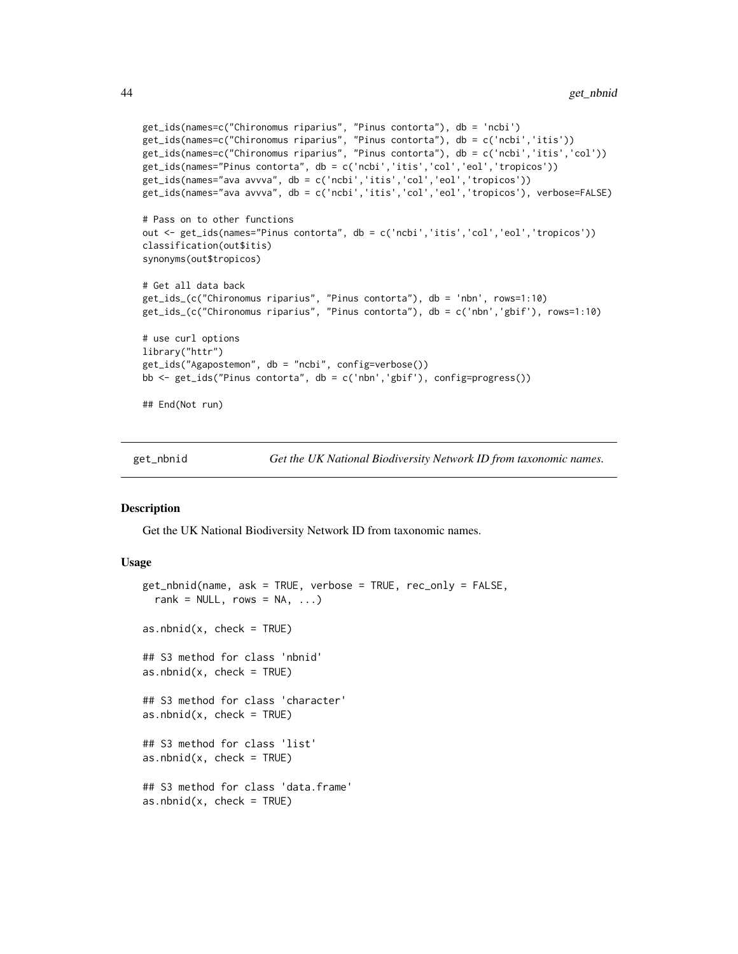```
get_ids(names=c("Chironomus riparius", "Pinus contorta"), db = 'ncbi')
get_ids(names=c("Chironomus riparius", "Pinus contorta"), db = c('ncbi','itis'))
get_ids(names=c("Chironomus riparius", "Pinus contorta"), db = c('ncbi','itis','col'))
get_ids(names="Pinus contorta", db = c('ncbi','itis','col','eol','tropicos'))
get_ids(names="ava avvva", db = c('ncbi','itis','col','eol','tropicos'))
get_ids(names="ava avvva", db = c('ncbi','itis','col','eol','tropicos'), verbose=FALSE)
# Pass on to other functions
out <- get_ids(names="Pinus contorta", db = c('ncbi','itis','col','eol','tropicos'))
classification(out$itis)
synonyms(out$tropicos)
# Get all data back
get_ids_(c("Chironomus riparius", "Pinus contorta"), db = 'nbn', rows=1:10)
get_ids_(c("Chironomus riparius", "Pinus contorta"), db = c('nbn','gbif'), rows=1:10)
# use curl options
library("httr")
get_ids("Agapostemon", db = "ncbi", config=verbose())
bb <- get_ids("Pinus contorta", db = c('nbn','gbif'), config=progress())
## End(Not run)
```
get\_nbnid *Get the UK National Biodiversity Network ID from taxonomic names.*

#### <span id="page-43-1"></span>Description

Get the UK National Biodiversity Network ID from taxonomic names.

#### Usage

```
get_nbnid(name, ask = TRUE, verbose = TRUE, rec_only = FALSE,
 rank = NULL, rows = NA, ...)
as.nbnid(x, check = TRUE)## S3 method for class 'nbnid'
as.nbnid(x, check = TRUE)## S3 method for class 'character'
as.nbnid(x, check = TRUE)## S3 method for class 'list'
as.nbnid(x, check = TRUE)## S3 method for class 'data.frame'
as.nbnid(x, check = TRUE)
```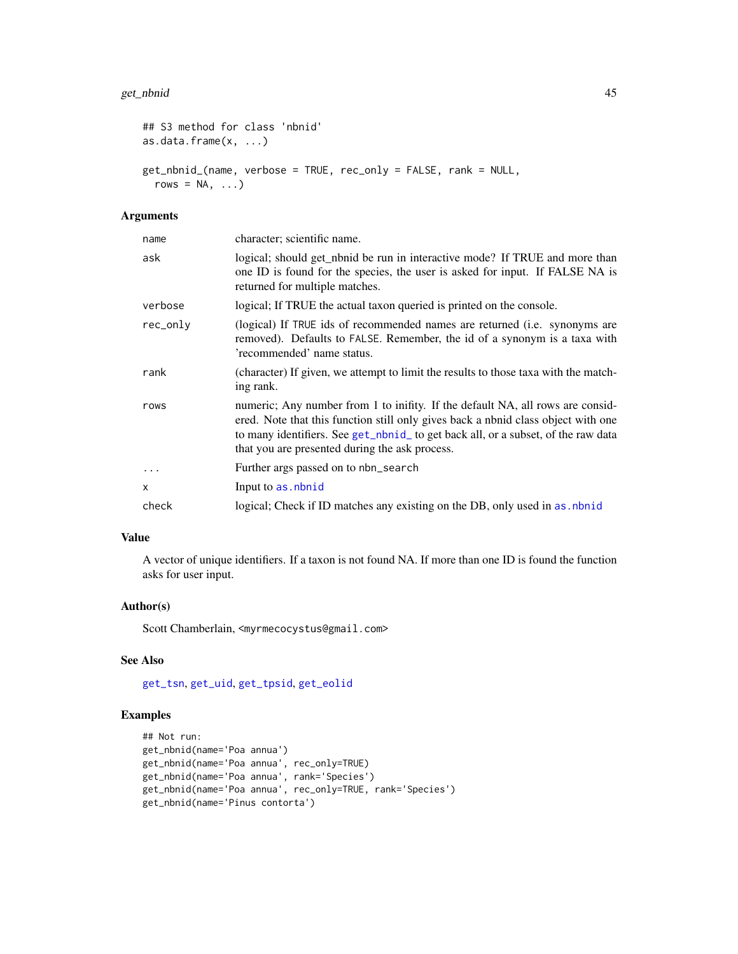#### get\_nbnid 45

```
## S3 method for class 'nbnid'
as.data.frame(x, ...)
get_nbnid_(name, verbose = TRUE, rec_only = FALSE, rank = NULL,
  rows = NA, \ldots)
```
### Arguments

| name     | character; scientific name.                                                                                                                                                                                                                                                                                |
|----------|------------------------------------------------------------------------------------------------------------------------------------------------------------------------------------------------------------------------------------------------------------------------------------------------------------|
| ask      | logical; should get_nbnid be run in interactive mode? If TRUE and more than<br>one ID is found for the species, the user is asked for input. If FALSE NA is<br>returned for multiple matches.                                                                                                              |
| verbose  | logical; If TRUE the actual taxon queried is printed on the console.                                                                                                                                                                                                                                       |
| rec_only | (logical) If TRUE ids of recommended names are returned ( <i>i.e.</i> synonyms are<br>removed). Defaults to FALSE. Remember, the id of a synonym is a taxa with<br>'recommended' name status.                                                                                                              |
| rank     | (character) If given, we attempt to limit the results to those taxa with the match-<br>ing rank.                                                                                                                                                                                                           |
| rows     | numeric; Any number from 1 to inifity. If the default NA, all rows are consid-<br>ered. Note that this function still only gives back a nbnid class object with one<br>to many identifiers. See get_nbnid_ to get back all, or a subset, of the raw data<br>that you are presented during the ask process. |
| $\cdots$ | Further args passed on to nbn_search                                                                                                                                                                                                                                                                       |
| x        | Input to as, nbnid                                                                                                                                                                                                                                                                                         |
| check    | logical; Check if ID matches any existing on the DB, only used in as, nbnid                                                                                                                                                                                                                                |
|          |                                                                                                                                                                                                                                                                                                            |

## Value

A vector of unique identifiers. If a taxon is not found NA. If more than one ID is found the function asks for user input.

### Author(s)

Scott Chamberlain, <myrmecocystus@gmail.com>

### See Also

[get\\_tsn](#page-48-0), [get\\_uid](#page-54-0), [get\\_tpsid](#page-45-0), [get\\_eolid](#page-36-1)

```
## Not run:
get_nbnid(name='Poa annua')
get_nbnid(name='Poa annua', rec_only=TRUE)
get_nbnid(name='Poa annua', rank='Species')
get_nbnid(name='Poa annua', rec_only=TRUE, rank='Species')
get_nbnid(name='Pinus contorta')
```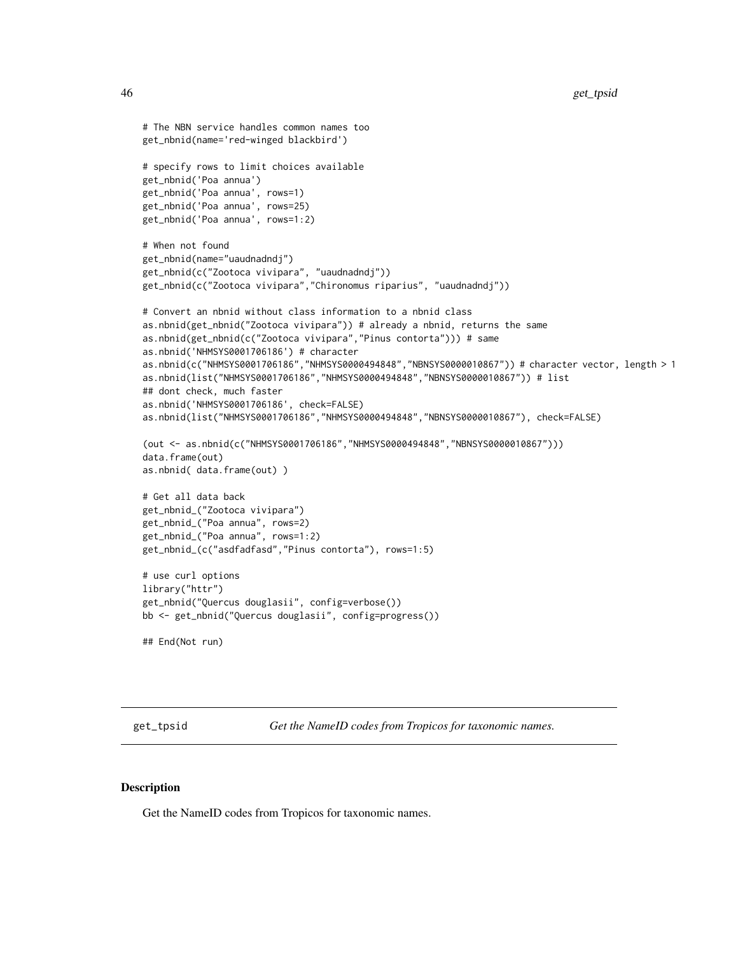```
# The NBN service handles common names too
get_nbnid(name='red-winged blackbird')
# specify rows to limit choices available
get_nbnid('Poa annua')
get_nbnid('Poa annua', rows=1)
get_nbnid('Poa annua', rows=25)
get_nbnid('Poa annua', rows=1:2)
# When not found
get_nbnid(name="uaudnadndj")
get_nbnid(c("Zootoca vivipara", "uaudnadndj"))
get_nbnid(c("Zootoca vivipara","Chironomus riparius", "uaudnadndj"))
# Convert an nbnid without class information to a nbnid class
as.nbnid(get_nbnid("Zootoca vivipara")) # already a nbnid, returns the same
as.nbnid(get_nbnid(c("Zootoca vivipara","Pinus contorta"))) # same
as.nbnid('NHMSYS0001706186') # character
as.nbnid(c("NHMSYS0001706186","NHMSYS0000494848","NBNSYS0000010867")) # character vector, length > 1
as.nbnid(list("NHMSYS0001706186","NHMSYS0000494848","NBNSYS0000010867")) # list
## dont check, much faster
as.nbnid('NHMSYS0001706186', check=FALSE)
as.nbnid(list("NHMSYS0001706186","NHMSYS0000494848","NBNSYS0000010867"), check=FALSE)
(out <- as.nbnid(c("NHMSYS0001706186","NHMSYS0000494848","NBNSYS0000010867")))
data.frame(out)
as.nbnid( data.frame(out) )
# Get all data back
get_nbnid_("Zootoca vivipara")
get_nbnid_("Poa annua", rows=2)
get_nbnid_("Poa annua", rows=1:2)
get_nbnid_(c("asdfadfasd","Pinus contorta"), rows=1:5)
# use curl options
library("httr")
get_nbnid("Quercus douglasii", config=verbose())
bb <- get_nbnid("Quercus douglasii", config=progress())
## End(Not run)
```
<span id="page-45-0"></span>get\_tpsid *Get the NameID codes from Tropicos for taxonomic names.*

#### <span id="page-45-1"></span>**Description**

Get the NameID codes from Tropicos for taxonomic names.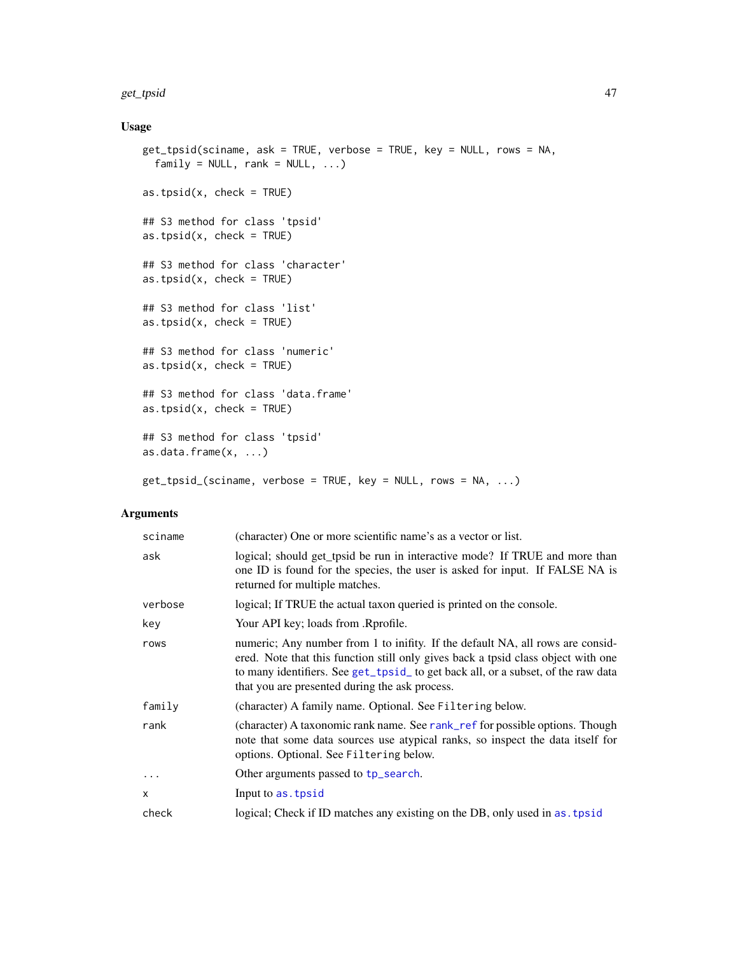#### get\_tpsid 47

## Usage

```
get_tpsid(sciname, ask = TRUE, verbose = TRUE, key = NULL, rows = NA,
 family = NULL, rank = NULL, ...)as.tpsid(x, check = TRUE)## S3 method for class 'tpsid'
as.tpsid(x, check = TRUE)## S3 method for class 'character'
as.tpsid(x, check = TRUE)
## S3 method for class 'list'
as.tpsid(x, check = TRUE)## S3 method for class 'numeric'
as.tpsid(x, check = TRUE)
## S3 method for class 'data.frame'
as.tpsid(x, check = TRUE)## S3 method for class 'tpsid'
as.data.frame(x, ...)
get_tpsid_(sciname, verbose = TRUE, key = NULL, rows = NA, ...)
```
### Arguments

| sciname    | (character) One or more scientific name's as a vector or list.                                                                                                                                                                                                                                            |
|------------|-----------------------------------------------------------------------------------------------------------------------------------------------------------------------------------------------------------------------------------------------------------------------------------------------------------|
| ask        | logical; should get_tpsid be run in interactive mode? If TRUE and more than<br>one ID is found for the species, the user is asked for input. If FALSE NA is<br>returned for multiple matches.                                                                                                             |
| verbose    | logical; If TRUE the actual taxon queried is printed on the console.                                                                                                                                                                                                                                      |
| key        | Your API key; loads from .Rprofile.                                                                                                                                                                                                                                                                       |
| rows       | numeric; Any number from 1 to inifity. If the default NA, all rows are consid-<br>ered. Note that this function still only gives back a tpsid class object with one<br>to many identifiers. See get_tpsid_to get back all, or a subset, of the raw data<br>that you are presented during the ask process. |
| family     | (character) A family name. Optional. See Filtering below.                                                                                                                                                                                                                                                 |
| rank       | (character) A taxonomic rank name. See rank_ref for possible options. Though<br>note that some data sources use atypical ranks, so inspect the data itself for<br>options. Optional. See Filtering below.                                                                                                 |
| $\ddots$ . | Other arguments passed to tp_search.                                                                                                                                                                                                                                                                      |
| X          | Input to as. tpsid                                                                                                                                                                                                                                                                                        |
| check      | logical; Check if ID matches any existing on the DB, only used in as tpsid                                                                                                                                                                                                                                |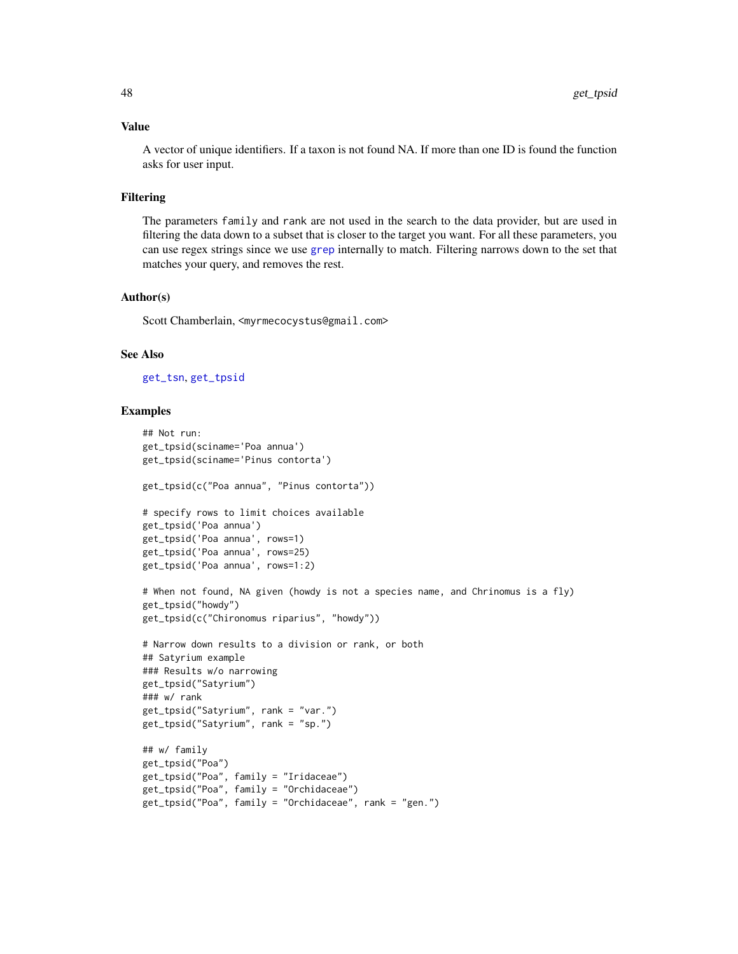#### Value

A vector of unique identifiers. If a taxon is not found NA. If more than one ID is found the function asks for user input.

### Filtering

The parameters family and rank are not used in the search to the data provider, but are used in filtering the data down to a subset that is closer to the target you want. For all these parameters, you can use regex strings since we use [grep](#page-0-0) internally to match. Filtering narrows down to the set that matches your query, and removes the rest.

#### Author(s)

Scott Chamberlain, <myrmecocystus@gmail.com>

### See Also

```
get_tsn, get_tpsid
```

```
## Not run:
get_tpsid(sciname='Poa annua')
get_tpsid(sciname='Pinus contorta')
get_tpsid(c("Poa annua", "Pinus contorta"))
# specify rows to limit choices available
get_tpsid('Poa annua')
get_tpsid('Poa annua', rows=1)
get_tpsid('Poa annua', rows=25)
get_tpsid('Poa annua', rows=1:2)
# When not found, NA given (howdy is not a species name, and Chrinomus is a fly)
get_tpsid("howdy")
get_tpsid(c("Chironomus riparius", "howdy"))
# Narrow down results to a division or rank, or both
## Satyrium example
### Results w/o narrowing
get_tpsid("Satyrium")
### w/ rank
get_tpsid("Satyrium", rank = "var.")
get_tpsid("Satyrium", rank = "sp.")
## w/ family
get_tpsid("Poa")
get_tpsid("Poa", family = "Iridaceae")
get_tpsid("Poa", family = "Orchidaceae")
get_tpsid("Poa", family = "Orchidaceae", rank = "gen.")
```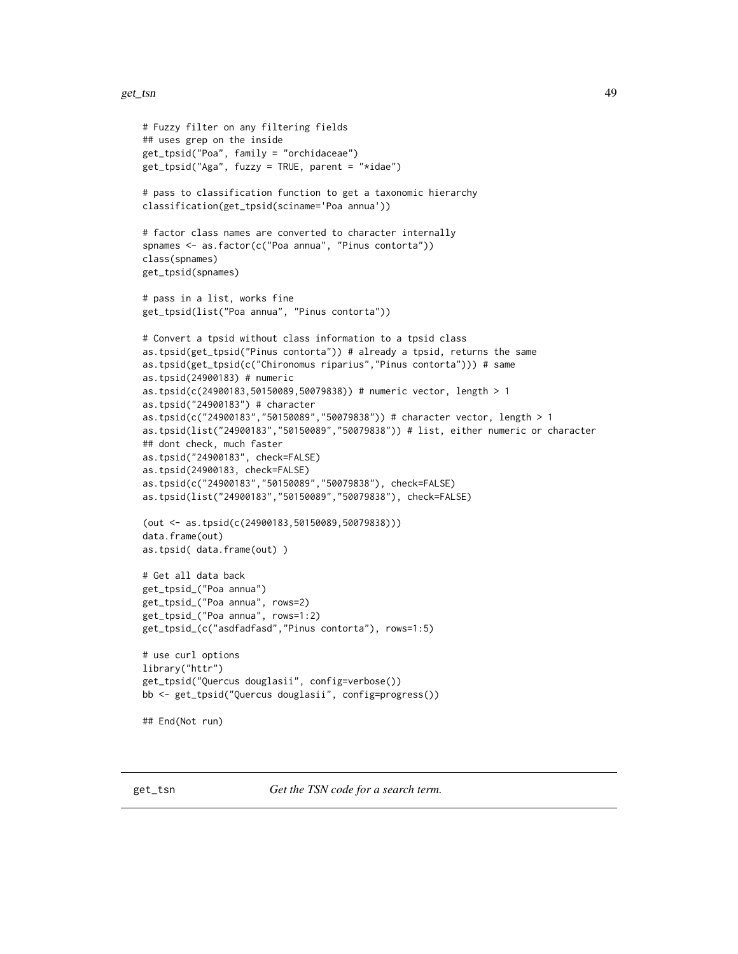```
# Fuzzy filter on any filtering fields
## uses grep on the inside
get_tpsid("Poa", family = "orchidaceae")
get_tpsid("Aga", fuzzy = TRUE, parent = "*idae")
# pass to classification function to get a taxonomic hierarchy
classification(get_tpsid(sciname='Poa annua'))
# factor class names are converted to character internally
spnames <- as.factor(c("Poa annua", "Pinus contorta"))
class(spnames)
get_tpsid(spnames)
# pass in a list, works fine
get_tpsid(list("Poa annua", "Pinus contorta"))
# Convert a tpsid without class information to a tpsid class
as.tpsid(get_tpsid("Pinus contorta")) # already a tpsid, returns the same
as.tpsid(get_tpsid(c("Chironomus riparius","Pinus contorta"))) # same
as.tpsid(24900183) # numeric
as.tpsid(c(24900183,50150089,50079838)) # numeric vector, length > 1
as.tpsid("24900183") # character
as.tpsid(c("24900183","50150089","50079838")) # character vector, length > 1
as.tpsid(list("24900183","50150089","50079838")) # list, either numeric or character
## dont check, much faster
as.tpsid("24900183", check=FALSE)
as.tpsid(24900183, check=FALSE)
as.tpsid(c("24900183","50150089","50079838"), check=FALSE)
as.tpsid(list("24900183","50150089","50079838"), check=FALSE)
(out <- as.tpsid(c(24900183,50150089,50079838)))
data.frame(out)
as.tpsid( data.frame(out) )
# Get all data back
get_tpsid_("Poa annua")
get_tpsid_("Poa annua", rows=2)
get_tpsid_("Poa annua", rows=1:2)
get_tpsid_(c("asdfadfasd","Pinus contorta"), rows=1:5)
# use curl options
library("httr")
get_tpsid("Quercus douglasii", config=verbose())
bb <- get_tpsid("Quercus douglasii", config=progress())
## End(Not run)
```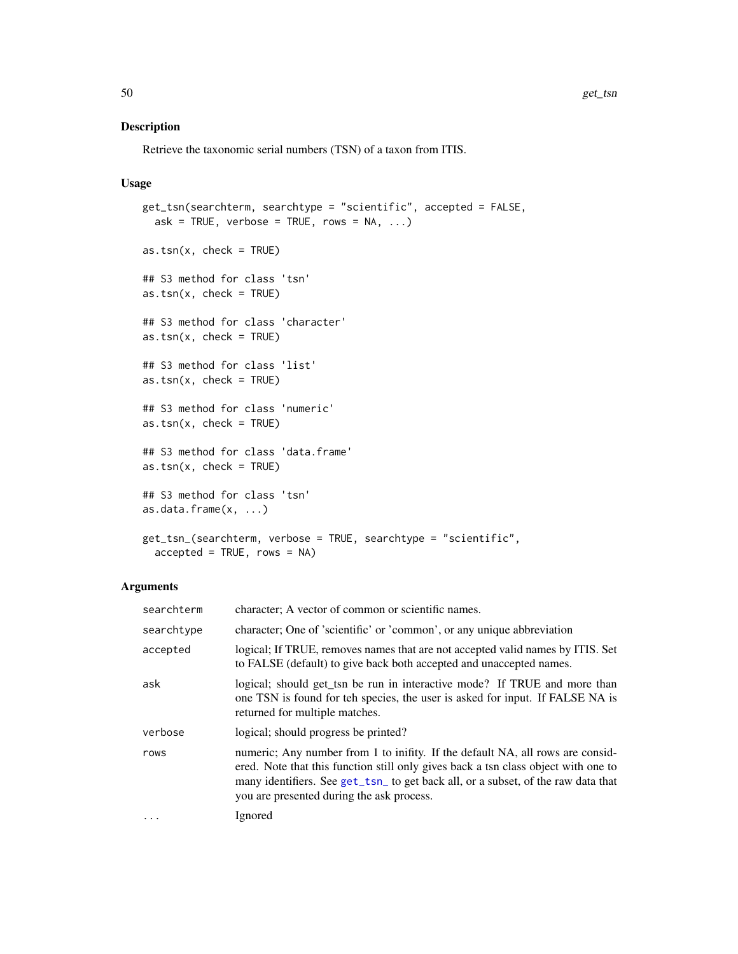## Description

Retrieve the taxonomic serial numbers (TSN) of a taxon from ITIS.

### Usage

```
get_tsn(searchterm, searchtype = "scientific", accepted = FALSE,
 ask = TRUE, verbose = TRUE, rows = NA, ...)
as.tsn(x, check = TRUE)## S3 method for class 'tsn'
as.tsn(x, check = TRUE)## S3 method for class 'character'
as.tsn(x, check = TRUE)
## S3 method for class 'list'
as.tsn(x, check = TRUE)## S3 method for class 'numeric'
as.tsn(x, check = TRUE)## S3 method for class 'data.frame'
as.tsn(x, check = TRUE)## S3 method for class 'tsn'
as.data.frame(x, ...)
get_tsn_(searchterm, verbose = TRUE, searchtype = "scientific",
  accelted = TRUE, rows = NA)
```
## Arguments

| searchterm | character; A vector of common or scientific names.                                                                                                                                                                                                                                                     |
|------------|--------------------------------------------------------------------------------------------------------------------------------------------------------------------------------------------------------------------------------------------------------------------------------------------------------|
| searchtype | character; One of 'scientific' or 'common', or any unique abbreviation                                                                                                                                                                                                                                 |
| accepted   | logical; If TRUE, removes names that are not accepted valid names by ITIS. Set<br>to FALSE (default) to give back both accepted and unaccepted names.                                                                                                                                                  |
| ask        | logical; should get_tsn be run in interactive mode? If TRUE and more than<br>one TSN is found for teh species, the user is asked for input. If FALSE NA is<br>returned for multiple matches.                                                                                                           |
| verbose    | logical; should progress be printed?                                                                                                                                                                                                                                                                   |
| rows       | numeric; Any number from 1 to inifity. If the default NA, all rows are consid-<br>ered. Note that this function still only gives back a tsn class object with one to<br>many identifiers. See get_tsn_ to get back all, or a subset, of the raw data that<br>you are presented during the ask process. |
| $\cdots$   | Ignored                                                                                                                                                                                                                                                                                                |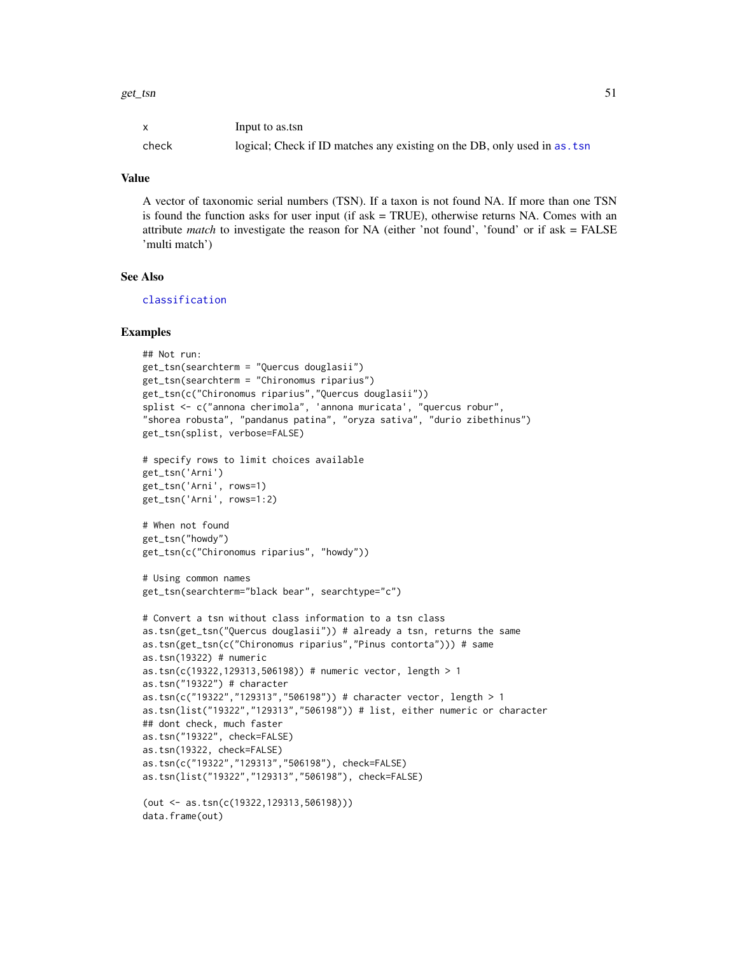| $\mathsf{x}$ | Input to as.tsn                                                            |
|--------------|----------------------------------------------------------------------------|
| check        | logical; Check if ID matches any existing on the DB, only used in as . tsn |

### Value

A vector of taxonomic serial numbers (TSN). If a taxon is not found NA. If more than one TSN is found the function asks for user input (if ask = TRUE), otherwise returns NA. Comes with an attribute *match* to investigate the reason for NA (either 'not found', 'found' or if ask = FALSE 'multi match')

## See Also

[classification](#page-12-0)

```
## Not run:
get_tsn(searchterm = "Quercus douglasii")
get_tsn(searchterm = "Chironomus riparius")
get_tsn(c("Chironomus riparius","Quercus douglasii"))
splist <- c("annona cherimola", 'annona muricata', "quercus robur",
"shorea robusta", "pandanus patina", "oryza sativa", "durio zibethinus")
get_tsn(splist, verbose=FALSE)
# specify rows to limit choices available
get_tsn('Arni')
get_tsn('Arni', rows=1)
get_tsn('Arni', rows=1:2)
# When not found
get_tsn("howdy")
get_tsn(c("Chironomus riparius", "howdy"))
# Using common names
get_tsn(searchterm="black bear", searchtype="c")
# Convert a tsn without class information to a tsn class
as.tsn(get_tsn("Quercus douglasii")) # already a tsn, returns the same
as.tsn(get_tsn(c("Chironomus riparius","Pinus contorta"))) # same
as.tsn(19322) # numeric
as.tsn(c(19322,129313,506198)) # numeric vector, length > 1
as.tsn("19322") # character
as.tsn(c("19322","129313","506198")) # character vector, length > 1
as.tsn(list("19322","129313","506198")) # list, either numeric or character
## dont check, much faster
as.tsn("19322", check=FALSE)
as.tsn(19322, check=FALSE)
as.tsn(c("19322","129313","506198"), check=FALSE)
as.tsn(list("19322","129313","506198"), check=FALSE)
(out <- as.tsn(c(19322,129313,506198)))
data.frame(out)
```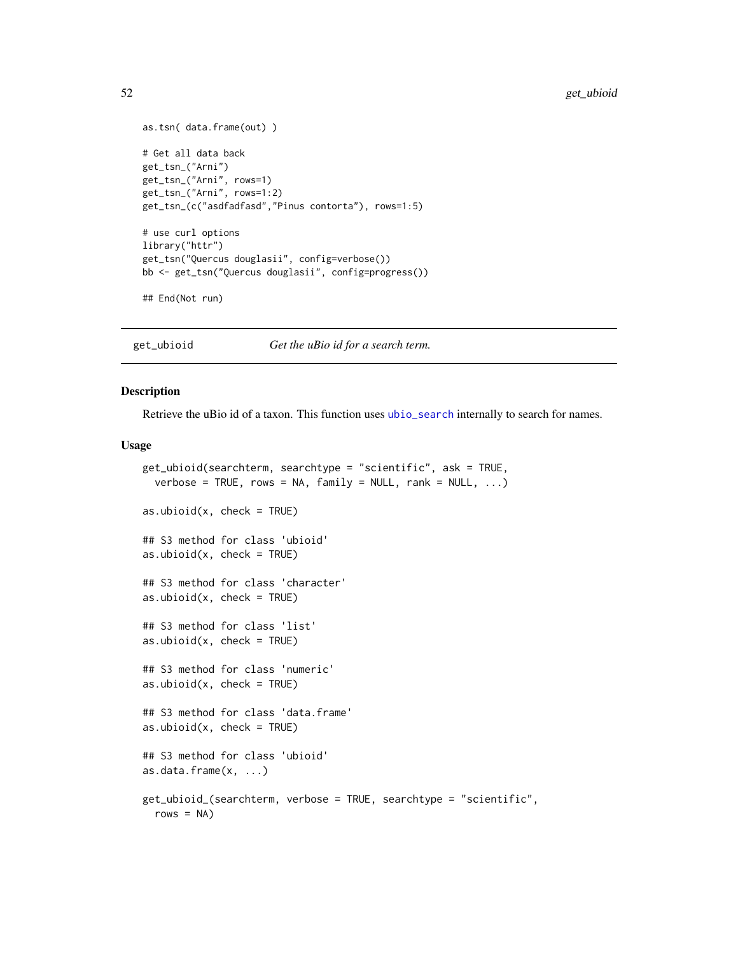```
as.tsn( data.frame(out) )
# Get all data back
get_tsn_("Arni")
get_tsn_("Arni", rows=1)
get_tsn_("Arni", rows=1:2)
get_tsn_(c("asdfadfasd","Pinus contorta"), rows=1:5)
# use curl options
library("httr")
get_tsn("Quercus douglasii", config=verbose())
bb <- get_tsn("Quercus douglasii", config=progress())
## End(Not run)
```
<span id="page-51-0"></span>get\_ubioid *Get the uBio id for a search term.*

## <span id="page-51-1"></span>Description

Retrieve the uBio id of a taxon. This function uses [ubio\\_search](#page-117-0) internally to search for names.

### Usage

```
get_ubioid(searchterm, searchtype = "scientific", ask = TRUE,
  verbose = TRUE, rows = NA, family = NULL, rank = NULL, ...)as.ubiod(x, check = TRUE)## S3 method for class 'ubioid'
as.ubiod(x, check = TRUE)## S3 method for class 'character'
as.ubioid(x, check = TRUE)
## S3 method for class 'list'
as.ubiod(x, check = TRUE)## S3 method for class 'numeric'
as.ubiod(x, check = TRUE)## S3 method for class 'data.frame'
as.ubiod(x, check = TRUE)## S3 method for class 'ubioid'
as.data.frame(x, ...)
get_ubioid_(searchterm, verbose = TRUE, searchtype = "scientific",
  rows = NA)
```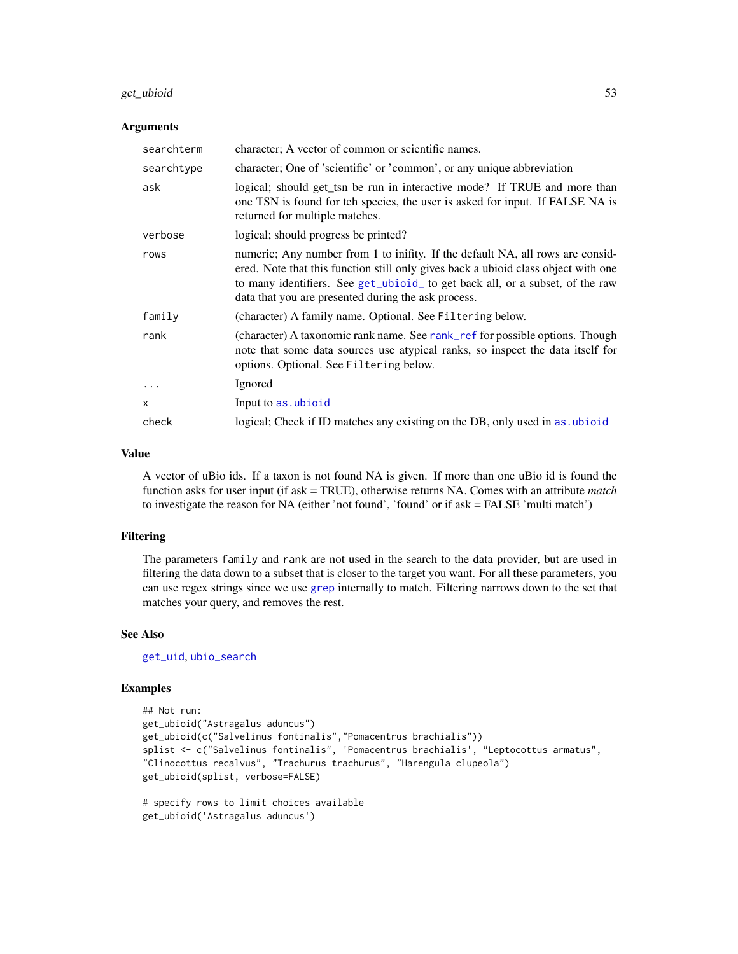#### get\_ubioid 53

#### Arguments

| searchterm   | character; A vector of common or scientific names.                                                                                                                                                                                                                                                           |
|--------------|--------------------------------------------------------------------------------------------------------------------------------------------------------------------------------------------------------------------------------------------------------------------------------------------------------------|
| searchtype   | character; One of 'scientific' or 'common', or any unique abbreviation                                                                                                                                                                                                                                       |
| ask          | logical; should get_tsn be run in interactive mode? If TRUE and more than<br>one TSN is found for teh species, the user is asked for input. If FALSE NA is<br>returned for multiple matches.                                                                                                                 |
| verbose      | logical; should progress be printed?                                                                                                                                                                                                                                                                         |
| rows         | numeric; Any number from 1 to inifity. If the default NA, all rows are consid-<br>ered. Note that this function still only gives back a ubioid class object with one<br>to many identifiers. See get_ubioid_ to get back all, or a subset, of the raw<br>data that you are presented during the ask process. |
| family       | (character) A family name. Optional. See Filtering below.                                                                                                                                                                                                                                                    |
| rank         | (character) A taxonomic rank name. See rank_ref for possible options. Though<br>note that some data sources use atypical ranks, so inspect the data itself for<br>options. Optional. See Filtering below.                                                                                                    |
| .            | Ignored                                                                                                                                                                                                                                                                                                      |
| $\mathsf{x}$ | Input to as ubioid                                                                                                                                                                                                                                                                                           |
| check        | logical; Check if ID matches any existing on the DB, only used in as ubioid                                                                                                                                                                                                                                  |

### Value

A vector of uBio ids. If a taxon is not found NA is given. If more than one uBio id is found the function asks for user input (if ask = TRUE), otherwise returns NA. Comes with an attribute *match* to investigate the reason for NA (either 'not found', 'found' or if ask = FALSE 'multi match')

#### Filtering

The parameters family and rank are not used in the search to the data provider, but are used in filtering the data down to a subset that is closer to the target you want. For all these parameters, you can use regex strings since we use [grep](#page-0-0) internally to match. Filtering narrows down to the set that matches your query, and removes the rest.

### See Also

[get\\_uid](#page-54-0), [ubio\\_search](#page-117-0)

```
## Not run:
get_ubioid("Astragalus aduncus")
get_ubioid(c("Salvelinus fontinalis","Pomacentrus brachialis"))
splist <- c("Salvelinus fontinalis", 'Pomacentrus brachialis', "Leptocottus armatus",
"Clinocottus recalvus", "Trachurus trachurus", "Harengula clupeola")
get_ubioid(splist, verbose=FALSE)
# specify rows to limit choices available
get_ubioid('Astragalus aduncus')
```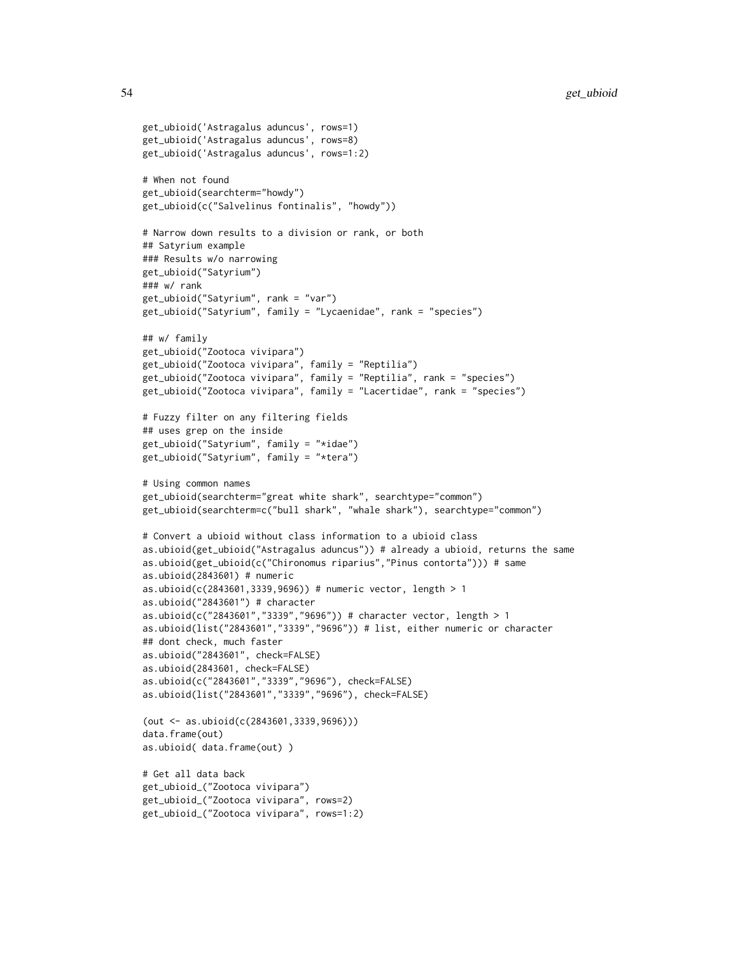```
get_ubioid('Astragalus aduncus', rows=1)
get_ubioid('Astragalus aduncus', rows=8)
get_ubioid('Astragalus aduncus', rows=1:2)
# When not found
get_ubioid(searchterm="howdy")
get_ubioid(c("Salvelinus fontinalis", "howdy"))
# Narrow down results to a division or rank, or both
## Satyrium example
### Results w/o narrowing
get_ubioid("Satyrium")
### w/ rank
get_ubioid("Satyrium", rank = "var")
get_ubioid("Satyrium", family = "Lycaenidae", rank = "species")
## w/ family
get_ubioid("Zootoca vivipara")
get_ubioid("Zootoca vivipara", family = "Reptilia")
get_ubioid("Zootoca vivipara", family = "Reptilia", rank = "species")
get_ubioid("Zootoca vivipara", family = "Lacertidae", rank = "species")
# Fuzzy filter on any filtering fields
## uses grep on the inside
get_ubioid("Satyrium", family = "*idae")
get_ubioid("Satyrium", family = "*tera")
# Using common names
get_ubioid(searchterm="great white shark", searchtype="common")
get_ubioid(searchterm=c("bull shark", "whale shark"), searchtype="common")
# Convert a ubioid without class information to a ubioid class
as.ubioid(get_ubioid("Astragalus aduncus")) # already a ubioid, returns the same
as.ubioid(get_ubioid(c("Chironomus riparius","Pinus contorta"))) # same
as.ubioid(2843601) # numeric
as.ubioid(c(2843601,3339,9696)) # numeric vector, length > 1
as.ubioid("2843601") # character
as.ubioid(c("2843601","3339","9696")) # character vector, length > 1
as.ubioid(list("2843601","3339","9696")) # list, either numeric or character
## dont check, much faster
as.ubioid("2843601", check=FALSE)
as.ubioid(2843601, check=FALSE)
as.ubioid(c("2843601","3339","9696"), check=FALSE)
as.ubioid(list("2843601","3339","9696"), check=FALSE)
(out <- as.ubioid(c(2843601,3339,9696)))
data.frame(out)
as.ubioid( data.frame(out) )
# Get all data back
get_ubioid_("Zootoca vivipara")
get_ubioid_("Zootoca vivipara", rows=2)
get_ubioid_("Zootoca vivipara", rows=1:2)
```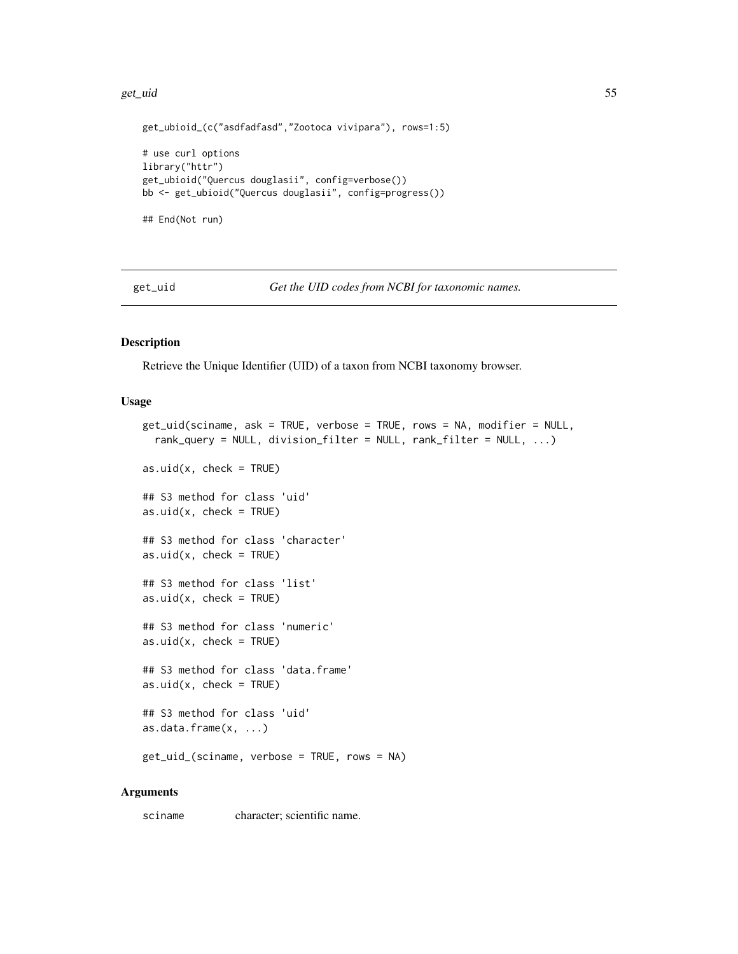#### get\_uid 55

```
get_ubioid_(c("asdfadfasd","Zootoca vivipara"), rows=1:5)
# use curl options
library("httr")
get_ubioid("Quercus douglasii", config=verbose())
bb <- get_ubioid("Quercus douglasii", config=progress())
## End(Not run)
```
<span id="page-54-0"></span>get\_uid *Get the UID codes from NCBI for taxonomic names.*

### <span id="page-54-1"></span>Description

Retrieve the Unique Identifier (UID) of a taxon from NCBI taxonomy browser.

#### Usage

```
get_uid(sciname, ask = TRUE, verbose = TRUE, rows = NA, modifier = NULL,
 rank_query = NULL, division_filter = NULL, rank_filter = NULL, ...)
as.uid(x, check = TRUE)## S3 method for class 'uid'
as.uid(x, check = TRUE)
## S3 method for class 'character'
as.uid(x, check = TRUE)## S3 method for class 'list'
as.uid(x, check = TRUE)## S3 method for class 'numeric'
as.uid(x, check = TRUE)## S3 method for class 'data.frame'
as.uid(x, check = TRUE)## S3 method for class 'uid'
as.data.frame(x, ...)
get_uid_(sciname, verbose = TRUE, rows = NA)
```
#### Arguments

sciname character; scientific name.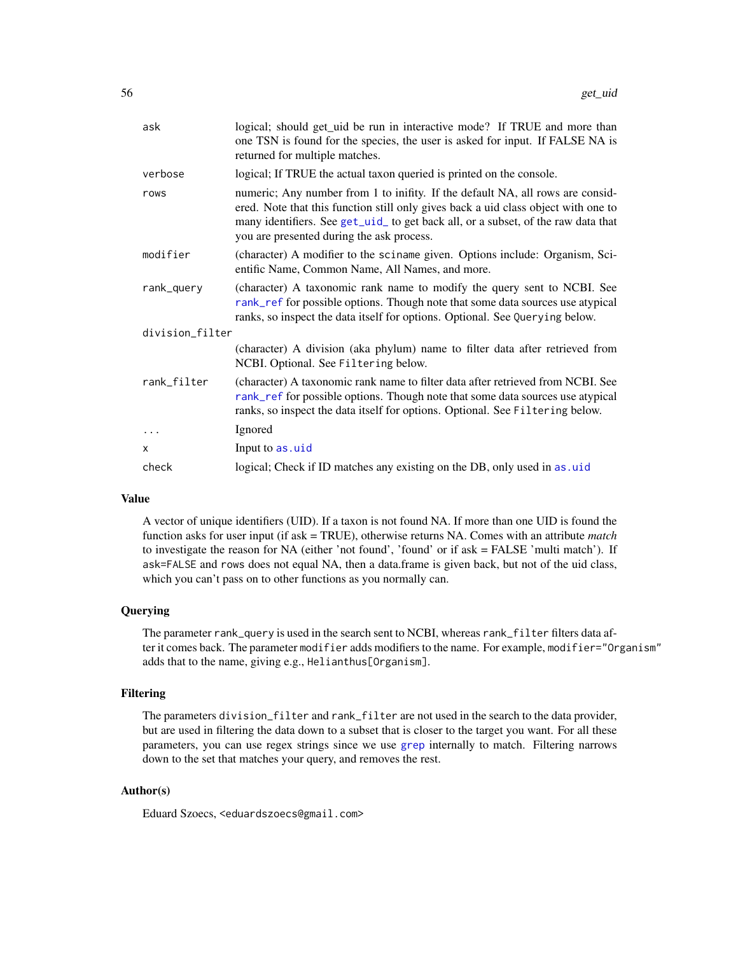| ask             | logical; should get_uid be run in interactive mode? If TRUE and more than<br>one TSN is found for the species, the user is asked for input. If FALSE NA is<br>returned for multiple matches.                                                                                                           |  |
|-----------------|--------------------------------------------------------------------------------------------------------------------------------------------------------------------------------------------------------------------------------------------------------------------------------------------------------|--|
| verbose         | logical; If TRUE the actual taxon queried is printed on the console.                                                                                                                                                                                                                                   |  |
| rows            | numeric; Any number from 1 to inifity. If the default NA, all rows are consid-<br>ered. Note that this function still only gives back a uid class object with one to<br>many identifiers. See get_uid_ to get back all, or a subset, of the raw data that<br>you are presented during the ask process. |  |
| modifier        | (character) A modifier to the sciname given. Options include: Organism, Sci-<br>entific Name, Common Name, All Names, and more.                                                                                                                                                                        |  |
| rank_query      | (character) A taxonomic rank name to modify the query sent to NCBI. See<br>rank_ref for possible options. Though note that some data sources use atypical<br>ranks, so inspect the data itself for options. Optional. See Querying below.                                                              |  |
| division_filter |                                                                                                                                                                                                                                                                                                        |  |
|                 | (character) A division (aka phylum) name to filter data after retrieved from<br>NCBI. Optional. See Filtering below.                                                                                                                                                                                   |  |
| rank_filter     | (character) A taxonomic rank name to filter data after retrieved from NCBI. See<br>rank_ref for possible options. Though note that some data sources use atypical<br>ranks, so inspect the data itself for options. Optional. See Filtering below.                                                     |  |
| .               | Ignored                                                                                                                                                                                                                                                                                                |  |
| X               | Input to as.uid                                                                                                                                                                                                                                                                                        |  |
| check           | logical; Check if ID matches any existing on the DB, only used in as. uid                                                                                                                                                                                                                              |  |
|                 |                                                                                                                                                                                                                                                                                                        |  |

#### Value

A vector of unique identifiers (UID). If a taxon is not found NA. If more than one UID is found the function asks for user input (if ask = TRUE), otherwise returns NA. Comes with an attribute *match* to investigate the reason for NA (either 'not found', 'found' or if ask = FALSE 'multi match'). If ask=FALSE and rows does not equal NA, then a data.frame is given back, but not of the uid class, which you can't pass on to other functions as you normally can.

#### Querying

The parameter rank\_query is used in the search sent to NCBI, whereas rank\_filter filters data after it comes back. The parameter modifier adds modifiers to the name. For example, modifier="Organism" adds that to the name, giving e.g., Helianthus[Organism].

### Filtering

The parameters division\_filter and rank\_filter are not used in the search to the data provider, but are used in filtering the data down to a subset that is closer to the target you want. For all these parameters, you can use regex strings since we use [grep](#page-0-0) internally to match. Filtering narrows down to the set that matches your query, and removes the rest.

### Author(s)

Eduard Szoecs, <eduardszoecs@gmail.com>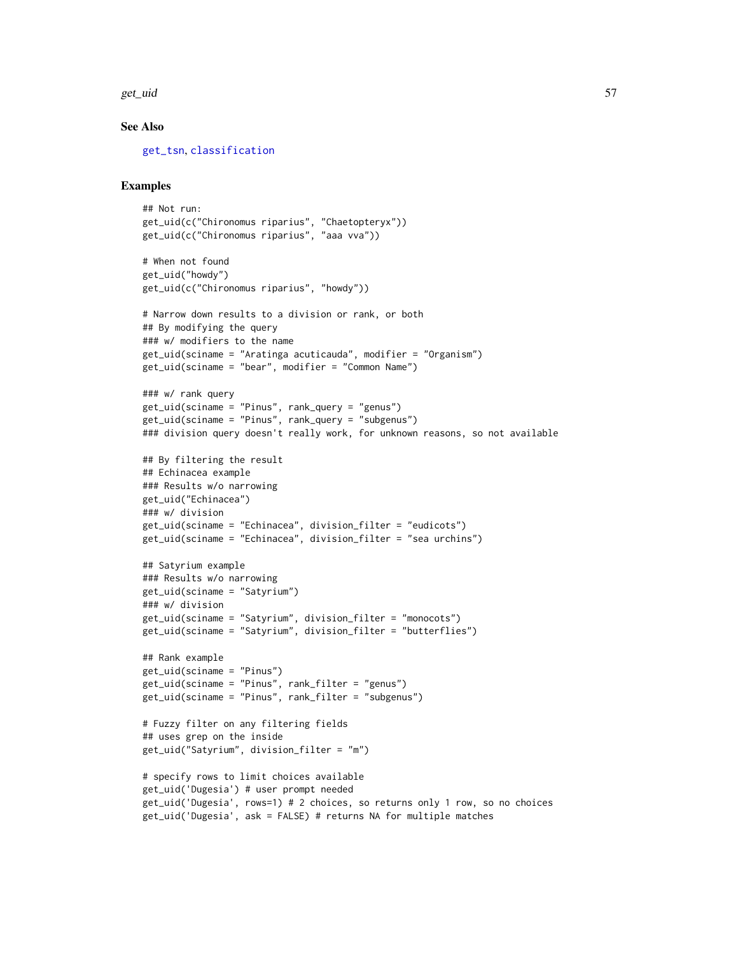get\_uid 57

### See Also

[get\\_tsn](#page-48-0), [classification](#page-12-0)

```
## Not run:
get_uid(c("Chironomus riparius", "Chaetopteryx"))
get_uid(c("Chironomus riparius", "aaa vva"))
# When not found
get_uid("howdy")
get_uid(c("Chironomus riparius", "howdy"))
# Narrow down results to a division or rank, or both
## By modifying the query
### w/ modifiers to the name
get_uid(sciname = "Aratinga acuticauda", modifier = "Organism")
get_uid(sciname = "bear", modifier = "Common Name")
### w/ rank query
get_uid(sciname = "Pinus", rank_query = "genus")
get_uid(sciname = "Pinus", rank_query = "subgenus")
### division query doesn't really work, for unknown reasons, so not available
## By filtering the result
## Echinacea example
### Results w/o narrowing
get_uid("Echinacea")
### w/ division
get_uid(sciname = "Echinacea", division_filter = "eudicots")
get_uid(sciname = "Echinacea", division_filter = "sea urchins")
## Satyrium example
### Results w/o narrowing
get_uid(sciname = "Satyrium")
### w/ division
get_uid(sciname = "Satyrium", division_filter = "monocots")
get_uid(sciname = "Satyrium", division_filter = "butterflies")
## Rank example
get_uid(sciname = "Pinus")
get_uid(sciname = "Pinus", rank_filter = "genus")
get_uid(sciname = "Pinus", rank_filter = "subgenus")
# Fuzzy filter on any filtering fields
## uses grep on the inside
get_uid("Satyrium", division_filter = "m")
# specify rows to limit choices available
get_uid('Dugesia') # user prompt needed
get_uid('Dugesia', rows=1) # 2 choices, so returns only 1 row, so no choices
get_uid('Dugesia', ask = FALSE) # returns NA for multiple matches
```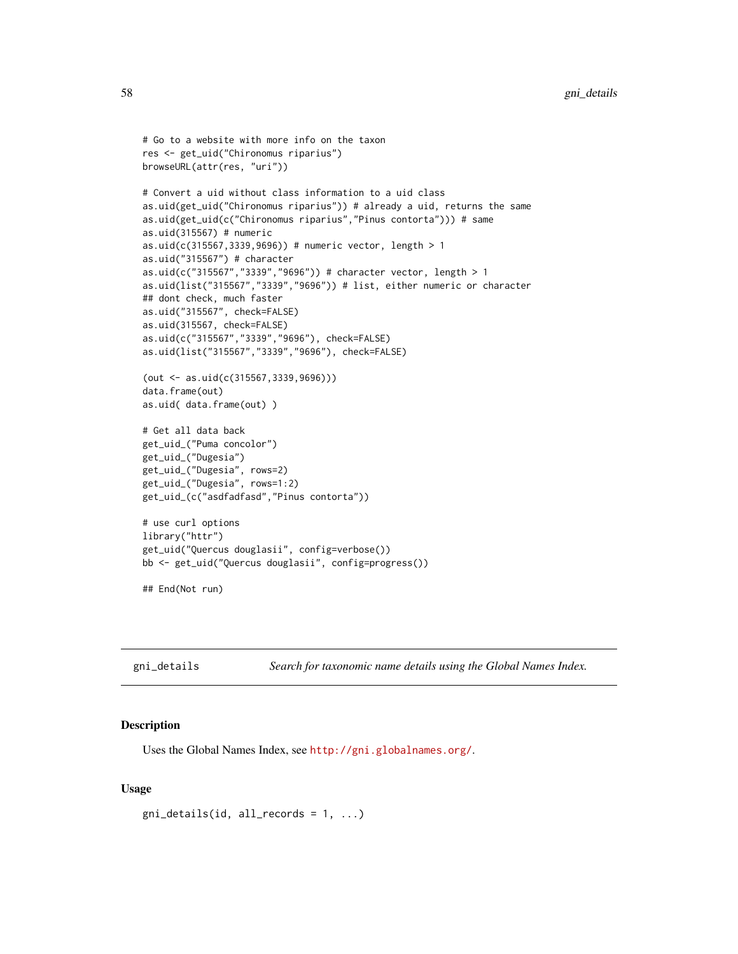```
# Go to a website with more info on the taxon
res <- get_uid("Chironomus riparius")
browseURL(attr(res, "uri"))
# Convert a uid without class information to a uid class
as.uid(get_uid("Chironomus riparius")) # already a uid, returns the same
as.uid(get_uid(c("Chironomus riparius","Pinus contorta"))) # same
as.uid(315567) # numeric
as.uid(c(315567,3339,9696)) # numeric vector, length > 1
as.uid("315567") # character
as.uid(c("315567","3339","9696")) # character vector, length > 1
as.uid(list("315567","3339","9696")) # list, either numeric or character
## dont check, much faster
as.uid("315567", check=FALSE)
as.uid(315567, check=FALSE)
as.uid(c("315567","3339","9696"), check=FALSE)
as.uid(list("315567","3339","9696"), check=FALSE)
(out <- as.uid(c(315567,3339,9696)))
data.frame(out)
as.uid( data.frame(out) )
# Get all data back
get_uid_("Puma concolor")
get_uid_("Dugesia")
get_uid_("Dugesia", rows=2)
get_uid_("Dugesia", rows=1:2)
get_uid_(c("asdfadfasd","Pinus contorta"))
# use curl options
library("httr")
get_uid("Quercus douglasii", config=verbose())
bb <- get_uid("Quercus douglasii", config=progress())
## End(Not run)
```
gni\_details *Search for taxonomic name details using the Global Names Index.*

#### Description

Uses the Global Names Index, see <http://gni.globalnames.org/>.

#### Usage

```
gni\_details(id, all\_records = 1, ...)
```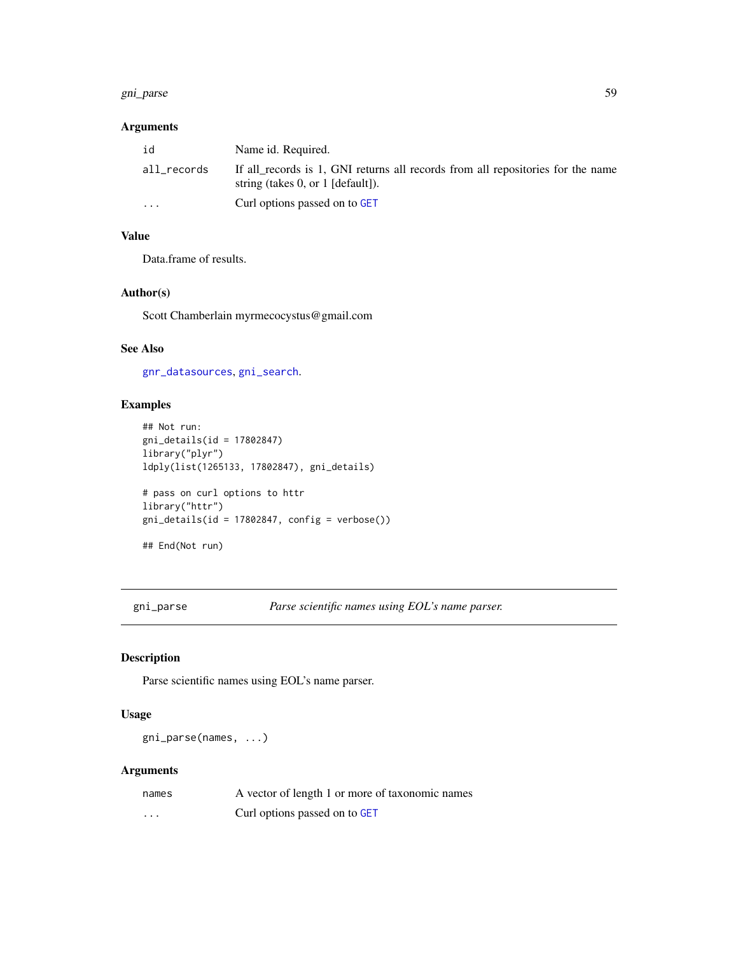#### gni\_parse 59

## Arguments

| id          | Name id. Required.                                                                                                     |
|-------------|------------------------------------------------------------------------------------------------------------------------|
| all_records | If all records is 1, GNI returns all records from all repositories for the name<br>string (takes 0, or $1$ [default]). |
| $\cdot$     | Curl options passed on to GET                                                                                          |

## Value

Data.frame of results.

### Author(s)

Scott Chamberlain myrmecocystus@gmail.com

## See Also

[gnr\\_datasources](#page-61-0), [gni\\_search](#page-59-0).

## Examples

```
## Not run:
gni_details(id = 17802847)
library("plyr")
ldply(list(1265133, 17802847), gni_details)
# pass on curl options to httr
library("httr")
gni\_details(id = 17802847, config = verbose())## End(Not run)
```
<span id="page-58-0"></span>gni\_parse *Parse scientific names using EOL's name parser.*

### Description

Parse scientific names using EOL's name parser.

## Usage

gni\_parse(names, ...)

### Arguments

| names                   | A vector of length 1 or more of taxonomic names |
|-------------------------|-------------------------------------------------|
| $\cdot$ $\cdot$ $\cdot$ | Curl options passed on to GET                   |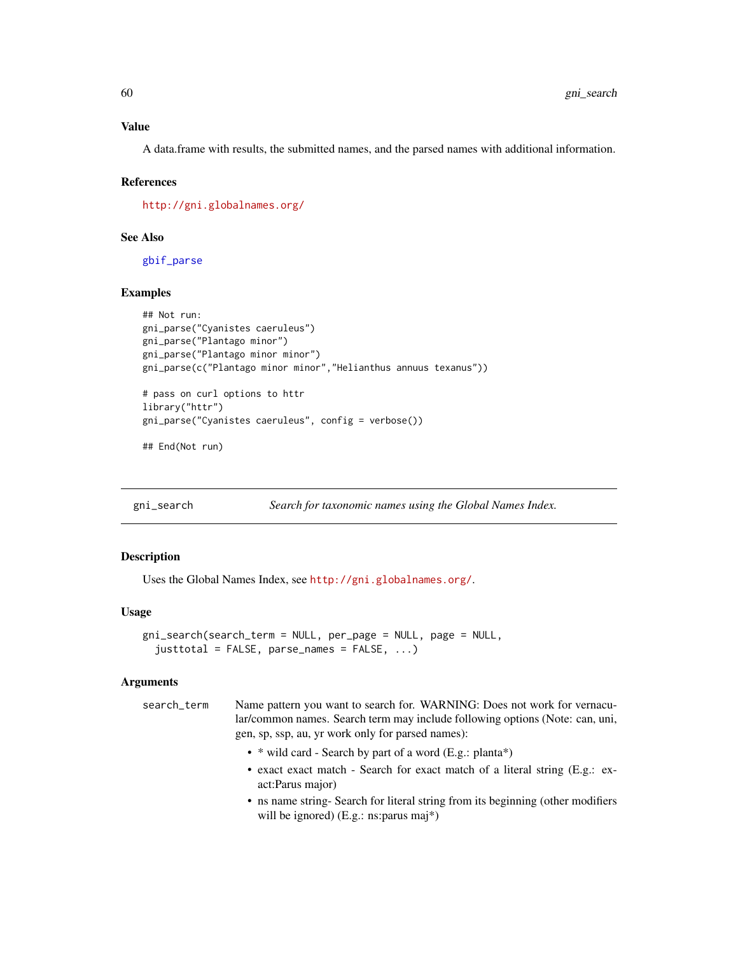### Value

A data.frame with results, the submitted names, and the parsed names with additional information.

#### References

<http://gni.globalnames.org/>

## See Also

[gbif\\_parse](#page-28-0)

### Examples

```
## Not run:
gni_parse("Cyanistes caeruleus")
gni_parse("Plantago minor")
gni_parse("Plantago minor minor")
gni_parse(c("Plantago minor minor","Helianthus annuus texanus"))
# pass on curl options to httr
library("httr")
gni_parse("Cyanistes caeruleus", config = verbose())
## End(Not run)
```
<span id="page-59-0"></span>gni\_search *Search for taxonomic names using the Global Names Index.*

## Description

Uses the Global Names Index, see <http://gni.globalnames.org/>.

#### Usage

```
gni_search(search_term = NULL, per_page = NULL, page = NULL,
  justtotal = FALSE, parse_names = FALSE, ...)
```
### Arguments

| search term | Name pattern you want to search for. WARNING: Does not work for vernacu-     |
|-------------|------------------------------------------------------------------------------|
|             | lar/common names. Search term may include following options (Note: can, uni, |
|             | gen, sp, ssp, au, yr work only for parsed names):                            |

- \* wild card Search by part of a word (E.g.: planta\*)
- exact exact match Search for exact match of a literal string (E.g.: exact:Parus major)
- ns name string- Search for literal string from its beginning (other modifiers will be ignored) (E.g.: ns:parus maj\*)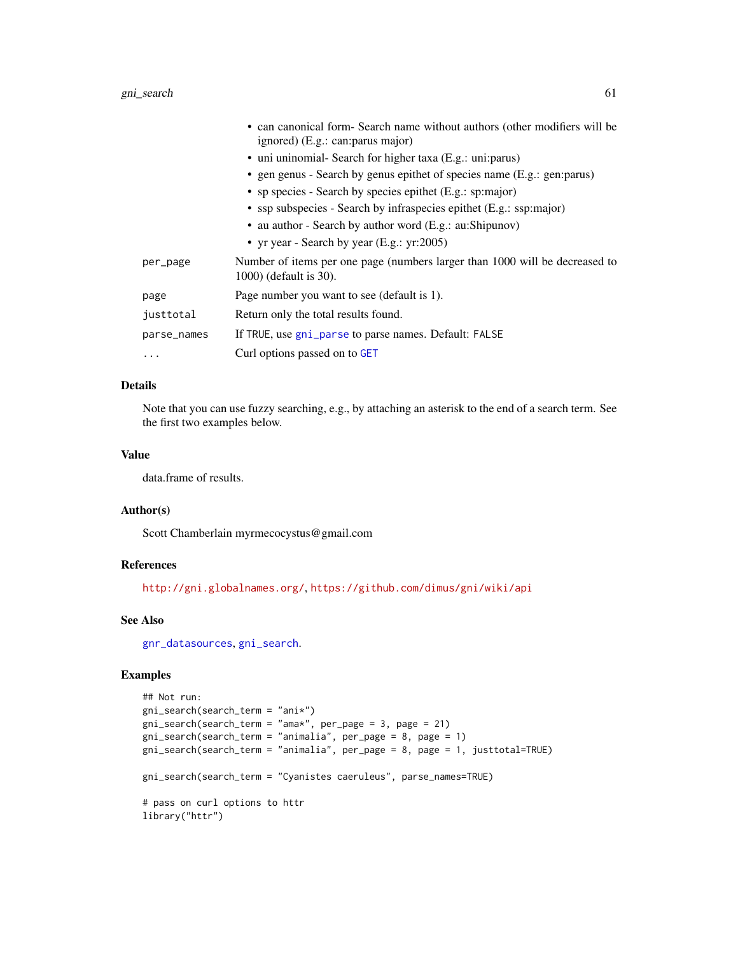|             | • can canonical form Search name without authors (other modifiers will be<br>ignored) (E.g.: can: parus major) |
|-------------|----------------------------------------------------------------------------------------------------------------|
|             | • uni uninomial- Search for higher taxa (E.g.: uni: parus)                                                     |
|             | • gen genus - Search by genus epithet of species name (E.g.: gen: parus)                                       |
|             | • sp species - Search by species epithet (E.g.: sp:major)                                                      |
|             | • ssp subspecies - Search by infraspecies epithet (E.g.: ssp:major)                                            |
|             | • au author - Search by author word (E.g.: au:Shipunov)                                                        |
|             | • yr year - Search by year (E.g.: yr:2005)                                                                     |
| per_page    | Number of items per one page (numbers larger than 1000 will be decreased to<br>$1000$ ) (default is 30).       |
| page        | Page number you want to see (default is 1).                                                                    |
| justtotal   | Return only the total results found.                                                                           |
| parse_names | If TRUE, use gni_parse to parse names. Default: FALSE                                                          |
| $\cdots$    | Curl options passed on to GET                                                                                  |

## Details

Note that you can use fuzzy searching, e.g., by attaching an asterisk to the end of a search term. See the first two examples below.

#### Value

data.frame of results.

## Author(s)

Scott Chamberlain myrmecocystus@gmail.com

## References

<http://gni.globalnames.org/>, <https://github.com/dimus/gni/wiki/api>

#### See Also

[gnr\\_datasources](#page-61-0), [gni\\_search](#page-59-0).

```
## Not run:
gni_search(search_term = "ani*")
gni_search(search_term = "ama*", per_page = 3, page = 21)
gni\_search(search_term = "animalia", per\_page = 8, page = 1)gni_search(search_term = "animalia", per_page = 8, page = 1, justtotal=TRUE)
gni_search(search_term = "Cyanistes caeruleus", parse_names=TRUE)
# pass on curl options to httr
library("httr")
```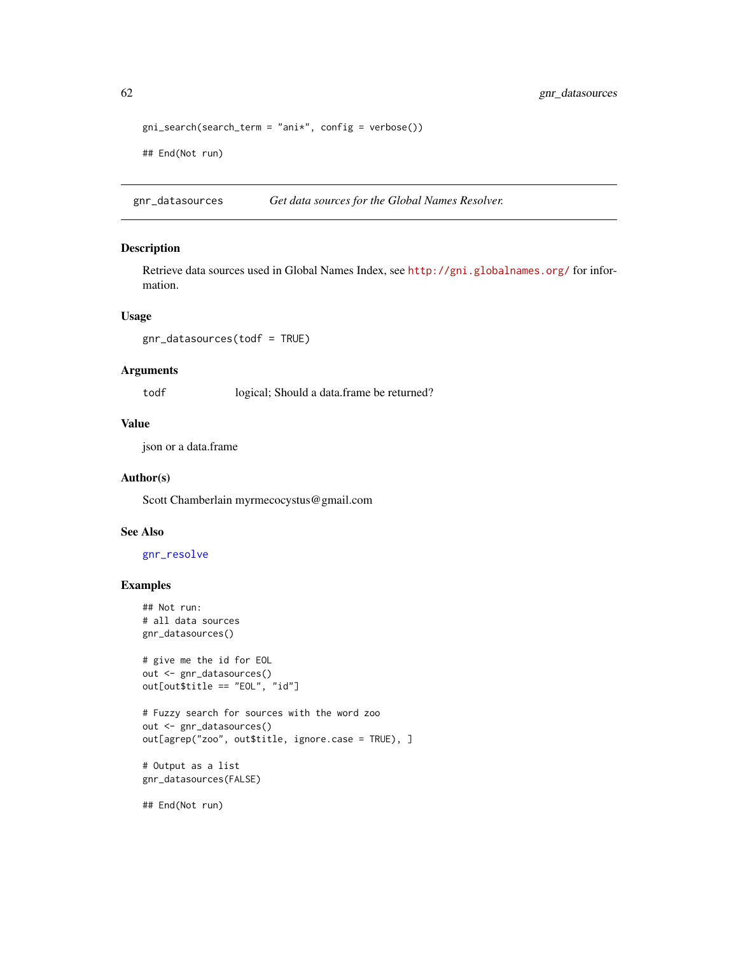```
gni\_search(ssearch\_term = "ani*", config = verbose())## End(Not run)
```
<span id="page-61-0"></span>gnr\_datasources *Get data sources for the Global Names Resolver.*

#### Description

Retrieve data sources used in Global Names Index, see <http://gni.globalnames.org/> for information.

## Usage

```
gnr_datasources(todf = TRUE)
```
## Arguments

todf logical; Should a data.frame be returned?

## Value

json or a data.frame

### Author(s)

Scott Chamberlain myrmecocystus@gmail.com

## See Also

## [gnr\\_resolve](#page-62-0)

### Examples

```
## Not run:
# all data sources
gnr_datasources()
# give me the id for EOL
out <- gnr_datasources()
out[out$title == "EOL", "id"]
```

```
# Fuzzy search for sources with the word zoo
out <- gnr_datasources()
out[agrep("zoo", out$title, ignore.case = TRUE), ]
```

```
# Output as a list
gnr_datasources(FALSE)
```
## End(Not run)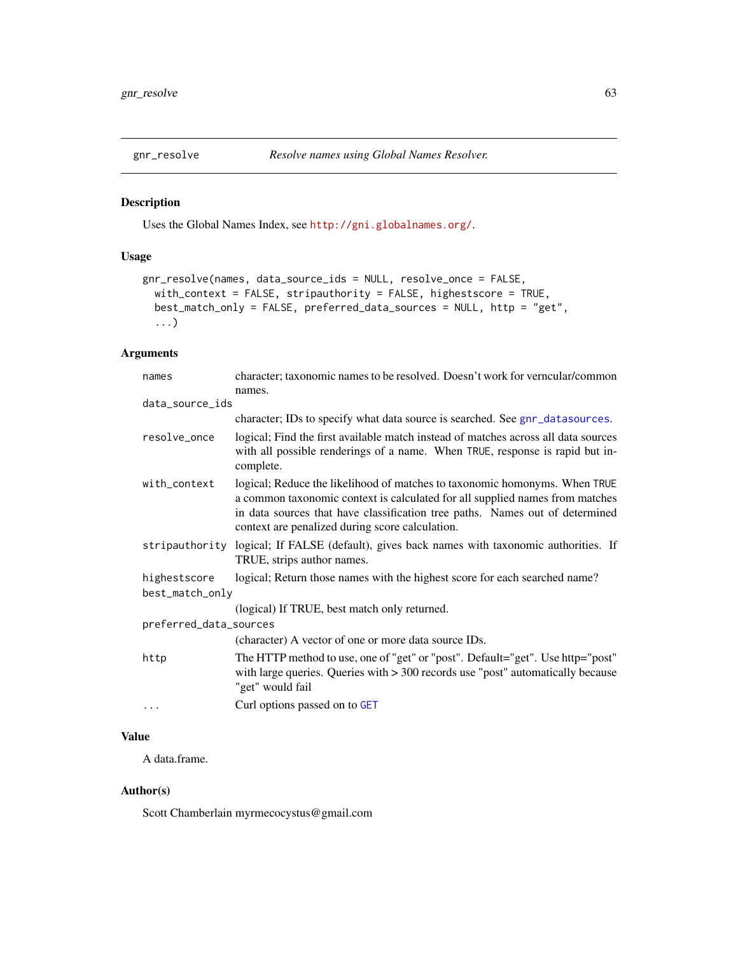<span id="page-62-0"></span>

## Description

Uses the Global Names Index, see <http://gni.globalnames.org/>.

# Usage

```
gnr_resolve(names, data_source_ids = NULL, resolve_once = FALSE,
 with_context = FALSE, stripauthority = FALSE, highestscore = TRUE,
 best_match_only = FALSE, preferred_data_sources = NULL, http = "get",
  ...)
```
## Arguments

| names                  | character; taxonomic names to be resolved. Doesn't work for verncular/common                                                                                                                                                                                                                  |  |
|------------------------|-----------------------------------------------------------------------------------------------------------------------------------------------------------------------------------------------------------------------------------------------------------------------------------------------|--|
| data_source_ids        | names.                                                                                                                                                                                                                                                                                        |  |
|                        | character; IDs to specify what data source is searched. See gnr_datasources.                                                                                                                                                                                                                  |  |
| resolve_once           | logical; Find the first available match instead of matches across all data sources<br>with all possible renderings of a name. When TRUE, response is rapid but in-<br>complete.                                                                                                               |  |
| with_context           | logical; Reduce the likelihood of matches to taxonomic homonyms. When TRUE<br>a common taxonomic context is calculated for all supplied names from matches<br>in data sources that have classification tree paths. Names out of determined<br>context are penalized during score calculation. |  |
|                        | stripauthority logical; If FALSE (default), gives back names with taxonomic authorities. If<br>TRUE, strips author names.                                                                                                                                                                     |  |
| highestscore           | logical; Return those names with the highest score for each searched name?                                                                                                                                                                                                                    |  |
| best_match_only        |                                                                                                                                                                                                                                                                                               |  |
|                        | (logical) If TRUE, best match only returned.                                                                                                                                                                                                                                                  |  |
| preferred_data_sources |                                                                                                                                                                                                                                                                                               |  |
|                        | (character) A vector of one or more data source IDs.                                                                                                                                                                                                                                          |  |
| http                   | The HTTP method to use, one of "get" or "post". Default="get". Use http="post"<br>with large queries. Queries with $>$ 300 records use "post" automatically because<br>"get" would fail                                                                                                       |  |
| $\cdots$               | Curl options passed on to GET                                                                                                                                                                                                                                                                 |  |

## Value

A data.frame.

### Author(s)

Scott Chamberlain myrmecocystus@gmail.com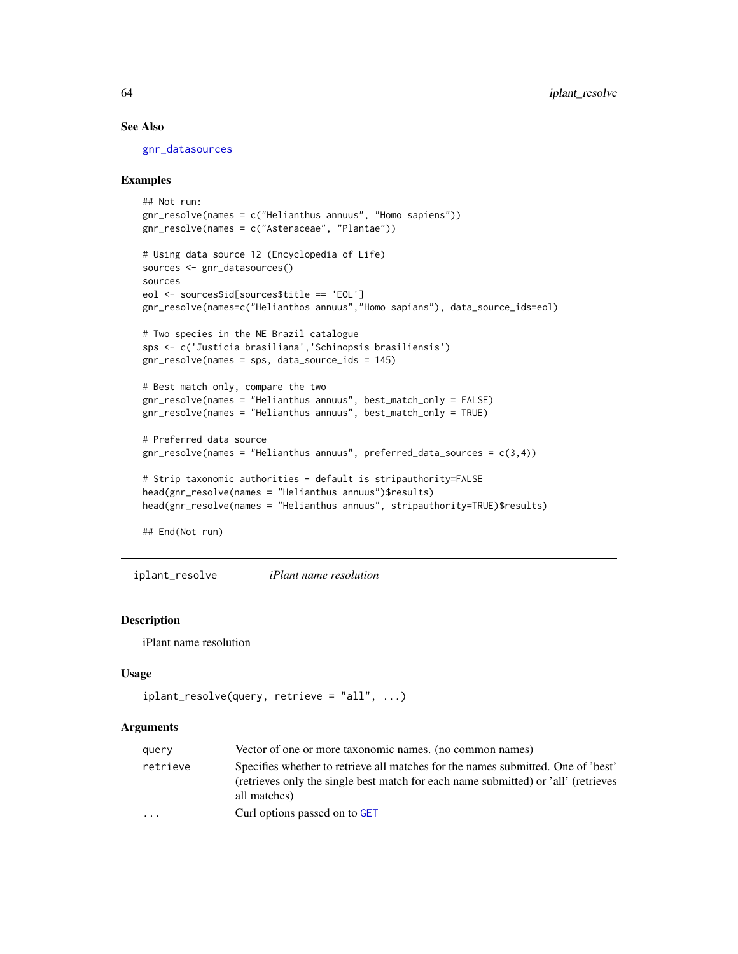## See Also

[gnr\\_datasources](#page-61-0)

### Examples

```
## Not run:
gnr_resolve(names = c("Helianthus annuus", "Homo sapiens"))
gnr_resolve(names = c("Asteraceae", "Plantae"))
# Using data source 12 (Encyclopedia of Life)
sources <- gnr_datasources()
sources
eol <- sources$id[sources$title == 'EOL']
gnr_resolve(names=c("Helianthos annuus","Homo sapians"), data_source_ids=eol)
# Two species in the NE Brazil catalogue
sps <- c('Justicia brasiliana','Schinopsis brasiliensis')
gnr_resolve(names = sps, data_source_ids = 145)
# Best match only, compare the two
gnr_resolve(names = "Helianthus annuus", best_match_only = FALSE)
gnr_resolve(names = "Helianthus annuus", best_match_only = TRUE)
# Preferred data source
gnr_resolve(names = "Helianthus annuus", preferred_data_sources = c(3,4))
# Strip taxonomic authorities - default is stripauthority=FALSE
head(gnr_resolve(names = "Helianthus annuus")$results)
head(gnr_resolve(names = "Helianthus annuus", stripauthority=TRUE)$results)
## End(Not run)
```
iplant\_resolve *iPlant name resolution*

### Description

iPlant name resolution

#### Usage

```
iplant_resolve(query, retrieve = "all", ...)
```
#### Arguments

| query    | Vector of one or more taxonomic names. (no common names)                                                                                                                               |
|----------|----------------------------------------------------------------------------------------------------------------------------------------------------------------------------------------|
| retrieve | Specifies whether to retrieve all matches for the names submitted. One of 'best'<br>(retrieves only the single best match for each name submitted) or 'all' (retrieves<br>all matches) |
| $\cdots$ | Curl options passed on to GET                                                                                                                                                          |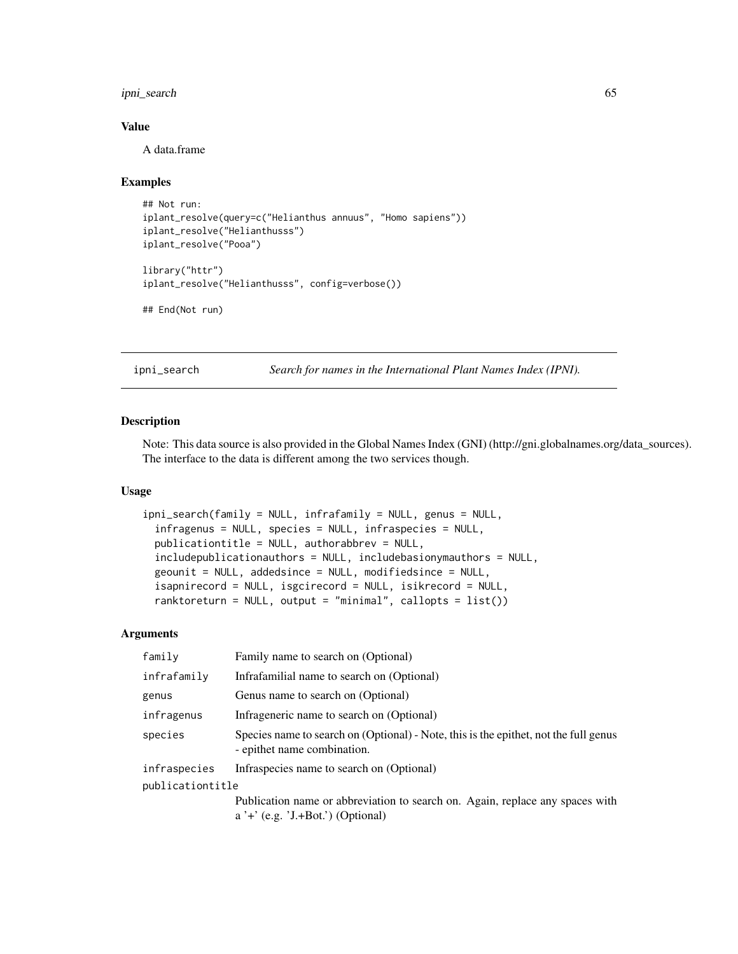## ipni\_search 65

### Value

A data.frame

## Examples

```
## Not run:
iplant_resolve(query=c("Helianthus annuus", "Homo sapiens"))
iplant_resolve("Helianthusss")
iplant_resolve("Pooa")
library("httr")
iplant_resolve("Helianthusss", config=verbose())
```
## End(Not run)

ipni\_search *Search for names in the International Plant Names Index (IPNI).*

#### Description

Note: This data source is also provided in the Global Names Index (GNI) (http://gni.globalnames.org/data\_sources). The interface to the data is different among the two services though.

## Usage

```
ipni_search(family = NULL, infrafamily = NULL, genus = NULL,
  infragenus = NULL, species = NULL, infraspecies = NULL,
  publicationtitle = NULL, authorabbrev = NULL,
  includepublicationauthors = NULL, includebasionymauthors = NULL,
  geounit = NULL, addedsince = NULL, modifiedsince = NULL,
  isapnirecord = NULL, isgcirecord = NULL, isikrecord = NULL,
  ranktoreturn = NULL, output = "minimal", callopts = list()
```
### Arguments

| family           | Family name to search on (Optional)                                                                                 |
|------------------|---------------------------------------------------------------------------------------------------------------------|
| infrafamily      | Infrafamilial name to search on (Optional)                                                                          |
| genus            | Genus name to search on (Optional)                                                                                  |
| infragenus       | Infrageneric name to search on (Optional)                                                                           |
| species          | Species name to search on (Optional) - Note, this is the epithet, not the full genus<br>- epithet name combination. |
| infraspecies     | Infraspecies name to search on (Optional)                                                                           |
| publicationtitle |                                                                                                                     |
|                  | Publication name or abbreviation to search on. Again, replace any spaces with                                       |
|                  | $a' +' (e.g. 'J.+Bot.'')$ (Optional)                                                                                |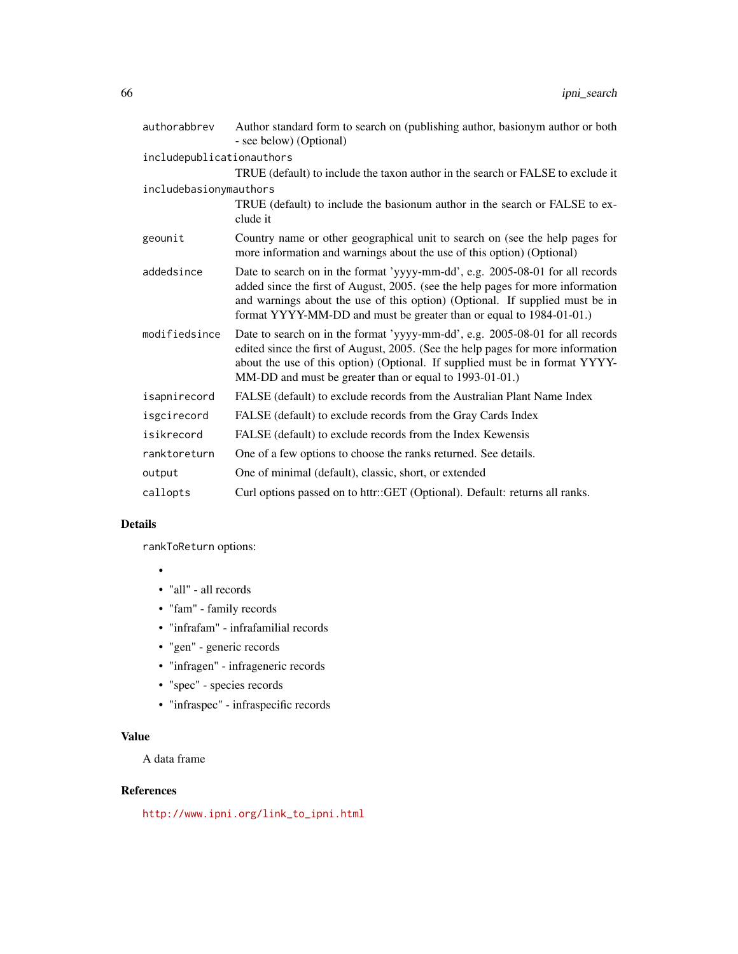| authorabbrev              | Author standard form to search on (publishing author, basionym author or both<br>- see below) (Optional)                                                                                                                                                                                                                |
|---------------------------|-------------------------------------------------------------------------------------------------------------------------------------------------------------------------------------------------------------------------------------------------------------------------------------------------------------------------|
| includepublicationauthors |                                                                                                                                                                                                                                                                                                                         |
|                           | TRUE (default) to include the taxon author in the search or FALSE to exclude it                                                                                                                                                                                                                                         |
| includebasionymauthors    |                                                                                                                                                                                                                                                                                                                         |
|                           | TRUE (default) to include the basionum author in the search or FALSE to ex-<br>clude it                                                                                                                                                                                                                                 |
| geounit                   | Country name or other geographical unit to search on (see the help pages for<br>more information and warnings about the use of this option) (Optional)                                                                                                                                                                  |
| addedsince                | Date to search on in the format 'yyyy-mm-dd', e.g. 2005-08-01 for all records<br>added since the first of August, 2005. (see the help pages for more information<br>and warnings about the use of this option) (Optional. If supplied must be in<br>format YYYY-MM-DD and must be greater than or equal to 1984-01-01.) |
| modifiedsince             | Date to search on in the format 'yyyy-mm-dd', e.g. 2005-08-01 for all records<br>edited since the first of August, 2005. (See the help pages for more information<br>about the use of this option) (Optional. If supplied must be in format YYYY-<br>MM-DD and must be greater than or equal to 1993-01-01.)            |
| isapnirecord              | FALSE (default) to exclude records from the Australian Plant Name Index                                                                                                                                                                                                                                                 |
| isgcirecord               | FALSE (default) to exclude records from the Gray Cards Index                                                                                                                                                                                                                                                            |
| isikrecord                | FALSE (default) to exclude records from the Index Kewensis                                                                                                                                                                                                                                                              |
| ranktoreturn              | One of a few options to choose the ranks returned. See details.                                                                                                                                                                                                                                                         |
| output                    | One of minimal (default), classic, short, or extended                                                                                                                                                                                                                                                                   |
| callopts                  | Curl options passed on to httr::GET (Optional). Default: returns all ranks.                                                                                                                                                                                                                                             |

## Details

rankToReturn options:

- •
- "all" all records
- "fam" family records
- "infrafam" infrafamilial records
- "gen" generic records
- "infragen" infrageneric records
- "spec" species records
- "infraspec" infraspecific records

# Value

A data frame

## References

[http://www.ipni.org/link\\_to\\_ipni.html](http://www.ipni.org/link_to_ipni.html)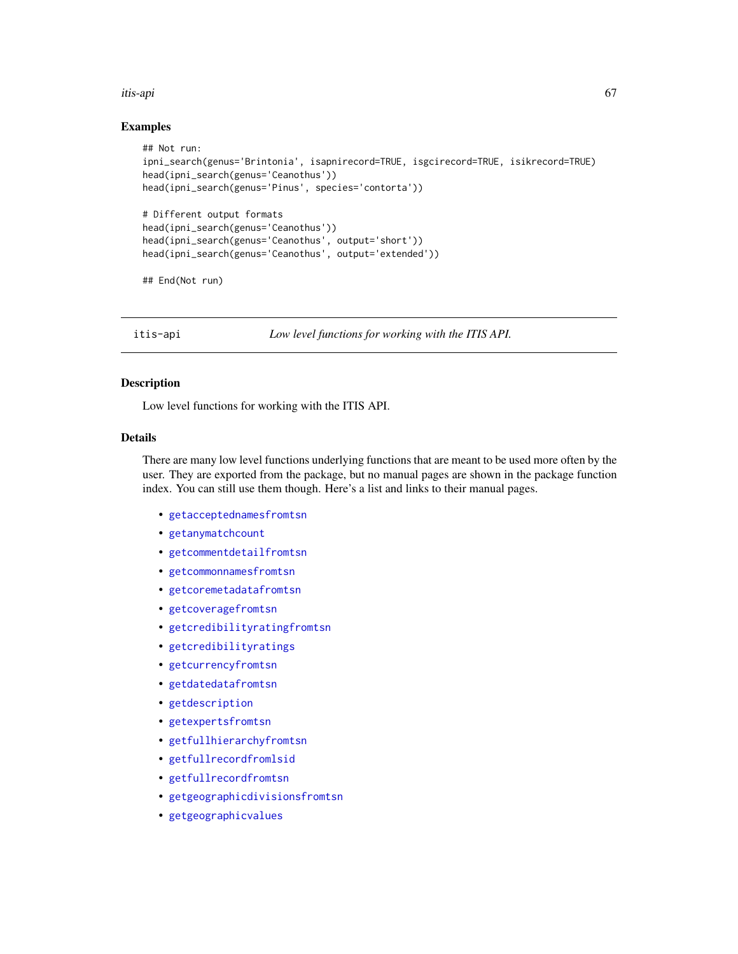#### itis-api 67

### Examples

```
## Not run:
ipni_search(genus='Brintonia', isapnirecord=TRUE, isgcirecord=TRUE, isikrecord=TRUE)
head(ipni_search(genus='Ceanothus'))
head(ipni_search(genus='Pinus', species='contorta'))
# Different output formats
head(ipni_search(genus='Ceanothus'))
head(ipni_search(genus='Ceanothus', output='short'))
head(ipni_search(genus='Ceanothus', output='extended'))
## End(Not run)
```
itis-api *Low level functions for working with the ITIS API.*

### Description

Low level functions for working with the ITIS API.

### Details

There are many low level functions underlying functions that are meant to be used more often by the user. They are exported from the package, but no manual pages are shown in the package function index. You can still use them though. Here's a list and links to their manual pages.

- [getacceptednamesfromtsn](#page-0-0)
- [getanymatchcount](#page-0-0)
- [getcommentdetailfromtsn](#page-0-0)
- [getcommonnamesfromtsn](#page-0-0)
- [getcoremetadatafromtsn](#page-0-0)
- [getcoveragefromtsn](#page-0-0)
- [getcredibilityratingfromtsn](#page-0-0)
- [getcredibilityratings](#page-0-0)
- [getcurrencyfromtsn](#page-0-0)
- [getdatedatafromtsn](#page-0-0)
- [getdescription](#page-0-0)
- [getexpertsfromtsn](#page-0-0)
- [getfullhierarchyfromtsn](#page-0-0)
- [getfullrecordfromlsid](#page-0-0)
- [getfullrecordfromtsn](#page-0-0)
- [getgeographicdivisionsfromtsn](#page-0-0)
- [getgeographicvalues](#page-0-0)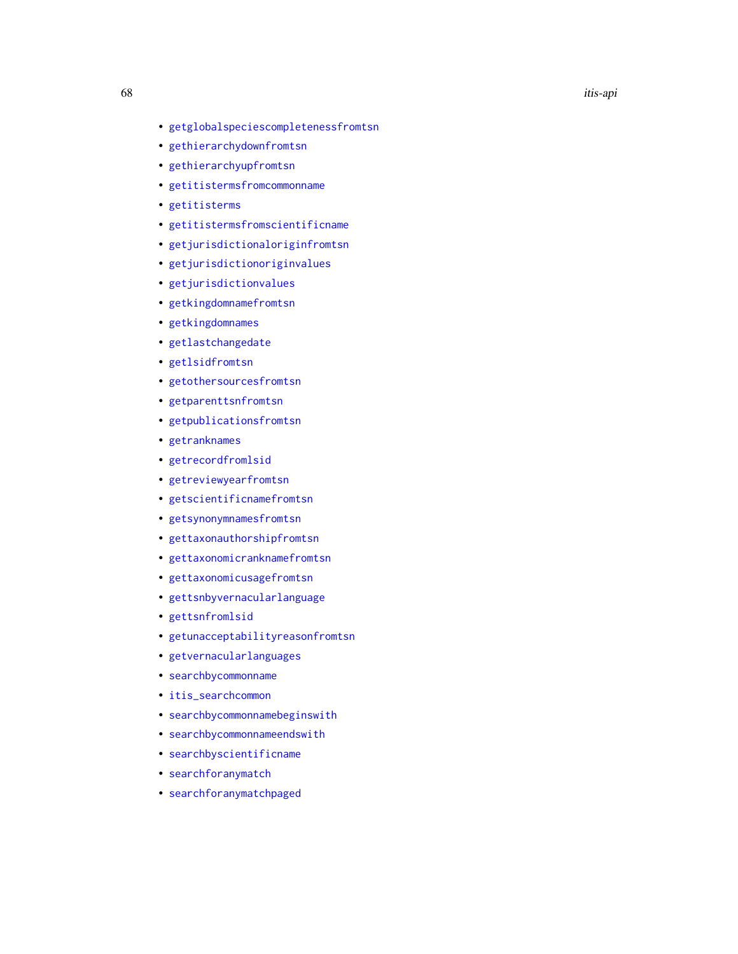- [getglobalspeciescompletenessfromtsn](#page-0-0)
- [gethierarchydownfromtsn](#page-0-0)
- [gethierarchyupfromtsn](#page-0-0)
- [getitistermsfromcommonname](#page-0-0)
- [getitisterms](#page-0-0)
- [getitistermsfromscientificname](#page-0-0)
- [getjurisdictionaloriginfromtsn](#page-0-0)
- [getjurisdictionoriginvalues](#page-0-0)
- [getjurisdictionvalues](#page-0-0)
- [getkingdomnamefromtsn](#page-0-0)
- [getkingdomnames](#page-0-0)
- [getlastchangedate](#page-0-0)
- [getlsidfromtsn](#page-0-0)
- [getothersourcesfromtsn](#page-0-0)
- [getparenttsnfromtsn](#page-0-0)
- [getpublicationsfromtsn](#page-0-0)
- [getranknames](#page-0-0)
- [getrecordfromlsid](#page-0-0)
- [getreviewyearfromtsn](#page-0-0)
- [getscientificnamefromtsn](#page-0-0)
- [getsynonymnamesfromtsn](#page-0-0)
- [gettaxonauthorshipfromtsn](#page-0-0)
- [gettaxonomicranknamefromtsn](#page-0-0)
- [gettaxonomicusagefromtsn](#page-0-0)
- [gettsnbyvernacularlanguage](#page-0-0)
- [gettsnfromlsid](#page-0-0)
- [getunacceptabilityreasonfromtsn](#page-0-0)
- [getvernacularlanguages](#page-0-0)
- [searchbycommonname](#page-0-0)
- [itis\\_searchcommon](#page-75-0)
- [searchbycommonnamebeginswith](#page-0-0)
- [searchbycommonnameendswith](#page-0-0)
- [searchbyscientificname](#page-0-0)
- [searchforanymatch](#page-0-0)
- [searchforanymatchpaged](#page-0-0)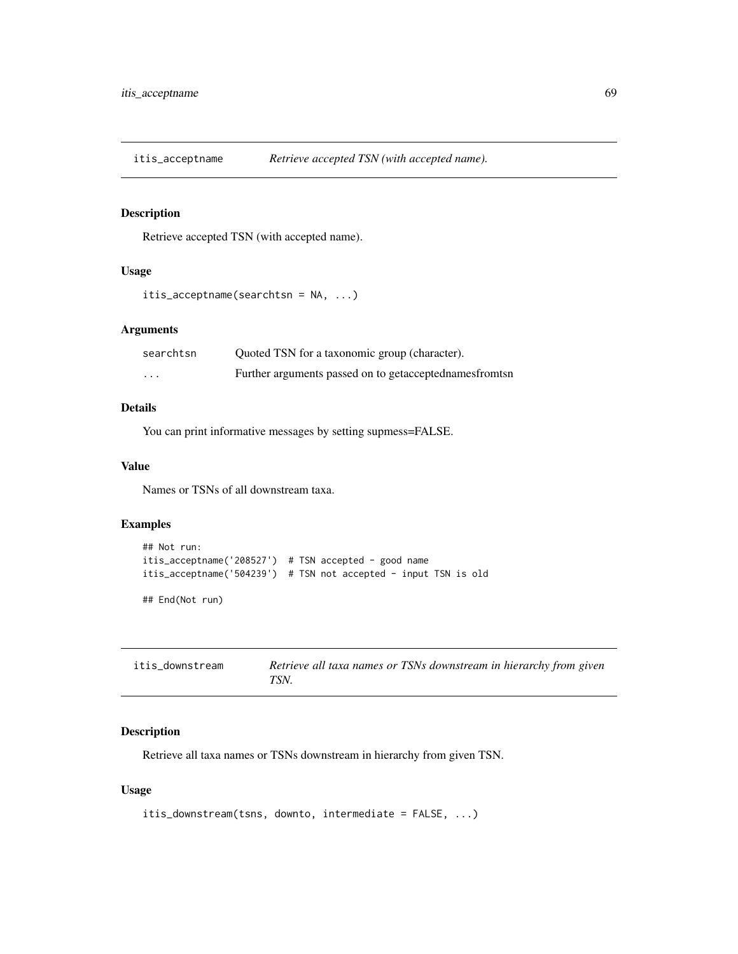## Description

Retrieve accepted TSN (with accepted name).

## Usage

```
itis_acceptname(searchtsn = NA, ...)
```
### Arguments

| searchtsn | Quoted TSN for a taxonomic group (character).            |
|-----------|----------------------------------------------------------|
| $\cdots$  | Further arguments passed on to getacceptednames from tsn |

## Details

You can print informative messages by setting supmess=FALSE.

## Value

Names or TSNs of all downstream taxa.

### Examples

```
## Not run:
itis_acceptname('208527') # TSN accepted - good name
itis_acceptname('504239') # TSN not accepted - input TSN is old
## End(Not run)
```
<span id="page-68-0"></span>

| itis downstream | Retrieve all taxa names or TSNs downstream in hierarchy from given |
|-----------------|--------------------------------------------------------------------|
|                 | TSN.                                                               |

### Description

Retrieve all taxa names or TSNs downstream in hierarchy from given TSN.

## Usage

```
itis_downstream(tsns, downto, intermediate = FALSE, ...)
```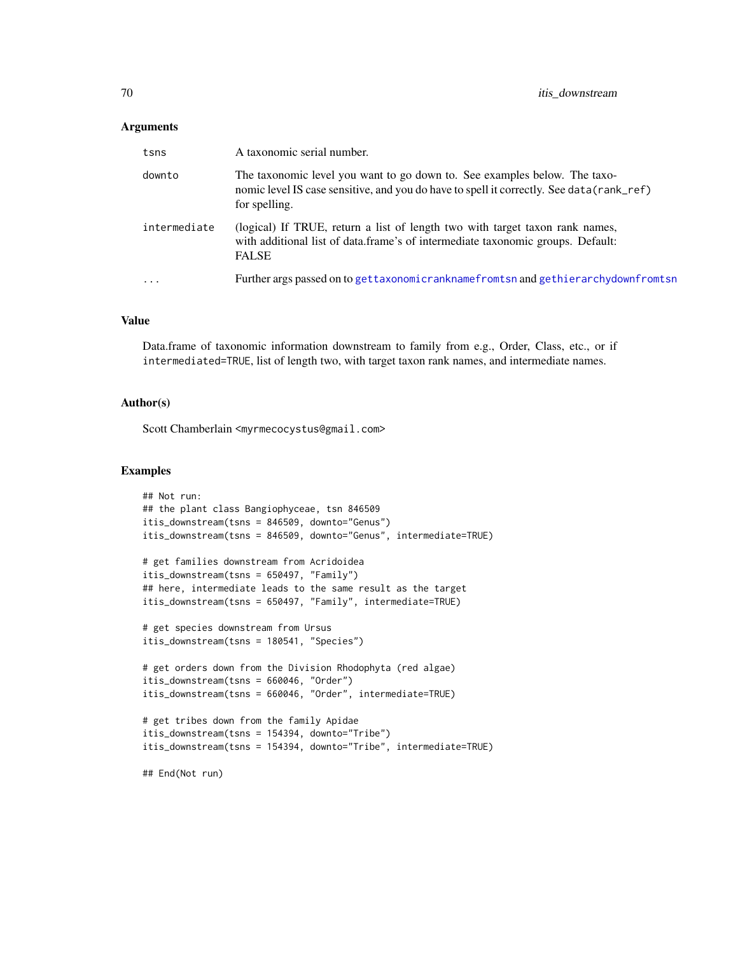### **Arguments**

| tsns         | A taxonomic serial number.                                                                                                                                                              |
|--------------|-----------------------------------------------------------------------------------------------------------------------------------------------------------------------------------------|
| downto       | The taxonomic level you want to go down to. See examples below. The taxo-<br>nomic level IS case sensitive, and you do have to spell it correctly. See data (rank_ref)<br>for spelling. |
| intermediate | (logical) If TRUE, return a list of length two with target taxon rank names,<br>with additional list of data.frame's of intermediate taxonomic groups. Default:<br><b>FALSE</b>         |
| $\ddots$     | Further args passed on to gettaxonomicranknamefromtsn and gethierarchydownfromtsn                                                                                                       |

#### Value

Data.frame of taxonomic information downstream to family from e.g., Order, Class, etc., or if intermediated=TRUE, list of length two, with target taxon rank names, and intermediate names.

#### Author(s)

Scott Chamberlain <myrmecocystus@gmail.com>

```
## Not run:
## the plant class Bangiophyceae, tsn 846509
itis_downstream(tsns = 846509, downto="Genus")
itis_downstream(tsns = 846509, downto="Genus", intermediate=TRUE)
# get families downstream from Acridoidea
itis_downstream(tsns = 650497, "Family")
## here, intermediate leads to the same result as the target
itis_downstream(tsns = 650497, "Family", intermediate=TRUE)
# get species downstream from Ursus
itis_downstream(tsns = 180541, "Species")
# get orders down from the Division Rhodophyta (red algae)
itis_downstream(tsns = 660046, "Order")
itis_downstream(tsns = 660046, "Order", intermediate=TRUE)
# get tribes down from the family Apidae
itis_downstream(tsns = 154394, downto="Tribe")
itis_downstream(tsns = 154394, downto="Tribe", intermediate=TRUE)
## End(Not run)
```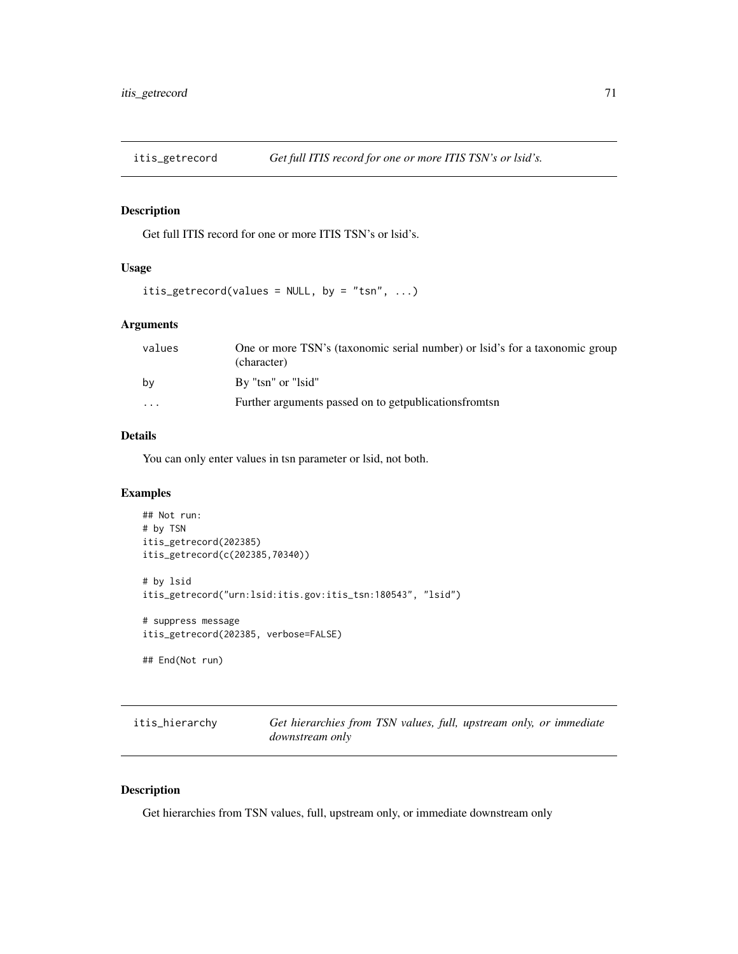## Description

Get full ITIS record for one or more ITIS TSN's or lsid's.

### Usage

```
itis_getrecord(values = NULL, by = "tsn", ...)
```
## Arguments

| values   | One or more TSN's (taxonomic serial number) or lsid's for a taxonomic group<br>(character) |
|----------|--------------------------------------------------------------------------------------------|
| by       | By "tsn" or "lsid"                                                                         |
| $\cdots$ | Further arguments passed on to get publications from tsn                                   |

## Details

You can only enter values in tsn parameter or lsid, not both.

### Examples

```
## Not run:
# by TSN
itis_getrecord(202385)
itis_getrecord(c(202385,70340))
# by lsid
itis_getrecord("urn:lsid:itis.gov:itis_tsn:180543", "lsid")
# suppress message
itis_getrecord(202385, verbose=FALSE)
## End(Not run)
```

| itis_hierarchy | Get hierarchies from TSN values, full, upstream only, or immediate |  |  |  |
|----------------|--------------------------------------------------------------------|--|--|--|
|                | <i>downstream only</i>                                             |  |  |  |

## Description

Get hierarchies from TSN values, full, upstream only, or immediate downstream only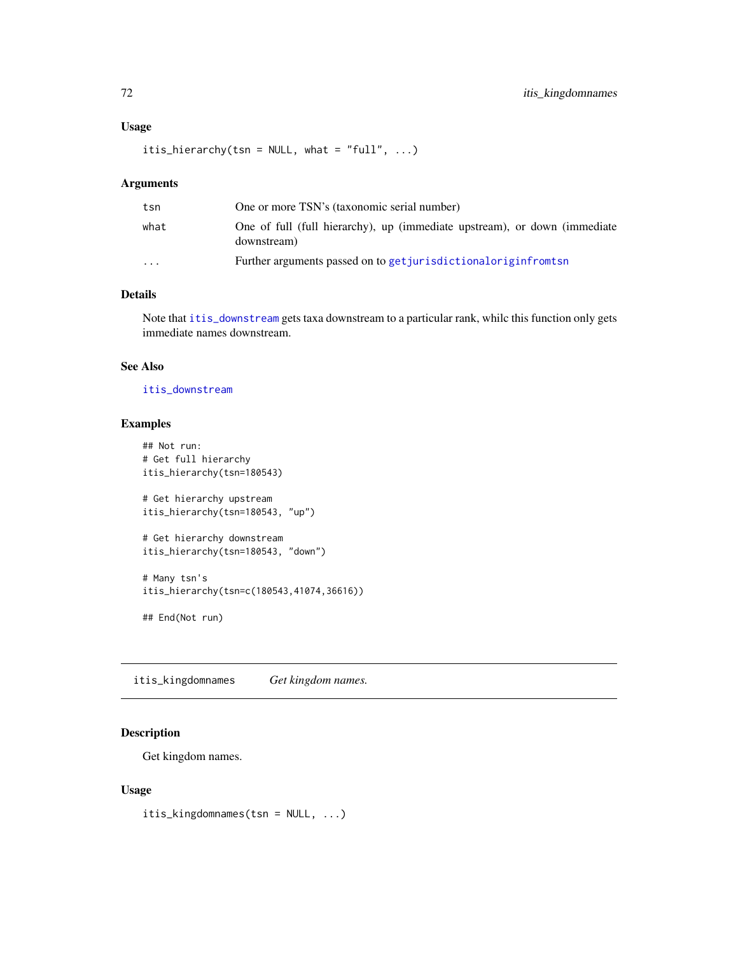## Usage

itis\_hierarchy(tsn = NULL, what = "full",  $\ldots$ )

### Arguments

| tsn                     | One or more TSN's (taxonomic serial number)                                              |
|-------------------------|------------------------------------------------------------------------------------------|
| what                    | One of full (full hierarchy), up (immediate upstream), or down (immediate<br>downstream) |
| $\cdot$ $\cdot$ $\cdot$ | Further arguments passed on to get jurisdictional origin from tsn                        |

## Details

Note that [itis\\_downstream](#page-68-0) gets taxa downstream to a particular rank, whilc this function only gets immediate names downstream.

### See Also

[itis\\_downstream](#page-68-0)

## Examples

```
## Not run:
# Get full hierarchy
itis_hierarchy(tsn=180543)
# Get hierarchy upstream
itis_hierarchy(tsn=180543, "up")
# Get hierarchy downstream
itis_hierarchy(tsn=180543, "down")
# Many tsn's
itis_hierarchy(tsn=c(180543,41074,36616))
```
itis\_kingdomnames *Get kingdom names.*

## Description

Get kingdom names.

## End(Not run)

### Usage

itis\_kingdomnames(tsn = NULL, ...)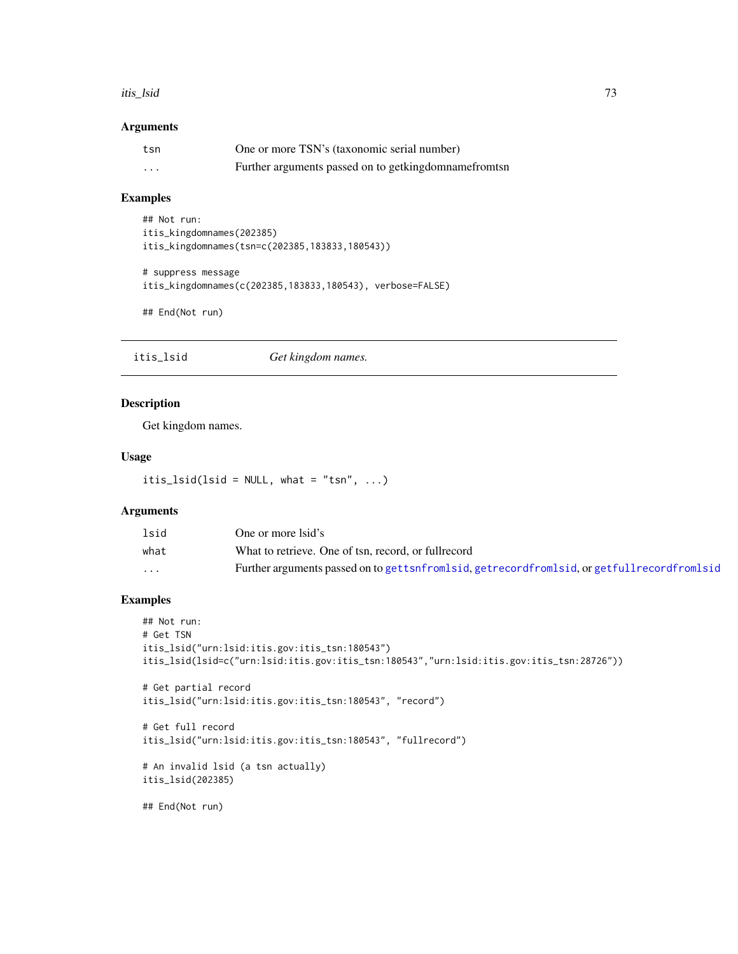#### itis\_lsid 73

### Arguments

| tsn | One or more TSN's (taxonomic serial number)          |
|-----|------------------------------------------------------|
| .   | Further arguments passed on to getkingdomnamefromtsn |

## Examples

```
## Not run:
itis_kingdomnames(202385)
itis_kingdomnames(tsn=c(202385,183833,180543))
# suppress message
```

```
itis_kingdomnames(c(202385,183833,180543), verbose=FALSE)
```
## End(Not run)

itis\_lsid *Get kingdom names.*

## Description

Get kingdom names.

## Usage

itis\_lsid(lsid = NULL, what = "tsn",  $\ldots$ )

# Arguments

| lsid    | One or more Isid's                                                                                 |
|---------|----------------------------------------------------------------------------------------------------|
| what    | What to retrieve. One of tsn, record, or fullrecord                                                |
| $\cdot$ | Further arguments passed on to get tsnfromlsid, get record from lsid, or get full record from lsid |

## Examples

```
## Not run:
# Get TSN
itis_lsid("urn:lsid:itis.gov:itis_tsn:180543")
itis_lsid(lsid=c("urn:lsid:itis.gov:itis_tsn:180543","urn:lsid:itis.gov:itis_tsn:28726"))
# Get partial record
itis_lsid("urn:lsid:itis.gov:itis_tsn:180543", "record")
# Get full record
itis_lsid("urn:lsid:itis.gov:itis_tsn:180543", "fullrecord")
# An invalid lsid (a tsn actually)
itis_lsid(202385)
```
## End(Not run)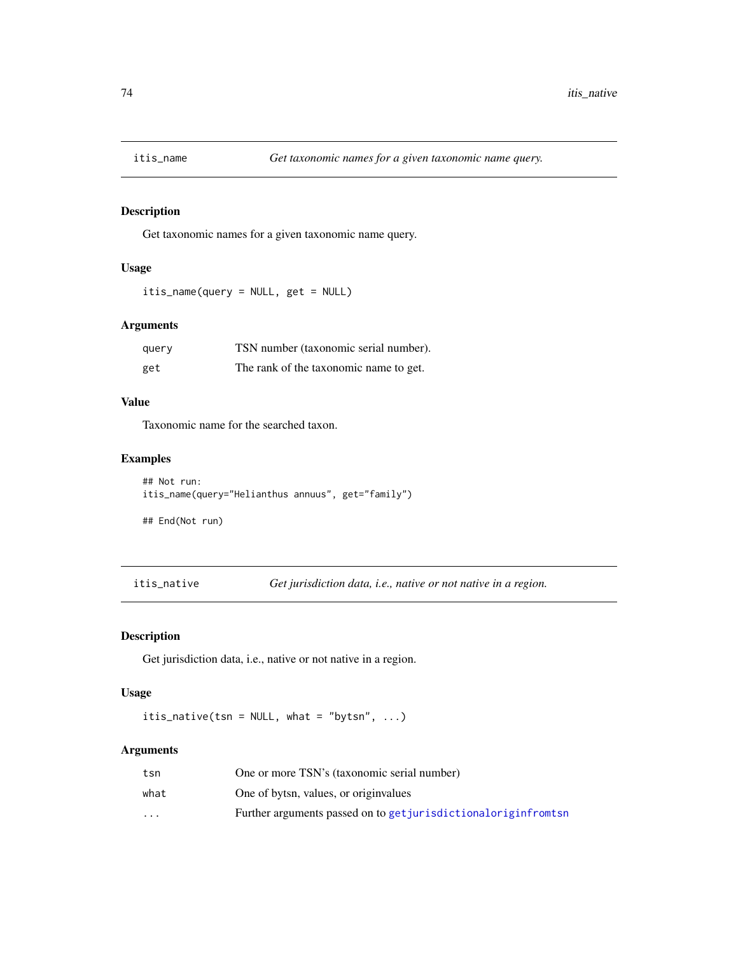## Description

Get taxonomic names for a given taxonomic name query.

### Usage

itis\_name(query = NULL, get = NULL)

# Arguments

| query | TSN number (taxonomic serial number).  |
|-------|----------------------------------------|
| get   | The rank of the taxonomic name to get. |

## Value

Taxonomic name for the searched taxon.

## Examples

```
## Not run:
itis_name(query="Helianthus annuus", get="family")
```
## End(Not run)

itis\_native *Get jurisdiction data, i.e., native or not native in a region.*

## Description

Get jurisdiction data, i.e., native or not native in a region.

### Usage

itis\_native(tsn = NULL, what = "bytsn", ...)

| tsn      | One or more TSN's (taxonomic serial number)                       |
|----------|-------------------------------------------------------------------|
| what     | One of bytsn, values, or originvalues                             |
| $\cdots$ | Further arguments passed on to get jurisdictional origin from tsn |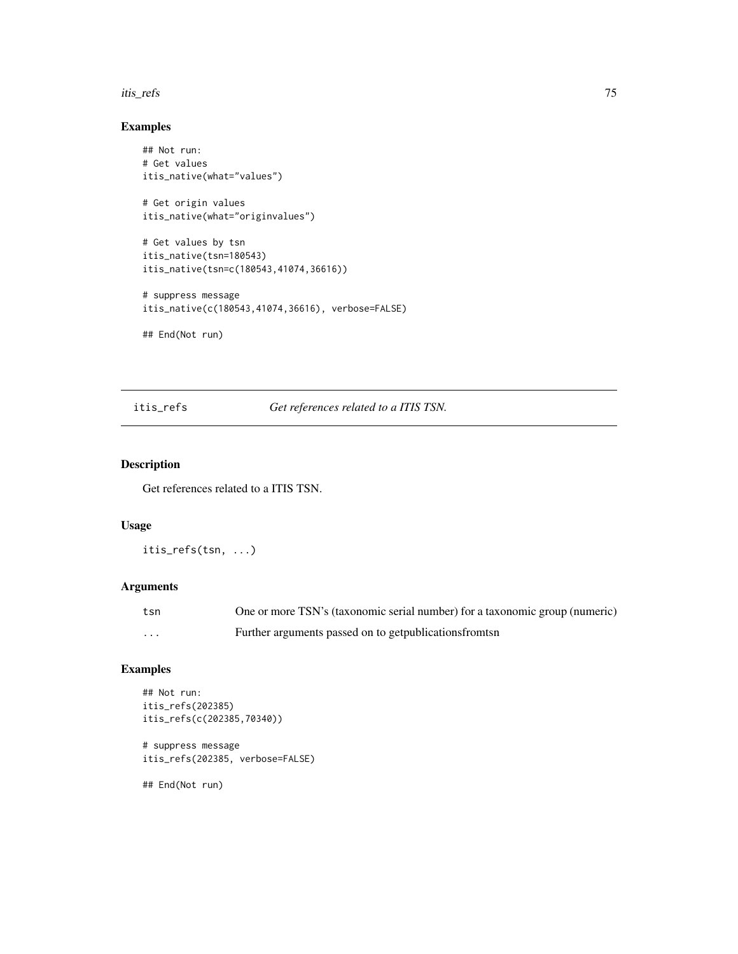#### itis\_refs 75

## Examples

```
## Not run:
# Get values
itis_native(what="values")
# Get origin values
itis_native(what="originvalues")
# Get values by tsn
itis_native(tsn=180543)
itis_native(tsn=c(180543,41074,36616))
# suppress message
itis_native(c(180543,41074,36616), verbose=FALSE)
## End(Not run)
```
# itis\_refs *Get references related to a ITIS TSN.*

# Description

Get references related to a ITIS TSN.

### Usage

itis\_refs(tsn, ...)

# Arguments

| tsn | One or more TSN's (taxonomic serial number) for a taxonomic group (numeric) |
|-----|-----------------------------------------------------------------------------|
| .   | Further arguments passed on to get publications from the set                |

# Examples

```
## Not run:
itis_refs(202385)
itis_refs(c(202385,70340))
```

```
# suppress message
itis_refs(202385, verbose=FALSE)
```
## End(Not run)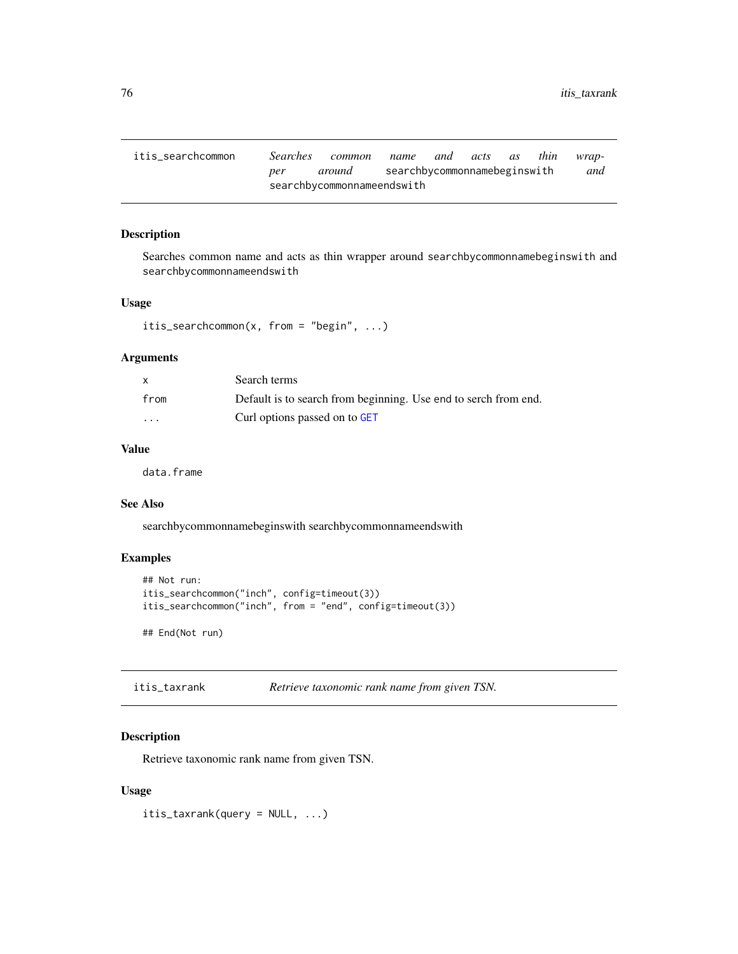itis\_searchcommon *Searches common name and acts as thin wrapper around* searchbycommonnamebeginswith *and* searchbycommonnameendswith

### Description

Searches common name and acts as thin wrapper around searchbycommonnamebeginswith and searchbycommonnameendswith

## Usage

```
itis_searchcommon(x, from = "begin", ...)
```
## Arguments

|                         | Search terms                                                    |
|-------------------------|-----------------------------------------------------------------|
| from                    | Default is to search from beginning. Use end to serch from end. |
| $\cdot$ $\cdot$ $\cdot$ | Curl options passed on to GET                                   |

### Value

data.frame

## See Also

searchbycommonnamebeginswith searchbycommonnameendswith

### Examples

```
## Not run:
itis_searchcommon("inch", config=timeout(3))
itis_searchcommon("inch", from = "end", config=timeout(3))
## End(Not run)
```

| itis_taxrank | Retrieve taxonomic rank name from given TSN. |
|--------------|----------------------------------------------|
|--------------|----------------------------------------------|

### Description

Retrieve taxonomic rank name from given TSN.

### Usage

itis\_taxrank(query = NULL, ...)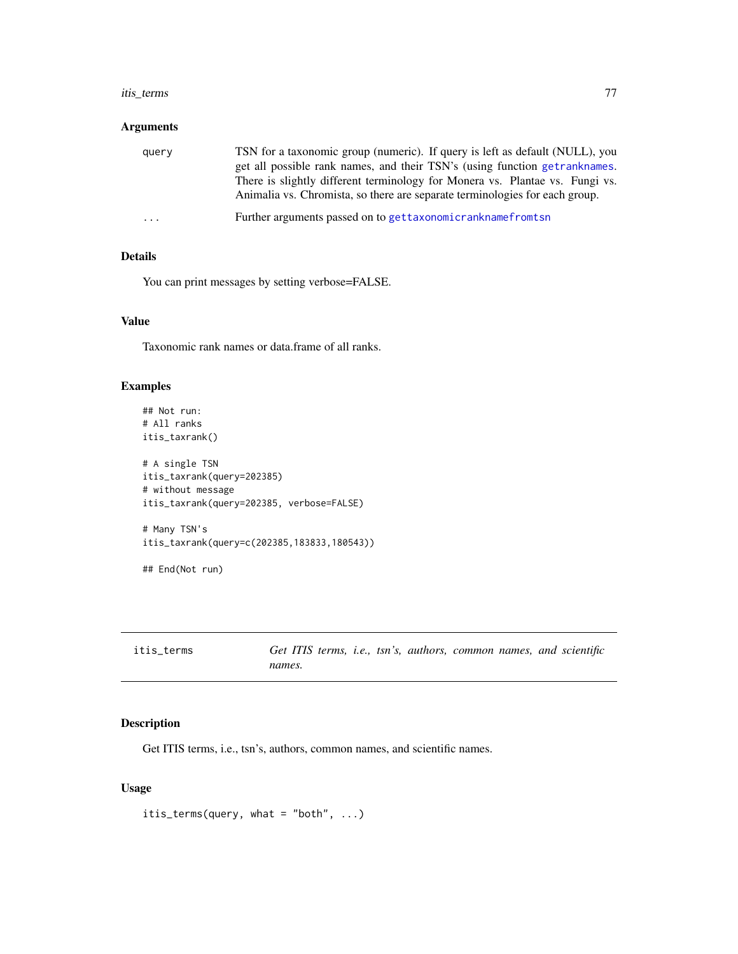#### itis\_terms 77

### Arguments

| query                   | TSN for a taxonomic group (numeric). If query is left as default (NULL), you<br>get all possible rank names, and their TSN's (using function getranknames.<br>There is slightly different terminology for Monera vs. Plantae vs. Fungi vs.<br>Animalia vs. Chromista, so there are separate terminologies for each group. |
|-------------------------|---------------------------------------------------------------------------------------------------------------------------------------------------------------------------------------------------------------------------------------------------------------------------------------------------------------------------|
| $\cdot$ $\cdot$ $\cdot$ | Further arguments passed on to gettaxonomicranknamefromtsn                                                                                                                                                                                                                                                                |

## Details

You can print messages by setting verbose=FALSE.

## Value

Taxonomic rank names or data.frame of all ranks.

### Examples

```
## Not run:
# All ranks
itis_taxrank()
# A single TSN
itis_taxrank(query=202385)
# without message
itis_taxrank(query=202385, verbose=FALSE)
# Many TSN's
itis_taxrank(query=c(202385,183833,180543))
## End(Not run)
```

| itis_terms | Get ITIS terms, i.e., tsn's, authors, common names, and scientific |  |  |  |  |
|------------|--------------------------------------------------------------------|--|--|--|--|
|            | names.                                                             |  |  |  |  |

# Description

Get ITIS terms, i.e., tsn's, authors, common names, and scientific names.

## Usage

```
itis_terms(query, what = "both", ...)
```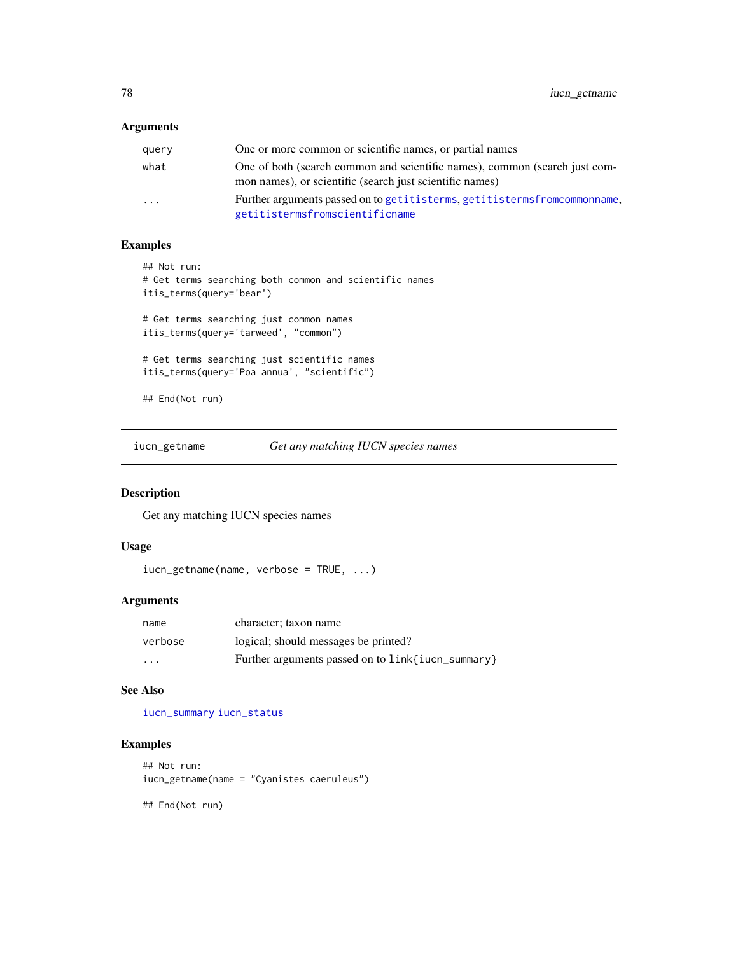## Arguments

| query                   | One or more common or scientific names, or partial names                                                                               |
|-------------------------|----------------------------------------------------------------------------------------------------------------------------------------|
| what                    | One of both (search common and scientific names), common (search just com-<br>mon names), or scientific (search just scientific names) |
| $\cdot$ $\cdot$ $\cdot$ | Further arguments passed on to getitisterms, getitisterms from common name,<br>getitistermsfromscientificname                          |

## Examples

```
## Not run:
# Get terms searching both common and scientific names
itis_terms(query='bear')
# Get terms searching just common names
itis_terms(query='tarweed', "common")
# Get terms searching just scientific names
itis_terms(query='Poa annua', "scientific")
## End(Not run)
```
iucn\_getname *Get any matching IUCN species names*

### Description

Get any matching IUCN species names

#### Usage

```
iucn_getname(name, verbose = TRUE, ...)
```
#### Arguments

| name     | character; taxon name                                |
|----------|------------------------------------------------------|
| verbose  | logical; should messages be printed?                 |
| $\cdots$ | Further arguments passed on to $link$ iucn_summary } |

## See Also

[iucn\\_summary](#page-78-0) [iucn\\_status](#page-78-1)

## Examples

```
## Not run:
iucn_getname(name = "Cyanistes caeruleus")
```
## End(Not run)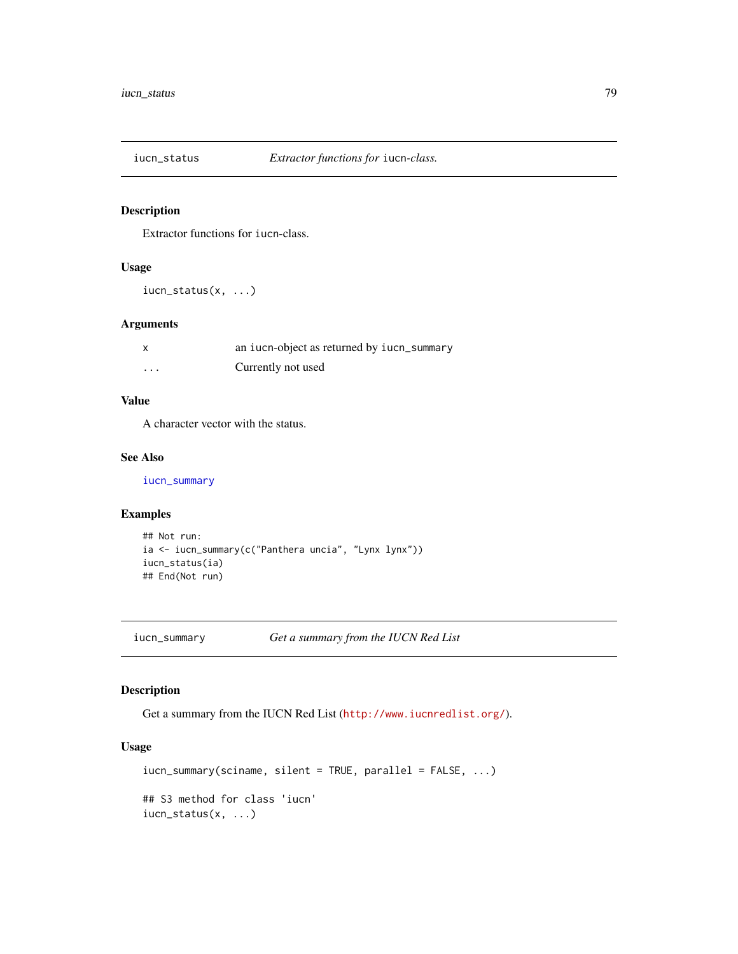<span id="page-78-1"></span>

## Description

Extractor functions for iucn-class.

## Usage

iucn\_status(x, ...)

## Arguments

| $\boldsymbol{\mathsf{x}}$ | an iucn-object as returned by iucn_summary |
|---------------------------|--------------------------------------------|
| $\cdots$                  | Currently not used                         |

## Value

A character vector with the status.

### See Also

[iucn\\_summary](#page-78-0)

## Examples

```
## Not run:
ia <- iucn_summary(c("Panthera uncia", "Lynx lynx"))
iucn_status(ia)
## End(Not run)
```
<span id="page-78-0"></span>iucn\_summary *Get a summary from the IUCN Red List*

## Description

Get a summary from the IUCN Red List (<http://www.iucnredlist.org/>).

## Usage

```
iucn_summary(sciname, silent = TRUE, parallel = FALSE, ...)
## S3 method for class 'iucn'
iucn_status(x, ...)
```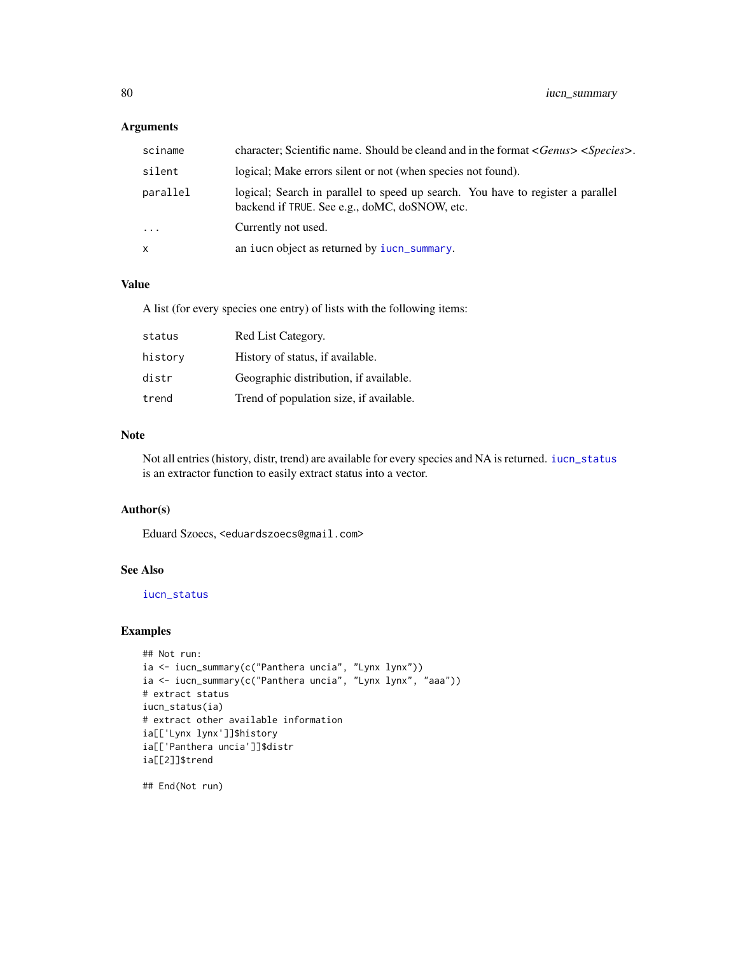## Arguments

| sciname  | character; Scientific name. Should be cleand and in the format < <i>Genus&gt;</i> < <i>Species&gt;</i> .                         |
|----------|----------------------------------------------------------------------------------------------------------------------------------|
| silent   | logical; Make errors silent or not (when species not found).                                                                     |
| parallel | logical; Search in parallel to speed up search. You have to register a parallel<br>backend if TRUE. See e.g., doMC, doSNOW, etc. |
| $\cdots$ | Currently not used.                                                                                                              |
| x        | an iucn object as returned by iucn_summary.                                                                                      |

# Value

A list (for every species one entry) of lists with the following items:

| status  | Red List Category.                      |
|---------|-----------------------------------------|
| history | History of status, if available.        |
| distr   | Geographic distribution, if available.  |
| trend   | Trend of population size, if available. |

### Note

Not all entries (history, distr, trend) are available for every species and NA is returned. [iucn\\_status](#page-78-1) is an extractor function to easily extract status into a vector.

# Author(s)

Eduard Szoecs, <eduardszoecs@gmail.com>

# See Also

[iucn\\_status](#page-78-1)

## Examples

```
## Not run:
ia <- iucn_summary(c("Panthera uncia", "Lynx lynx"))
ia <- iucn_summary(c("Panthera uncia", "Lynx lynx", "aaa"))
# extract status
iucn_status(ia)
# extract other available information
ia[['Lynx lynx']]$history
ia[['Panthera uncia']]$distr
ia[[2]]$trend
```
## End(Not run)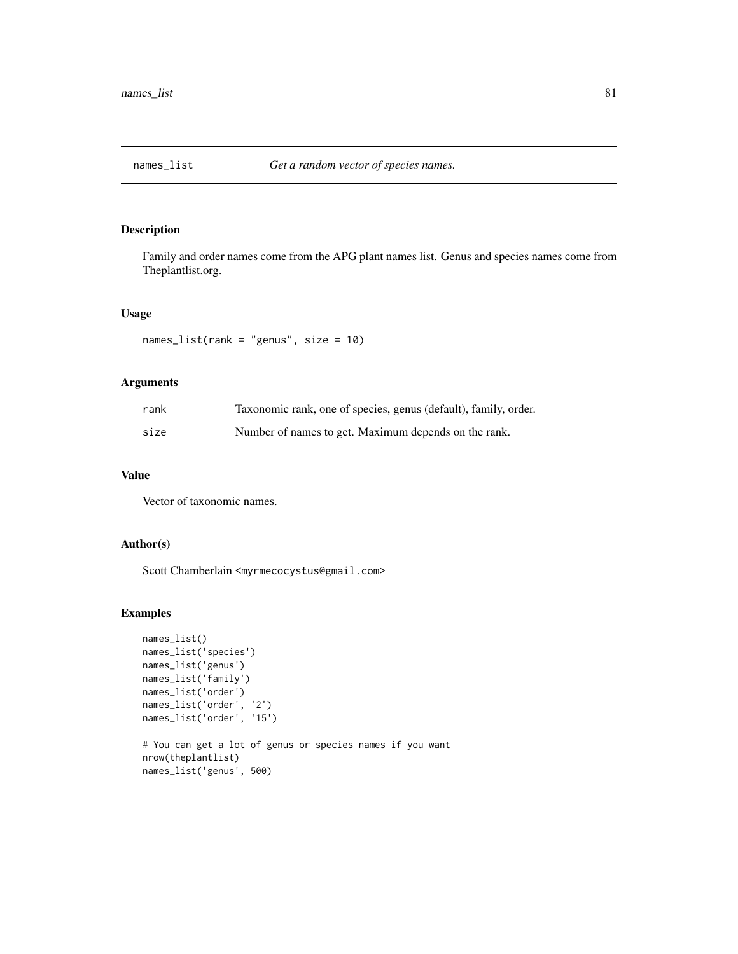<span id="page-80-0"></span>

## Description

Family and order names come from the APG plant names list. Genus and species names come from Theplantlist.org.

### Usage

names\_list(rank = "genus", size = 10)

## Arguments

| rank | Taxonomic rank, one of species, genus (default), family, order. |
|------|-----------------------------------------------------------------|
| size | Number of names to get. Maximum depends on the rank.            |

## Value

Vector of taxonomic names.

## Author(s)

Scott Chamberlain <myrmecocystus@gmail.com>

### Examples

```
names_list()
names_list('species')
names_list('genus')
names_list('family')
names_list('order')
names_list('order', '2')
names_list('order', '15')
# You can get a lot of genus or species names if you want
nrow(theplantlist)
names_list('genus', 500)
```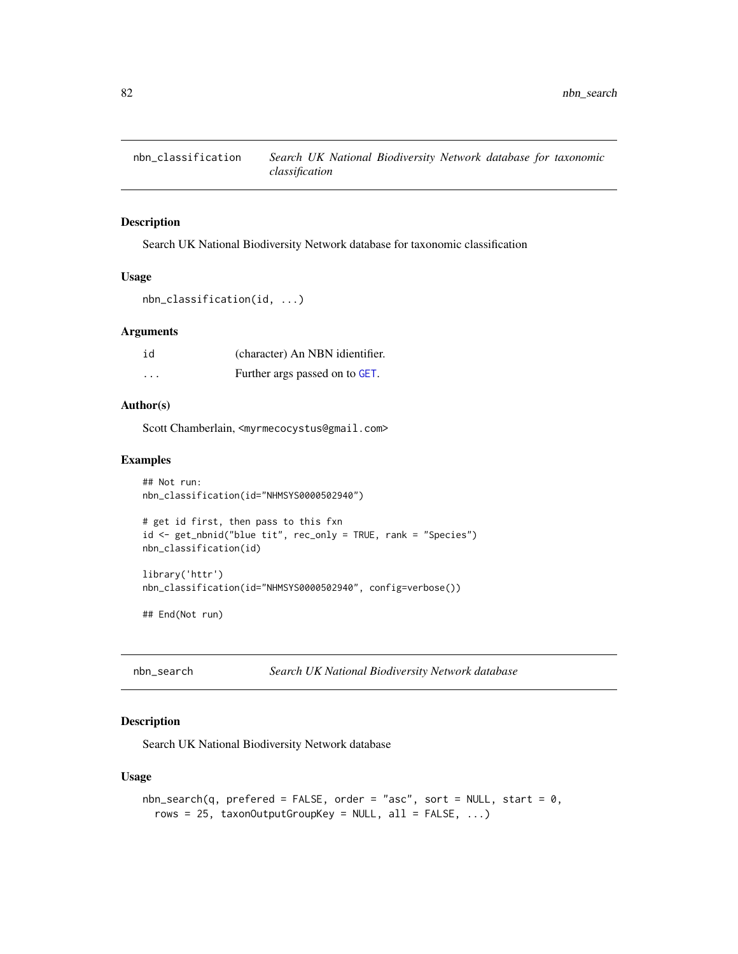#### Description

Search UK National Biodiversity Network database for taxonomic classification

## Usage

```
nbn_classification(id, ...)
```
## Arguments

| id       | (character) An NBN idientifier. |
|----------|---------------------------------|
| $\cdots$ | Further args passed on to GET.  |

## Author(s)

Scott Chamberlain, <myrmecocystus@gmail.com>

#### Examples

```
## Not run:
nbn_classification(id="NHMSYS0000502940")
# get id first, then pass to this fxn
id <- get_nbnid("blue tit", rec_only = TRUE, rank = "Species")
nbn_classification(id)
library('httr')
nbn_classification(id="NHMSYS0000502940", config=verbose())
## End(Not run)
```
nbn\_search *Search UK National Biodiversity Network database*

## Description

Search UK National Biodiversity Network database

### Usage

```
nbn\_search(q, preferred = FALSE, order = "asc", sort = NULL, start = 0,rows = 25, taxonOutputGroupKey = NULL, all = FALSE, ...)
```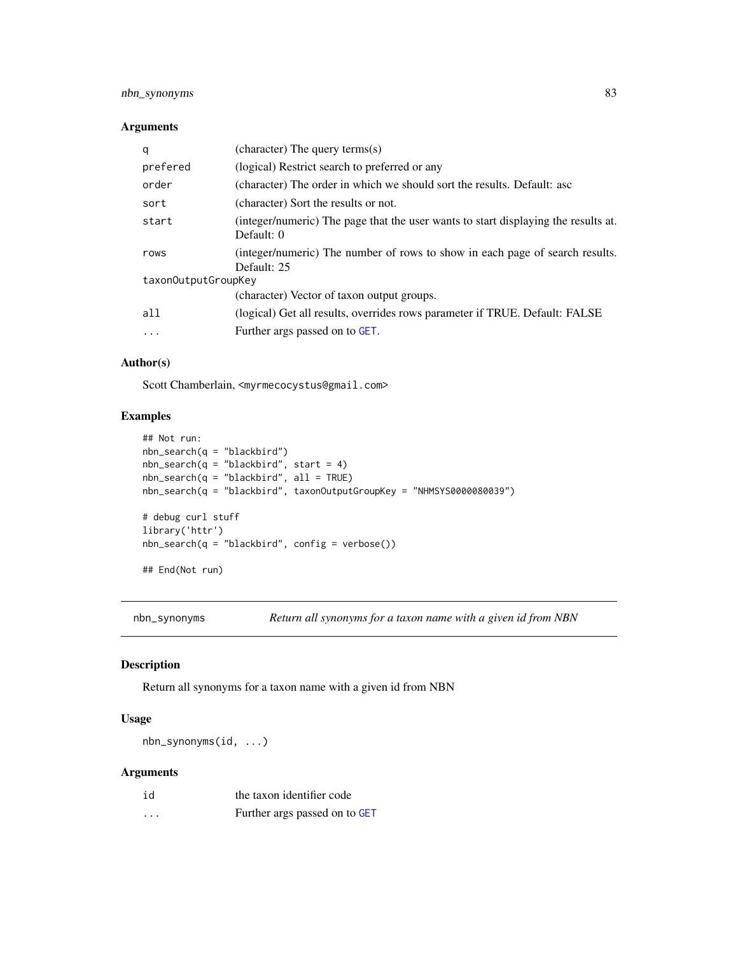## nbn\_synonyms 83

## Arguments

| q                   | (character) The query terms(s)                                                                   |
|---------------------|--------------------------------------------------------------------------------------------------|
| prefered            | (logical) Restrict search to preferred or any                                                    |
| order               | (character) The order in which we should sort the results. Default: asc                          |
| sort                | (character) Sort the results or not.                                                             |
| start               | (integer/numeric) The page that the user wants to start displaying the results at.<br>Default: 0 |
| rows                | (integer/numeric) The number of rows to show in each page of search results.<br>Default: 25      |
| taxon0utputGroupKey |                                                                                                  |
|                     | (character) Vector of taxon output groups.                                                       |
| all                 | (logical) Get all results, overrides rows parameter if TRUE. Default: FALSE                      |
| $\cdots$            | Further args passed on to GET.                                                                   |

#### Author(s)

Scott Chamberlain, <myrmecocystus@gmail.com>

## Examples

```
## Not run:
nbn\_search(q = "blackbird")nbn\_search(q = "blackbird", start = 4)nbn_search(q = "blackbird", all = TRUE)
nbn_search(q = "blackbird", taxonOutputGroupKey = "NHMSYS0000080039")
# debug curl stuff
library('httr')
nbn\_search(q = "blackbird", config = verbose())## End(Not run)
```
nbn\_synonyms *Return all synonyms for a taxon name with a given id from NBN*

## Description

Return all synonyms for a taxon name with a given id from NBN

#### Usage

nbn\_synonyms(id, ...)

| id      | the taxon identifier code     |
|---------|-------------------------------|
| $\cdot$ | Further args passed on to GET |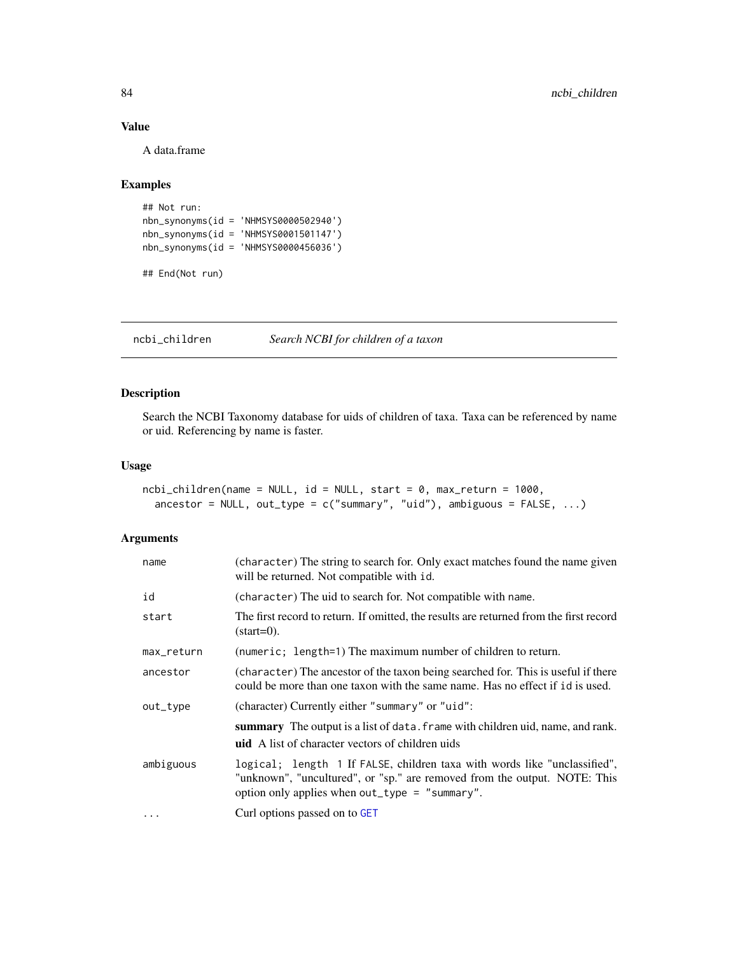## Value

A data.frame

## Examples

```
## Not run:
nbn_synonyms(id = 'NHMSYS0000502940')
nbn_synonyms(id = 'NHMSYS0001501147')
nbn_synonyms(id = 'NHMSYS0000456036')
```
## End(Not run)

ncbi\_children *Search NCBI for children of a taxon*

# Description

Search the NCBI Taxonomy database for uids of children of taxa. Taxa can be referenced by name or uid. Referencing by name is faster.

### Usage

```
ncbi_children(name = NULL, id = NULL, start = 0, max_return = 1000,
  ancestor = NULL, out_type = c("summary", "uid"), ambiguous = FALSE, ...)
```

| name       | (character) The string to search for. Only exact matches found the name given<br>will be returned. Not compatible with id.                                                                               |
|------------|----------------------------------------------------------------------------------------------------------------------------------------------------------------------------------------------------------|
| id         | (character) The uid to search for. Not compatible with name.                                                                                                                                             |
| start      | The first record to return. If omitted, the results are returned from the first record<br>$(start=0)$ .                                                                                                  |
| max_return | (numeric; length=1) The maximum number of children to return.                                                                                                                                            |
| ancestor   | (character) The ancestor of the taxon being searched for. This is useful if there<br>could be more than one taxon with the same name. Has no effect if id is used.                                       |
| out_type   | (character) Currently either "summary" or "uid":                                                                                                                                                         |
|            | summary The output is a list of data. frame with children uid, name, and rank.<br><b>uid</b> A list of character vectors of children uids                                                                |
| ambiguous  | logical; length 1 If FALSE, children taxa with words like "unclassified",<br>"unknown", "uncultured", or "sp." are removed from the output. NOTE: This<br>option only applies when out_type = "summary". |
| $\cdots$   | Curl options passed on to GET                                                                                                                                                                            |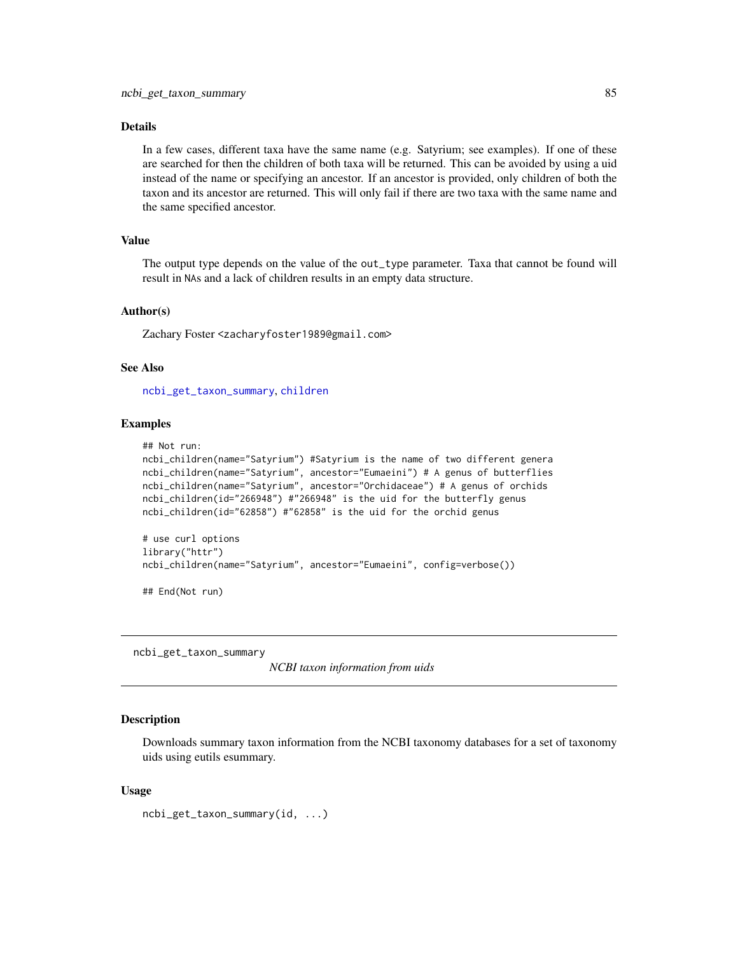### Details

In a few cases, different taxa have the same name (e.g. Satyrium; see examples). If one of these are searched for then the children of both taxa will be returned. This can be avoided by using a uid instead of the name or specifying an ancestor. If an ancestor is provided, only children of both the taxon and its ancestor are returned. This will only fail if there are two taxa with the same name and the same specified ancestor.

### Value

The output type depends on the value of the out\_type parameter. Taxa that cannot be found will result in NAs and a lack of children results in an empty data structure.

#### Author(s)

Zachary Foster <zacharyfoster1989@gmail.com>

## See Also

[ncbi\\_get\\_taxon\\_summary](#page-84-0), [children](#page-8-0)

### Examples

```
## Not run:
ncbi_children(name="Satyrium") #Satyrium is the name of two different genera
ncbi_children(name="Satyrium", ancestor="Eumaeini") # A genus of butterflies
ncbi_children(name="Satyrium", ancestor="Orchidaceae") # A genus of orchids
ncbi_children(id="266948") #"266948" is the uid for the butterfly genus
ncbi_children(id="62858") #"62858" is the uid for the orchid genus
```

```
# use curl options
library("httr")
ncbi_children(name="Satyrium", ancestor="Eumaeini", config=verbose())
```
## End(Not run)

<span id="page-84-0"></span>ncbi\_get\_taxon\_summary

*NCBI taxon information from uids*

#### **Description**

Downloads summary taxon information from the NCBI taxonomy databases for a set of taxonomy uids using eutils esummary.

#### Usage

```
ncbi_get_taxon_summary(id, ...)
```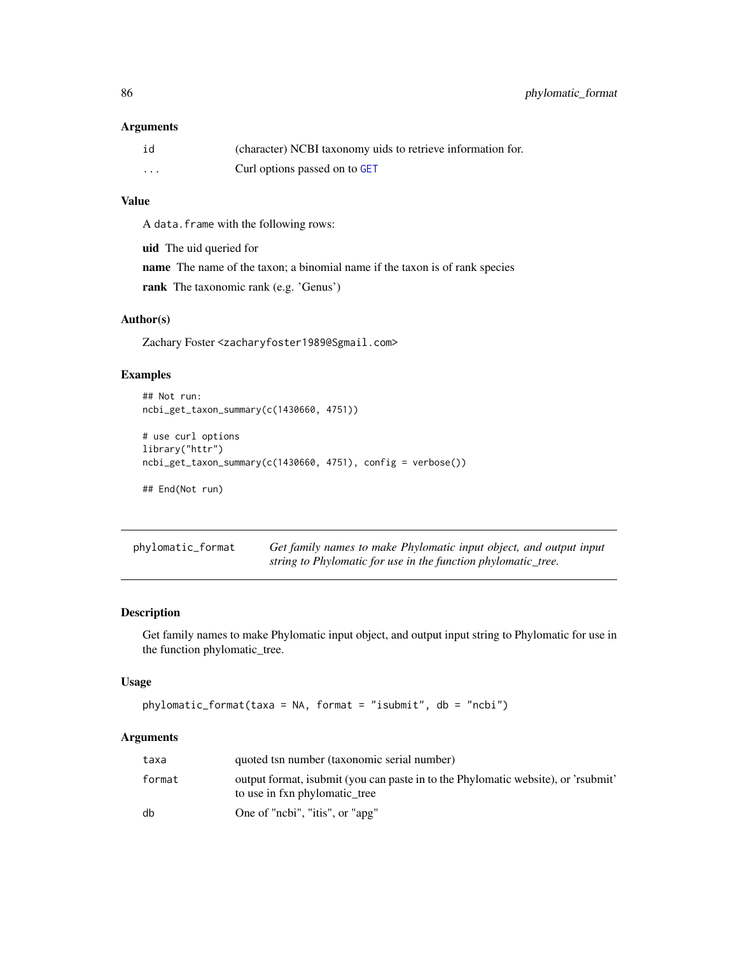#### Arguments

| id | (character) NCBI taxonomy uids to retrieve information for. |
|----|-------------------------------------------------------------|
| .  | Curl options passed on to GET                               |

## Value

A data.frame with the following rows:

uid The uid queried for

name The name of the taxon; a binomial name if the taxon is of rank species

rank The taxonomic rank (e.g. 'Genus')

# Author(s)

Zachary Foster <zacharyfoster1989@Sgmail.com>

### Examples

```
## Not run:
ncbi_get_taxon_summary(c(1430660, 4751))
# use curl options
library("httr")
ncbi_get_taxon_summary(c(1430660, 4751), config = verbose())
## End(Not run)
```
<span id="page-85-0"></span>phylomatic\_format *Get family names to make Phylomatic input object, and output input string to Phylomatic for use in the function phylomatic\_tree.*

## Description

Get family names to make Phylomatic input object, and output input string to Phylomatic for use in the function phylomatic\_tree.

## Usage

```
phylomatic_format(taxa = NA, format = "isubmit", db = "ncbi")
```

| taxa   | quoted tsn number (taxonomic serial number)                                                                         |
|--------|---------------------------------------------------------------------------------------------------------------------|
| format | output format, is ubmit (you can paste in to the Phylomatic website), or 'rsubmit'<br>to use in fxn phylomatic tree |
| db     | One of "nobi", "itis", or "apg"                                                                                     |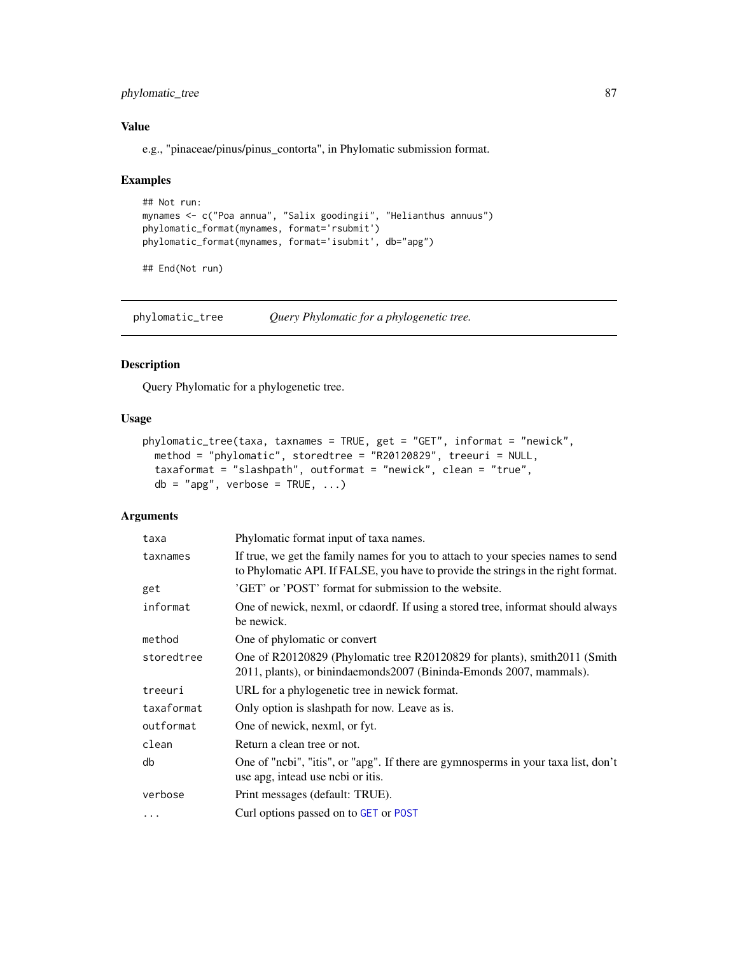## phylomatic\_tree 87

## Value

e.g., "pinaceae/pinus/pinus\_contorta", in Phylomatic submission format.

#### Examples

```
## Not run:
mynames <- c("Poa annua", "Salix goodingii", "Helianthus annuus")
phylomatic_format(mynames, format='rsubmit')
phylomatic_format(mynames, format='isubmit', db="apg")
```
## End(Not run)

<span id="page-86-0"></span>phylomatic\_tree *Query Phylomatic for a phylogenetic tree.*

# Description

Query Phylomatic for a phylogenetic tree.

# Usage

```
phylomatic_tree(taxa, taxnames = TRUE, get = "GET", informat = "newick",
 method = "phylomatic", storedtree = "R20120829", treeuri = NULL,
 taxaformat = "slashpath", outformat = "newick", clean = "true",
 db = "agg", verbose = TRUE, ...)
```

| taxa       | Phylomatic format input of taxa names.                                                                                                                                |
|------------|-----------------------------------------------------------------------------------------------------------------------------------------------------------------------|
| taxnames   | If true, we get the family names for you to attach to your species names to send<br>to Phylomatic API. If FALSE, you have to provide the strings in the right format. |
| get        | 'GET' or 'POST' format for submission to the website.                                                                                                                 |
| informat   | One of newick, nexml, or cdaordf. If using a stored tree, informat should always<br>be newick.                                                                        |
| method     | One of phylomatic or convert                                                                                                                                          |
| storedtree | One of R20120829 (Phylomatic tree R20120829 for plants), smith 2011 (Smith<br>2011, plants), or binindaemonds 2007 (Bininda-Emonds 2007, mammals).                    |
| treeuri    | URL for a phylogenetic tree in newick format.                                                                                                                         |
| taxaformat | Only option is slashpath for now. Leave as is.                                                                                                                        |
| outformat  | One of newick, nexml, or fyt.                                                                                                                                         |
| clean      | Return a clean tree or not.                                                                                                                                           |
| db         | One of "ncbi", "itis", or "apg". If there are gymnosperms in your taxa list, don't<br>use apg, intead use ncbi or itis.                                               |
| verbose    | Print messages (default: TRUE).                                                                                                                                       |
| .          | Curl options passed on to GET or POST                                                                                                                                 |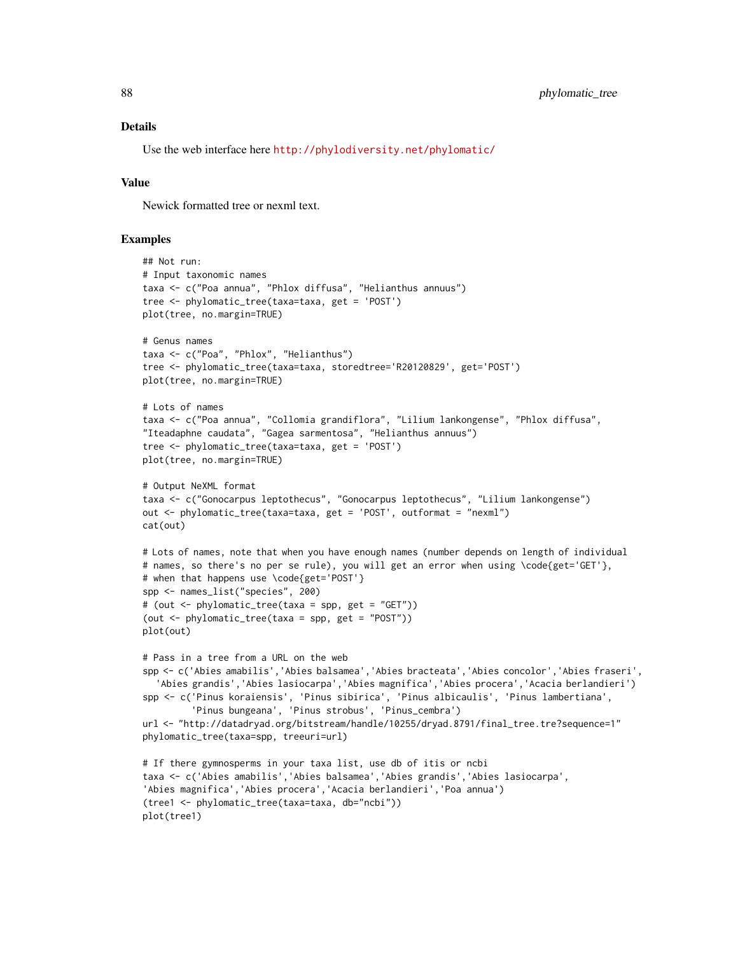#### Details

Use the web interface here <http://phylodiversity.net/phylomatic/>

## Value

Newick formatted tree or nexml text.

### Examples

```
## Not run:
# Input taxonomic names
taxa <- c("Poa annua", "Phlox diffusa", "Helianthus annuus")
tree <- phylomatic_tree(taxa=taxa, get = 'POST')
plot(tree, no.margin=TRUE)
# Genus names
taxa <- c("Poa", "Phlox", "Helianthus")
tree <- phylomatic_tree(taxa=taxa, storedtree='R20120829', get='POST')
plot(tree, no.margin=TRUE)
# Lots of names
taxa <- c("Poa annua", "Collomia grandiflora", "Lilium lankongense", "Phlox diffusa",
"Iteadaphne caudata", "Gagea sarmentosa", "Helianthus annuus")
tree <- phylomatic_tree(taxa=taxa, get = 'POST')
plot(tree, no.margin=TRUE)
# Output NeXML format
taxa <- c("Gonocarpus leptothecus", "Gonocarpus leptothecus", "Lilium lankongense")
out <- phylomatic_tree(taxa=taxa, get = 'POST', outformat = "nexml")
cat(out)
# Lots of names, note that when you have enough names (number depends on length of individual
# names, so there's no per se rule), you will get an error when using \code{get='GET'},
# when that happens use \code{get='POST'}
spp <- names_list("species", 200)
# (out <- phylomatic_tree(taxa = spp, get = "GET"))
(out <- phylomatic_tree(taxa = spp, get = "POST"))
plot(out)
# Pass in a tree from a URL on the web
spp <- c('Abies amabilis','Abies balsamea','Abies bracteata','Abies concolor','Abies fraseri',
  'Abies grandis','Abies lasiocarpa','Abies magnifica','Abies procera','Acacia berlandieri')
spp <- c('Pinus koraiensis', 'Pinus sibirica', 'Pinus albicaulis', 'Pinus lambertiana',
         'Pinus bungeana', 'Pinus strobus', 'Pinus_cembra')
url <- "http://datadryad.org/bitstream/handle/10255/dryad.8791/final_tree.tre?sequence=1"
phylomatic_tree(taxa=spp, treeuri=url)
# If there gymnosperms in your taxa list, use db of itis or ncbi
taxa <- c('Abies amabilis','Abies balsamea','Abies grandis','Abies lasiocarpa',
'Abies magnifica','Abies procera','Acacia berlandieri','Poa annua')
(tree1 <- phylomatic_tree(taxa=taxa, db="ncbi"))
plot(tree1)
```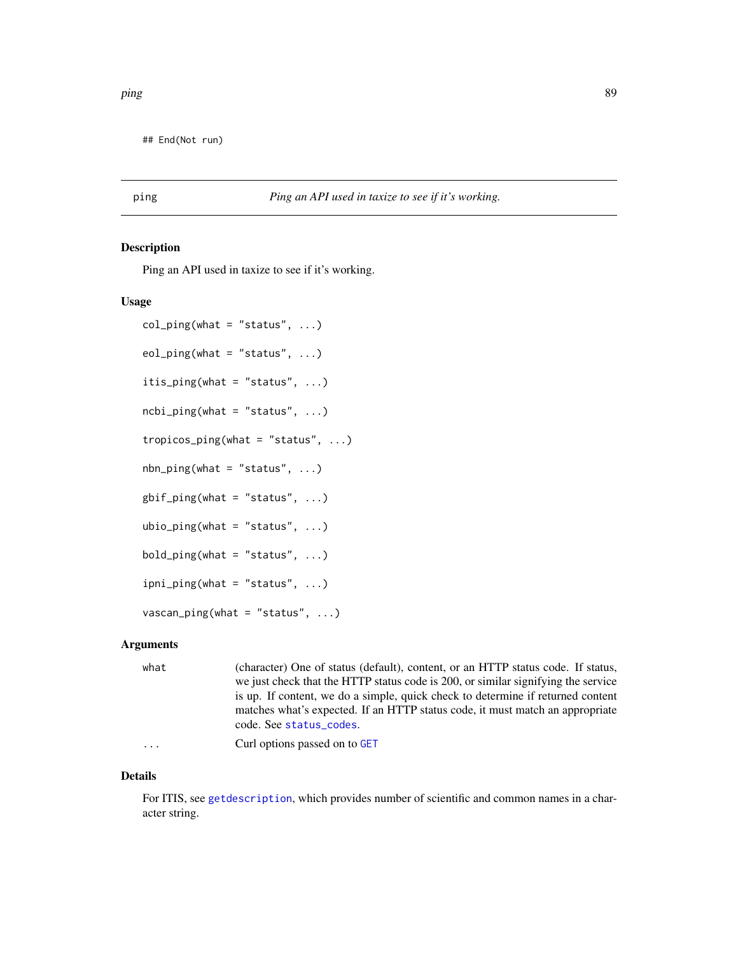## End(Not run)

# <span id="page-88-0"></span>ping *Ping an API used in taxize to see if it's working.*

### Description

Ping an API used in taxize to see if it's working.

#### Usage

```
col\_ping(what = "status", ...)eol\_ping(what = "status", ...)itis_ping(what = "status", ...)
ncbi\_ping(what = "status", ...)tropicos_ping(what = "status", ...)
nbn\_ping(what = "status", ...)g\text{bif\_ping}(\text{what} = "status", ...)ubio_ping(what = "status", \ldots)
bold\_ping(\text{what} = "status", ...)ipni\_ping(what = "status", ...)vascan\_ping(what = "status", ...)
```
### Arguments

| what | (character) One of status (default), content, or an HTTP status code. If status,  |
|------|-----------------------------------------------------------------------------------|
|      | we just check that the HTTP status code is 200, or similar signifying the service |
|      | is up. If content, we do a simple, quick check to determine if returned content   |
|      | matches what's expected. If an HTTP status code, it must match an appropriate     |
|      | code. See status_codes.                                                           |
| .    | Curl options passed on to GET                                                     |

## Details

For ITIS, see [getdescription](#page-0-0), which provides number of scientific and common names in a character string.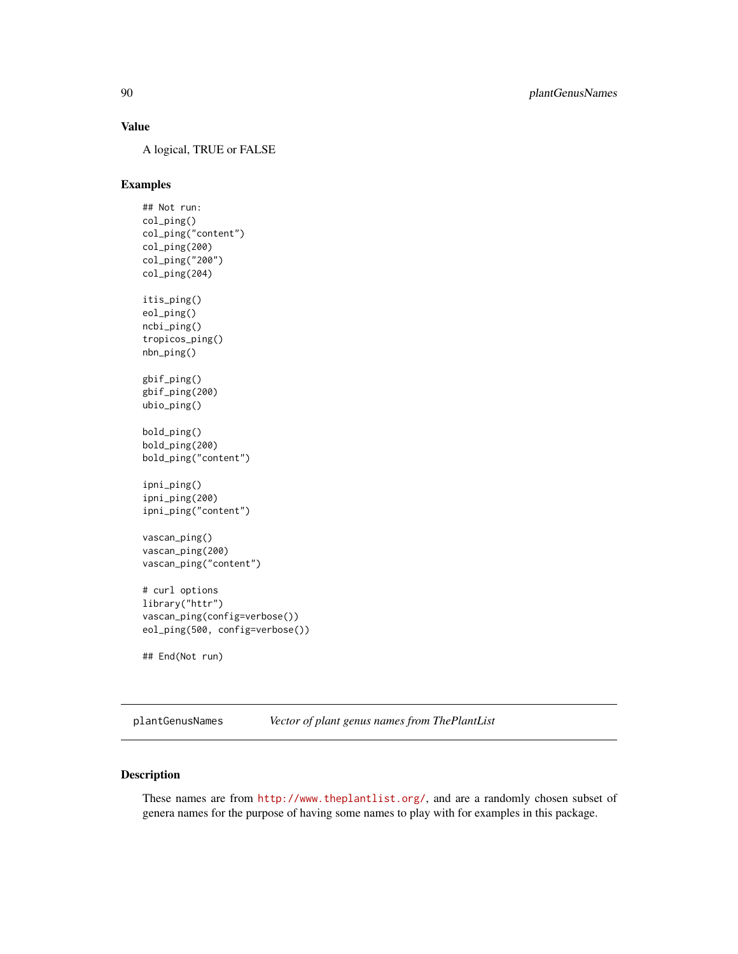## Value

A logical, TRUE or FALSE

## Examples

## Not run: col\_ping() col\_ping("content") col\_ping(200) col\_ping("200") col\_ping(204) itis\_ping() eol\_ping() ncbi\_ping() tropicos\_ping() nbn\_ping() gbif\_ping() gbif\_ping(200) ubio\_ping() bold\_ping() bold\_ping(200) bold\_ping("content") ipni\_ping() ipni\_ping(200) ipni\_ping("content") vascan\_ping() vascan\_ping(200) vascan\_ping("content") # curl options library("httr") vascan\_ping(config=verbose()) eol\_ping(500, config=verbose())

## End(Not run)

plantGenusNames *Vector of plant genus names from ThePlantList*

# Description

These names are from <http://www.theplantlist.org/>, and are a randomly chosen subset of genera names for the purpose of having some names to play with for examples in this package.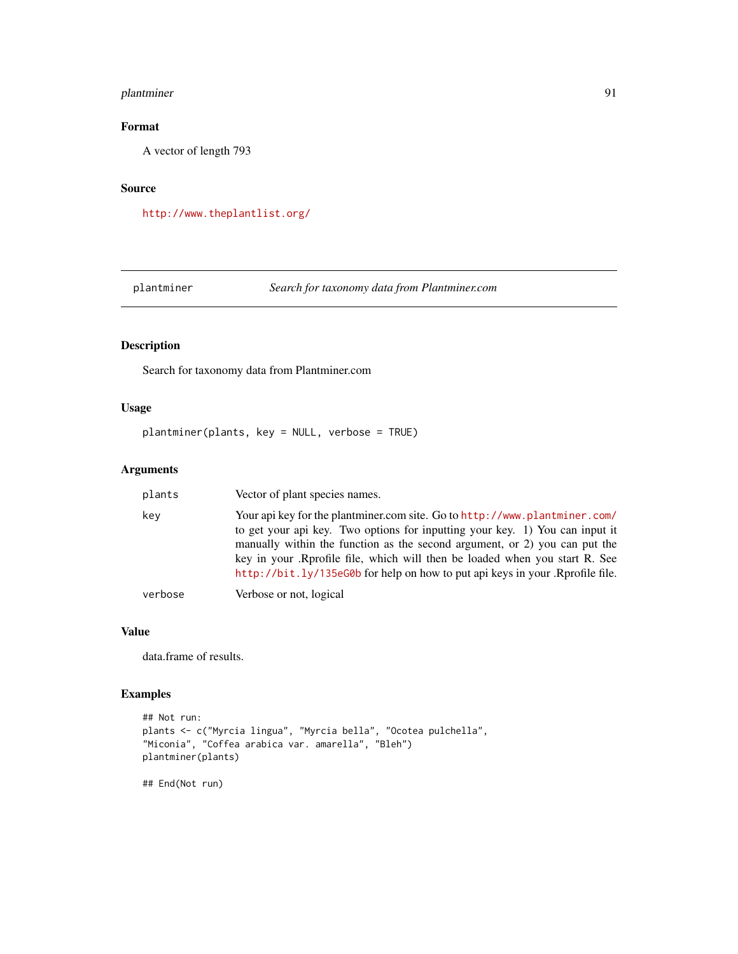## plantminer 91

# Format

A vector of length 793

### Source

<http://www.theplantlist.org/>

plantminer *Search for taxonomy data from Plantminer.com*

# Description

Search for taxonomy data from Plantminer.com

## Usage

plantminer(plants, key = NULL, verbose = TRUE)

## Arguments

| plants  | Vector of plant species names.                                                                                                                                                                                                                                                                                                                                                                           |
|---------|----------------------------------------------------------------------------------------------------------------------------------------------------------------------------------------------------------------------------------------------------------------------------------------------------------------------------------------------------------------------------------------------------------|
| kev     | Your api key for the plantminer.com site. Go to http://www.plantminer.com/<br>to get your api key. Two options for inputting your key. 1) You can input it<br>manually within the function as the second argument, or 2) you can put the<br>key in your .Rprofile file, which will then be loaded when you start R. See<br>http://bit.ly/135eG0b for help on how to put api keys in your .Rprofile file. |
| verbose | Verbose or not, logical                                                                                                                                                                                                                                                                                                                                                                                  |

#### Value

data.frame of results.

## Examples

```
## Not run:
plants <- c("Myrcia lingua", "Myrcia bella", "Ocotea pulchella",
"Miconia", "Coffea arabica var. amarella", "Bleh")
plantminer(plants)
```
## End(Not run)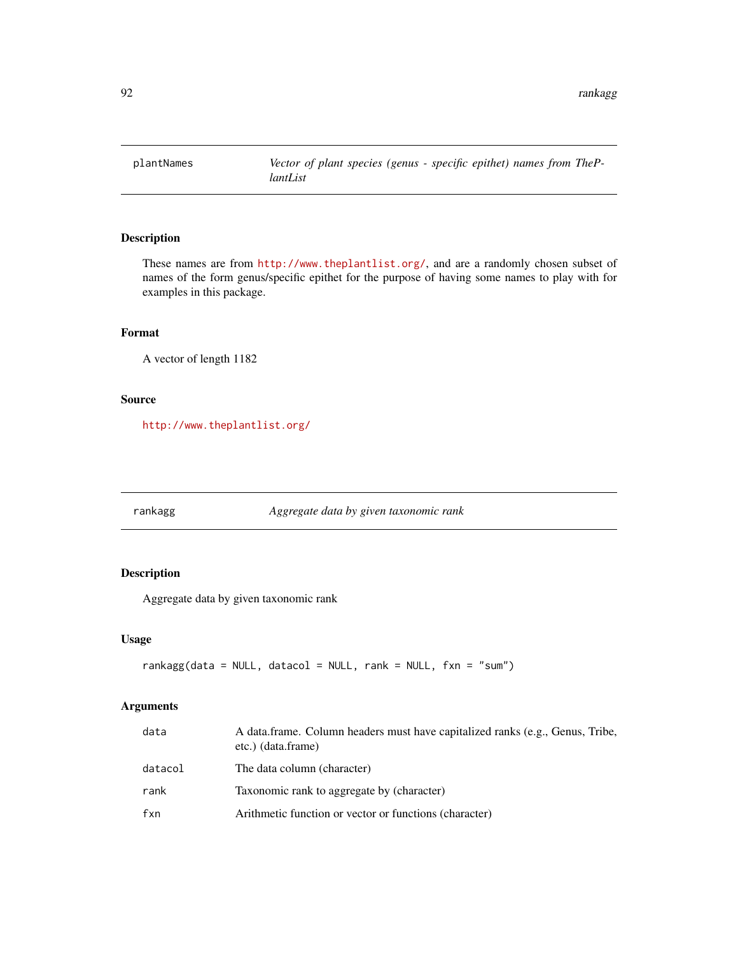## Description

These names are from <http://www.theplantlist.org/>, and are a randomly chosen subset of names of the form genus/specific epithet for the purpose of having some names to play with for examples in this package.

## Format

A vector of length 1182

#### Source

<http://www.theplantlist.org/>

rankagg *Aggregate data by given taxonomic rank*

## Description

Aggregate data by given taxonomic rank

### Usage

```
rankagg(data = NULL, datacol = NULL, rank = NULL, fxn = "sum")
```

| data    | A data.frame. Column headers must have capitalized ranks (e.g., Genus, Tribe,<br>etc.) (data.frame) |
|---------|-----------------------------------------------------------------------------------------------------|
| datacol | The data column (character)                                                                         |
| rank    | Taxonomic rank to aggregate by (character)                                                          |
| fxn     | Arithmetic function or vector or functions (character)                                              |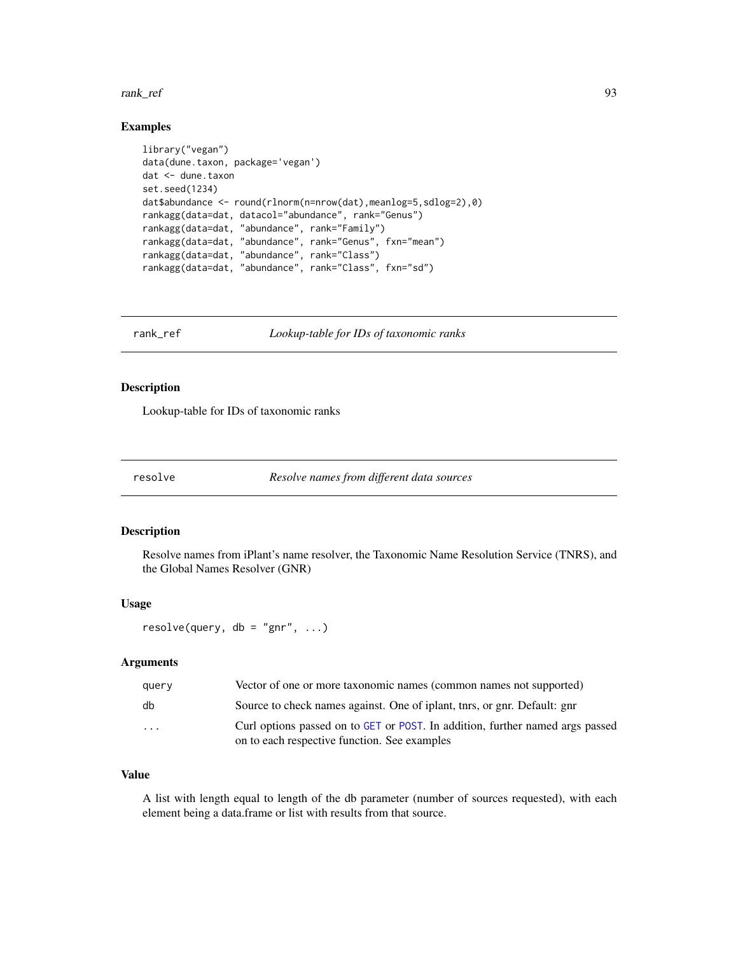#### rank\_ref 93

### Examples

```
library("vegan")
data(dune.taxon, package='vegan')
dat <- dune.taxon
set.seed(1234)
dat$abundance <- round(rlnorm(n=nrow(dat),meanlog=5,sdlog=2),0)
rankagg(data=dat, datacol="abundance", rank="Genus")
rankagg(data=dat, "abundance", rank="Family")
rankagg(data=dat, "abundance", rank="Genus", fxn="mean")
rankagg(data=dat, "abundance", rank="Class")
rankagg(data=dat, "abundance", rank="Class", fxn="sd")
```
<span id="page-92-0"></span>rank\_ref *Lookup-table for IDs of taxonomic ranks*

### Description

Lookup-table for IDs of taxonomic ranks

resolve *Resolve names from different data sources*

### Description

Resolve names from iPlant's name resolver, the Taxonomic Name Resolution Service (TNRS), and the Global Names Resolver (GNR)

#### Usage

 $resolve(query, db = "gnr", ...)$ 

### Arguments

| query    | Vector of one or more taxonomic names (common names not supported)                                                            |
|----------|-------------------------------------------------------------------------------------------------------------------------------|
| db       | Source to check names against. One of iplant, the stars, or gnr. Default: gnr                                                 |
| $\cdots$ | Curl options passed on to GET or POST. In addition, further named args passed<br>on to each respective function. See examples |

# Value

A list with length equal to length of the db parameter (number of sources requested), with each element being a data.frame or list with results from that source.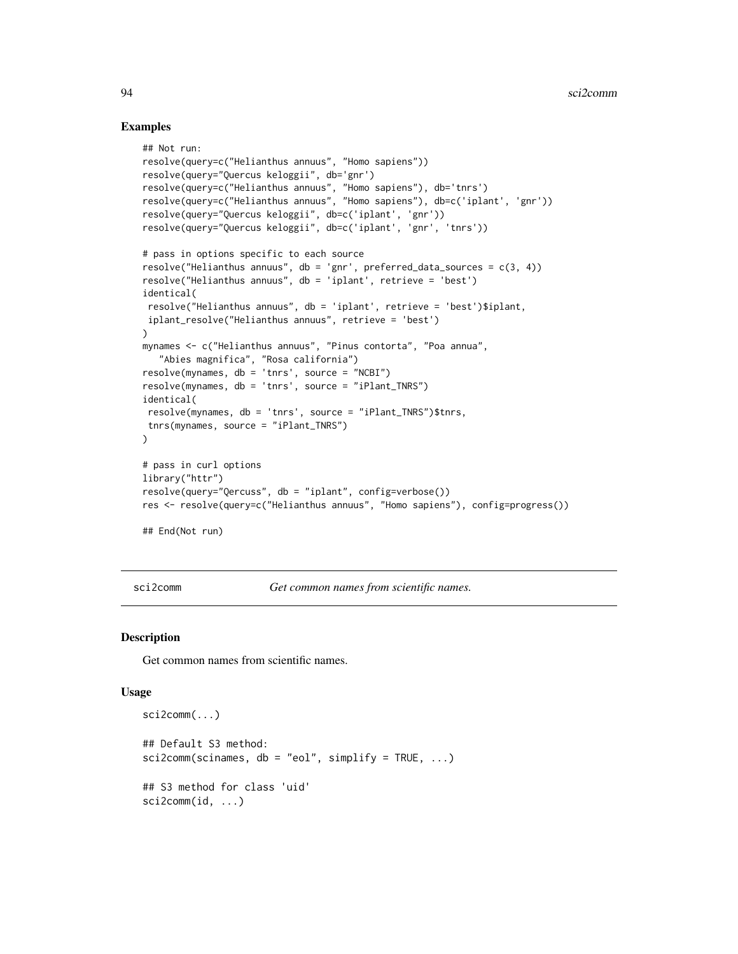### Examples

```
## Not run:
resolve(query=c("Helianthus annuus", "Homo sapiens"))
resolve(query="Quercus keloggii", db='gnr')
resolve(query=c("Helianthus annuus", "Homo sapiens"), db='tnrs')
resolve(query=c("Helianthus annuus", "Homo sapiens"), db=c('iplant', 'gnr'))
resolve(query="Quercus keloggii", db=c('iplant', 'gnr'))
resolve(query="Quercus keloggii", db=c('iplant', 'gnr', 'tnrs'))
# pass in options specific to each source
resolve("Helianthus annuus", db = 'gnr', preferred_data_sources = c(3, 4))
resolve("Helianthus annuus", db = 'iplant', retrieve = 'best')
identical(
resolve("Helianthus annuus", db = 'iplant', retrieve = 'best')$iplant,
iplant_resolve("Helianthus annuus", retrieve = 'best')
\mathcal{L}mynames <- c("Helianthus annuus", "Pinus contorta", "Poa annua",
   "Abies magnifica", "Rosa california")
resolve(mynames, db = 'tnrs', source = "NCBI")
resolve(mynames, db = 'tnrs', source = "iPlant_TNRS")
identical(
resolve(mynames, db = 'tnrs', source = "iPlant_TNRS")$tnrs,
 tnrs(mynames, source = "iPlant_TNRS")
)
# pass in curl options
library("httr")
resolve(query="Qercuss", db = "iplant", config=verbose())
res <- resolve(query=c("Helianthus annuus", "Homo sapiens"), config=progress())
## End(Not run)
```
sci2comm *Get common names from scientific names.*

#### Description

Get common names from scientific names.

#### Usage

```
sci2comm(...)
## Default S3 method:
sci2comm(scinames, db = "eol", simplify = TRUE, ...)## S3 method for class 'uid'
sci2comm(id, ...)
```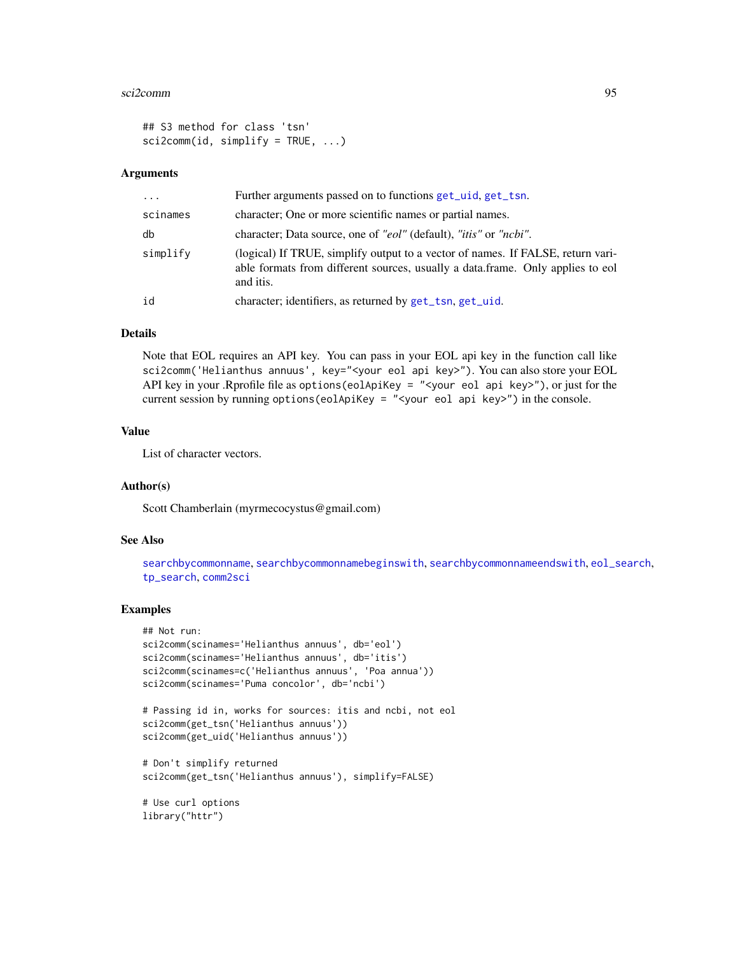#### sci2comm 95

```
## S3 method for class 'tsn'
scis2comm(id, simplify = TRUE, ...)
```
#### Arguments

| $\cdot$  | Further arguments passed on to functions get_uid, get_tsn.                                                                                                                     |
|----------|--------------------------------------------------------------------------------------------------------------------------------------------------------------------------------|
| scinames | character; One or more scientific names or partial names.                                                                                                                      |
| db       | character; Data source, one of "eol" (default), " <i>itis</i> " or " <i>ncbi</i> ".                                                                                            |
| simplify | (logical) If TRUE, simplify output to a vector of names. If FALSE, return vari-<br>able formats from different sources, usually a data.frame. Only applies to eol<br>and itis. |
| id       | character; identifiers, as returned by get_tsn, get_uid.                                                                                                                       |

### Details

Note that EOL requires an API key. You can pass in your EOL api key in the function call like sci2comm('Helianthus annuus', key="<your eol api key>"). You can also store your EOL API key in your .Rprofile file as options(eolApiKey = "<your eol api key>"), or just for the current session by running options(eolApiKey = "<your eol api key>") in the console.

### Value

List of character vectors.

#### Author(s)

Scott Chamberlain (myrmecocystus@gmail.com)

#### See Also

[searchbycommonname](#page-0-0), [searchbycommonnamebeginswith](#page-0-0), [searchbycommonnameendswith](#page-0-0), [eol\\_search](#page-26-0), [tp\\_search](#page-112-0), [comm2sci](#page-20-0)

#### Examples

```
## Not run:
sci2comm(scinames='Helianthus annuus', db='eol')
sci2comm(scinames='Helianthus annuus', db='itis')
sci2comm(scinames=c('Helianthus annuus', 'Poa annua'))
sci2comm(scinames='Puma concolor', db='ncbi')
```

```
# Passing id in, works for sources: itis and ncbi, not eol
sci2comm(get_tsn('Helianthus annuus'))
sci2comm(get_uid('Helianthus annuus'))
```

```
# Don't simplify returned
sci2comm(get_tsn('Helianthus annuus'), simplify=FALSE)
```
# Use curl options library("httr")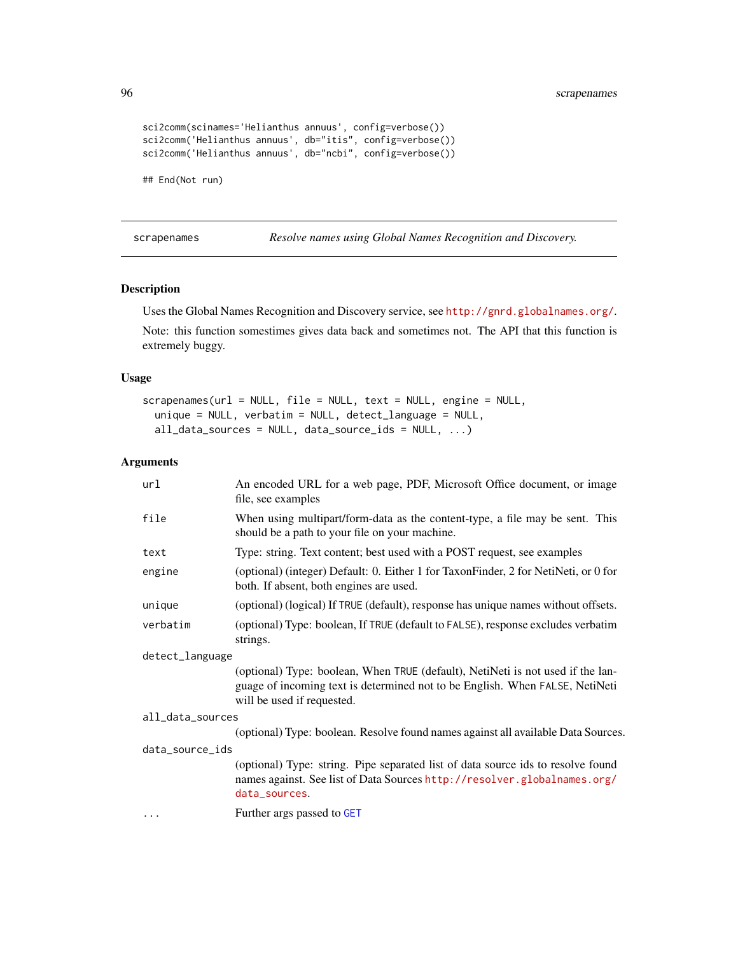96 scrapenames

```
sci2comm(scinames='Helianthus annuus', config=verbose())
sci2comm('Helianthus annuus', db="itis", config=verbose())
sci2comm('Helianthus annuus', db="ncbi", config=verbose())
## End(Not run)
```
scrapenames *Resolve names using Global Names Recognition and Discovery.*

### Description

Uses the Global Names Recognition and Discovery service, see <http://gnrd.globalnames.org/>.

Note: this function somestimes gives data back and sometimes not. The API that this function is extremely buggy.

#### Usage

```
scrapenames(url = NULL, file = NULL, text = NULL, engine = NULL,
  unique = NULL, verbatim = NULL, detect_language = NULL,
  all_data_sources = NULL, data_source_ids = NULL, ...)
```

| url              | An encoded URL for a web page, PDF, Microsoft Office document, or image<br>file, see examples                                                                                                 |  |
|------------------|-----------------------------------------------------------------------------------------------------------------------------------------------------------------------------------------------|--|
| file             | When using multipart/form-data as the content-type, a file may be sent. This<br>should be a path to your file on your machine.                                                                |  |
| text             | Type: string. Text content; best used with a POST request, see examples                                                                                                                       |  |
| engine           | (optional) (integer) Default: 0. Either 1 for TaxonFinder, 2 for NetiNeti, or 0 for<br>both. If absent, both engines are used.                                                                |  |
| unique           | (optional) (logical) If TRUE (default), response has unique names without offsets.                                                                                                            |  |
| verbatim         | (optional) Type: boolean, If TRUE (default to FALSE), response excludes verbatim<br>strings.                                                                                                  |  |
| detect_language  |                                                                                                                                                                                               |  |
|                  | (optional) Type: boolean, When TRUE (default), NetiNeti is not used if the lan-<br>guage of incoming text is determined not to be English. When FALSE, NetiNeti<br>will be used if requested. |  |
| all_data_sources |                                                                                                                                                                                               |  |
|                  | (optional) Type: boolean. Resolve found names against all available Data Sources.                                                                                                             |  |
| data_source_ids  |                                                                                                                                                                                               |  |
|                  | (optional) Type: string. Pipe separated list of data source ids to resolve found<br>names against. See list of Data Sources http://resolver.globalnames.org/<br>data_sources.                 |  |
| $\cdots$         | Further args passed to GET                                                                                                                                                                    |  |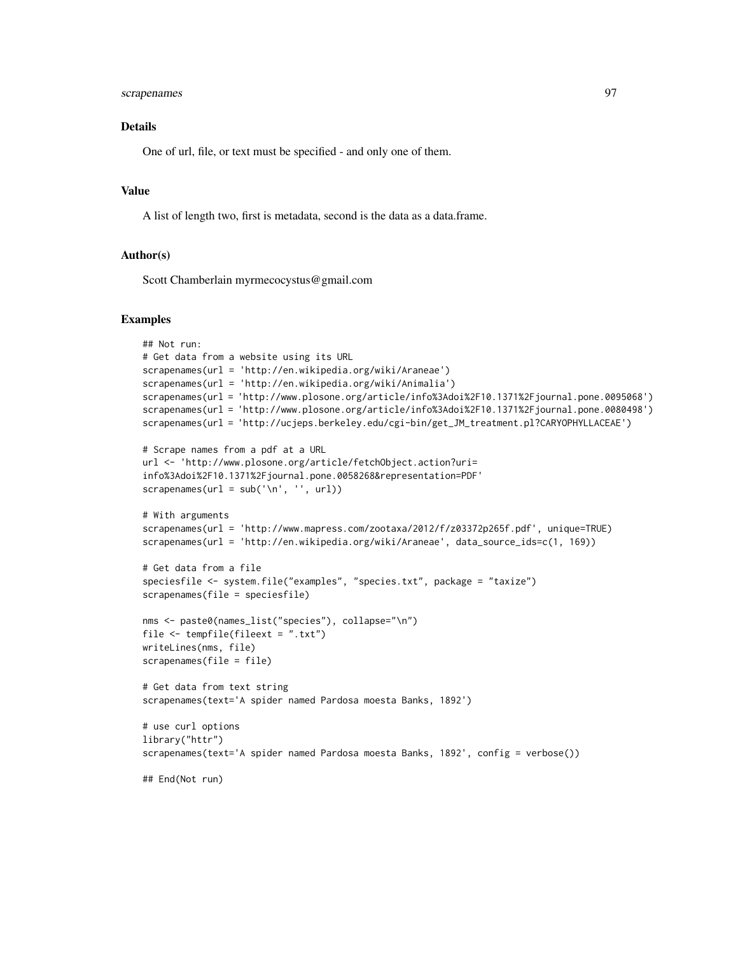## scrapenames 97

## Details

One of url, file, or text must be specified - and only one of them.

### Value

A list of length two, first is metadata, second is the data as a data.frame.

#### Author(s)

Scott Chamberlain myrmecocystus@gmail.com

#### Examples

```
## Not run:
# Get data from a website using its URL
scrapenames(url = 'http://en.wikipedia.org/wiki/Araneae')
scrapenames(url = 'http://en.wikipedia.org/wiki/Animalia')
scrapenames(url = 'http://www.plosone.org/article/info%3Adoi%2F10.1371%2Fjournal.pone.0095068')
scrapenames(url = 'http://www.plosone.org/article/info%3Adoi%2F10.1371%2Fjournal.pone.0080498')
scrapenames(url = 'http://ucjeps.berkeley.edu/cgi-bin/get_JM_treatment.pl?CARYOPHYLLACEAE')
# Scrape names from a pdf at a URL
url <- 'http://www.plosone.org/article/fetchObject.action?uri=
info%3Adoi%2F10.1371%2Fjournal.pone.0058268&representation=PDF'
scrapenames(url = sub('\\n', '', url))# With arguments
scrapenames(url = 'http://www.mapress.com/zootaxa/2012/f/z03372p265f.pdf', unique=TRUE)
scrapenames(url = 'http://en.wikipedia.org/wiki/Araneae', data_source_ids=c(1, 169))
# Get data from a file
speciesfile <- system.file("examples", "species.txt", package = "taxize")
scrapenames(file = speciesfile)
nms <- paste0(names_list("species"), collapse="\n")
file <- tempfile(fileext = ".txt")
writeLines(nms, file)
scrapenames(file = file)
# Get data from text string
scrapenames(text='A spider named Pardosa moesta Banks, 1892')
# use curl options
library("httr")
scrapenames(text='A spider named Pardosa moesta Banks, 1892', config = verbose())
## End(Not run)
```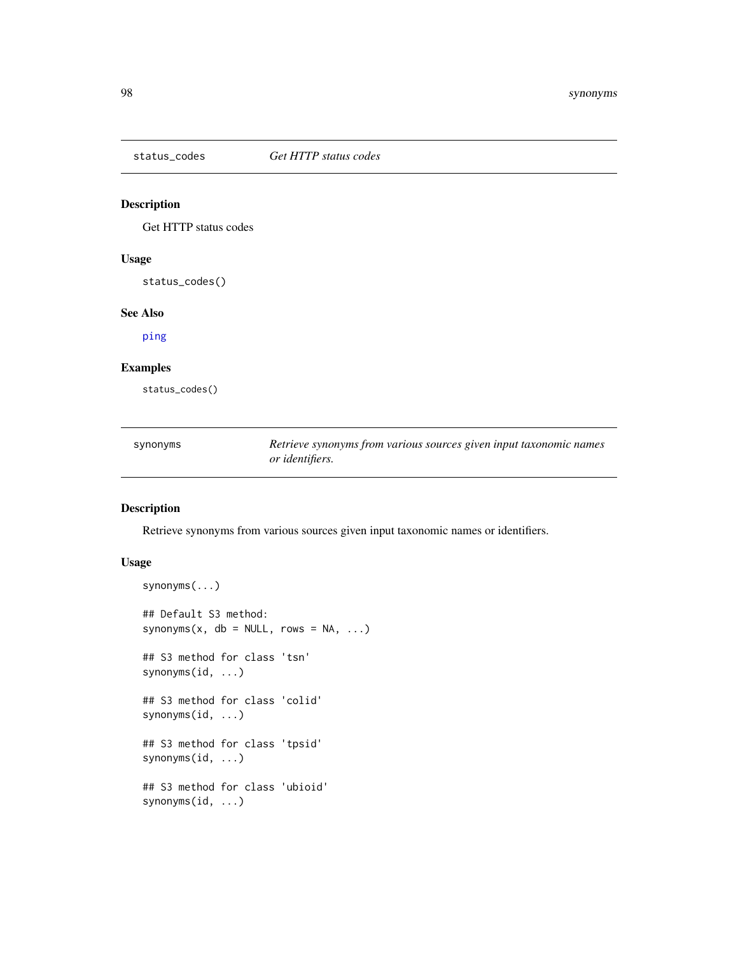<span id="page-97-0"></span>

## Description

Get HTTP status codes

### Usage

status\_codes()

# See Also

[ping](#page-88-0)

## Examples

status\_codes()

| synonyms | Retrieve synonyms from various sources given input taxonomic names |
|----------|--------------------------------------------------------------------|
|          | <i>or identifiers.</i>                                             |

### Description

Retrieve synonyms from various sources given input taxonomic names or identifiers.

## Usage

```
synonyms(...)
## Default S3 method:
synonyms(x, db = NULL, rows = NA, ...)
## S3 method for class 'tsn'
synonyms(id, ...)
## S3 method for class 'colid'
synonyms(id, ...)
## S3 method for class 'tpsid'
synonyms(id, ...)
## S3 method for class 'ubioid'
synonyms(id, ...)
```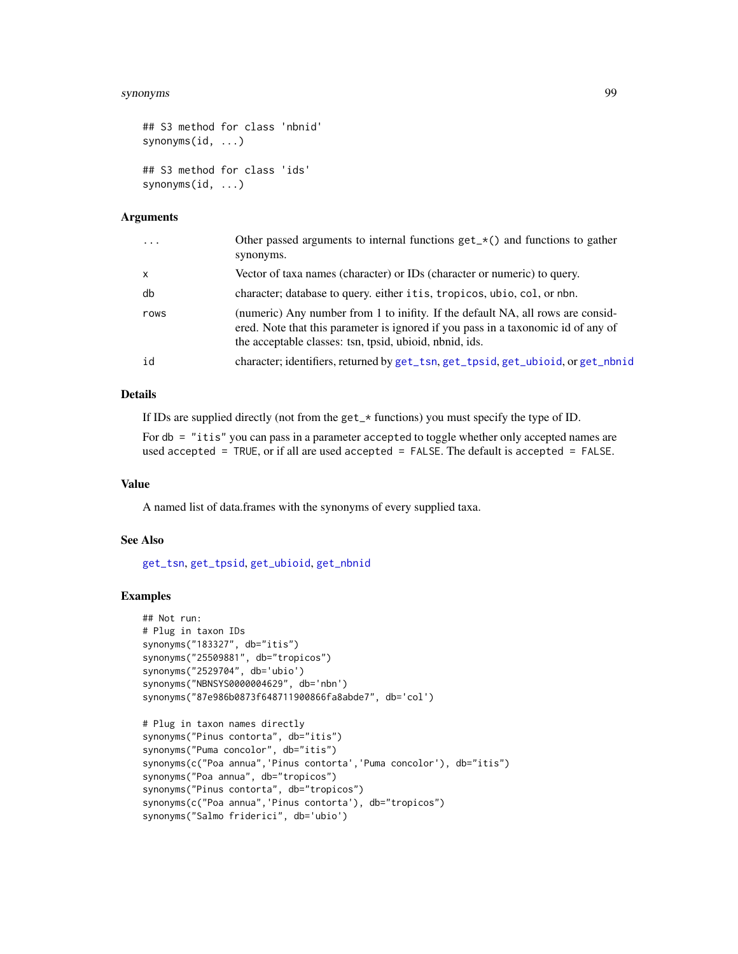#### synonyms 99

```
## S3 method for class 'nbnid'
synonyms(id, ...)
## S3 method for class 'ids'
synonyms(id, ...)
```
## Arguments

| $\cdots$     | Other passed arguments to internal functions $get_{\mathcal{A}}()$ and functions to gather<br>synonyms.                                                                                                                         |
|--------------|---------------------------------------------------------------------------------------------------------------------------------------------------------------------------------------------------------------------------------|
| $\mathsf{x}$ | Vector of taxa names (character) or IDs (character or numeric) to query.                                                                                                                                                        |
| db           | character; database to query. either it is, tropicos, ubio, col, or nbn.                                                                                                                                                        |
| rows         | (numeric) Any number from 1 to inifity. If the default NA, all rows are consid-<br>ered. Note that this parameter is ignored if you pass in a taxonomic id of any of<br>the acceptable classes: tsn, tpsid, ubioid, nbnid, ids. |
| id           | character; identifiers, returned by get_tsn, get_tpsid, get_ubioid, or get_nbnid                                                                                                                                                |
|              |                                                                                                                                                                                                                                 |

### Details

If IDs are supplied directly (not from the get\_\* functions) you must specify the type of ID.

For db = "itis" you can pass in a parameter accepted to toggle whether only accepted names are used accepted = TRUE, or if all are used accepted = FALSE. The default is accepted = FALSE.

### Value

A named list of data.frames with the synonyms of every supplied taxa.

### See Also

[get\\_tsn](#page-48-0), [get\\_tpsid](#page-45-0), [get\\_ubioid](#page-51-0), [get\\_nbnid](#page-43-0)

# Examples

```
## Not run:
# Plug in taxon IDs
synonyms("183327", db="itis")
synonyms("25509881", db="tropicos")
synonyms("2529704", db='ubio')
synonyms("NBNSYS0000004629", db='nbn')
synonyms("87e986b0873f648711900866fa8abde7", db='col')
# Plug in taxon names directly
synonyms("Pinus contorta", db="itis")
synonyms("Puma concolor", db="itis")
synonyms(c("Poa annua", 'Pinus contorta', 'Puma concolor'), db="itis")
synonyms("Poa annua", db="tropicos")
synonyms("Pinus contorta", db="tropicos")
synonyms(c("Poa annua", 'Pinus contorta'), db="tropicos")
synonyms("Salmo friderici", db='ubio')
```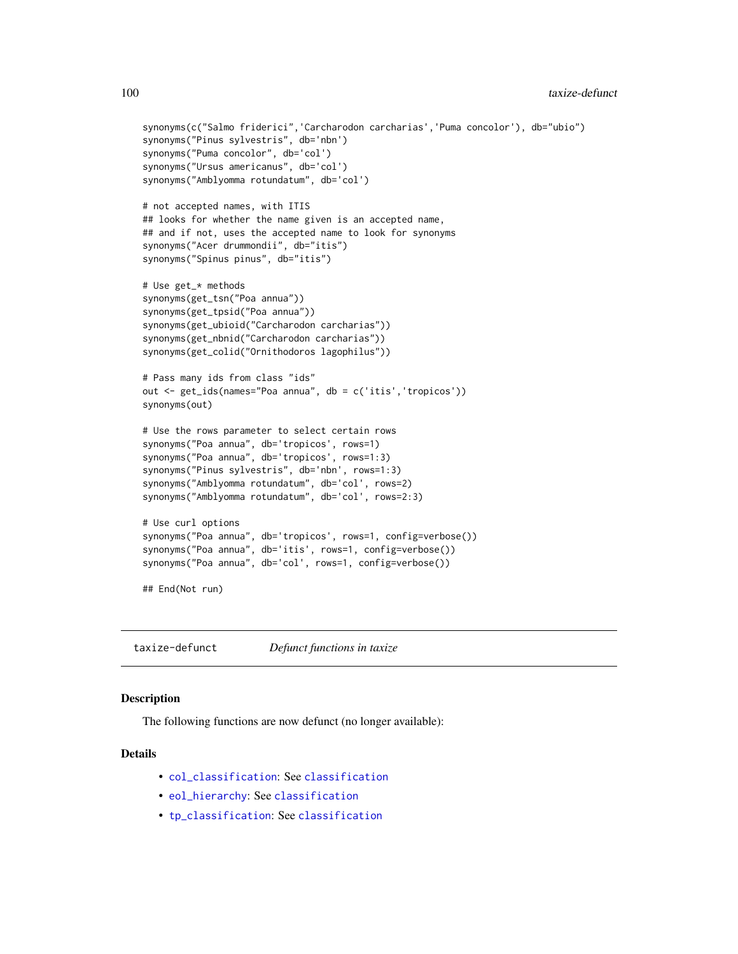100 taxize-defunct

```
synonyms(c("Salmo friderici",'Carcharodon carcharias','Puma concolor'), db="ubio")
synonyms("Pinus sylvestris", db='nbn')
synonyms("Puma concolor", db='col')
synonyms("Ursus americanus", db='col')
synonyms("Amblyomma rotundatum", db='col')
# not accepted names, with ITIS
## looks for whether the name given is an accepted name,
## and if not, uses the accepted name to look for synonyms
synonyms("Acer drummondii", db="itis")
synonyms("Spinus pinus", db="itis")
# Use get_* methods
synonyms(get_tsn("Poa annua"))
synonyms(get_tpsid("Poa annua"))
synonyms(get_ubioid("Carcharodon carcharias"))
synonyms(get_nbnid("Carcharodon carcharias"))
synonyms(get_colid("Ornithodoros lagophilus"))
# Pass many ids from class "ids"
out <- get_ids(names="Poa annua", db = c('itis','tropicos'))
synonyms(out)
# Use the rows parameter to select certain rows
synonyms("Poa annua", db='tropicos', rows=1)
synonyms("Poa annua", db='tropicos', rows=1:3)
synonyms("Pinus sylvestris", db='nbn', rows=1:3)
synonyms("Amblyomma rotundatum", db='col', rows=2)
synonyms("Amblyomma rotundatum", db='col', rows=2:3)
# Use curl options
synonyms("Poa annua", db='tropicos', rows=1, config=verbose())
synonyms("Poa annua", db='itis', rows=1, config=verbose())
synonyms("Poa annua", db='col', rows=1, config=verbose())
## End(Not run)
```
taxize-defunct *Defunct functions in taxize*

#### Description

The following functions are now defunct (no longer available):

## Details

- [col\\_classification](#page-0-0): See [classification](#page-12-0)
- [eol\\_hierarchy](#page-0-0): See [classification](#page-12-0)
- [tp\\_classification](#page-0-0): See [classification](#page-12-0)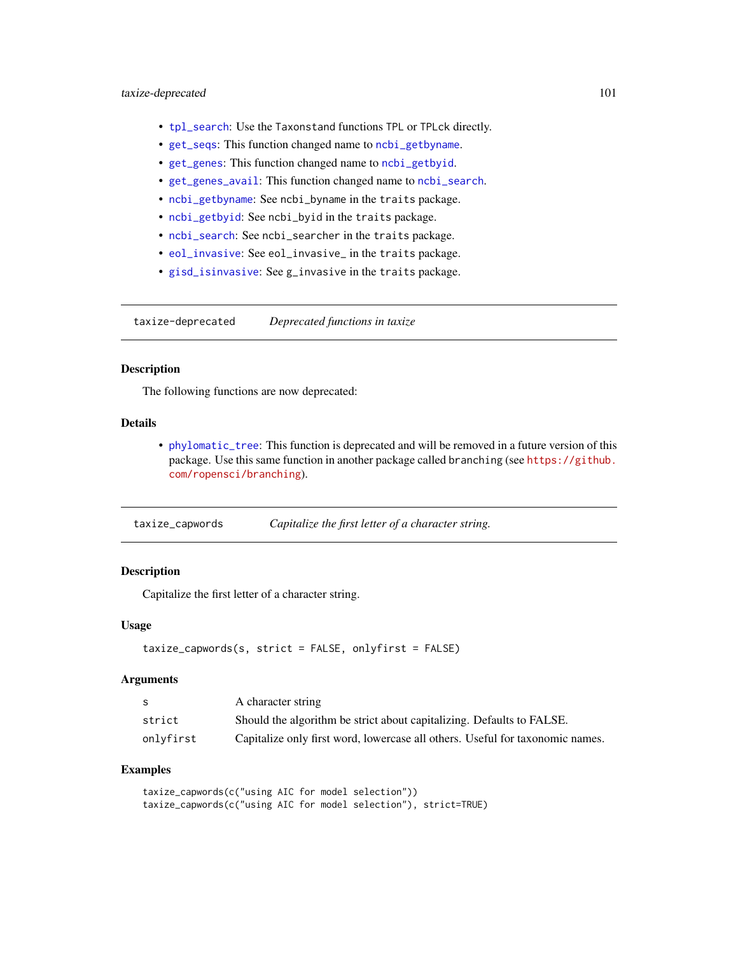- [tpl\\_search](#page-110-0): Use the Taxonstand functions TPL or TPLck directly.
- [get\\_seqs](#page-0-0): This function changed name to [ncbi\\_getbyname](#page-0-0).
- [get\\_genes](#page-0-0): This function changed name to [ncbi\\_getbyid](#page-0-0).
- [get\\_genes\\_avail](#page-0-0): This function changed name to [ncbi\\_search](#page-0-0).
- [ncbi\\_getbyname](#page-0-0): See ncbi\_byname in the traits package.
- [ncbi\\_getbyid](#page-0-0): See ncbi\_byid in the traits package.
- [ncbi\\_search](#page-0-0): See ncbi\_searcher in the traits package.
- [eol\\_invasive](#page-0-0): See eol\_invasive\_ in the traits package.
- [gisd\\_isinvasive](#page-0-0): See g\_invasive in the traits package.

taxize-deprecated *Deprecated functions in taxize*

### Description

The following functions are now deprecated:

## Details

• [phylomatic\\_tree](#page-86-0): This function is deprecated and will be removed in a future version of this package. Use this same function in another package called branching (see [https://github.](https://github.com/ropensci/branching) [com/ropensci/branching](https://github.com/ropensci/branching)).

| taxize_capwords |  | Capitalize the first letter of a character string. |
|-----------------|--|----------------------------------------------------|
|-----------------|--|----------------------------------------------------|

#### **Description**

Capitalize the first letter of a character string.

#### Usage

```
taxize_capwords(s, strict = FALSE, onlyfirst = FALSE)
```
#### Arguments

| -S        | A character string                                                            |
|-----------|-------------------------------------------------------------------------------|
| strict    | Should the algorithm be strict about capitalizing. Defaults to FALSE.         |
| onlyfirst | Capitalize only first word, lowercase all others. Useful for taxonomic names. |

## Examples

taxize\_capwords(c("using AIC for model selection")) taxize\_capwords(c("using AIC for model selection"), strict=TRUE)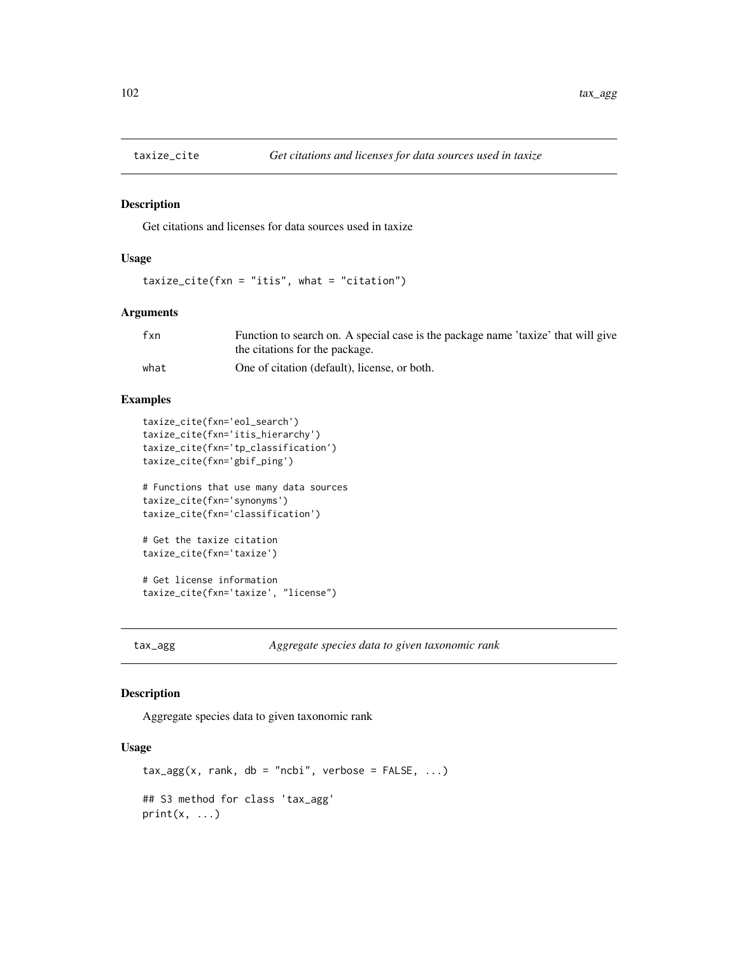#### Description

Get citations and licenses for data sources used in taxize

## Usage

taxize\_cite(fxn = "itis", what = "citation")

## Arguments

| fxn  | Function to search on. A special case is the package name 'taxize' that will give |
|------|-----------------------------------------------------------------------------------|
|      | the citations for the package.                                                    |
| what | One of citation (default), license, or both.                                      |

#### Examples

```
taxize_cite(fxn='eol_search')
taxize_cite(fxn='itis_hierarchy')
taxize_cite(fxn='tp_classification')
taxize_cite(fxn='gbif_ping')
```

```
# Functions that use many data sources
taxize_cite(fxn='synonyms')
taxize_cite(fxn='classification')
```

```
# Get the taxize citation
taxize_cite(fxn='taxize')
```
# Get license information taxize\_cite(fxn='taxize', "license")

tax\_agg *Aggregate species data to given taxonomic rank*

## Description

Aggregate species data to given taxonomic rank

## Usage

```
\text{tax}_\text{agg}(x, \text{rank}, \text{db} = \text{"ncbi", \text{verbose} = FALSE, ...)## S3 method for class 'tax_agg'
print(x, \ldots)
```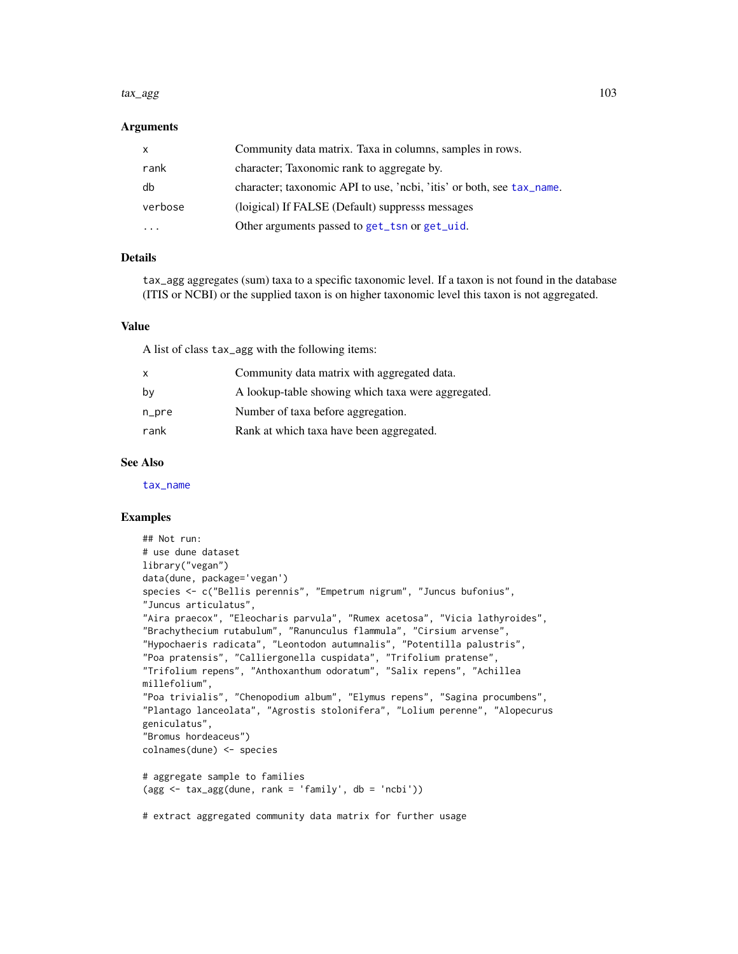#### tax\_agg 103

#### **Arguments**

| $\mathsf{x}$ | Community data matrix. Taxa in columns, samples in rows.              |
|--------------|-----------------------------------------------------------------------|
| rank         | character; Taxonomic rank to aggregate by.                            |
| db           | character; taxonomic API to use, 'ncbi, 'itis' or both, see tax_name. |
| verbose      | (loigical) If FALSE (Default) suppresss messages                      |
|              | Other arguments passed to get_tsn or get_uid.                         |

## Details

tax\_agg aggregates (sum) taxa to a specific taxonomic level. If a taxon is not found in the database (ITIS or NCBI) or the supplied taxon is on higher taxonomic level this taxon is not aggregated.

#### Value

A list of class tax\_agg with the following items:

| $\mathsf{x}$ | Community data matrix with aggregated data.        |
|--------------|----------------------------------------------------|
| by           | A lookup-table showing which taxa were aggregated. |
| n_pre        | Number of taxa before aggregation.                 |
| rank         | Rank at which taxa have been aggregated.           |

#### See Also

[tax\\_name](#page-103-0)

### Examples

```
## Not run:
# use dune dataset
library("vegan")
data(dune, package='vegan')
species <- c("Bellis perennis", "Empetrum nigrum", "Juncus bufonius",
"Juncus articulatus",
"Aira praecox", "Eleocharis parvula", "Rumex acetosa", "Vicia lathyroides",
"Brachythecium rutabulum", "Ranunculus flammula", "Cirsium arvense",
"Hypochaeris radicata", "Leontodon autumnalis", "Potentilla palustris",
"Poa pratensis", "Calliergonella cuspidata", "Trifolium pratense",
"Trifolium repens", "Anthoxanthum odoratum", "Salix repens", "Achillea
millefolium",
"Poa trivialis", "Chenopodium album", "Elymus repens", "Sagina procumbens",
"Plantago lanceolata", "Agrostis stolonifera", "Lolium perenne", "Alopecurus
geniculatus",
"Bromus hordeaceus")
colnames(dune) <- species
# aggregate sample to families
(\text{agg} \leq \text{tax\_agg}(\text{dune}, \text{rank} = 'family', \text{ db} = 'ncbi'))# extract aggregated community data matrix for further usage
```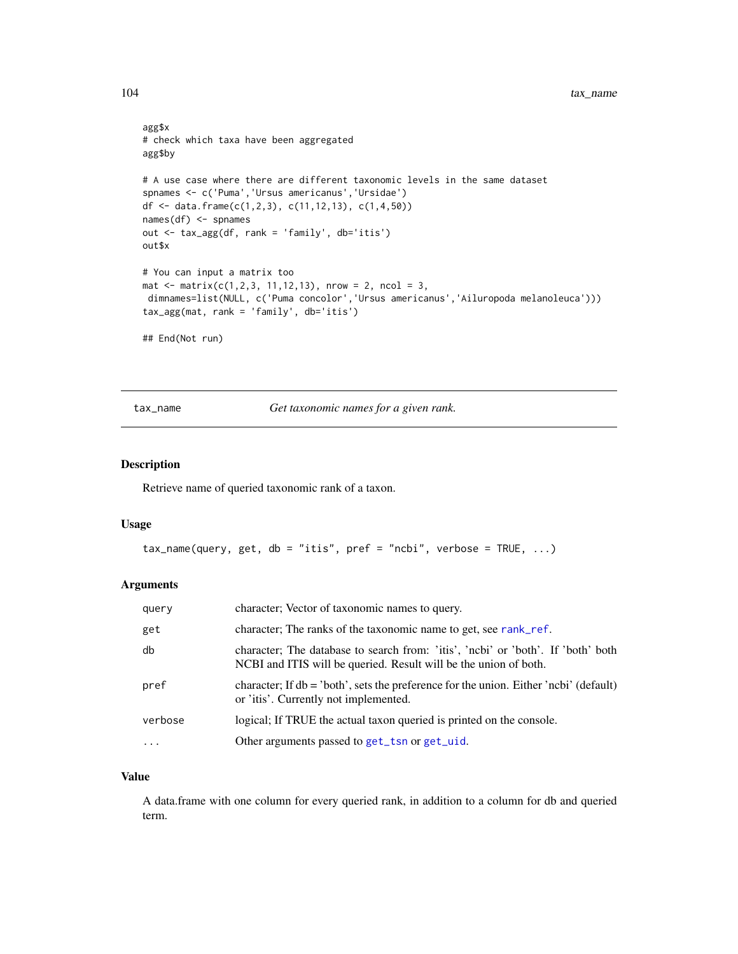```
agg$x
# check which taxa have been aggregated
agg$by
# A use case where there are different taxonomic levels in the same dataset
spnames <- c('Puma','Ursus americanus','Ursidae')
df <- data.frame(c(1,2,3), c(11,12,13), c(1,4,50))
names(df) <- spnames
out <- tax_agg(df, rank = 'family', db='itis')
out$x
# You can input a matrix too
mat \le matrix(c(1,2,3, 11,12,13), nrow = 2, ncol = 3,
dimnames=list(NULL, c('Puma concolor','Ursus americanus','Ailuropoda melanoleuca')))
tax_agg(mat, rank = 'family', db='itis')
## End(Not run)
```
<span id="page-103-0"></span>tax\_name *Get taxonomic names for a given rank.*

### Description

Retrieve name of queried taxonomic rank of a taxon.

#### Usage

```
tax_name(query, get, db = "itis", pref = "ncbi", verbose = TRUE, ...)
```
#### Arguments

| query   | character; Vector of taxonomic names to query.                                                                                                       |
|---------|------------------------------------------------------------------------------------------------------------------------------------------------------|
| get     | character; The ranks of the taxonomic name to get, see rank_ref.                                                                                     |
| db      | character; The database to search from: 'itis', 'ncbi' or 'both'. If 'both' both<br>NCBI and ITIS will be queried. Result will be the union of both. |
| pref    | character; If $db = 'both'$ , sets the preference for the union. Either 'ncbi' (default)<br>or 'itis'. Currently not implemented.                    |
| verbose | logical; If TRUE the actual taxon queried is printed on the console.                                                                                 |
|         | Other arguments passed to get_tsn or get_uid.                                                                                                        |

### Value

A data.frame with one column for every queried rank, in addition to a column for db and queried term.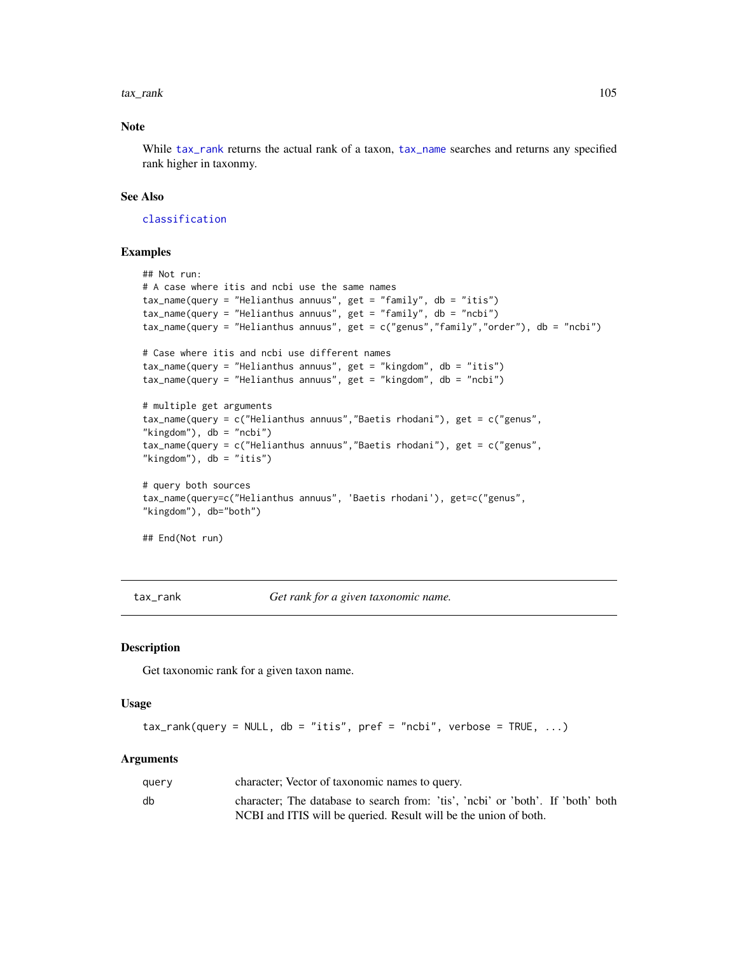#### tax\_rank 105

## Note

While [tax\\_rank](#page-104-0) returns the actual rank of a taxon, [tax\\_name](#page-103-0) searches and returns any specified rank higher in taxonmy.

#### See Also

[classification](#page-12-0)

## Examples

```
## Not run:
# A case where itis and ncbi use the same names
tax_name(query = "Helianthus annuus", get = "family", db = "itis")
tax_name(query = "Helianthus annuus", get = "family", db = "ncbi")tax_name(query = "Helianthus annuus", get = c("genus","family","order"), db = "ncbi")
# Case where itis and ncbi use different names
tax_name(query = "Helianthus annuus", get = "kingdom", db = "itis")
tax_name(query = "Helianthus annuus", get = "kingdom", db = "ncbi")
# multiple get arguments
tax_name(query = c("Helianthus annuus","Baetis rhodani"), get = c("genus",
"kingdom"), db = "ncbi")tax_name(query = c("Helianthus annuus","Baetis rhodani"), get = c("genus",
"kingdom"), db = "itis")# query both sources
tax_name(query=c("Helianthus annuus", 'Baetis rhodani'), get=c("genus",
"kingdom"), db="both")
```
## End(Not run)

<span id="page-104-0"></span>tax\_rank *Get rank for a given taxonomic name.*

### Description

Get taxonomic rank for a given taxon name.

#### Usage

```
tax\_rank(query = NULL, db = "itis", pref = "ncbi", verbose = TRUE, ...)
```

| query | character; Vector of taxonomic names to query.                                  |
|-------|---------------------------------------------------------------------------------|
| db    | character; The database to search from: 'tis', 'ncbi' or 'both'. If 'both' both |
|       | NCBI and ITIS will be queried. Result will be the union of both.                |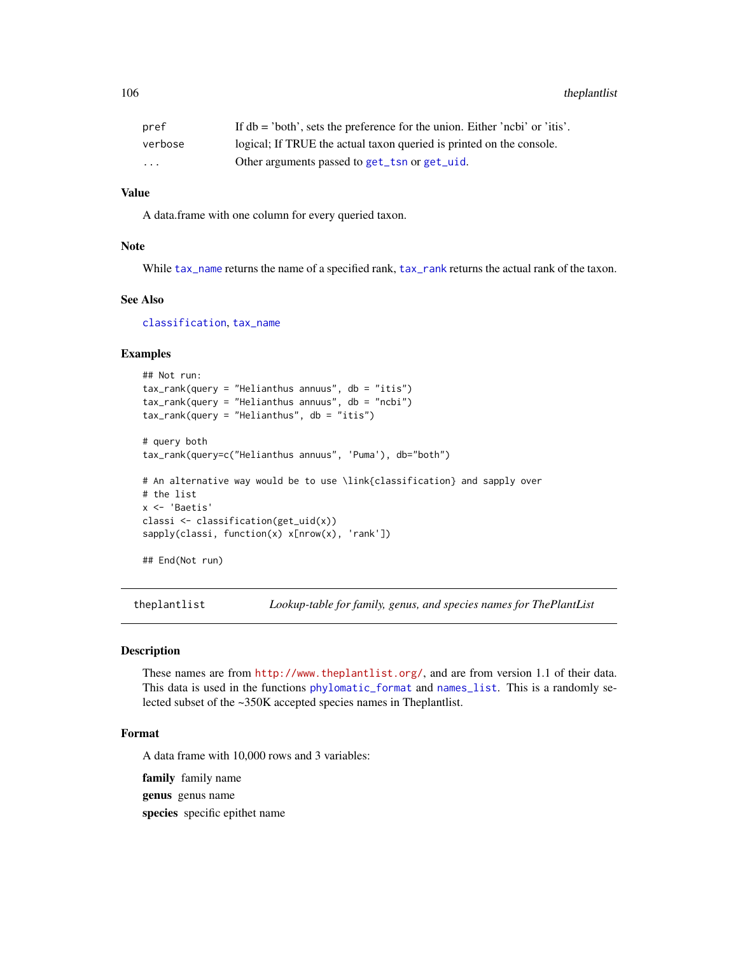106 the plantlist

| pref                    | If $db = 'both'$ , sets the preference for the union. Either 'ncbi' or 'itis'. |
|-------------------------|--------------------------------------------------------------------------------|
| verbose                 | logical; If TRUE the actual taxon queried is printed on the console.           |
| $\cdot$ $\cdot$ $\cdot$ | Other arguments passed to get_tsn or get_uid.                                  |

## Value

A data.frame with one column for every queried taxon.

## Note

While [tax\\_name](#page-103-0) returns the name of a specified rank, [tax\\_rank](#page-104-0) returns the actual rank of the taxon.

## See Also

[classification](#page-12-0), [tax\\_name](#page-103-0)

#### Examples

```
## Not run:
tax_rank(query = "Helianthus annuus", db = "itis")
tax_rank(query = "Helianthus annuus", db = "ncbi")
tax_rank(query = "Helianthus", db = "itis")
# query both
tax_rank(query=c("Helianthus annuus", 'Puma'), db="both")
# An alternative way would be to use \link{classification} and sapply over
# the list
x <- 'Baetis'
classi <- classification(get_uid(x))
sapply(classi, function(x) x[nrow(x), 'rank'])
```
## End(Not run)

theplantlist *Lookup-table for family, genus, and species names for ThePlantList*

#### Description

These names are from <http://www.theplantlist.org/>, and are from version 1.1 of their data. This data is used in the functions [phylomatic\\_format](#page-85-0) and [names\\_list](#page-80-0). This is a randomly selected subset of the ~350K accepted species names in Theplantlist.

#### Format

A data frame with 10,000 rows and 3 variables:

family family name

genus genus name

species specific epithet name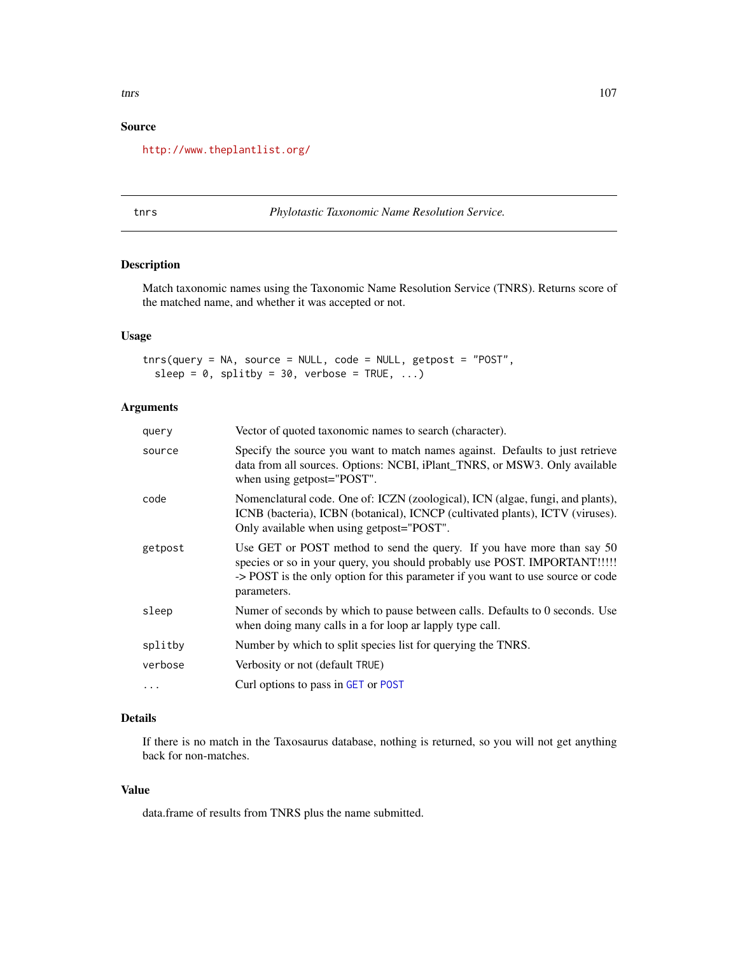# Source

<http://www.theplantlist.org/>

### tnrs *Phylotastic Taxonomic Name Resolution Service.*

# Description

Match taxonomic names using the Taxonomic Name Resolution Service (TNRS). Returns score of the matched name, and whether it was accepted or not.

## Usage

tnrs(query = NA, source = NULL, code = NULL, getpost = "POST", sleep =  $0$ , splitby =  $30$ , verbose = TRUE, ...)

## Arguments

| query    | Vector of quoted taxonomic names to search (character).                                                                                                                                                                                               |
|----------|-------------------------------------------------------------------------------------------------------------------------------------------------------------------------------------------------------------------------------------------------------|
| source   | Specify the source you want to match names against. Defaults to just retrieve<br>data from all sources. Options: NCBI, iPlant_TNRS, or MSW3. Only available<br>when using getpost="POST".                                                             |
| code     | Nomenclatural code. One of: ICZN (zoological), ICN (algae, fungi, and plants),<br>ICNB (bacteria), ICBN (botanical), ICNCP (cultivated plants), ICTV (viruses).<br>Only available when using getpost="POST".                                          |
| getpost  | Use GET or POST method to send the query. If you have more than say 50<br>species or so in your query, you should probably use POST. IMPORTANT!!!!!<br>-> POST is the only option for this parameter if you want to use source or code<br>parameters. |
| sleep    | Numer of seconds by which to pause between calls. Defaults to 0 seconds. Use<br>when doing many calls in a for loop ar lapply type call.                                                                                                              |
| splitby  | Number by which to split species list for querying the TNRS.                                                                                                                                                                                          |
| verbose  | Verbosity or not (default TRUE)                                                                                                                                                                                                                       |
| $\cdots$ | Curl options to pass in GET or POST                                                                                                                                                                                                                   |

## Details

If there is no match in the Taxosaurus database, nothing is returned, so you will not get anything back for non-matches.

# Value

data.frame of results from TNRS plus the name submitted.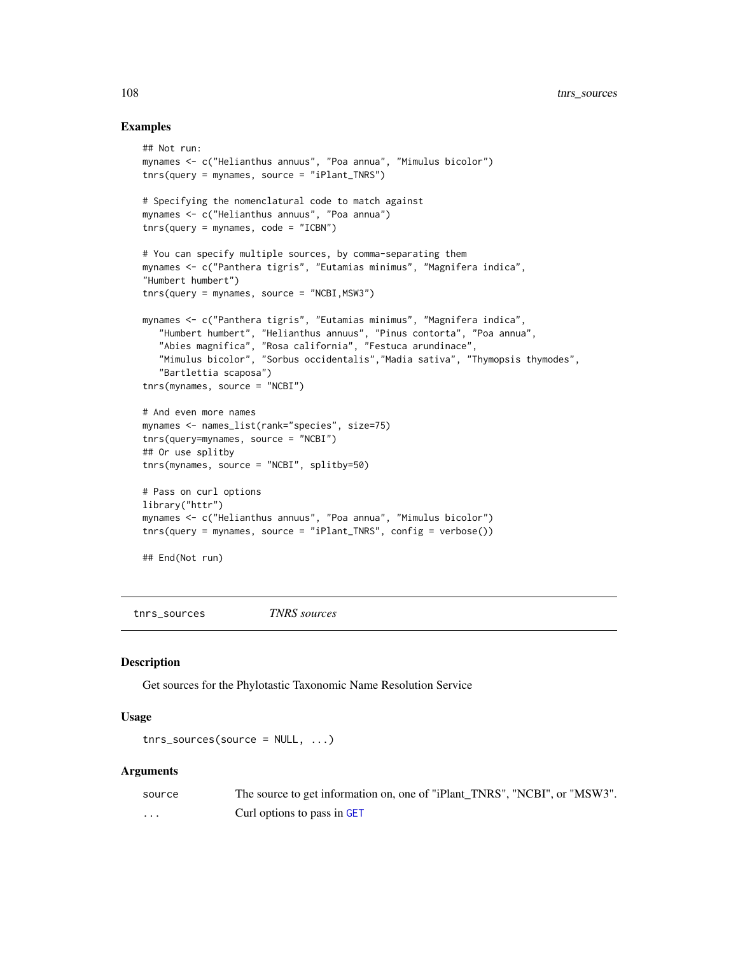#### Examples

```
## Not run:
mynames <- c("Helianthus annuus", "Poa annua", "Mimulus bicolor")
tnrs(query = mynames, source = "iPlant_TNRS")
# Specifying the nomenclatural code to match against
mynames <- c("Helianthus annuus", "Poa annua")
tnrs(query = mynames, code = "ICBN")
# You can specify multiple sources, by comma-separating them
mynames <- c("Panthera tigris", "Eutamias minimus", "Magnifera indica",
"Humbert humbert")
tnrs(query = mynames, source = "NCBI, MSW3")mynames <- c("Panthera tigris", "Eutamias minimus", "Magnifera indica",
   "Humbert humbert", "Helianthus annuus", "Pinus contorta", "Poa annua",
   "Abies magnifica", "Rosa california", "Festuca arundinace",
   "Mimulus bicolor", "Sorbus occidentalis","Madia sativa", "Thymopsis thymodes",
   "Bartlettia scaposa")
tnrs(mynames, source = "NCBI")
# And even more names
mynames <- names_list(rank="species", size=75)
tnrs(query=mynames, source = "NCBI")
## Or use splitby
tnrs(mynames, source = "NCBI", splitby=50)
# Pass on curl options
library("httr")
mynames <- c("Helianthus annuus", "Poa annua", "Mimulus bicolor")
tnrs(query = mynames, source = "iPlant_TNRS", config = verbose())
## End(Not run)
```
tnrs\_sources *TNRS sources*

### Description

Get sources for the Phylotastic Taxonomic Name Resolution Service

#### Usage

```
tnrs_sources(source = NULL, ...)
```

| source | The source to get information on, one of "iPlant TNRS", "NCBI", or "MSW3". |
|--------|----------------------------------------------------------------------------|
| .      | Curl options to pass in GET                                                |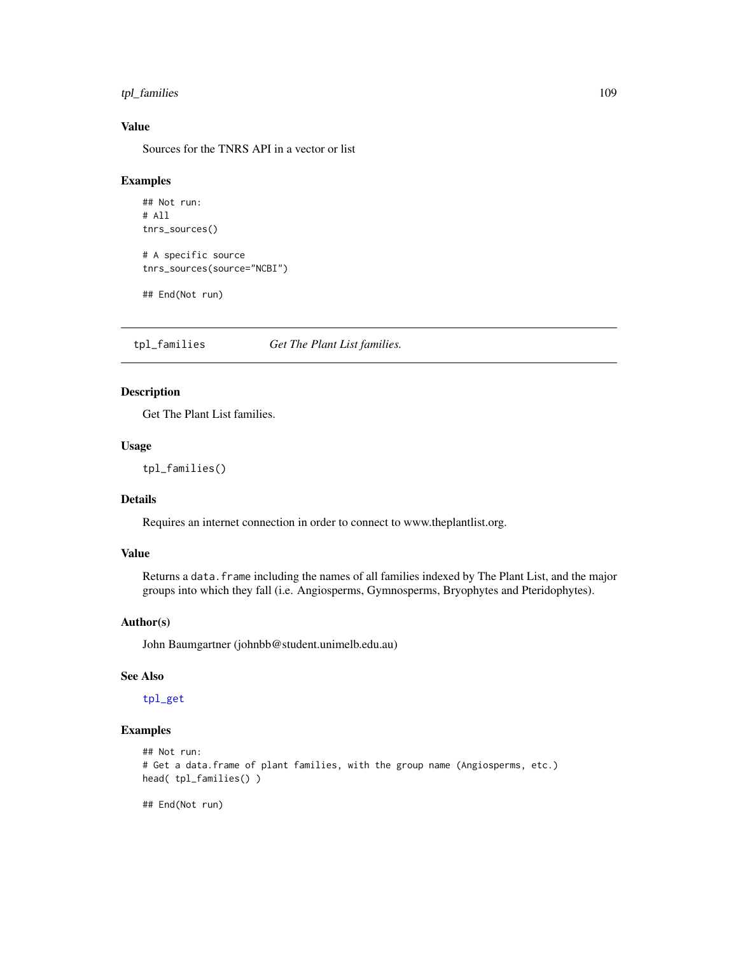# <span id="page-108-1"></span>tpl\_families 109

# Value

Sources for the TNRS API in a vector or list

#### Examples

```
## Not run:
# All
tnrs_sources()
# A specific source
tnrs_sources(source="NCBI")
```

```
## End(Not run)
```
<span id="page-108-0"></span>tpl\_families *Get The Plant List families.*

# Description

Get The Plant List families.

# Usage

tpl\_families()

# Details

Requires an internet connection in order to connect to www.theplantlist.org.

#### Value

Returns a data. frame including the names of all families indexed by The Plant List, and the major groups into which they fall (i.e. Angiosperms, Gymnosperms, Bryophytes and Pteridophytes).

# Author(s)

John Baumgartner (johnbb@student.unimelb.edu.au)

#### See Also

[tpl\\_get](#page-109-0)

#### Examples

```
## Not run:
# Get a data.frame of plant families, with the group name (Angiosperms, etc.)
head( tpl_families() )
```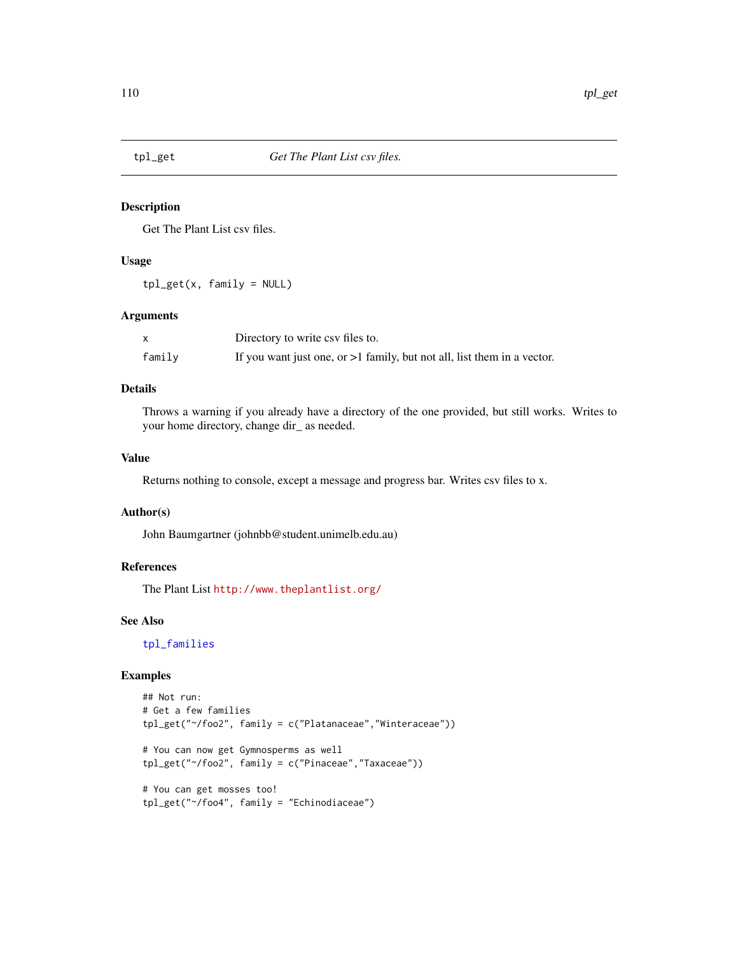<span id="page-109-1"></span><span id="page-109-0"></span>

#### Description

Get The Plant List csv files.

#### Usage

 $tpl\_get(x, family = NULL)$ 

#### Arguments

|        | Directory to write csv files to.                                          |
|--------|---------------------------------------------------------------------------|
| family | If you want just one, or $>1$ family, but not all, list them in a vector. |

#### Details

Throws a warning if you already have a directory of the one provided, but still works. Writes to your home directory, change dir\_ as needed.

#### Value

Returns nothing to console, except a message and progress bar. Writes csv files to x.

#### Author(s)

John Baumgartner (johnbb@student.unimelb.edu.au)

# References

The Plant List <http://www.theplantlist.org/>

#### See Also

[tpl\\_families](#page-108-0)

#### Examples

```
## Not run:
# Get a few families
tpl_get("~/foo2", family = c("Platanaceae","Winteraceae"))
# You can now get Gymnosperms as well
tpl_get("~/foo2", family = c("Pinaceae","Taxaceae"))
# You can get mosses too!
tpl_get("~/foo4", family = "Echinodiaceae")
```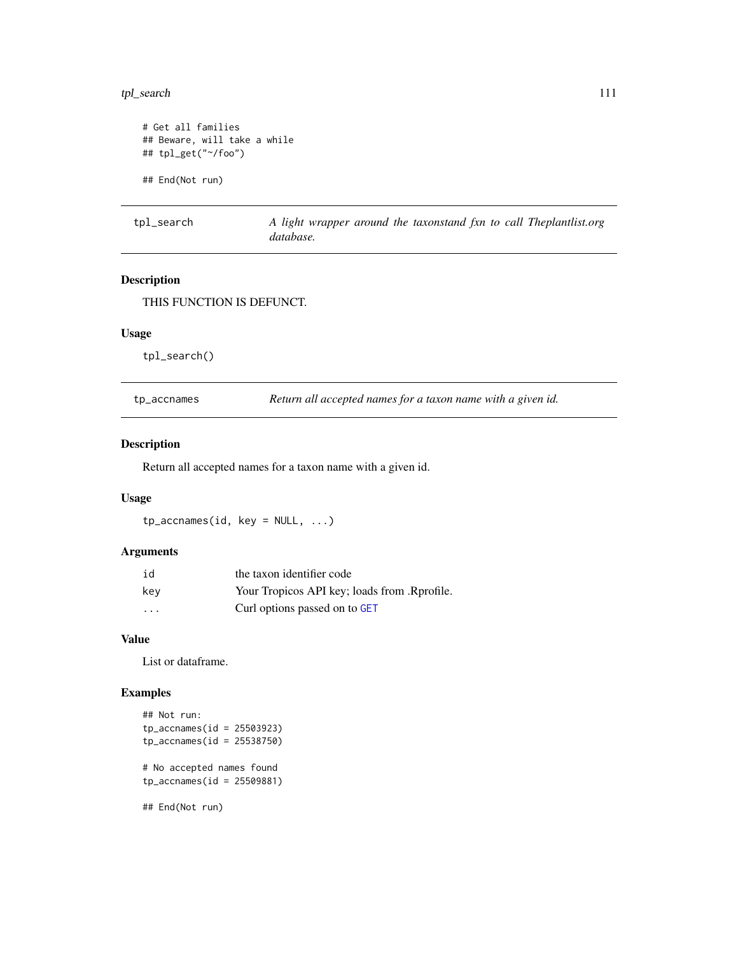# <span id="page-110-0"></span>tpl\_search 111

```
# Get all families
## Beware, will take a while
## tpl_get("~/foo")
## End(Not run)
```
tpl\_search *A light wrapper around the taxonstand fxn to call Theplantlist.org database.*

# Description

THIS FUNCTION IS DEFUNCT.

#### Usage

tpl\_search()

tp\_accnames *Return all accepted names for a taxon name with a given id.*

# Description

Return all accepted names for a taxon name with a given id.

# Usage

tp\_accnames(id, key = NULL, ...)

#### Arguments

| id      | the taxon identifier code                    |
|---------|----------------------------------------------|
| key     | Your Tropicos API key; loads from .Rprofile. |
| $\cdot$ | Curl options passed on to GET                |

#### Value

List or dataframe.

#### Examples

```
## Not run:
tp_accnames(id = 25503923)
tp_accnames(id = 25538750)
# No accepted names found
tp_accnames(id = 25509881)
## End(Not run)
```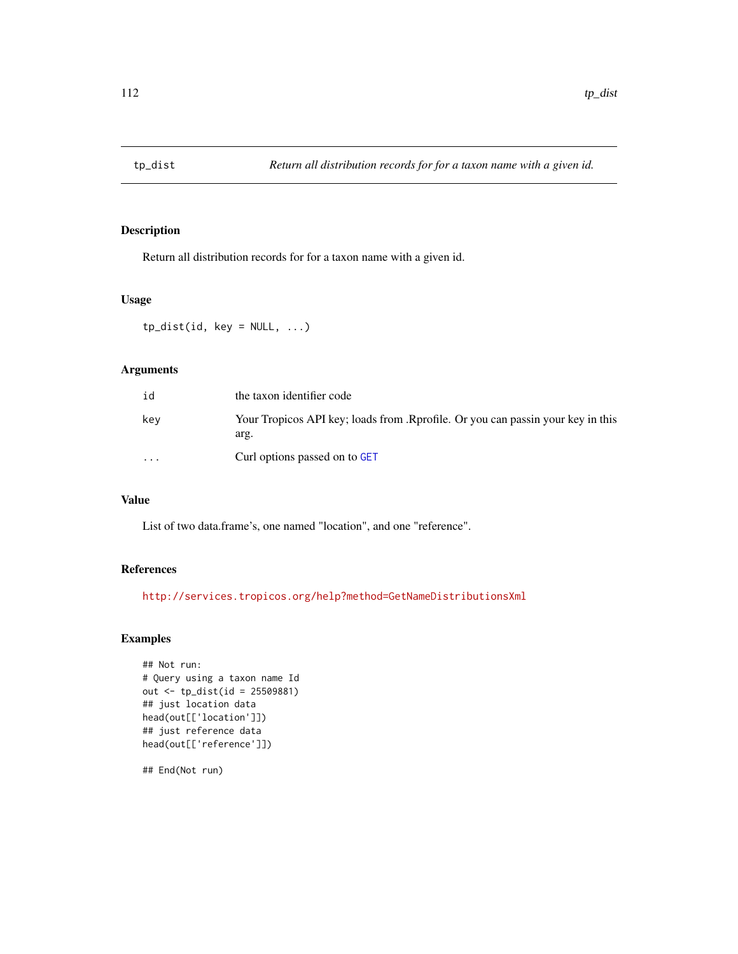<span id="page-111-0"></span>

# Description

Return all distribution records for for a taxon name with a given id.

#### Usage

 $tp\_dist(id, key = NULL, ...)$ 

# Arguments

| id                      | the taxon identifier code                                                               |
|-------------------------|-----------------------------------------------------------------------------------------|
| kev                     | Your Tropicos API key; loads from .Rprofile. Or you can passin your key in this<br>arg. |
| $\cdot$ $\cdot$ $\cdot$ | Curl options passed on to GET                                                           |

# Value

List of two data.frame's, one named "location", and one "reference".

# References

<http://services.tropicos.org/help?method=GetNameDistributionsXml>

# Examples

```
## Not run:
# Query using a taxon name Id
out <- tp_dist(id = 25509881)
## just location data
head(out[['location']])
## just reference data
head(out[['reference']])
```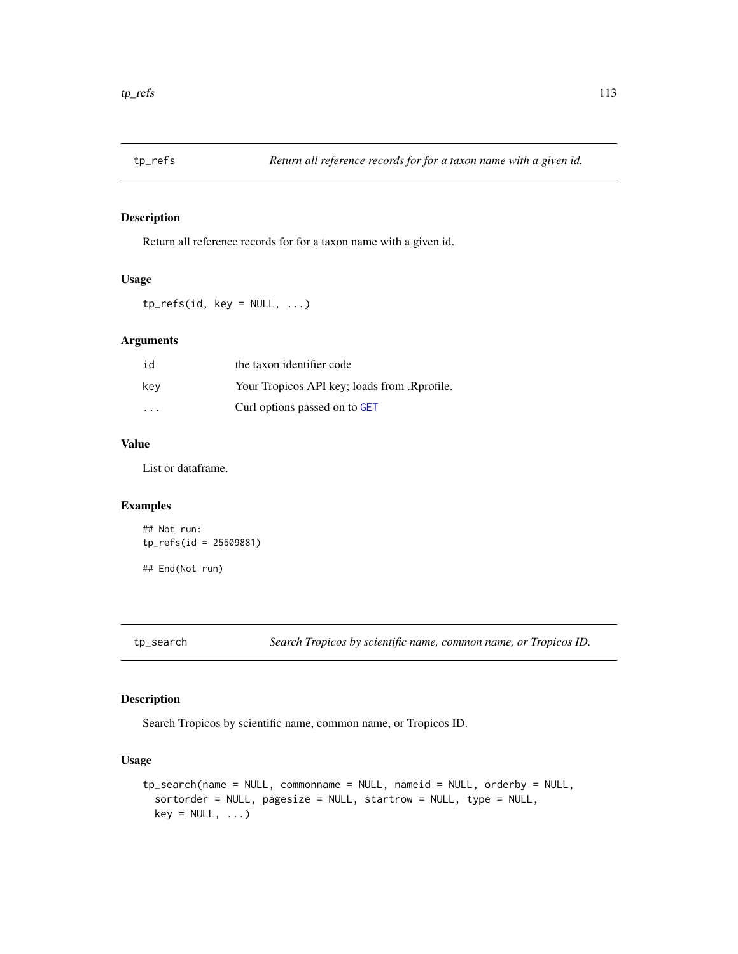<span id="page-112-0"></span>

# Description

Return all reference records for for a taxon name with a given id.

#### Usage

 $tp_refs(id, key = NULL, ...)$ 

#### Arguments

| id  | the taxon identifier code                    |
|-----|----------------------------------------------|
| key | Your Tropicos API key; loads from .Rprofile. |
| .   | Curl options passed on to GET                |

# Value

List or dataframe.

#### Examples

```
## Not run:
tp_refs(id = 25509881)
## End(Not run)
```
tp\_search *Search Tropicos by scientific name, common name, or Tropicos ID.*

#### Description

Search Tropicos by scientific name, common name, or Tropicos ID.

#### Usage

```
tp_search(name = NULL, commonname = NULL, nameid = NULL, orderby = NULL,
 sortorder = NULL, pagesize = NULL, startrow = NULL, type = NULL,
 key = NULL, ...)
```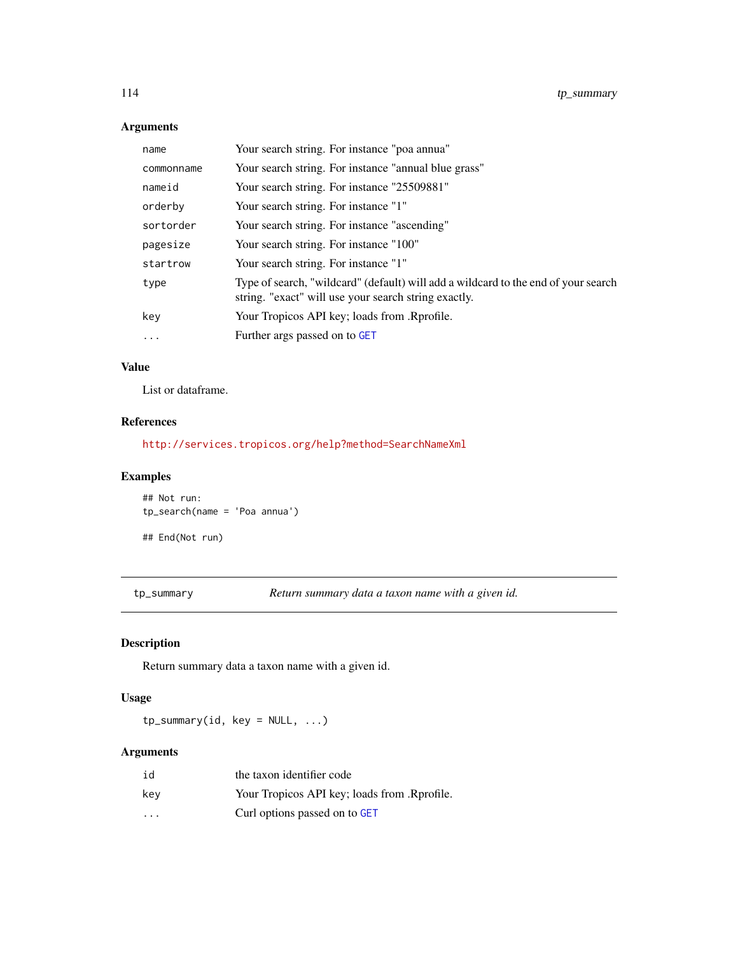# <span id="page-113-0"></span>Arguments

| name       | Your search string. For instance "poa annua"                                                                                               |
|------------|--------------------------------------------------------------------------------------------------------------------------------------------|
| commonname | Your search string. For instance "annual blue grass"                                                                                       |
| nameid     | Your search string. For instance "25509881"                                                                                                |
| orderby    | Your search string. For instance "1"                                                                                                       |
| sortorder  | Your search string. For instance "ascending"                                                                                               |
| pagesize   | Your search string. For instance "100"                                                                                                     |
| startrow   | Your search string. For instance "1"                                                                                                       |
| type       | Type of search, "wildcard" (default) will add a wildcard to the end of your search<br>string. "exact" will use your search string exactly. |
| key        | Your Tropicos API key; loads from .Rprofile.                                                                                               |
| .          | Further args passed on to GET                                                                                                              |
|            |                                                                                                                                            |

# Value

List or dataframe.

# References

<http://services.tropicos.org/help?method=SearchNameXml>

# Examples

```
## Not run:
tp_search(name = 'Poa annua')
```
## End(Not run)

tp\_summary *Return summary data a taxon name with a given id.*

# Description

Return summary data a taxon name with a given id.

# Usage

tp\_summary(id, key = NULL, ...)

# Arguments

| id                      | the taxon identifier code                    |
|-------------------------|----------------------------------------------|
| kev                     | Your Tropicos API key; loads from .Rprofile. |
| $\cdot$ $\cdot$ $\cdot$ | Curl options passed on to GET                |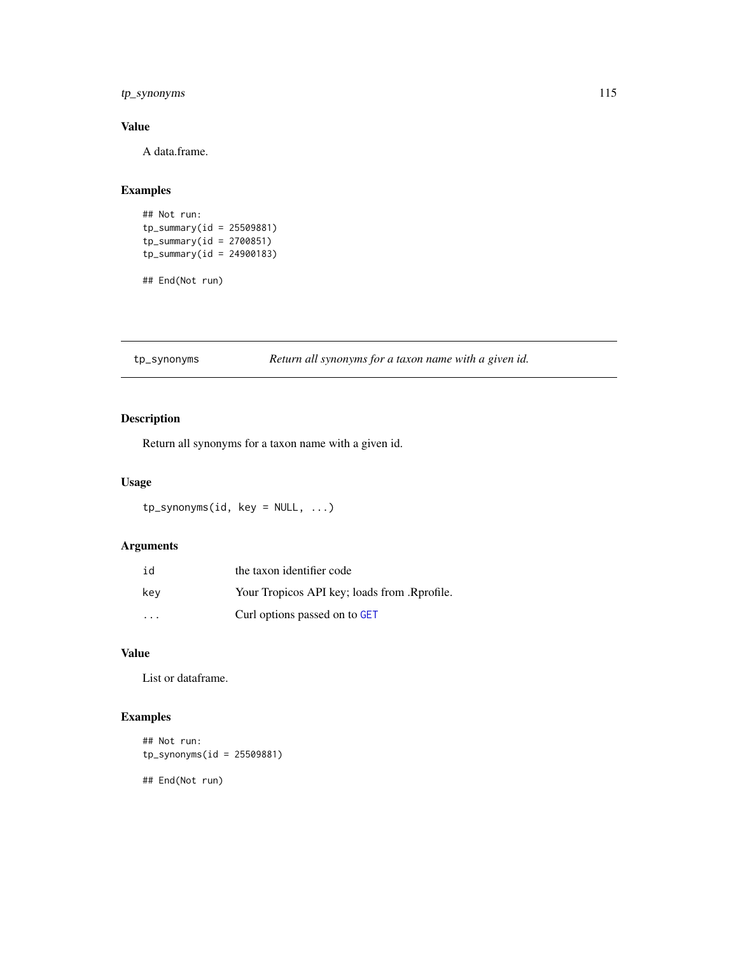# <span id="page-114-0"></span>tp\_synonyms 115

# Value

A data.frame.

# Examples

```
## Not run:
tp_summary(id = 25509881)
tp\_summary(id = 2700851)tp\_summary(id = 24900183)
```
## End(Not run)

tp\_synonyms *Return all synonyms for a taxon name with a given id.*

# Description

Return all synonyms for a taxon name with a given id.

# Usage

tp\_synonyms(id, key = NULL, ...)

# Arguments

| id  | the taxon identifier code                    |
|-----|----------------------------------------------|
| kev | Your Tropicos API key; loads from .Rprofile. |
| .   | Curl options passed on to GET                |

#### Value

List or dataframe.

# Examples

```
## Not run:
tp_synonyms(id = 25509881)
```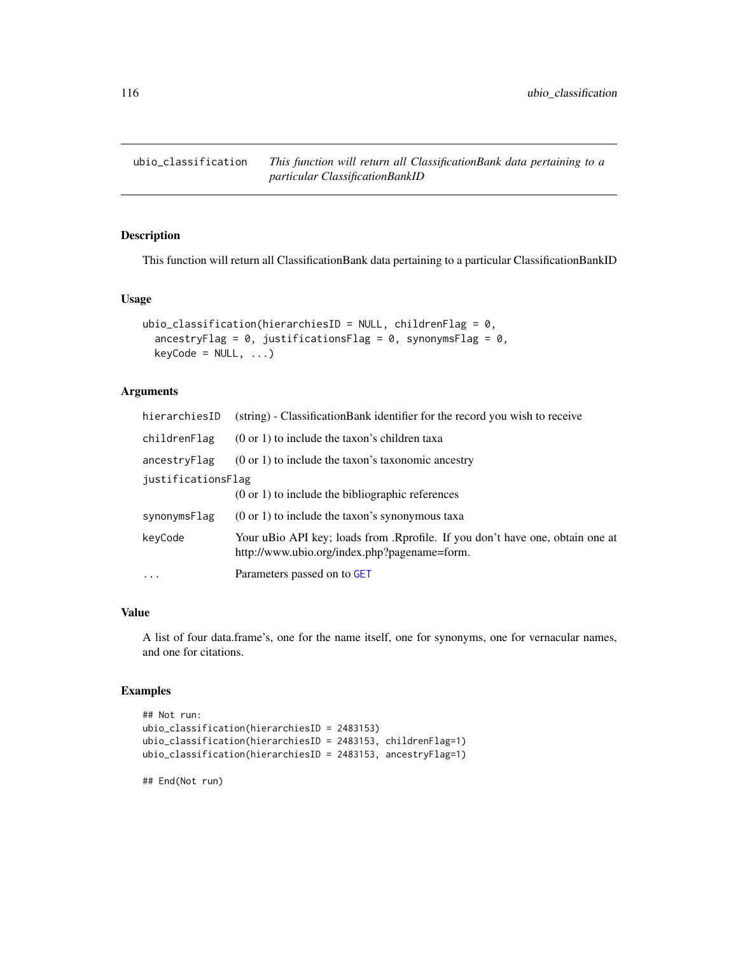<span id="page-115-0"></span>ubio\_classification *This function will return all ClassificationBank data pertaining to a particular ClassificationBankID*

# Description

This function will return all ClassificationBank data pertaining to a particular ClassificationBankID

#### Usage

```
ubio_classification(hierarchiesID = NULL, childrenFlag = 0,
  ancestryFlag = 0, justificationsFlag = 0, synonymsFlag = 0,
 keyCode = NULL, ...)
```
# Arguments

| hierarchiesID      | (string) - Classification Bank identifier for the record you wish to receive                                                  |  |
|--------------------|-------------------------------------------------------------------------------------------------------------------------------|--|
| childrenFlag       | $(0 \text{ or } 1)$ to include the taxon's children taxa                                                                      |  |
| ancestryFlag       | $(0 \text{ or } 1)$ to include the taxon's taxonomic ancestry                                                                 |  |
| justificationsFlag |                                                                                                                               |  |
|                    | $(0 \text{ or } 1)$ to include the bibliographic references                                                                   |  |
| synonymsFlag       | $(0 \text{ or } 1)$ to include the taxon's synonymous taxa                                                                    |  |
| keyCode            | Your uBio API key; loads from .Rprofile. If you don't have one, obtain one at<br>http://www.ubio.org/index.php?pagename=form. |  |
| $\cdot$            | Parameters passed on to GET                                                                                                   |  |
|                    |                                                                                                                               |  |

#### Value

A list of four data.frame's, one for the name itself, one for synonyms, one for vernacular names, and one for citations.

#### Examples

```
## Not run:
ubio_classification(hierarchiesID = 2483153)
ubio_classification(hierarchiesID = 2483153, childrenFlag=1)
ubio_classification(hierarchiesID = 2483153, ancestryFlag=1)
```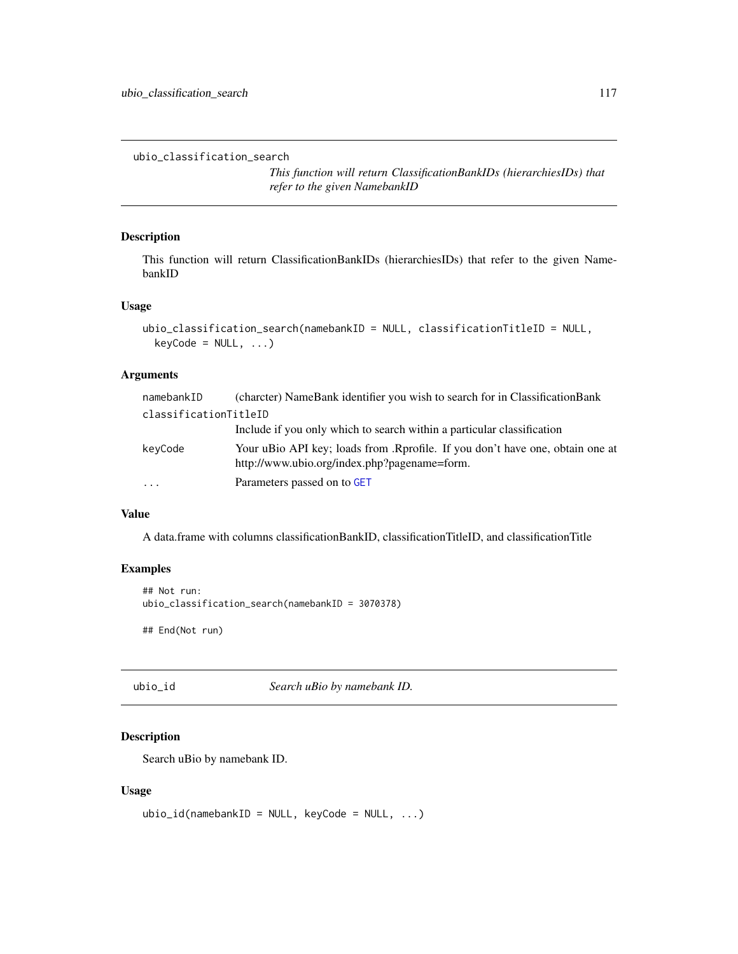<span id="page-116-0"></span>ubio\_classification\_search

*This function will return ClassificationBankIDs (hierarchiesIDs) that refer to the given NamebankID*

# Description

This function will return ClassificationBankIDs (hierarchiesIDs) that refer to the given NamebankID

# Usage

```
ubio_classification_search(namebankID = NULL, classificationTitleID = NULL,
  keyCode = NULL, ...)
```
#### Arguments

| namebankID            | (charcter) NameBank identifier you wish to search for in ClassificationBank                                                   |
|-----------------------|-------------------------------------------------------------------------------------------------------------------------------|
| classificationTitleID |                                                                                                                               |
|                       | Include if you only which to search within a particular classification                                                        |
| keyCode               | Your uBio API key; loads from .Rprofile. If you don't have one, obtain one at<br>http://www.ubio.org/index.php?pagename=form. |
| $\cdots$              | Parameters passed on to GET                                                                                                   |

#### Value

A data.frame with columns classificationBankID, classificationTitleID, and classificationTitle

#### Examples

```
## Not run:
ubio_classification_search(namebankID = 3070378)
## End(Not run)
```
ubio\_id *Search uBio by namebank ID.*

# Description

Search uBio by namebank ID.

#### Usage

```
ubio_id(namebankID = NULL, keyCode = NULL, ...)
```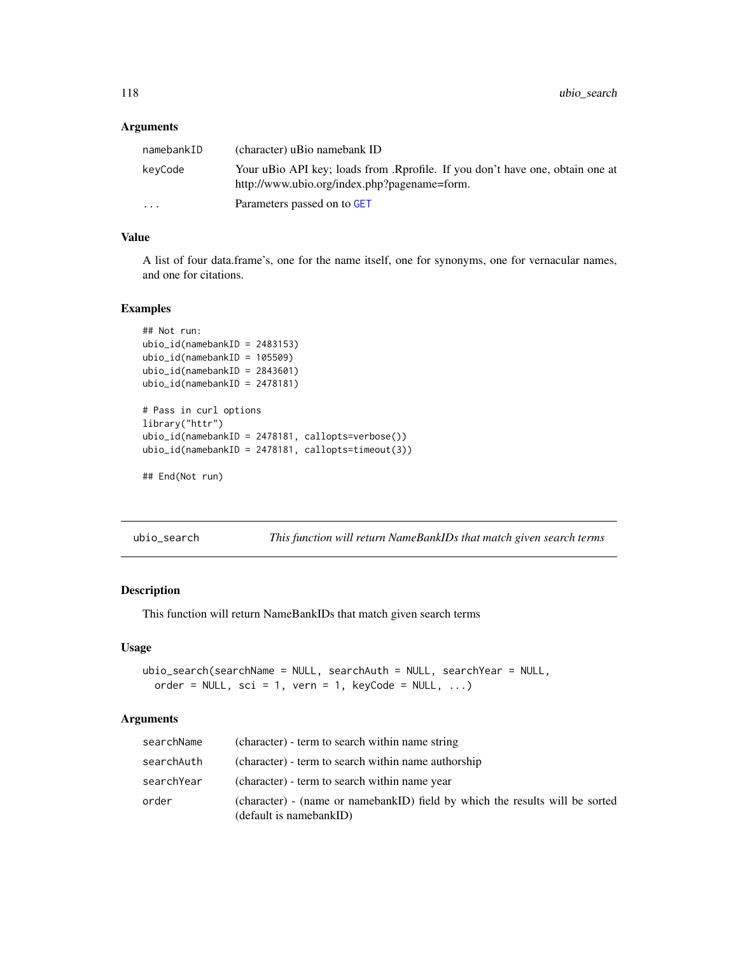#### <span id="page-117-0"></span>Arguments

| namebankID | (character) uBio namebank ID                                                                                                  |
|------------|-------------------------------------------------------------------------------------------------------------------------------|
| keyCode    | Your uBio API key; loads from .Rprofile. If you don't have one, obtain one at<br>http://www.ubio.org/index.php?pagename=form. |
| $\cdots$   | Parameters passed on to GET                                                                                                   |

#### Value

A list of four data.frame's, one for the name itself, one for synonyms, one for vernacular names, and one for citations.

#### Examples

```
## Not run:
ubio_id(namebankID = 2483153)
ubio_id(namebankID = 105509)
ubio_id(namebankID = 2843601)
ubio_id(namebankID = 2478181)
# Pass in curl options
library("httr")
```

```
ubio_id(namebankID = 2478181, callopts=verbose())
ubio_id(namebankID = 2478181, callopts=timeout(3))
```

```
## End(Not run)
```
ubio\_search *This function will return NameBankIDs that match given search terms*

#### Description

This function will return NameBankIDs that match given search terms

#### Usage

```
ubio_search(searchName = NULL, searchAuth = NULL, searchYear = NULL,
  order = NULL, sci = 1, vern = 1, keyCode = NULL, ...)
```
#### Arguments

| searchName | (character) - term to search within name string                                                         |
|------------|---------------------------------------------------------------------------------------------------------|
| searchAuth | (character) - term to search within name authorship                                                     |
| searchYear | (character) - term to search within name year                                                           |
| order      | (character) - (name or namebankID) field by which the results will be sorted<br>(default is namebankID) |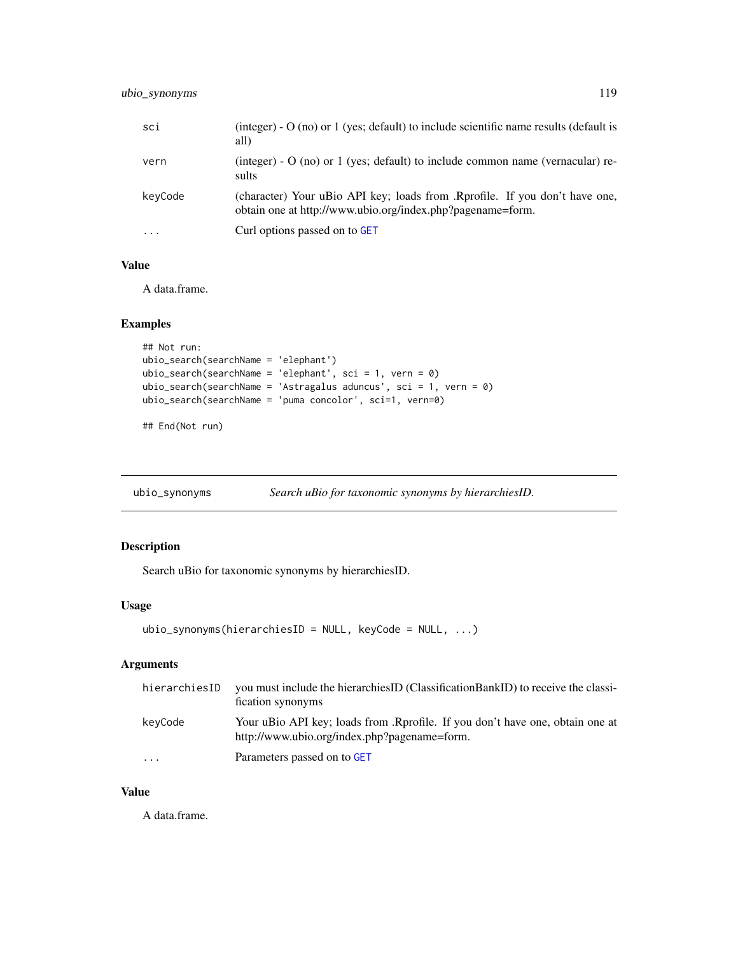<span id="page-118-0"></span>

| sci                     | (integer) - $O$ (no) or 1 (yes; default) to include scientific name results (default is<br>all)                                           |
|-------------------------|-------------------------------------------------------------------------------------------------------------------------------------------|
| vern                    | (integer) - $O$ (no) or 1 (yes; default) to include common name (vernacular) re-<br>sults                                                 |
| keyCode                 | (character) Your uBio API key; loads from .Rprofile. If you don't have one,<br>obtain one at http://www.ubio.org/index.php?pagename=form. |
| $\cdot$ $\cdot$ $\cdot$ | Curl options passed on to GET                                                                                                             |

# Value

A data.frame.

#### Examples

```
## Not run:
ubio_search(searchName = 'elephant')
ubio_search(searchName = 'elephant', sci = 1, vern = 0)
ubio_search(searchName = 'Astragalus aduncus', sci = 1, vern = 0)
ubio_search(searchName = 'puma concolor', sci=1, vern=0)
```
## End(Not run)

ubio\_synonyms *Search uBio for taxonomic synonyms by hierarchiesID.*

# Description

Search uBio for taxonomic synonyms by hierarchiesID.

#### Usage

```
ubio_synonyms(hierarchiesID = NULL, keyCode = NULL, ...)
```
# Arguments

| hierarchiesID           | you must include the hierarchies ID (Classification Bank ID) to receive the classi-<br>fication synonyms                      |
|-------------------------|-------------------------------------------------------------------------------------------------------------------------------|
| keyCode                 | Your uBio API key; loads from .Rprofile. If you don't have one, obtain one at<br>http://www.ubio.org/index.php?pagename=form. |
| $\cdot$ $\cdot$ $\cdot$ | Parameters passed on to GET                                                                                                   |

#### Value

A data.frame.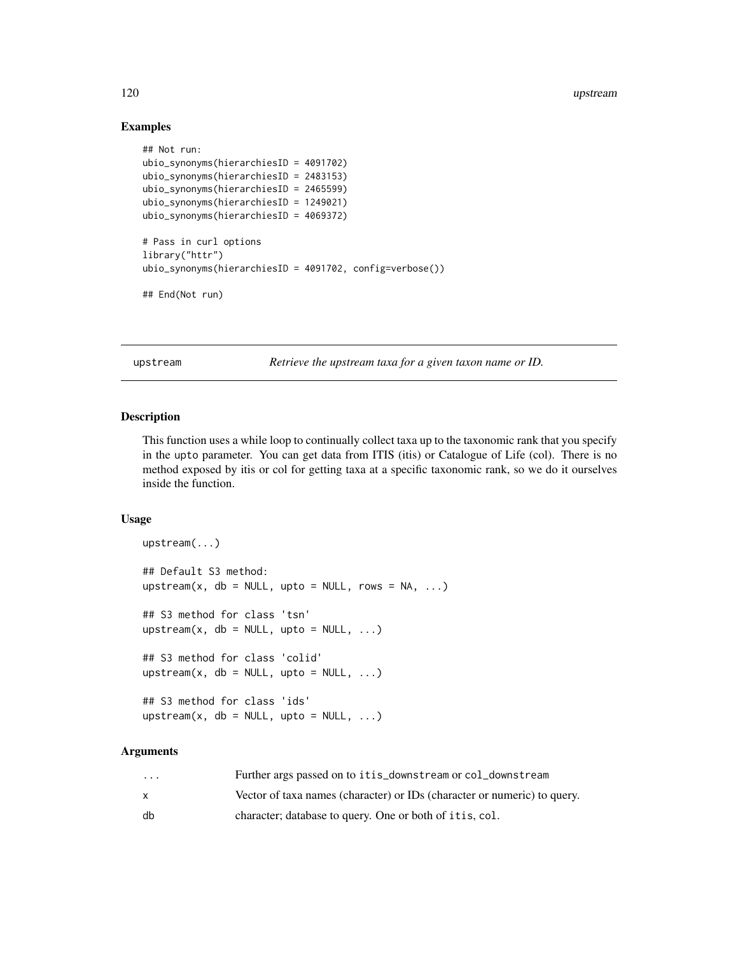#### 120 upstream and the set of the set of the set of the set of the set of the set of the set of the set of the set of the set of the set of the set of the set of the set of the set of the set of the set of the set of the set

#### Examples

```
## Not run:
ubio_synonyms(hierarchiesID = 4091702)
ubio_synonyms(hierarchiesID = 2483153)
ubio_synonyms(hierarchiesID = 2465599)
ubio_synonyms(hierarchiesID = 1249021)
ubio_synonyms(hierarchiesID = 4069372)
# Pass in curl options
library("httr")
ubio_synonyms(hierarchiesID = 4091702, config=verbose())
## End(Not run)
```
upstream *Retrieve the upstream taxa for a given taxon name or ID.*

#### Description

This function uses a while loop to continually collect taxa up to the taxonomic rank that you specify in the upto parameter. You can get data from ITIS (itis) or Catalogue of Life (col). There is no method exposed by itis or col for getting taxa at a specific taxonomic rank, so we do it ourselves inside the function.

#### Usage

```
upstream(...)
## Default S3 method:
upstream(x, db = NULL, upto = NULL, rows = NA, \ldots)
## S3 method for class 'tsn'
upstream(x, db = NULL, upto = NULL, ...)## S3 method for class 'colid'
upstream(x, db = NULL, upto = NULL, ...)
## S3 method for class 'ids'
upstream(x, db = NULL, upto = NULL, ...)
```
#### Arguments

| $\cdots$ | Further args passed on to itis_downstream or col_downstream              |
|----------|--------------------------------------------------------------------------|
|          | Vector of taxa names (character) or IDs (character or numeric) to query. |
| db       | character; database to query. One or both of it is, col.                 |

<span id="page-119-0"></span>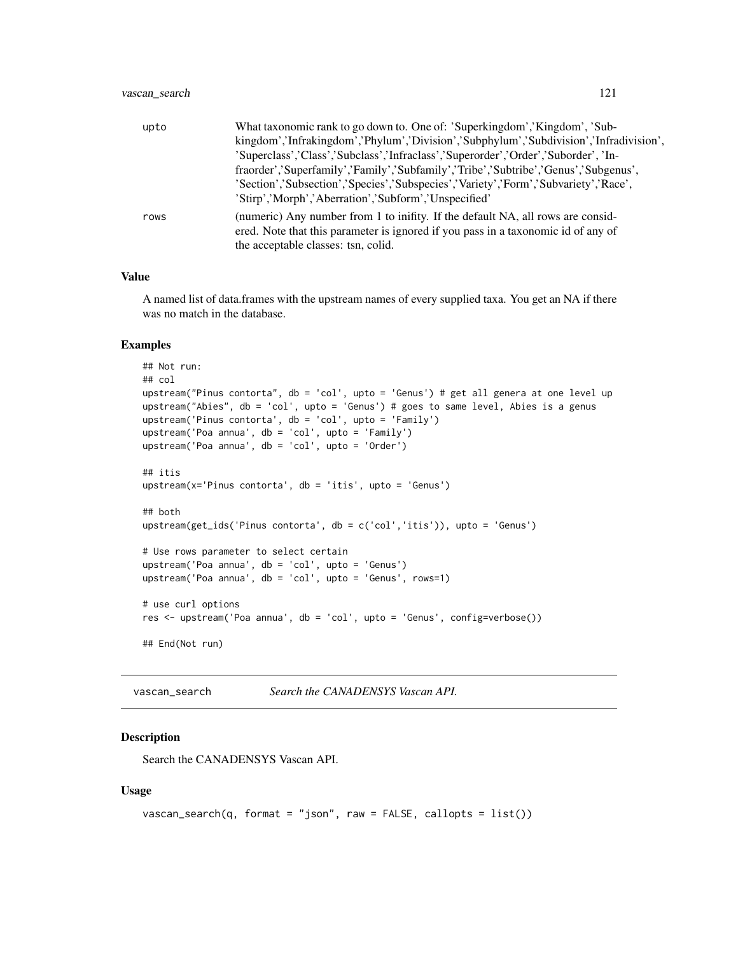<span id="page-120-0"></span>

| upto | What taxonomic rank to go down to. One of: 'Superkingdom','Kingdom', 'Sub-             |
|------|----------------------------------------------------------------------------------------|
|      | kingdom','Infrakingdom','Phylum','Division','Subphylum','Subdivision','Infradivision', |
|      | 'Superclass','Class','Subclass','Infraclass','Superorder','Order','Suborder', 'In-     |
|      | fraorder','Superfamily','Family','Subfamily','Tribe','Subtribe','Genus','Subgenus',    |
|      | 'Section','Subsection','Species','Subspecies','Variety','Form','Subvariety','Race',    |
|      | 'Stirp','Morph','Aberration','Subform','Unspecified'                                   |
| rows | (numeric) Any number from 1 to inifity. If the default NA, all rows are consid-        |
|      | ered. Note that this parameter is ignored if you pass in a taxonomic id of any of      |
|      | the acceptable classes: tsn, colid.                                                    |

#### Value

A named list of data.frames with the upstream names of every supplied taxa. You get an NA if there was no match in the database.

#### Examples

```
## Not run:
## col
upstream("Pinus contorta", db = 'col', upto = 'Genus') # get all genera at one level up
upstream("Abies", db = 'col', upto = 'Genus') # goes to same level, Abies is a genus
upstream('Pinus contorta', db = 'col', upto = 'Family')
upstream('Poa annua', db = 'col', upto = 'Family')
upstream('Poa annua', db = 'col', upto = 'Order')
## itis
upstream(x='Pinus contorta', db = 'itis', upto = 'Genus')
## both
upstream(get_ids('Pinus contorta', db = c('col','itis')), upto = 'Genus')
# Use rows parameter to select certain
upstream('Poa annua', db = 'col', upto = 'Genus')
upstream('Poa annua', db = 'col', upto = 'Genus', rows=1)
# use curl options
res <- upstream('Poa annua', db = 'col', upto = 'Genus', config=verbose())
## End(Not run)
```
vascan\_search *Search the CANADENSYS Vascan API.*

#### **Description**

Search the CANADENSYS Vascan API.

#### Usage

```
vascan_ssearch(q, format = "json", raw = FALSE, callopts = list())
```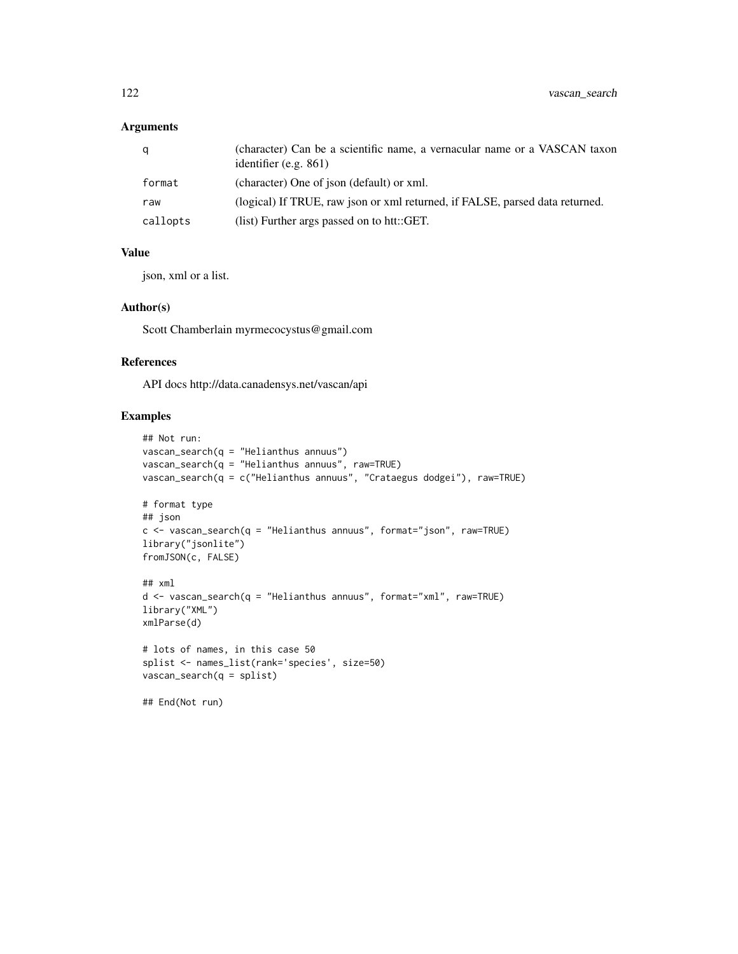# Arguments

| a        | (character) Can be a scientific name, a vernacular name or a VASCAN taxon<br>identifier (e.g. $861$ ) |
|----------|-------------------------------------------------------------------------------------------------------|
| format   | (character) One of json (default) or xml.                                                             |
| raw      | (logical) If TRUE, raw json or xml returned, if FALSE, parsed data returned.                          |
| callopts | (list) Further args passed on to htt::GET.                                                            |

# Value

json, xml or a list.

#### Author(s)

Scott Chamberlain myrmecocystus@gmail.com

#### References

API docs http://data.canadensys.net/vascan/api

# Examples

```
## Not run:
vascan_search(q = "Helianthus annuus")
vascan_search(q = "Helianthus annuus", raw=TRUE)
vascan_search(q = c("Helianthus annuus", "Crataegus dodgei"), raw=TRUE)
# format type
## json
c \leq - vascan_search(q = "Helianthus annuus", format="json", raw=TRUE)
library("jsonlite")
fromJSON(c, FALSE)
## xml
d <- vascan_search(q = "Helianthus annuus", format="xml", raw=TRUE)
library("XML")
xmlParse(d)
# lots of names, in this case 50
splist <- names_list(rank='species', size=50)
vascan_search(q = splist)
## End(Not run)
```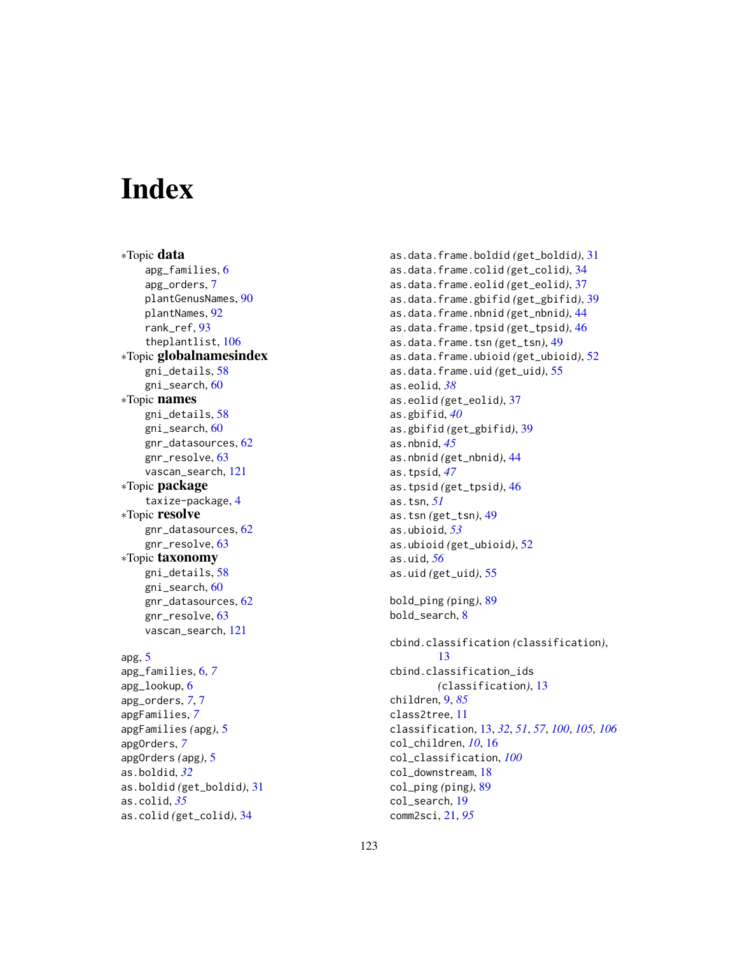# **Index**

∗Topic data apg\_families, [6](#page-5-0) apg\_orders, [7](#page-6-0) plantGenusNames, [90](#page-89-0) plantNames, [92](#page-91-0) rank ref. [93](#page-92-0) theplantlist, [106](#page-105-0) ∗Topic globalnamesindex gni\_details, [58](#page-57-0) gni\_search, [60](#page-59-0) ∗Topic names gni\_details, [58](#page-57-0) gni\_search, [60](#page-59-0) gnr\_datasources, [62](#page-61-0) gnr\_resolve, [63](#page-62-0) vascan\_search, [121](#page-120-0) ∗Topic package taxize-package, [4](#page-3-0) ∗Topic resolve gnr\_datasources, [62](#page-61-0) gnr\_resolve, [63](#page-62-0) ∗Topic taxonomy gni\_details, [58](#page-57-0) gni\_search, [60](#page-59-0) gnr\_datasources, [62](#page-61-0) gnr\_resolve, [63](#page-62-0) vascan\_search, [121](#page-120-0) apg, [5](#page-4-0) apg\_families, [6,](#page-5-0) *[7](#page-6-0)* apg\_lookup, [6](#page-5-0) apg\_orders, *[7](#page-6-0)*, [7](#page-6-0) apgFamilies, *[7](#page-6-0)* apgFamilies *(*apg*)*, [5](#page-4-0) apgOrders, *[7](#page-6-0)* apgOrders *(*apg*)*, [5](#page-4-0)

as.boldid, *[32](#page-31-0)*

as.colid, *[35](#page-34-0)*

as.boldid *(*get\_boldid*)*, [31](#page-30-0)

as.colid *(*get\_colid*)*, [34](#page-33-0)

as.data.frame.boldid *(*get\_boldid*)*, [31](#page-30-0) as.data.frame.colid *(*get\_colid*)*, [34](#page-33-0) as.data.frame.eolid *(*get\_eolid*)*, [37](#page-36-0) as.data.frame.gbifid *(*get\_gbifid*)*, [39](#page-38-0) as.data.frame.nbnid *(*get\_nbnid*)*, [44](#page-43-0) as.data.frame.tpsid *(*get\_tpsid*)*, [46](#page-45-0) as.data.frame.tsn *(*get\_tsn*)*, [49](#page-48-0) as.data.frame.ubioid *(*get\_ubioid*)*, [52](#page-51-0) as.data.frame.uid *(*get\_uid*)*, [55](#page-54-0) as.eolid, *[38](#page-37-0)* as.eolid *(*get\_eolid*)*, [37](#page-36-0) as.gbifid, *[40](#page-39-0)* as.gbifid *(*get\_gbifid*)*, [39](#page-38-0) as.nbnid, *[45](#page-44-0)* as.nbnid *(*get\_nbnid*)*, [44](#page-43-0) as.tpsid, *[47](#page-46-0)* as.tpsid *(*get\_tpsid*)*, [46](#page-45-0) as.tsn, *[51](#page-50-0)* as.tsn *(*get\_tsn*)*, [49](#page-48-0) as.ubioid, *[53](#page-52-0)* as.ubioid *(*get\_ubioid*)*, [52](#page-51-0) as.uid, *[56](#page-55-0)* as.uid *(*get\_uid*)*, [55](#page-54-0) bold\_ping *(*ping*)*, [89](#page-88-0) bold\_search, [8](#page-7-0) cbind.classification *(*classification*)*, [13](#page-12-0) cbind.classification\_ids *(*classification*)*, [13](#page-12-0) children, [9,](#page-8-0) *[85](#page-84-0)* class2tree, [11](#page-10-0) classification, [13,](#page-12-0) *[32](#page-31-0)*, *[51](#page-50-0)*, *[57](#page-56-0)*, *[100](#page-99-0)*, *[105,](#page-104-0) [106](#page-105-0)* col\_children, *[10](#page-9-0)*, [16](#page-15-0) col\_classification, *[100](#page-99-0)* col\_downstream, [18](#page-17-0) col\_ping *(*ping*)*, [89](#page-88-0) col\_search, [19](#page-18-0) comm2sci, [21,](#page-20-0) *[95](#page-94-0)*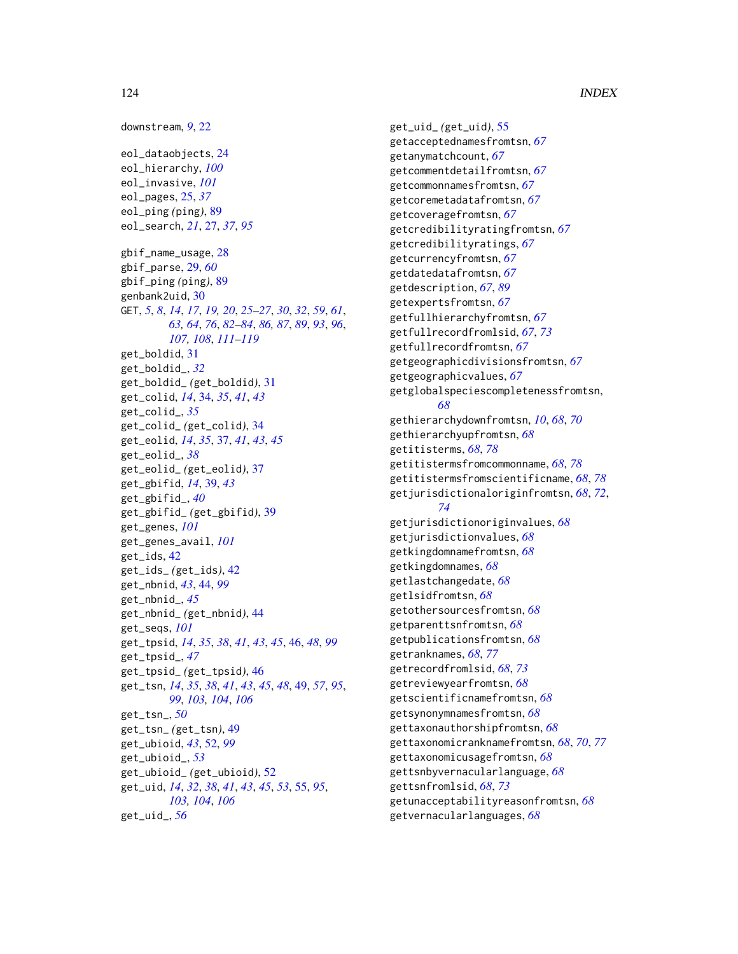downstream, *[9](#page-8-0)*, [22](#page-21-0) eol\_dataobjects, [24](#page-23-0) eol\_hierarchy, *[100](#page-99-0)* eol\_invasive, *[101](#page-100-0)* eol\_pages, [25,](#page-24-0) *[37](#page-36-0)* eol\_ping *(*ping*)*, [89](#page-88-0) eol\_search, *[21](#page-20-0)*, [27,](#page-26-0) *[37](#page-36-0)*, *[95](#page-94-0)* gbif\_name\_usage, [28](#page-27-0) gbif\_parse, [29,](#page-28-0) *[60](#page-59-0)* gbif\_ping *(*ping*)*, [89](#page-88-0) genbank2uid, [30](#page-29-0) GET, *[5](#page-4-0)*, *[8](#page-7-0)*, *[14](#page-13-0)*, *[17](#page-16-0)*, *[19,](#page-18-0) [20](#page-19-0)*, *[25–](#page-24-0)[27](#page-26-0)*, *[30](#page-29-0)*, *[32](#page-31-0)*, *[59](#page-58-0)*, *[61](#page-60-0)*, *[63,](#page-62-0) [64](#page-63-0)*, *[76](#page-75-0)*, *[82–](#page-81-0)[84](#page-83-0)*, *[86,](#page-85-0) [87](#page-86-0)*, *[89](#page-88-0)*, *[93](#page-92-0)*, *[96](#page-95-0)*, *[107,](#page-106-0) [108](#page-107-0)*, *[111–](#page-110-0)[119](#page-118-0)* get\_boldid, [31](#page-30-0) get\_boldid\_, *[32](#page-31-0)* get\_boldid\_ *(*get\_boldid*)*, [31](#page-30-0) get\_colid, *[14](#page-13-0)*, [34,](#page-33-0) *[35](#page-34-0)*, *[41](#page-40-0)*, *[43](#page-42-0)* get\_colid\_, *[35](#page-34-0)* get\_colid\_ *(*get\_colid*)*, [34](#page-33-0) get\_eolid, *[14](#page-13-0)*, *[35](#page-34-0)*, [37,](#page-36-0) *[41](#page-40-0)*, *[43](#page-42-0)*, *[45](#page-44-0)* get\_eolid\_, *[38](#page-37-0)* get\_eolid\_ *(*get\_eolid*)*, [37](#page-36-0) get\_gbifid, *[14](#page-13-0)*, [39,](#page-38-0) *[43](#page-42-0)* get\_gbifid\_, *[40](#page-39-0)* get\_gbifid\_ *(*get\_gbifid*)*, [39](#page-38-0) get\_genes, *[101](#page-100-0)* get\_genes\_avail, *[101](#page-100-0)* get\_ids, [42](#page-41-0) get\_ids\_ *(*get\_ids*)*, [42](#page-41-0) get\_nbnid, *[43](#page-42-0)*, [44,](#page-43-0) *[99](#page-98-0)* get\_nbnid\_, *[45](#page-44-0)* get\_nbnid\_ *(*get\_nbnid*)*, [44](#page-43-0) get\_seqs, *[101](#page-100-0)* get\_tpsid, *[14](#page-13-0)*, *[35](#page-34-0)*, *[38](#page-37-0)*, *[41](#page-40-0)*, *[43](#page-42-0)*, *[45](#page-44-0)*, [46,](#page-45-0) *[48](#page-47-0)*, *[99](#page-98-0)* get\_tpsid\_, *[47](#page-46-0)* get\_tpsid\_ *(*get\_tpsid*)*, [46](#page-45-0) get\_tsn, *[14](#page-13-0)*, *[35](#page-34-0)*, *[38](#page-37-0)*, *[41](#page-40-0)*, *[43](#page-42-0)*, *[45](#page-44-0)*, *[48](#page-47-0)*, [49,](#page-48-0) *[57](#page-56-0)*, *[95](#page-94-0)*, *[99](#page-98-0)*, *[103,](#page-102-0) [104](#page-103-0)*, *[106](#page-105-0)* get\_tsn\_, *[50](#page-49-0)* get\_tsn\_ *(*get\_tsn*)*, [49](#page-48-0) get\_ubioid, *[43](#page-42-0)*, [52,](#page-51-0) *[99](#page-98-0)* get\_ubioid\_, *[53](#page-52-0)* get\_ubioid\_ *(*get\_ubioid*)*, [52](#page-51-0) get\_uid, *[14](#page-13-0)*, *[32](#page-31-0)*, *[38](#page-37-0)*, *[41](#page-40-0)*, *[43](#page-42-0)*, *[45](#page-44-0)*, *[53](#page-52-0)*, [55,](#page-54-0) *[95](#page-94-0)*, *[103,](#page-102-0) [104](#page-103-0)*, *[106](#page-105-0)* get\_uid\_, *[56](#page-55-0)*

get\_uid\_ *(*get\_uid*)*, [55](#page-54-0) getacceptednamesfromtsn, *[67](#page-66-0)* getanymatchcount, *[67](#page-66-0)* getcommentdetailfromtsn, *[67](#page-66-0)* getcommonnamesfromtsn, *[67](#page-66-0)* getcoremetadatafromtsn, *[67](#page-66-0)* getcoveragefromtsn, *[67](#page-66-0)* getcredibilityratingfromtsn, *[67](#page-66-0)* getcredibilityratings, *[67](#page-66-0)* getcurrencyfromtsn, *[67](#page-66-0)* getdatedatafromtsn, *[67](#page-66-0)* getdescription, *[67](#page-66-0)*, *[89](#page-88-0)* getexpertsfromtsn, *[67](#page-66-0)* getfullhierarchyfromtsn, *[67](#page-66-0)* getfullrecordfromlsid, *[67](#page-66-0)*, *[73](#page-72-0)* getfullrecordfromtsn, *[67](#page-66-0)* getgeographicdivisionsfromtsn, *[67](#page-66-0)* getgeographicvalues, *[67](#page-66-0)* getglobalspeciescompletenessfromtsn, *[68](#page-67-0)* gethierarchydownfromtsn, *[10](#page-9-0)*, *[68](#page-67-0)*, *[70](#page-69-0)* gethierarchyupfromtsn, *[68](#page-67-0)* getitisterms, *[68](#page-67-0)*, *[78](#page-77-0)* getitistermsfromcommonname, *[68](#page-67-0)*, *[78](#page-77-0)* getitistermsfromscientificname, *[68](#page-67-0)*, *[78](#page-77-0)* getjurisdictionaloriginfromtsn, *[68](#page-67-0)*, *[72](#page-71-0)*, *[74](#page-73-0)* getjurisdictionoriginvalues, *[68](#page-67-0)* getjurisdictionvalues, *[68](#page-67-0)* getkingdomnamefromtsn, *[68](#page-67-0)* getkingdomnames, *[68](#page-67-0)* getlastchangedate, *[68](#page-67-0)* getlsidfromtsn, *[68](#page-67-0)* getothersourcesfromtsn, *[68](#page-67-0)* getparenttsnfromtsn, *[68](#page-67-0)* getpublicationsfromtsn, *[68](#page-67-0)* getranknames, *[68](#page-67-0)*, *[77](#page-76-0)* getrecordfromlsid, *[68](#page-67-0)*, *[73](#page-72-0)* getreviewyearfromtsn, *[68](#page-67-0)* getscientificnamefromtsn, *[68](#page-67-0)* getsynonymnamesfromtsn, *[68](#page-67-0)* gettaxonauthorshipfromtsn, *[68](#page-67-0)* gettaxonomicranknamefromtsn, *[68](#page-67-0)*, *[70](#page-69-0)*, *[77](#page-76-0)* gettaxonomicusagefromtsn, *[68](#page-67-0)* gettsnbyvernacularlanguage, *[68](#page-67-0)* gettsnfromlsid, *[68](#page-67-0)*, *[73](#page-72-0)* getunacceptabilityreasonfromtsn, *[68](#page-67-0)* getvernacularlanguages, *[68](#page-67-0)*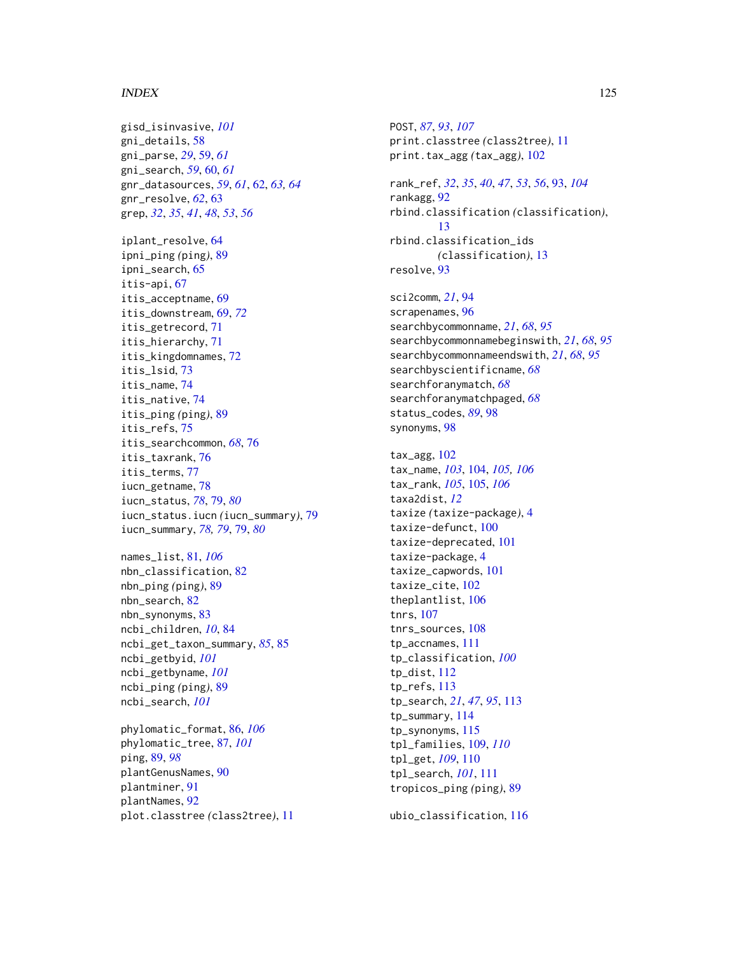#### INDEX 125

gisd\_isinvasive, *[101](#page-100-0)* gni\_details, [58](#page-57-0) gni\_parse, *[29](#page-28-0)*, [59,](#page-58-0) *[61](#page-60-0)* gni\_search, *[59](#page-58-0)*, [60,](#page-59-0) *[61](#page-60-0)* gnr\_datasources, *[59](#page-58-0)*, *[61](#page-60-0)*, [62,](#page-61-0) *[63,](#page-62-0) [64](#page-63-0)* gnr\_resolve, *[62](#page-61-0)*, [63](#page-62-0) grep, *[32](#page-31-0)*, *[35](#page-34-0)*, *[41](#page-40-0)*, *[48](#page-47-0)*, *[53](#page-52-0)*, *[56](#page-55-0)* iplant\_resolve, [64](#page-63-0) ipni\_ping *(*ping*)*, [89](#page-88-0) ipni\_search, [65](#page-64-0) itis-api, [67](#page-66-0) itis\_acceptname, [69](#page-68-0) itis\_downstream, [69,](#page-68-0) *[72](#page-71-0)* itis\_getrecord, [71](#page-70-0) itis\_hierarchy, [71](#page-70-0) itis\_kingdomnames, [72](#page-71-0) itis\_lsid, [73](#page-72-0) itis\_name, [74](#page-73-0) itis\_native, [74](#page-73-0) itis\_ping *(*ping*)*, [89](#page-88-0) itis\_refs, [75](#page-74-0) itis\_searchcommon, *[68](#page-67-0)*, [76](#page-75-0) itis\_taxrank, [76](#page-75-0) itis\_terms, [77](#page-76-0) iucn\_getname, [78](#page-77-0) iucn\_status, *[78](#page-77-0)*, [79,](#page-78-0) *[80](#page-79-0)* iucn\_status.iucn *(*iucn\_summary*)*, [79](#page-78-0) iucn\_summary, *[78,](#page-77-0) [79](#page-78-0)*, [79,](#page-78-0) *[80](#page-79-0)*

names\_list, [81,](#page-80-0) *[106](#page-105-0)* nbn\_classification, [82](#page-81-0) nbn\_ping *(*ping*)*, [89](#page-88-0) nbn\_search, [82](#page-81-0) nbn\_synonyms, [83](#page-82-0) ncbi\_children, *[10](#page-9-0)*, [84](#page-83-0) ncbi\_get\_taxon\_summary, *[85](#page-84-0)*, [85](#page-84-0) ncbi\_getbyid, *[101](#page-100-0)* ncbi\_getbyname, *[101](#page-100-0)* ncbi\_ping *(*ping*)*, [89](#page-88-0) ncbi\_search, *[101](#page-100-0)*

phylomatic\_format, [86,](#page-85-0) *[106](#page-105-0)* phylomatic\_tree, [87,](#page-86-0) *[101](#page-100-0)* ping, [89,](#page-88-0) *[98](#page-97-0)* plantGenusNames, [90](#page-89-0) plantminer, [91](#page-90-0) plantNames, [92](#page-91-0) plot.classtree *(*class2tree*)*, [11](#page-10-0) POST, *[87](#page-86-0)*, *[93](#page-92-0)*, *[107](#page-106-0)* print.classtree *(*class2tree*)*, [11](#page-10-0) print.tax\_agg *(*tax\_agg*)*, [102](#page-101-0)

rank\_ref, *[32](#page-31-0)*, *[35](#page-34-0)*, *[40](#page-39-0)*, *[47](#page-46-0)*, *[53](#page-52-0)*, *[56](#page-55-0)*, [93,](#page-92-0) *[104](#page-103-0)* rankagg, [92](#page-91-0) rbind.classification *(*classification*)*, [13](#page-12-0) rbind.classification\_ids *(*classification*)*, [13](#page-12-0) resolve, [93](#page-92-0)

sci2comm, *[21](#page-20-0)*, [94](#page-93-0) scrapenames, [96](#page-95-0) searchbycommonname, *[21](#page-20-0)*, *[68](#page-67-0)*, *[95](#page-94-0)* searchbycommonnamebeginswith, *[21](#page-20-0)*, *[68](#page-67-0)*, *[95](#page-94-0)* searchbycommonnameendswith, *[21](#page-20-0)*, *[68](#page-67-0)*, *[95](#page-94-0)* searchbyscientificname, *[68](#page-67-0)* searchforanymatch, *[68](#page-67-0)* searchforanymatchpaged, *[68](#page-67-0)* status\_codes, *[89](#page-88-0)*, [98](#page-97-0) synonyms, [98](#page-97-0)

tax\_agg, [102](#page-101-0) tax\_name, *[103](#page-102-0)*, [104,](#page-103-0) *[105,](#page-104-0) [106](#page-105-0)* tax\_rank, *[105](#page-104-0)*, [105,](#page-104-0) *[106](#page-105-0)* taxa2dist, *[12](#page-11-0)* taxize *(*taxize-package*)*, [4](#page-3-0) taxize-defunct, [100](#page-99-0) taxize-deprecated, [101](#page-100-0) taxize-package, [4](#page-3-0) taxize\_capwords, [101](#page-100-0) taxize cite, [102](#page-101-0) theplantlist, [106](#page-105-0) tnrs, [107](#page-106-0) tnrs\_sources, [108](#page-107-0) tp\_accnames, [111](#page-110-0) tp\_classification, *[100](#page-99-0)* tp\_dist, [112](#page-111-0) tp\_refs, [113](#page-112-0) tp\_search, *[21](#page-20-0)*, *[47](#page-46-0)*, *[95](#page-94-0)*, [113](#page-112-0) tp\_summary, [114](#page-113-0) tp\_synonyms, [115](#page-114-0) tpl\_families, [109,](#page-108-1) *[110](#page-109-1)* tpl\_get, *[109](#page-108-1)*, [110](#page-109-1) tpl\_search, *[101](#page-100-0)*, [111](#page-110-0) tropicos\_ping *(*ping*)*, [89](#page-88-0)

ubio\_classification, [116](#page-115-0)